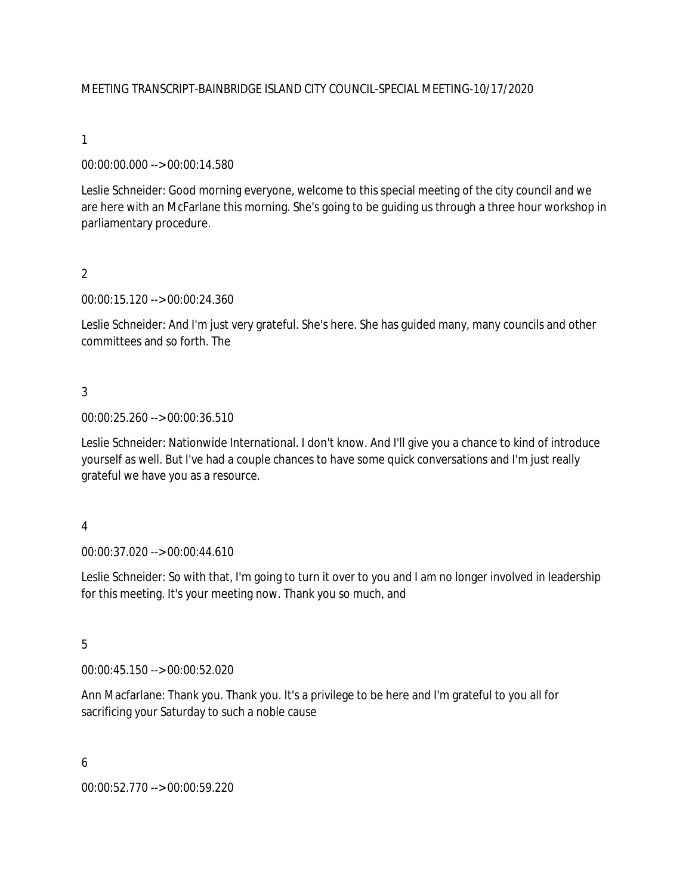## MEETING TRANSCRIPT-BAINBRIDGE ISLAND CITY COUNCIL-SPECIAL MEETING-10/17/2020

### 1

### 00:00:00.000 --> 00:00:14.580

Leslie Schneider: Good morning everyone, welcome to this special meeting of the city council and we are here with an McFarlane this morning. She's going to be guiding us through a three hour workshop in parliamentary procedure.

### 2

00:00:15.120 --> 00:00:24.360

Leslie Schneider: And I'm just very grateful. She's here. She has guided many, many councils and other committees and so forth. The

### 3

00:00:25.260 --> 00:00:36.510

Leslie Schneider: Nationwide International. I don't know. And I'll give you a chance to kind of introduce yourself as well. But I've had a couple chances to have some quick conversations and I'm just really grateful we have you as a resource.

#### 4

00:00:37.020 --> 00:00:44.610

Leslie Schneider: So with that, I'm going to turn it over to you and I am no longer involved in leadership for this meeting. It's your meeting now. Thank you so much, and

# 5

00:00:45.150 --> 00:00:52.020

Ann Macfarlane: Thank you. Thank you. It's a privilege to be here and I'm grateful to you all for sacrificing your Saturday to such a noble cause

#### 6

00:00:52.770 --> 00:00:59.220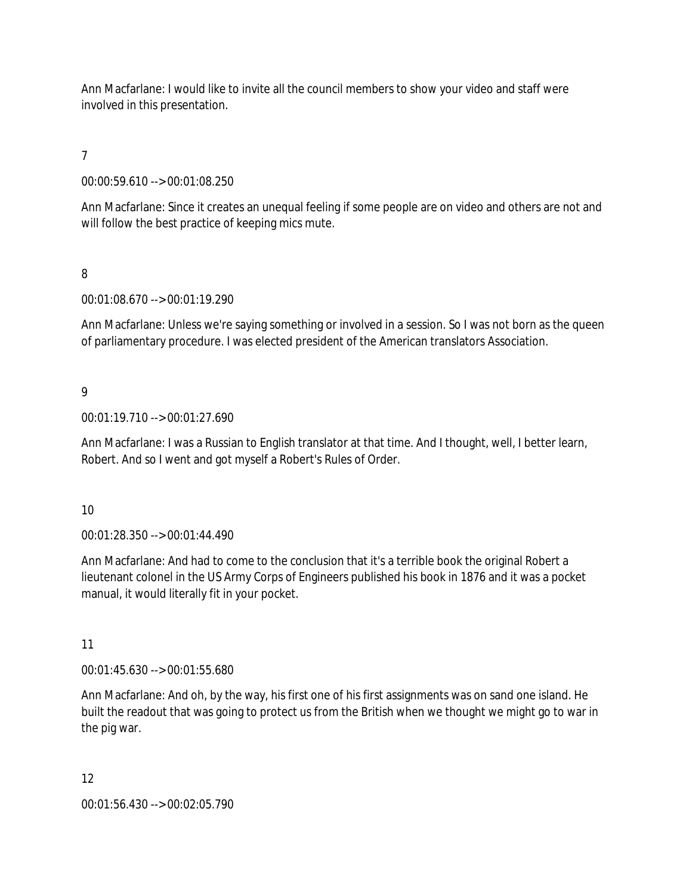Ann Macfarlane: I would like to invite all the council members to show your video and staff were involved in this presentation.

# 7

00:00:59.610 --> 00:01:08.250

Ann Macfarlane: Since it creates an unequal feeling if some people are on video and others are not and will follow the best practice of keeping mics mute.

## 8

00:01:08.670 --> 00:01:19.290

Ann Macfarlane: Unless we're saying something or involved in a session. So I was not born as the queen of parliamentary procedure. I was elected president of the American translators Association.

### 9

00:01:19.710 --> 00:01:27.690

Ann Macfarlane: I was a Russian to English translator at that time. And I thought, well, I better learn, Robert. And so I went and got myself a Robert's Rules of Order.

#### 10

00:01:28.350 --> 00:01:44.490

Ann Macfarlane: And had to come to the conclusion that it's a terrible book the original Robert a lieutenant colonel in the US Army Corps of Engineers published his book in 1876 and it was a pocket manual, it would literally fit in your pocket.

# 11

00:01:45.630 --> 00:01:55.680

Ann Macfarlane: And oh, by the way, his first one of his first assignments was on sand one island. He built the readout that was going to protect us from the British when we thought we might go to war in the pig war.

#### 12

00:01:56.430 --> 00:02:05.790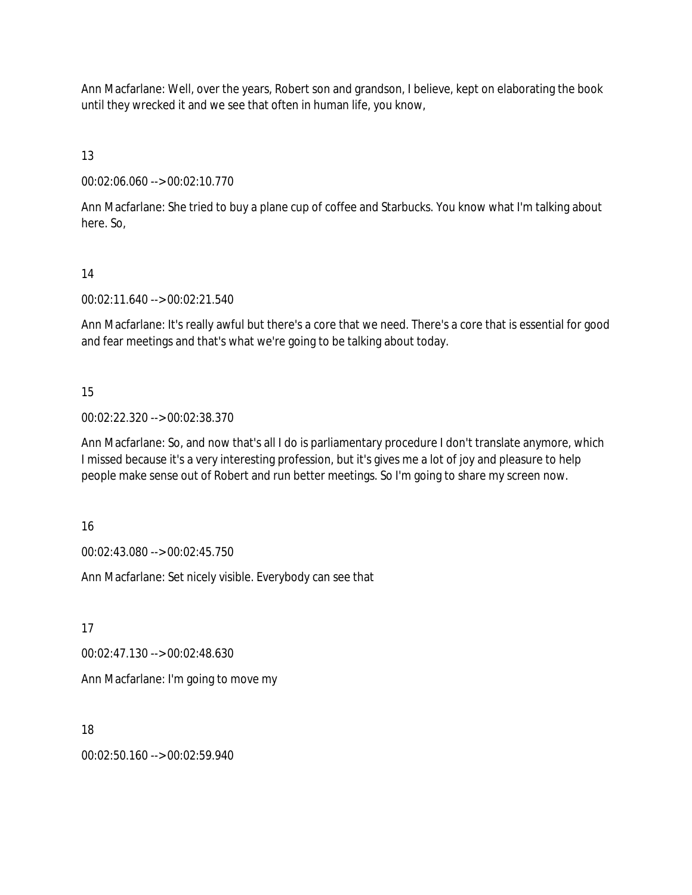Ann Macfarlane: Well, over the years, Robert son and grandson, I believe, kept on elaborating the book until they wrecked it and we see that often in human life, you know,

13

00:02:06.060 --> 00:02:10.770

Ann Macfarlane: She tried to buy a plane cup of coffee and Starbucks. You know what I'm talking about here. So,

14

00:02:11.640 --> 00:02:21.540

Ann Macfarlane: It's really awful but there's a core that we need. There's a core that is essential for good and fear meetings and that's what we're going to be talking about today.

15

00:02:22.320 --> 00:02:38.370

Ann Macfarlane: So, and now that's all I do is parliamentary procedure I don't translate anymore, which I missed because it's a very interesting profession, but it's gives me a lot of joy and pleasure to help people make sense out of Robert and run better meetings. So I'm going to share my screen now.

16

00:02:43.080 --> 00:02:45.750

Ann Macfarlane: Set nicely visible. Everybody can see that

17

00:02:47.130 --> 00:02:48.630

Ann Macfarlane: I'm going to move my

18

00:02:50.160 --> 00:02:59.940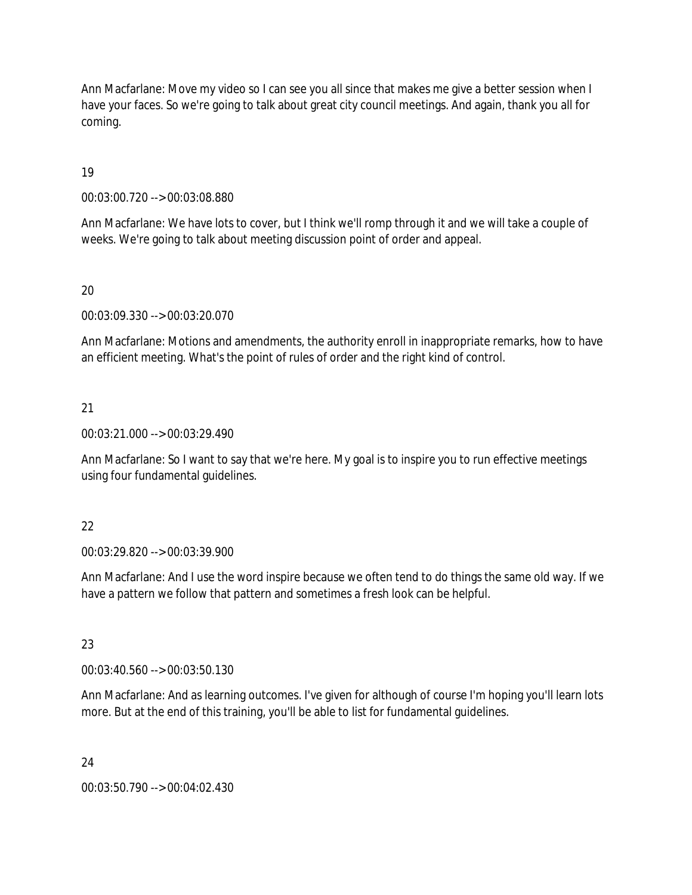Ann Macfarlane: Move my video so I can see you all since that makes me give a better session when I have your faces. So we're going to talk about great city council meetings. And again, thank you all for coming.

19

00:03:00.720 --> 00:03:08.880

Ann Macfarlane: We have lots to cover, but I think we'll romp through it and we will take a couple of weeks. We're going to talk about meeting discussion point of order and appeal.

### 20

00:03:09.330 --> 00:03:20.070

Ann Macfarlane: Motions and amendments, the authority enroll in inappropriate remarks, how to have an efficient meeting. What's the point of rules of order and the right kind of control.

### 21

00:03:21.000 --> 00:03:29.490

Ann Macfarlane: So I want to say that we're here. My goal is to inspire you to run effective meetings using four fundamental guidelines.

#### 22

00:03:29.820 --> 00:03:39.900

Ann Macfarlane: And I use the word inspire because we often tend to do things the same old way. If we have a pattern we follow that pattern and sometimes a fresh look can be helpful.

# 23

00:03:40.560 --> 00:03:50.130

Ann Macfarlane: And as learning outcomes. I've given for although of course I'm hoping you'll learn lots more. But at the end of this training, you'll be able to list for fundamental guidelines.

#### 24

00:03:50.790 --> 00:04:02.430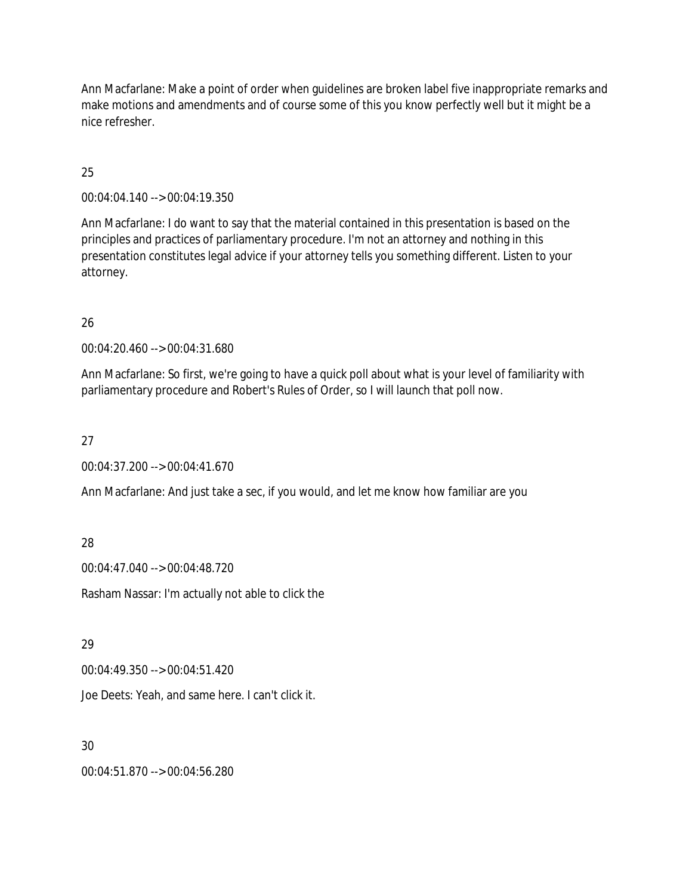Ann Macfarlane: Make a point of order when guidelines are broken label five inappropriate remarks and make motions and amendments and of course some of this you know perfectly well but it might be a nice refresher.

## 25

00:04:04.140 --> 00:04:19.350

Ann Macfarlane: I do want to say that the material contained in this presentation is based on the principles and practices of parliamentary procedure. I'm not an attorney and nothing in this presentation constitutes legal advice if your attorney tells you something different. Listen to your attorney.

### 26

00:04:20.460 --> 00:04:31.680

Ann Macfarlane: So first, we're going to have a quick poll about what is your level of familiarity with parliamentary procedure and Robert's Rules of Order, so I will launch that poll now.

## 27

00:04:37.200 --> 00:04:41.670

Ann Macfarlane: And just take a sec, if you would, and let me know how familiar are you

### 28

00:04:47.040 --> 00:04:48.720

Rasham Nassar: I'm actually not able to click the

### 29

00:04:49.350 --> 00:04:51.420

Joe Deets: Yeah, and same here. I can't click it.

### 30

00:04:51.870 --> 00:04:56.280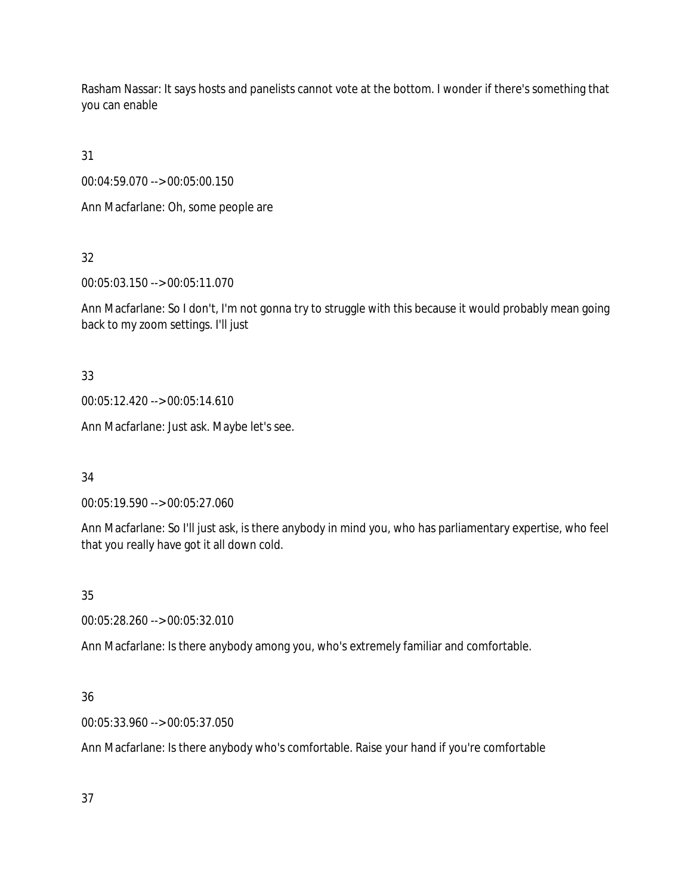Rasham Nassar: It says hosts and panelists cannot vote at the bottom. I wonder if there's something that you can enable

31

00:04:59.070 --> 00:05:00.150

Ann Macfarlane: Oh, some people are

32

00:05:03.150 --> 00:05:11.070

Ann Macfarlane: So I don't, I'm not gonna try to struggle with this because it would probably mean going back to my zoom settings. I'll just

33

00:05:12.420 --> 00:05:14.610

Ann Macfarlane: Just ask. Maybe let's see.

34

00:05:19.590 --> 00:05:27.060

Ann Macfarlane: So I'll just ask, is there anybody in mind you, who has parliamentary expertise, who feel that you really have got it all down cold.

35

00:05:28.260 --> 00:05:32.010

Ann Macfarlane: Is there anybody among you, who's extremely familiar and comfortable.

# 36

00:05:33.960 --> 00:05:37.050

Ann Macfarlane: Is there anybody who's comfortable. Raise your hand if you're comfortable

37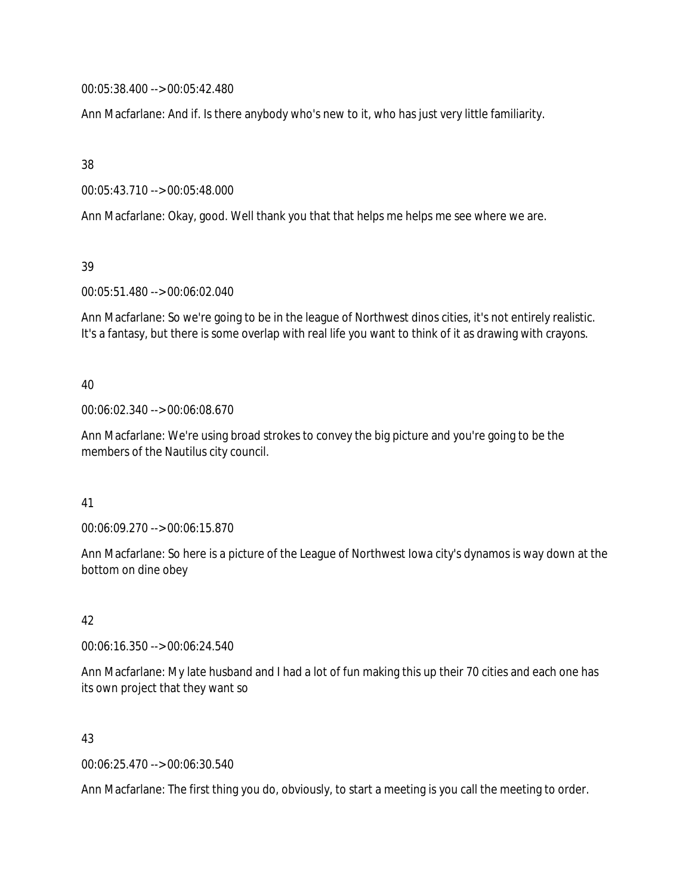00:05:38.400 --> 00:05:42.480

Ann Macfarlane: And if. Is there anybody who's new to it, who has just very little familiarity.

38

00:05:43.710 --> 00:05:48.000

Ann Macfarlane: Okay, good. Well thank you that that helps me helps me see where we are.

39

00:05:51.480 --> 00:06:02.040

Ann Macfarlane: So we're going to be in the league of Northwest dinos cities, it's not entirely realistic. It's a fantasy, but there is some overlap with real life you want to think of it as drawing with crayons.

### 40

00:06:02.340 --> 00:06:08.670

Ann Macfarlane: We're using broad strokes to convey the big picture and you're going to be the members of the Nautilus city council.

41

00:06:09.270 --> 00:06:15.870

Ann Macfarlane: So here is a picture of the League of Northwest Iowa city's dynamos is way down at the bottom on dine obey

### 42

00:06:16.350 --> 00:06:24.540

Ann Macfarlane: My late husband and I had a lot of fun making this up their 70 cities and each one has its own project that they want so

### 43

00:06:25.470 --> 00:06:30.540

Ann Macfarlane: The first thing you do, obviously, to start a meeting is you call the meeting to order.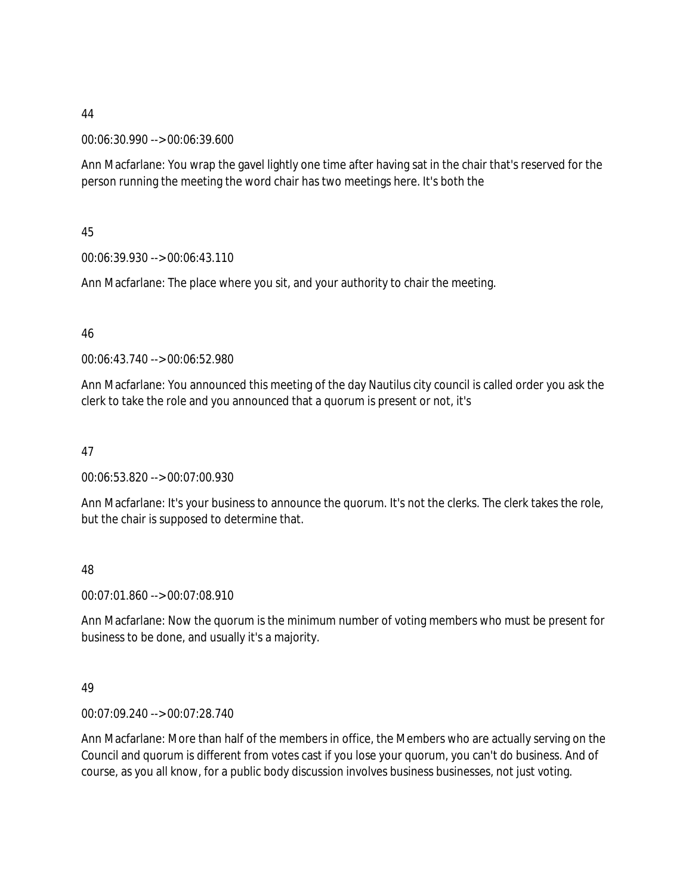00:06:30.990 --> 00:06:39.600

Ann Macfarlane: You wrap the gavel lightly one time after having sat in the chair that's reserved for the person running the meeting the word chair has two meetings here. It's both the

45

00:06:39.930 --> 00:06:43.110

Ann Macfarlane: The place where you sit, and your authority to chair the meeting.

46

00:06:43.740 --> 00:06:52.980

Ann Macfarlane: You announced this meeting of the day Nautilus city council is called order you ask the clerk to take the role and you announced that a quorum is present or not, it's

47

00:06:53.820 --> 00:07:00.930

Ann Macfarlane: It's your business to announce the quorum. It's not the clerks. The clerk takes the role, but the chair is supposed to determine that.

48

00:07:01.860 --> 00:07:08.910

Ann Macfarlane: Now the quorum is the minimum number of voting members who must be present for business to be done, and usually it's a majority.

49

00:07:09.240 --> 00:07:28.740

Ann Macfarlane: More than half of the members in office, the Members who are actually serving on the Council and quorum is different from votes cast if you lose your quorum, you can't do business. And of course, as you all know, for a public body discussion involves business businesses, not just voting.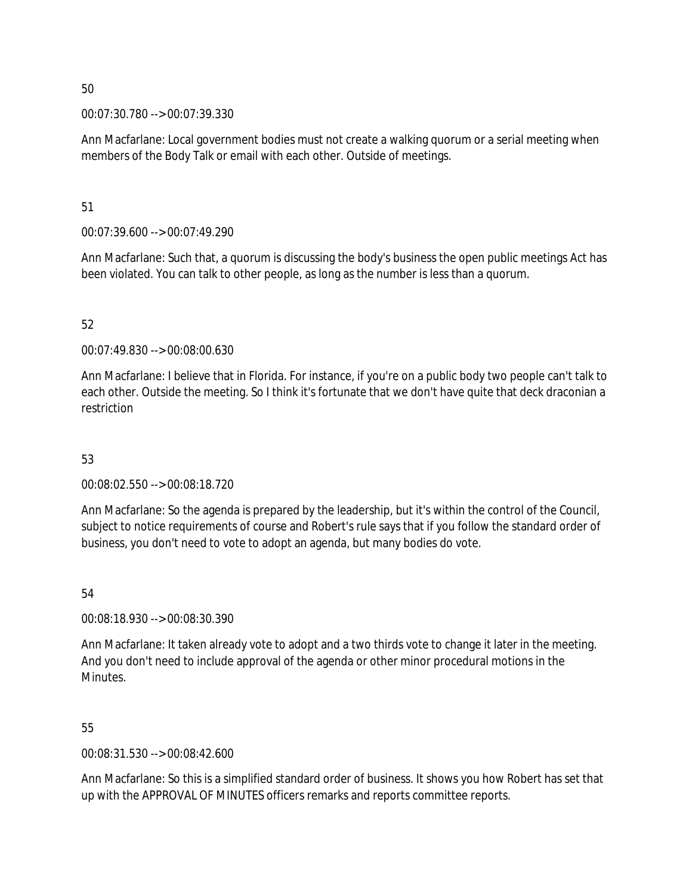00:07:30.780 --> 00:07:39.330

Ann Macfarlane: Local government bodies must not create a walking quorum or a serial meeting when members of the Body Talk or email with each other. Outside of meetings.

51

00:07:39.600 --> 00:07:49.290

Ann Macfarlane: Such that, a quorum is discussing the body's business the open public meetings Act has been violated. You can talk to other people, as long as the number is less than a quorum.

### 52

00:07:49.830 --> 00:08:00.630

Ann Macfarlane: I believe that in Florida. For instance, if you're on a public body two people can't talk to each other. Outside the meeting. So I think it's fortunate that we don't have quite that deck draconian a restriction

### 53

00:08:02.550 --> 00:08:18.720

Ann Macfarlane: So the agenda is prepared by the leadership, but it's within the control of the Council, subject to notice requirements of course and Robert's rule says that if you follow the standard order of business, you don't need to vote to adopt an agenda, but many bodies do vote.

54

00:08:18.930 --> 00:08:30.390

Ann Macfarlane: It taken already vote to adopt and a two thirds vote to change it later in the meeting. And you don't need to include approval of the agenda or other minor procedural motions in the Minutes.

55

00:08:31.530 --> 00:08:42.600

Ann Macfarlane: So this is a simplified standard order of business. It shows you how Robert has set that up with the APPROVAL OF MINUTES officers remarks and reports committee reports.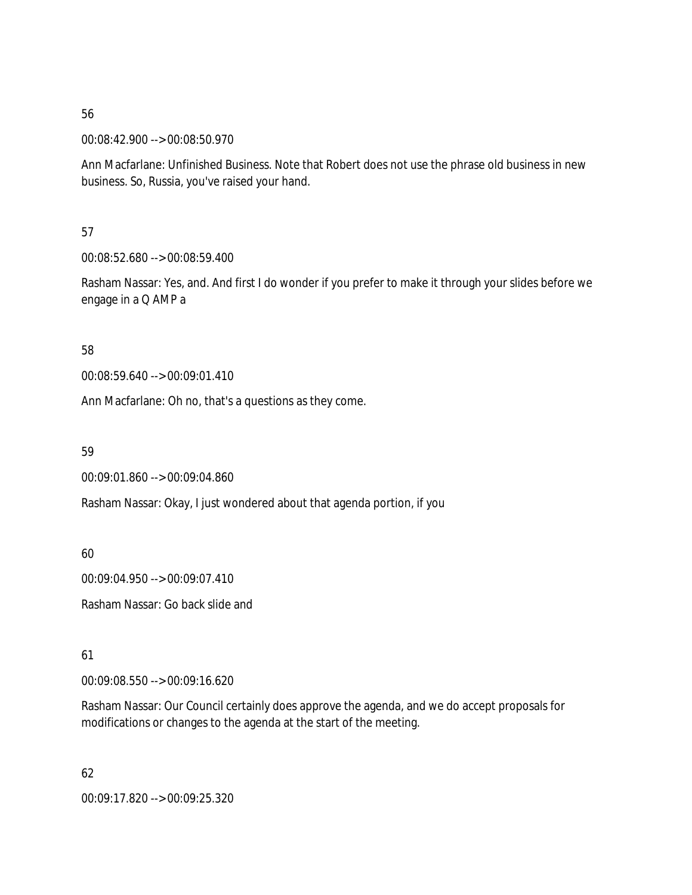00:08:42.900 --> 00:08:50.970

Ann Macfarlane: Unfinished Business. Note that Robert does not use the phrase old business in new business. So, Russia, you've raised your hand.

57

00:08:52.680 --> 00:08:59.400

Rasham Nassar: Yes, and. And first I do wonder if you prefer to make it through your slides before we engage in a Q AMP a

58

00:08:59.640 --> 00:09:01.410

Ann Macfarlane: Oh no, that's a questions as they come.

59

00:09:01.860 --> 00:09:04.860

Rasham Nassar: Okay, I just wondered about that agenda portion, if you

60

00:09:04.950 --> 00:09:07.410

Rasham Nassar: Go back slide and

61

00:09:08.550 --> 00:09:16.620

Rasham Nassar: Our Council certainly does approve the agenda, and we do accept proposals for modifications or changes to the agenda at the start of the meeting.

62 00:09:17.820 --> 00:09:25.320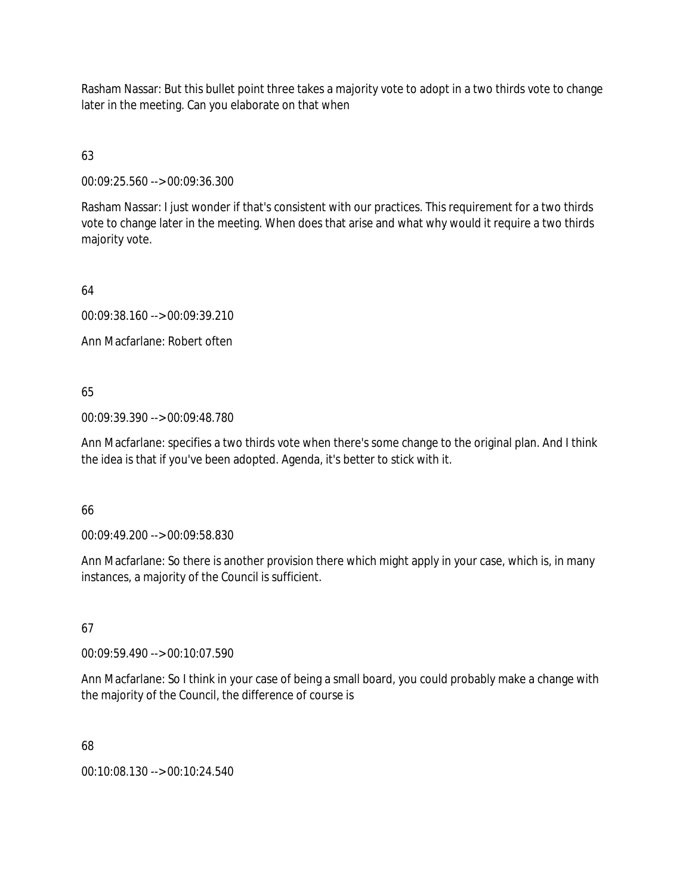Rasham Nassar: But this bullet point three takes a majority vote to adopt in a two thirds vote to change later in the meeting. Can you elaborate on that when

# 63

00:09:25.560 --> 00:09:36.300

Rasham Nassar: I just wonder if that's consistent with our practices. This requirement for a two thirds vote to change later in the meeting. When does that arise and what why would it require a two thirds majority vote.

64

00:09:38.160 --> 00:09:39.210

Ann Macfarlane: Robert often

### 65

00:09:39.390 --> 00:09:48.780

Ann Macfarlane: specifies a two thirds vote when there's some change to the original plan. And I think the idea is that if you've been adopted. Agenda, it's better to stick with it.

### 66

00:09:49.200 --> 00:09:58.830

Ann Macfarlane: So there is another provision there which might apply in your case, which is, in many instances, a majority of the Council is sufficient.

### 67

00:09:59.490 --> 00:10:07.590

Ann Macfarlane: So I think in your case of being a small board, you could probably make a change with the majority of the Council, the difference of course is

### 68

00:10:08.130 --> 00:10:24.540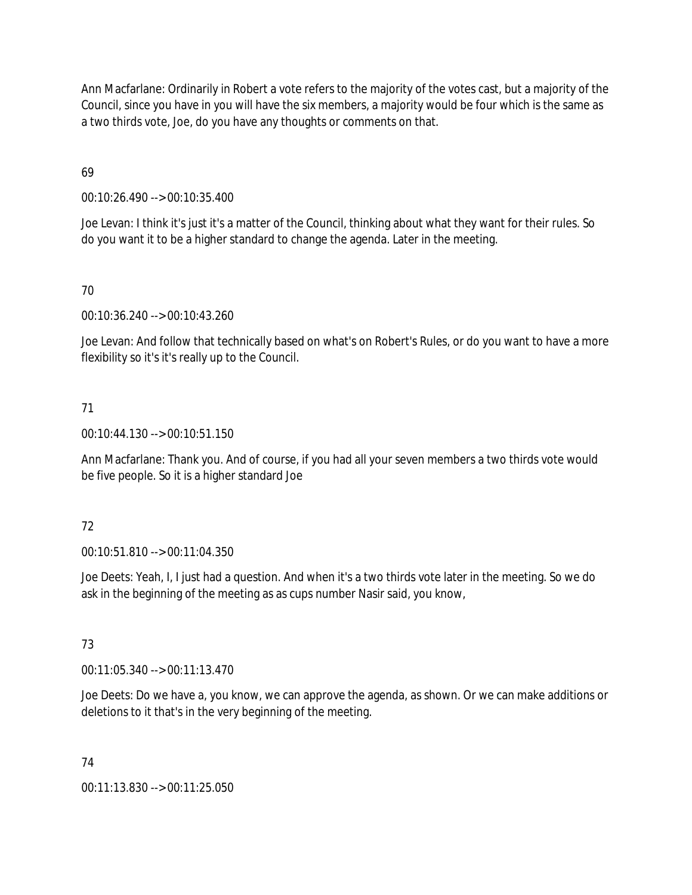Ann Macfarlane: Ordinarily in Robert a vote refers to the majority of the votes cast, but a majority of the Council, since you have in you will have the six members, a majority would be four which is the same as a two thirds vote, Joe, do you have any thoughts or comments on that.

69

00:10:26.490 --> 00:10:35.400

Joe Levan: I think it's just it's a matter of the Council, thinking about what they want for their rules. So do you want it to be a higher standard to change the agenda. Later in the meeting.

## 70

00:10:36.240 --> 00:10:43.260

Joe Levan: And follow that technically based on what's on Robert's Rules, or do you want to have a more flexibility so it's it's really up to the Council.

### 71

00:10:44.130 --> 00:10:51.150

Ann Macfarlane: Thank you. And of course, if you had all your seven members a two thirds vote would be five people. So it is a higher standard Joe

### 72

00:10:51.810 --> 00:11:04.350

Joe Deets: Yeah, I, I just had a question. And when it's a two thirds vote later in the meeting. So we do ask in the beginning of the meeting as as cups number Nasir said, you know,

### 73

00:11:05.340 --> 00:11:13.470

Joe Deets: Do we have a, you know, we can approve the agenda, as shown. Or we can make additions or deletions to it that's in the very beginning of the meeting.

### 74

00:11:13.830 --> 00:11:25.050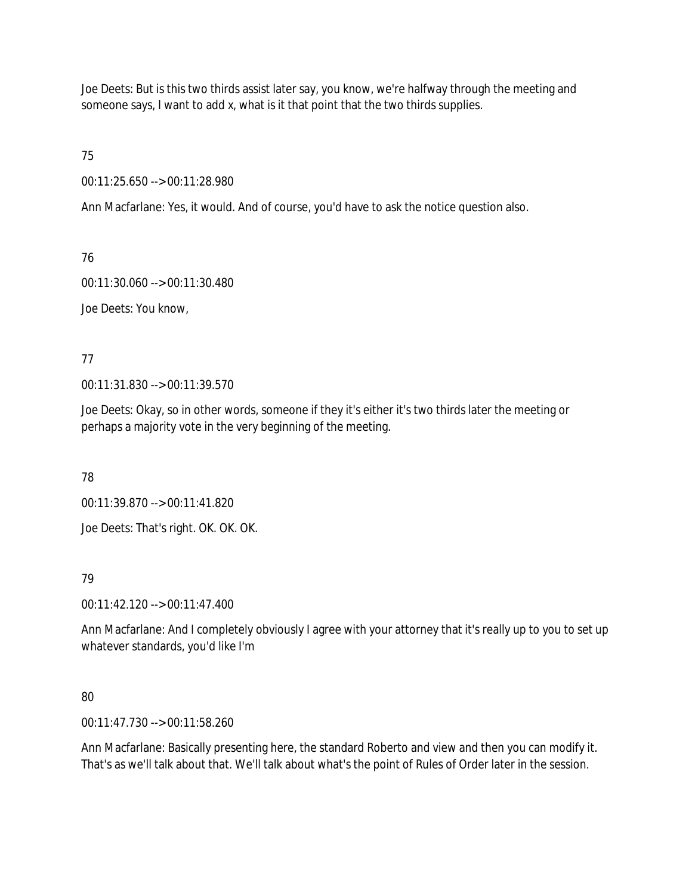Joe Deets: But is this two thirds assist later say, you know, we're halfway through the meeting and someone says, I want to add x, what is it that point that the two thirds supplies.

75

00:11:25.650 --> 00:11:28.980

Ann Macfarlane: Yes, it would. And of course, you'd have to ask the notice question also.

76

00:11:30.060 --> 00:11:30.480

Joe Deets: You know,

77

00:11:31.830 --> 00:11:39.570

Joe Deets: Okay, so in other words, someone if they it's either it's two thirds later the meeting or perhaps a majority vote in the very beginning of the meeting.

78

00:11:39.870 --> 00:11:41.820

Joe Deets: That's right. OK. OK. OK.

79

00:11:42.120 --> 00:11:47.400

Ann Macfarlane: And I completely obviously I agree with your attorney that it's really up to you to set up whatever standards, you'd like I'm

### 80

00:11:47.730 --> 00:11:58.260

Ann Macfarlane: Basically presenting here, the standard Roberto and view and then you can modify it. That's as we'll talk about that. We'll talk about what's the point of Rules of Order later in the session.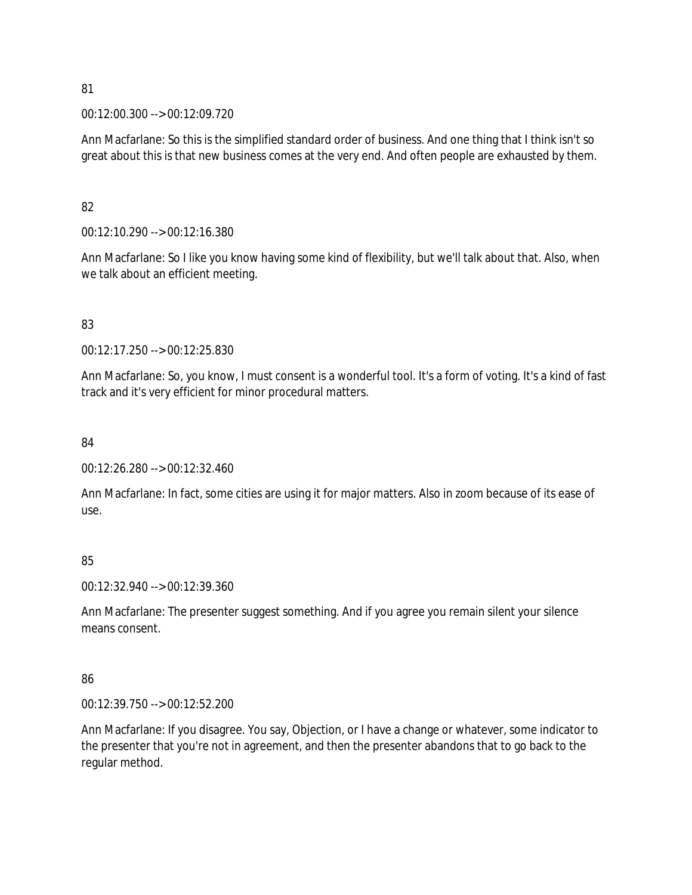00:12:00.300 --> 00:12:09.720

Ann Macfarlane: So this is the simplified standard order of business. And one thing that I think isn't so great about this is that new business comes at the very end. And often people are exhausted by them.

### 82

00:12:10.290 --> 00:12:16.380

Ann Macfarlane: So I like you know having some kind of flexibility, but we'll talk about that. Also, when we talk about an efficient meeting.

### 83

00:12:17.250 --> 00:12:25.830

Ann Macfarlane: So, you know, I must consent is a wonderful tool. It's a form of voting. It's a kind of fast track and it's very efficient for minor procedural matters.

#### 84

00:12:26.280 --> 00:12:32.460

Ann Macfarlane: In fact, some cities are using it for major matters. Also in zoom because of its ease of use.

### 85

00:12:32.940 --> 00:12:39.360

Ann Macfarlane: The presenter suggest something. And if you agree you remain silent your silence means consent.

### 86

00:12:39.750 --> 00:12:52.200

Ann Macfarlane: If you disagree. You say, Objection, or I have a change or whatever, some indicator to the presenter that you're not in agreement, and then the presenter abandons that to go back to the regular method.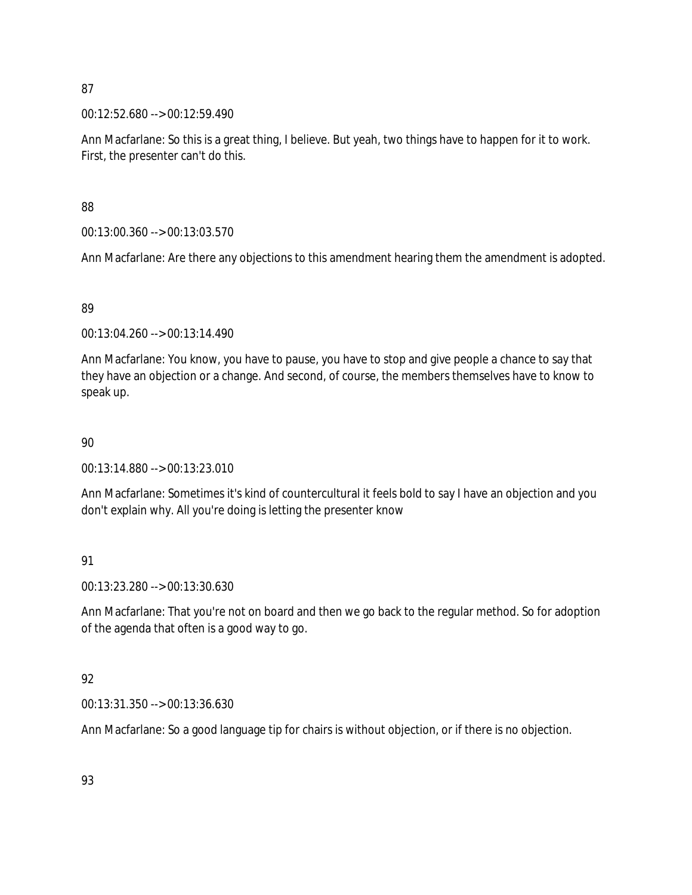00:12:52.680 --> 00:12:59.490

Ann Macfarlane: So this is a great thing, I believe. But yeah, two things have to happen for it to work. First, the presenter can't do this.

88

00:13:00.360 --> 00:13:03.570

Ann Macfarlane: Are there any objections to this amendment hearing them the amendment is adopted.

### 89

00:13:04.260 --> 00:13:14.490

Ann Macfarlane: You know, you have to pause, you have to stop and give people a chance to say that they have an objection or a change. And second, of course, the members themselves have to know to speak up.

### 90

00:13:14.880 --> 00:13:23.010

Ann Macfarlane: Sometimes it's kind of countercultural it feels bold to say I have an objection and you don't explain why. All you're doing is letting the presenter know

# 91

00:13:23.280 --> 00:13:30.630

Ann Macfarlane: That you're not on board and then we go back to the regular method. So for adoption of the agenda that often is a good way to go.

### 92

00:13:31.350 --> 00:13:36.630

Ann Macfarlane: So a good language tip for chairs is without objection, or if there is no objection.

93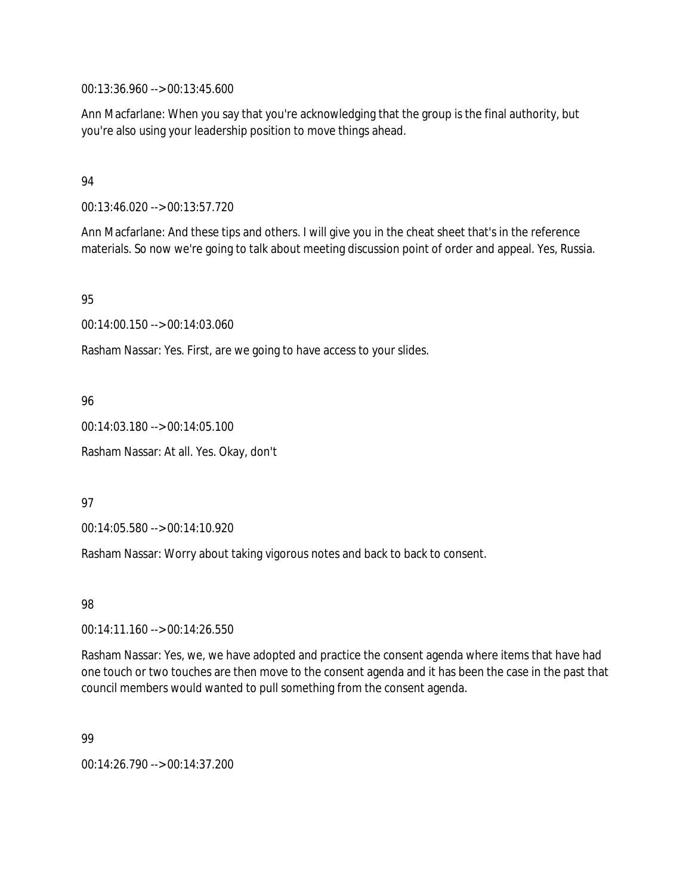00:13:36.960 --> 00:13:45.600

Ann Macfarlane: When you say that you're acknowledging that the group is the final authority, but you're also using your leadership position to move things ahead.

#### 94

00:13:46.020 --> 00:13:57.720

Ann Macfarlane: And these tips and others. I will give you in the cheat sheet that's in the reference materials. So now we're going to talk about meeting discussion point of order and appeal. Yes, Russia.

95

00:14:00.150 --> 00:14:03.060

Rasham Nassar: Yes. First, are we going to have access to your slides.

96

00:14:03.180 --> 00:14:05.100 Rasham Nassar: At all. Yes. Okay, don't

97

00:14:05.580 --> 00:14:10.920

Rasham Nassar: Worry about taking vigorous notes and back to back to consent.

98

00:14:11.160 --> 00:14:26.550

Rasham Nassar: Yes, we, we have adopted and practice the consent agenda where items that have had one touch or two touches are then move to the consent agenda and it has been the case in the past that council members would wanted to pull something from the consent agenda.

99

00:14:26.790 --> 00:14:37.200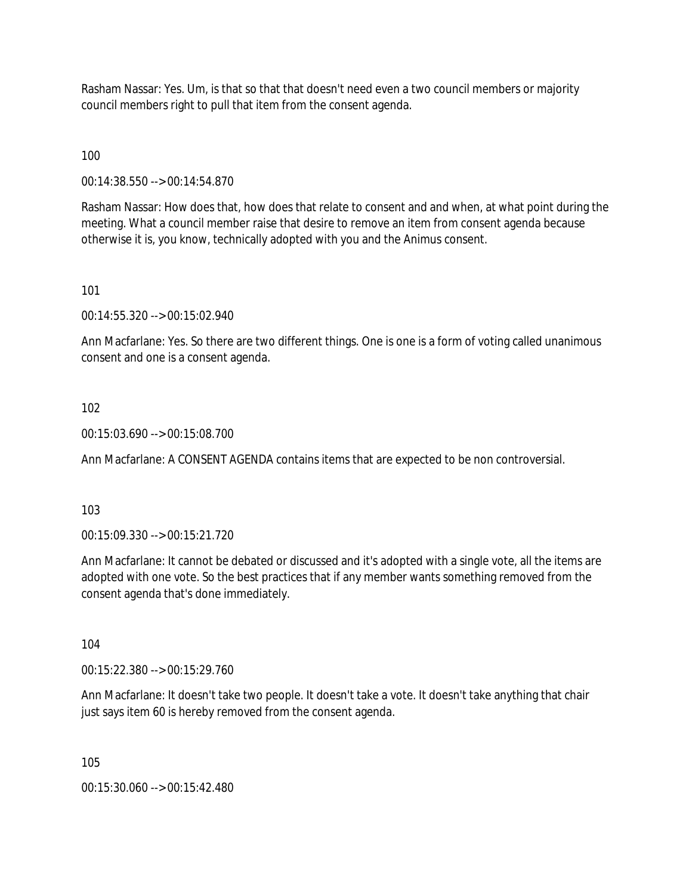Rasham Nassar: Yes. Um, is that so that that doesn't need even a two council members or majority council members right to pull that item from the consent agenda.

100

00:14:38.550 --> 00:14:54.870

Rasham Nassar: How does that, how does that relate to consent and and when, at what point during the meeting. What a council member raise that desire to remove an item from consent agenda because otherwise it is, you know, technically adopted with you and the Animus consent.

#### 101

00:14:55.320 --> 00:15:02.940

Ann Macfarlane: Yes. So there are two different things. One is one is a form of voting called unanimous consent and one is a consent agenda.

#### 102

00:15:03.690 --> 00:15:08.700

Ann Macfarlane: A CONSENT AGENDA contains items that are expected to be non controversial.

103

00:15:09.330 --> 00:15:21.720

Ann Macfarlane: It cannot be debated or discussed and it's adopted with a single vote, all the items are adopted with one vote. So the best practices that if any member wants something removed from the consent agenda that's done immediately.

104

00:15:22.380 --> 00:15:29.760

Ann Macfarlane: It doesn't take two people. It doesn't take a vote. It doesn't take anything that chair just says item 60 is hereby removed from the consent agenda.

105

00:15:30.060 --> 00:15:42.480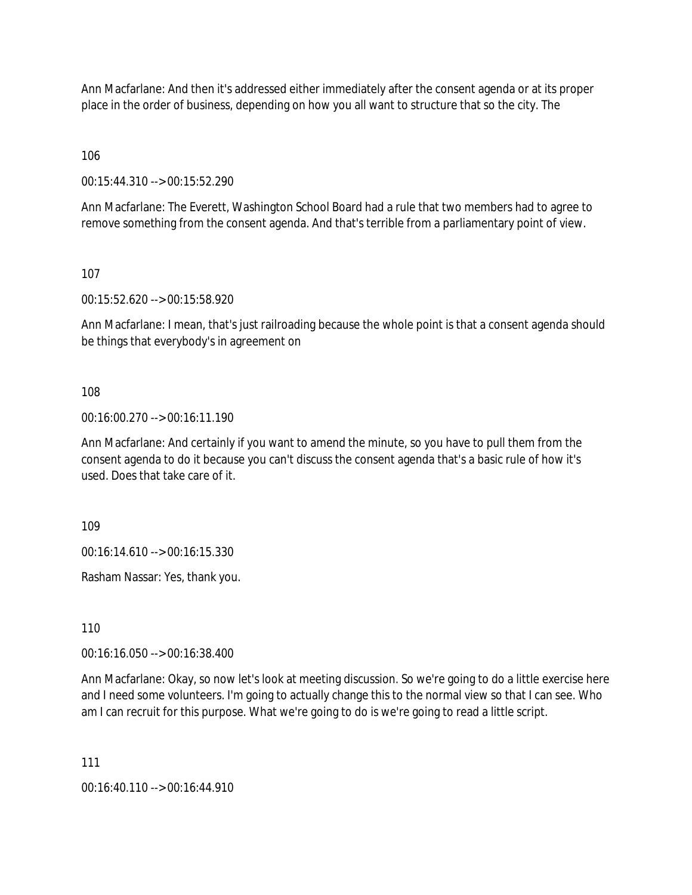Ann Macfarlane: And then it's addressed either immediately after the consent agenda or at its proper place in the order of business, depending on how you all want to structure that so the city. The

106

00:15:44.310 --> 00:15:52.290

Ann Macfarlane: The Everett, Washington School Board had a rule that two members had to agree to remove something from the consent agenda. And that's terrible from a parliamentary point of view.

107

00:15:52.620 --> 00:15:58.920

Ann Macfarlane: I mean, that's just railroading because the whole point is that a consent agenda should be things that everybody's in agreement on

108

00:16:00.270 --> 00:16:11.190

Ann Macfarlane: And certainly if you want to amend the minute, so you have to pull them from the consent agenda to do it because you can't discuss the consent agenda that's a basic rule of how it's used. Does that take care of it.

109

00:16:14.610 --> 00:16:15.330

Rasham Nassar: Yes, thank you.

110

00:16:16.050 --> 00:16:38.400

Ann Macfarlane: Okay, so now let's look at meeting discussion. So we're going to do a little exercise here and I need some volunteers. I'm going to actually change this to the normal view so that I can see. Who am I can recruit for this purpose. What we're going to do is we're going to read a little script.

111

00:16:40.110 --> 00:16:44.910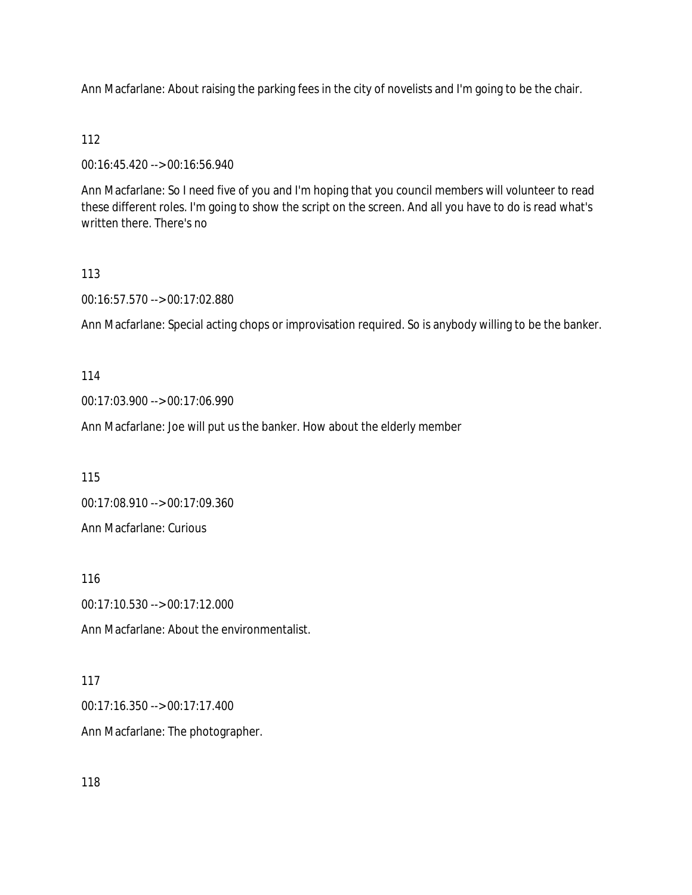Ann Macfarlane: About raising the parking fees in the city of novelists and I'm going to be the chair.

## 112

00:16:45.420 --> 00:16:56.940

Ann Macfarlane: So I need five of you and I'm hoping that you council members will volunteer to read these different roles. I'm going to show the script on the screen. And all you have to do is read what's written there. There's no

## 113

00:16:57.570 --> 00:17:02.880

Ann Macfarlane: Special acting chops or improvisation required. So is anybody willing to be the banker.

### 114

00:17:03.900 --> 00:17:06.990

Ann Macfarlane: Joe will put us the banker. How about the elderly member

115

00:17:08.910 --> 00:17:09.360

Ann Macfarlane: Curious

116

00:17:10.530 --> 00:17:12.000

Ann Macfarlane: About the environmentalist.

### 117

00:17:16.350 --> 00:17:17.400

Ann Macfarlane: The photographer.

118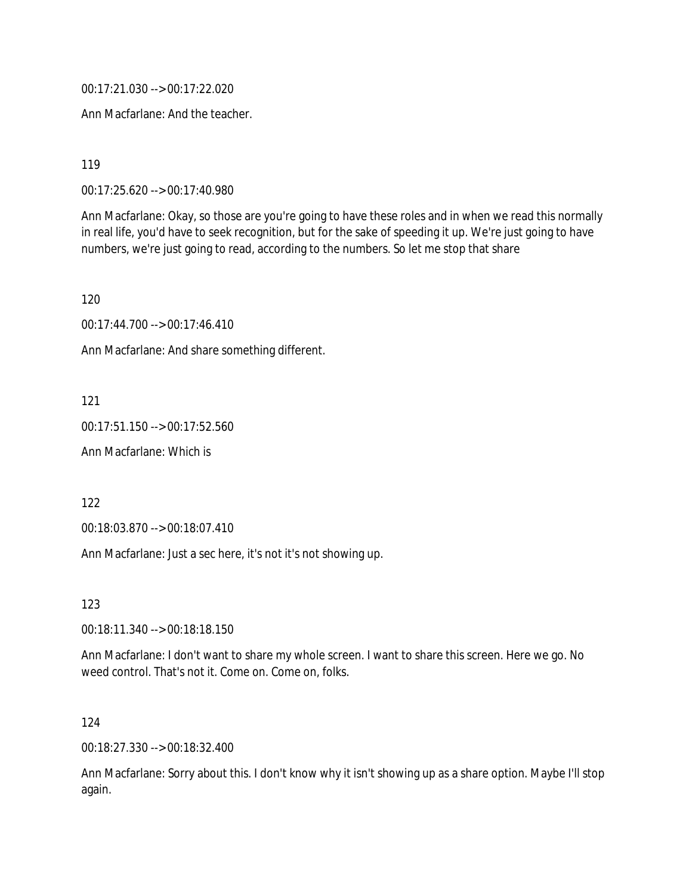00:17:21.030 --> 00:17:22.020

Ann Macfarlane: And the teacher.

119

00:17:25.620 --> 00:17:40.980

Ann Macfarlane: Okay, so those are you're going to have these roles and in when we read this normally in real life, you'd have to seek recognition, but for the sake of speeding it up. We're just going to have numbers, we're just going to read, according to the numbers. So let me stop that share

120

00:17:44.700 --> 00:17:46.410

Ann Macfarlane: And share something different.

121

00:17:51.150 --> 00:17:52.560

Ann Macfarlane: Which is

122

00:18:03.870 --> 00:18:07.410

Ann Macfarlane: Just a sec here, it's not it's not showing up.

123

00:18:11.340 --> 00:18:18.150

Ann Macfarlane: I don't want to share my whole screen. I want to share this screen. Here we go. No weed control. That's not it. Come on. Come on, folks.

124

00:18:27.330 --> 00:18:32.400

Ann Macfarlane: Sorry about this. I don't know why it isn't showing up as a share option. Maybe I'll stop again.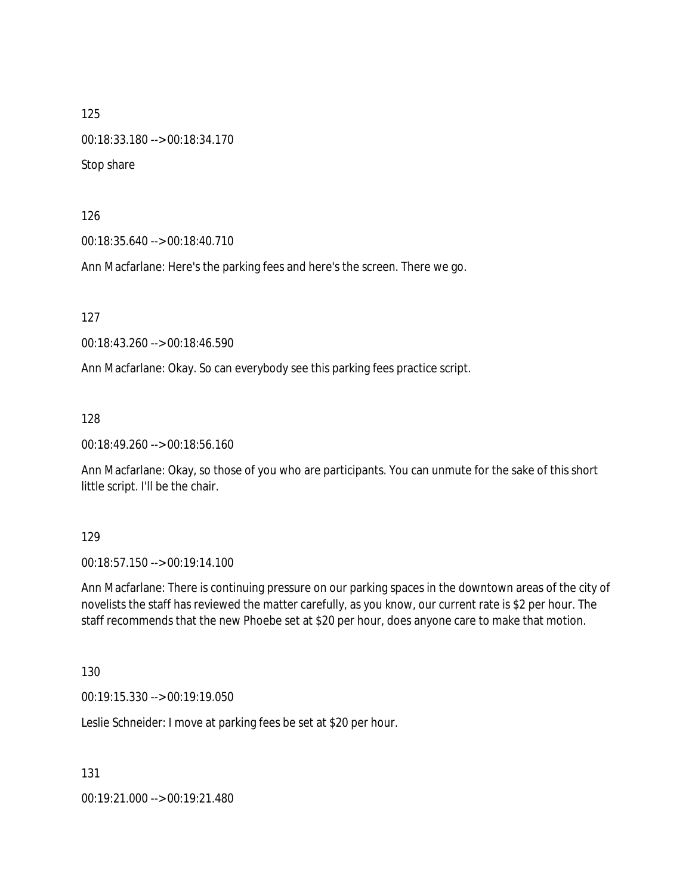00:18:33.180 --> 00:18:34.170

Stop share

126

00:18:35.640 --> 00:18:40.710

Ann Macfarlane: Here's the parking fees and here's the screen. There we go.

127

00:18:43.260 --> 00:18:46.590

Ann Macfarlane: Okay. So can everybody see this parking fees practice script.

128

00:18:49.260 --> 00:18:56.160

Ann Macfarlane: Okay, so those of you who are participants. You can unmute for the sake of this short little script. I'll be the chair.

129

00:18:57.150 --> 00:19:14.100

Ann Macfarlane: There is continuing pressure on our parking spaces in the downtown areas of the city of novelists the staff has reviewed the matter carefully, as you know, our current rate is \$2 per hour. The staff recommends that the new Phoebe set at \$20 per hour, does anyone care to make that motion.

130

00:19:15.330 --> 00:19:19.050

Leslie Schneider: I move at parking fees be set at \$20 per hour.

131

00:19:21.000 --> 00:19:21.480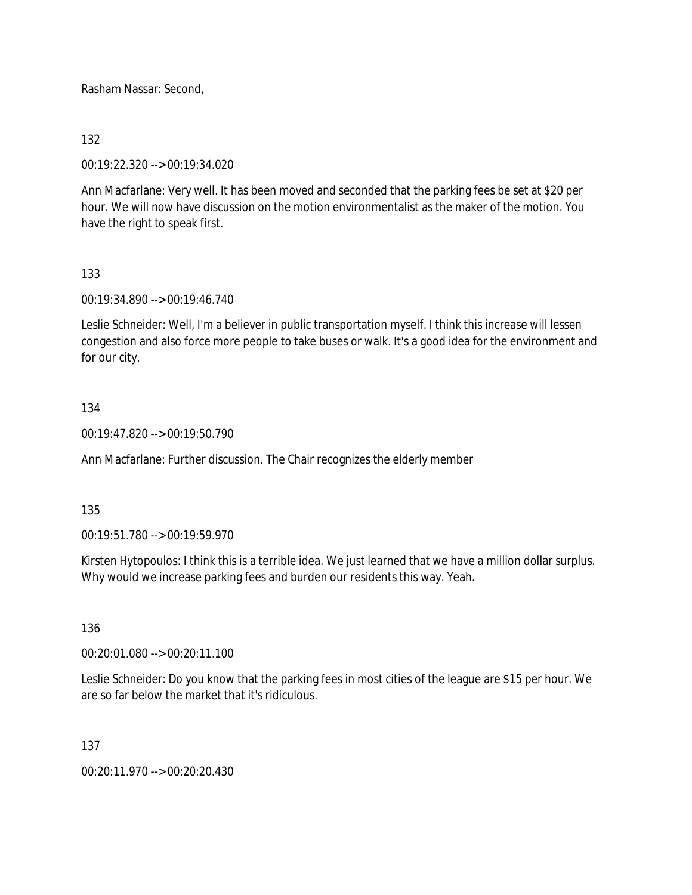Rasham Nassar: Second,

### 132

00:19:22.320 --> 00:19:34.020

Ann Macfarlane: Very well. It has been moved and seconded that the parking fees be set at \$20 per hour. We will now have discussion on the motion environmentalist as the maker of the motion. You have the right to speak first.

### 133

00:19:34.890 --> 00:19:46.740

Leslie Schneider: Well, I'm a believer in public transportation myself. I think this increase will lessen congestion and also force more people to take buses or walk. It's a good idea for the environment and for our city.

### 134

00:19:47.820 --> 00:19:50.790

Ann Macfarlane: Further discussion. The Chair recognizes the elderly member

#### 135

00:19:51.780 --> 00:19:59.970

Kirsten Hytopoulos: I think this is a terrible idea. We just learned that we have a million dollar surplus. Why would we increase parking fees and burden our residents this way. Yeah.

#### 136

00:20:01.080 --> 00:20:11.100

Leslie Schneider: Do you know that the parking fees in most cities of the league are \$15 per hour. We are so far below the market that it's ridiculous.

#### 137

00:20:11.970 --> 00:20:20.430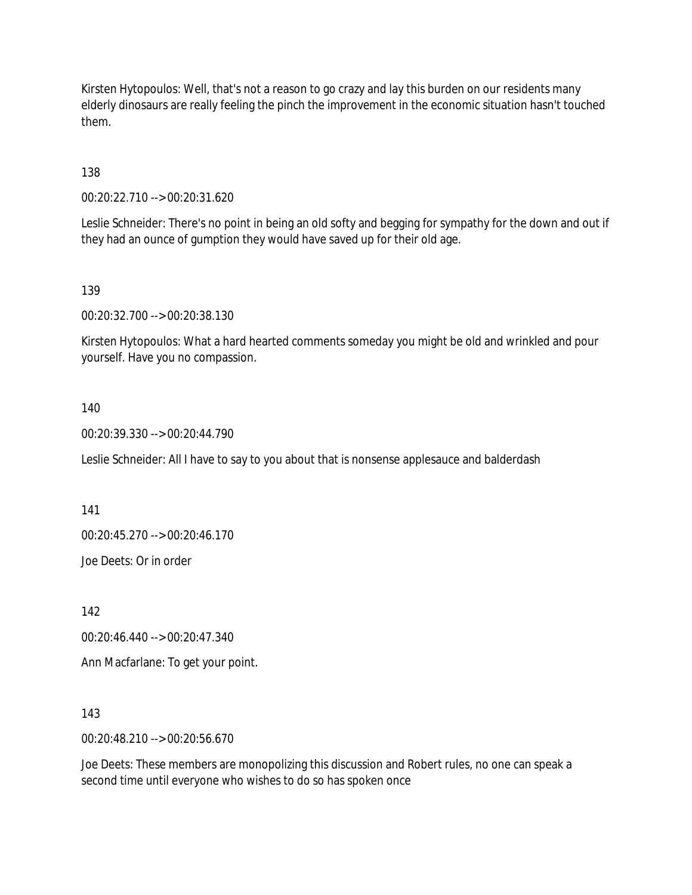Kirsten Hytopoulos: Well, that's not a reason to go crazy and lay this burden on our residents many elderly dinosaurs are really feeling the pinch the improvement in the economic situation hasn't touched them.

138

00:20:22.710 --> 00:20:31.620

Leslie Schneider: There's no point in being an old softy and begging for sympathy for the down and out if they had an ounce of gumption they would have saved up for their old age.

139

00:20:32.700 --> 00:20:38.130

Kirsten Hytopoulos: What a hard hearted comments someday you might be old and wrinkled and pour yourself. Have you no compassion.

#### 140

00:20:39.330 --> 00:20:44.790

Leslie Schneider: All I have to say to you about that is nonsense applesauce and balderdash

141

00:20:45.270 --> 00:20:46.170

Joe Deets: Or in order

142

00:20:46.440 --> 00:20:47.340

Ann Macfarlane: To get your point.

143

00:20:48.210 --> 00:20:56.670

Joe Deets: These members are monopolizing this discussion and Robert rules, no one can speak a second time until everyone who wishes to do so has spoken once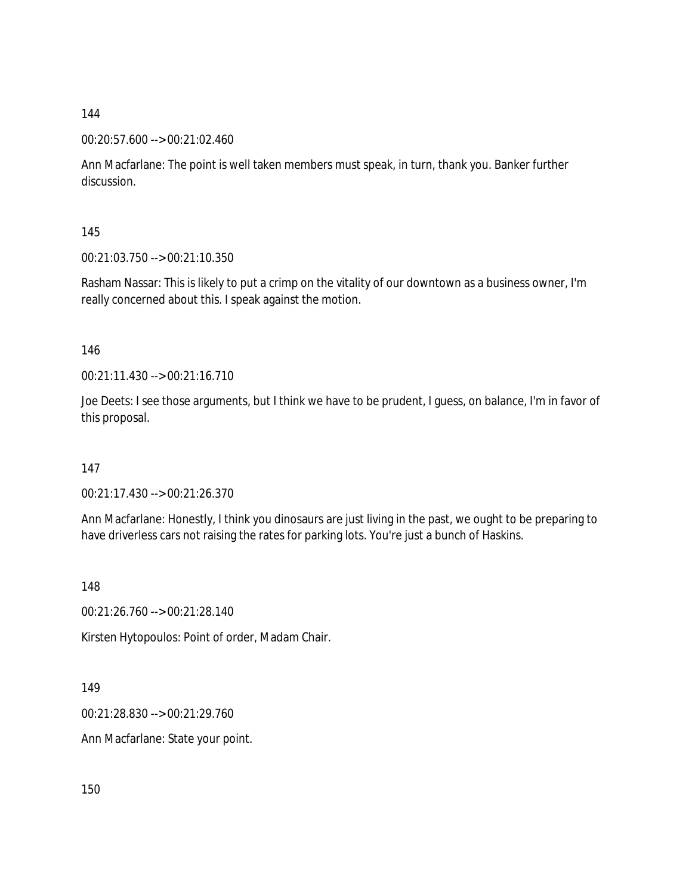#### 00:20:57.600 --> 00:21:02.460

Ann Macfarlane: The point is well taken members must speak, in turn, thank you. Banker further discussion.

145

00:21:03.750 --> 00:21:10.350

Rasham Nassar: This is likely to put a crimp on the vitality of our downtown as a business owner, I'm really concerned about this. I speak against the motion.

#### 146

00:21:11.430 --> 00:21:16.710

Joe Deets: I see those arguments, but I think we have to be prudent, I guess, on balance, I'm in favor of this proposal.

147

00:21:17.430 --> 00:21:26.370

Ann Macfarlane: Honestly, I think you dinosaurs are just living in the past, we ought to be preparing to have driverless cars not raising the rates for parking lots. You're just a bunch of Haskins.

148

00:21:26.760 --> 00:21:28.140

Kirsten Hytopoulos: Point of order, Madam Chair.

149

00:21:28.830 --> 00:21:29.760

Ann Macfarlane: State your point.

150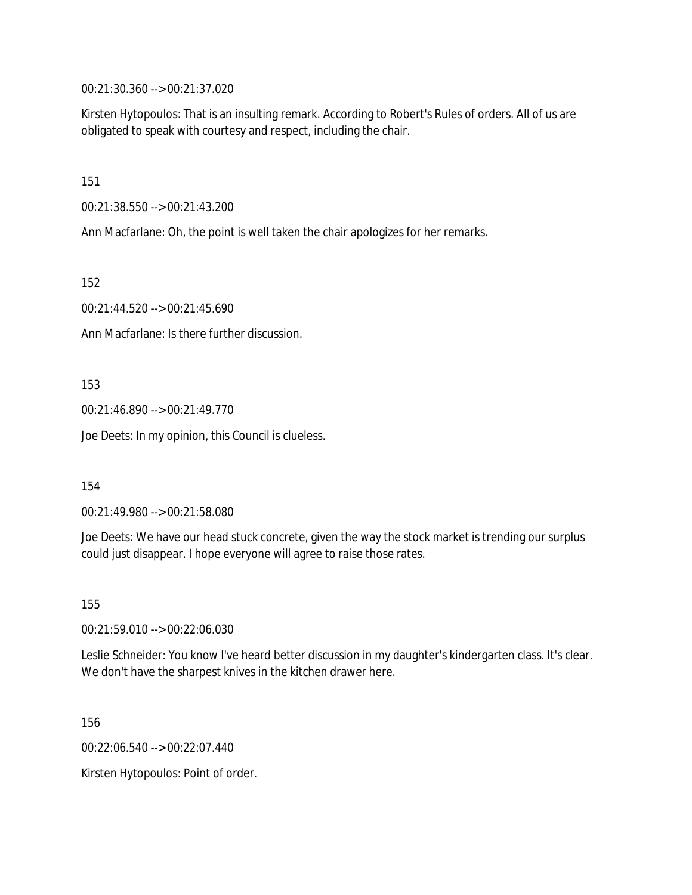00:21:30.360 --> 00:21:37.020

Kirsten Hytopoulos: That is an insulting remark. According to Robert's Rules of orders. All of us are obligated to speak with courtesy and respect, including the chair.

151

00:21:38.550 --> 00:21:43.200

Ann Macfarlane: Oh, the point is well taken the chair apologizes for her remarks.

152

00:21:44.520 --> 00:21:45.690

Ann Macfarlane: Is there further discussion.

153

00:21:46.890 --> 00:21:49.770

Joe Deets: In my opinion, this Council is clueless.

154

00:21:49.980 --> 00:21:58.080

Joe Deets: We have our head stuck concrete, given the way the stock market is trending our surplus could just disappear. I hope everyone will agree to raise those rates.

155

00:21:59.010 --> 00:22:06.030

Leslie Schneider: You know I've heard better discussion in my daughter's kindergarten class. It's clear. We don't have the sharpest knives in the kitchen drawer here.

156

00:22:06.540 --> 00:22:07.440

Kirsten Hytopoulos: Point of order.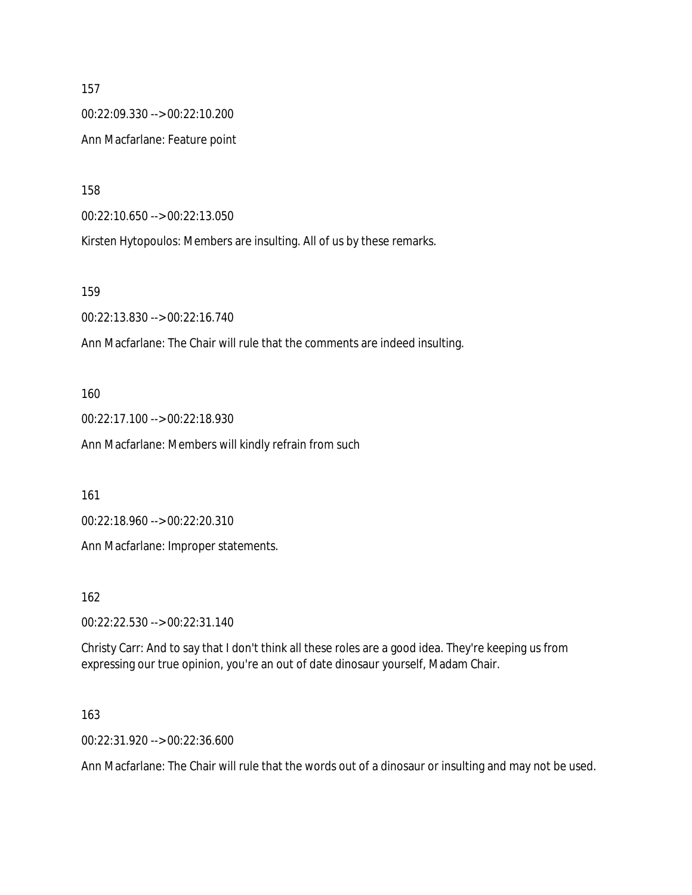157 00:22:09.330 --> 00:22:10.200 Ann Macfarlane: Feature point

158

00:22:10.650 --> 00:22:13.050

Kirsten Hytopoulos: Members are insulting. All of us by these remarks.

159

00:22:13.830 --> 00:22:16.740

Ann Macfarlane: The Chair will rule that the comments are indeed insulting.

160

00:22:17.100 --> 00:22:18.930

Ann Macfarlane: Members will kindly refrain from such

161

00:22:18.960 --> 00:22:20.310

Ann Macfarlane: Improper statements.

162

00:22:22.530 --> 00:22:31.140

Christy Carr: And to say that I don't think all these roles are a good idea. They're keeping us from expressing our true opinion, you're an out of date dinosaur yourself, Madam Chair.

163

00:22:31.920 --> 00:22:36.600

Ann Macfarlane: The Chair will rule that the words out of a dinosaur or insulting and may not be used.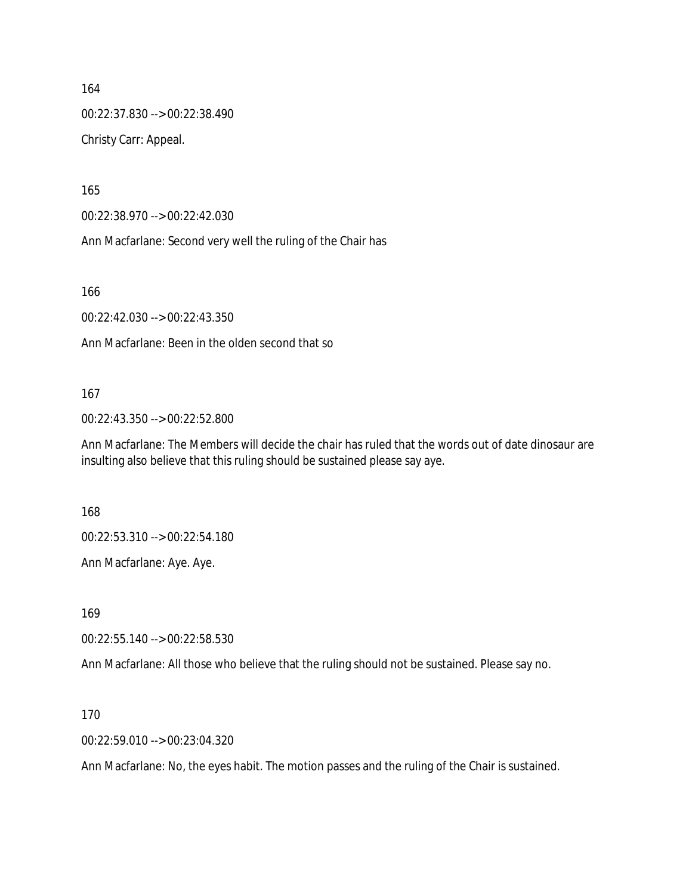164 00:22:37.830 --> 00:22:38.490 Christy Carr: Appeal.

165

00:22:38.970 --> 00:22:42.030

Ann Macfarlane: Second very well the ruling of the Chair has

166

00:22:42.030 --> 00:22:43.350

Ann Macfarlane: Been in the olden second that so

#### 167

00:22:43.350 --> 00:22:52.800

Ann Macfarlane: The Members will decide the chair has ruled that the words out of date dinosaur are insulting also believe that this ruling should be sustained please say aye.

168

00:22:53.310 --> 00:22:54.180

Ann Macfarlane: Aye. Aye.

169

00:22:55.140 --> 00:22:58.530

Ann Macfarlane: All those who believe that the ruling should not be sustained. Please say no.

170

00:22:59.010 --> 00:23:04.320

Ann Macfarlane: No, the eyes habit. The motion passes and the ruling of the Chair is sustained.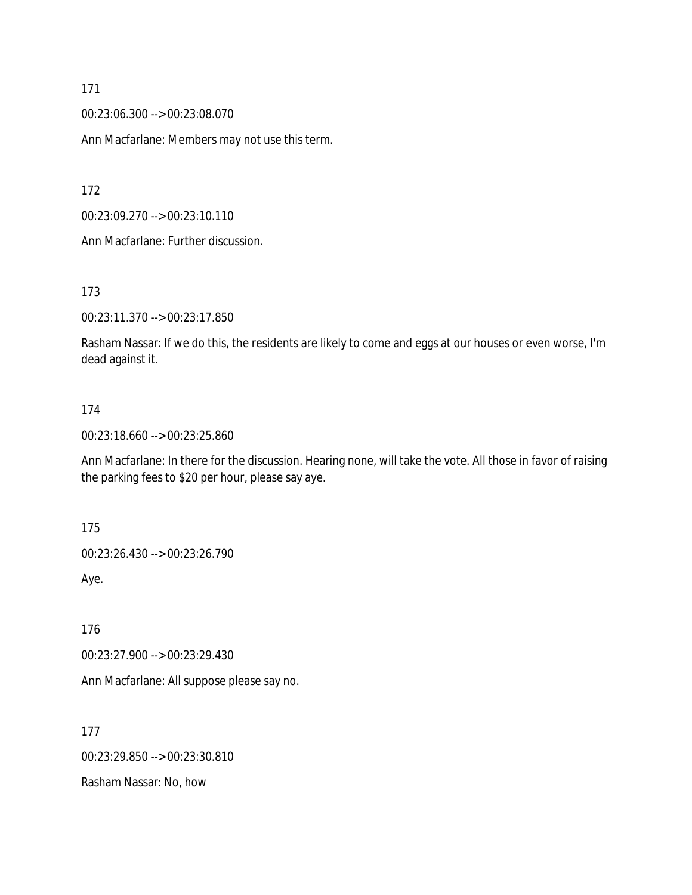00:23:06.300 --> 00:23:08.070

Ann Macfarlane: Members may not use this term.

172

00:23:09.270 --> 00:23:10.110

Ann Macfarlane: Further discussion.

173

00:23:11.370 --> 00:23:17.850

Rasham Nassar: If we do this, the residents are likely to come and eggs at our houses or even worse, I'm dead against it.

#### 174

00:23:18.660 --> 00:23:25.860

Ann Macfarlane: In there for the discussion. Hearing none, will take the vote. All those in favor of raising the parking fees to \$20 per hour, please say aye.

175

00:23:26.430 --> 00:23:26.790

Aye.

176

00:23:27.900 --> 00:23:29.430

Ann Macfarlane: All suppose please say no.

177

00:23:29.850 --> 00:23:30.810

Rasham Nassar: No, how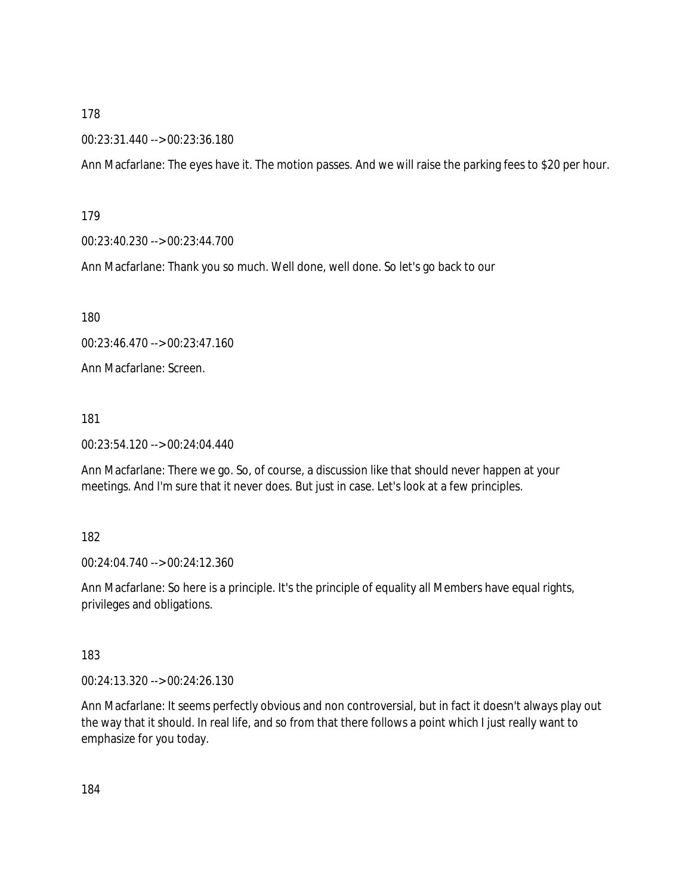#### 00:23:31.440 --> 00:23:36.180

Ann Macfarlane: The eyes have it. The motion passes. And we will raise the parking fees to \$20 per hour.

179

00:23:40.230 --> 00:23:44.700

Ann Macfarlane: Thank you so much. Well done, well done. So let's go back to our

180

00:23:46.470 --> 00:23:47.160

Ann Macfarlane: Screen.

181

00:23:54.120 --> 00:24:04.440

Ann Macfarlane: There we go. So, of course, a discussion like that should never happen at your meetings. And I'm sure that it never does. But just in case. Let's look at a few principles.

182

00:24:04.740 --> 00:24:12.360

Ann Macfarlane: So here is a principle. It's the principle of equality all Members have equal rights, privileges and obligations.

183

00:24:13.320 --> 00:24:26.130

Ann Macfarlane: It seems perfectly obvious and non controversial, but in fact it doesn't always play out the way that it should. In real life, and so from that there follows a point which I just really want to emphasize for you today.

184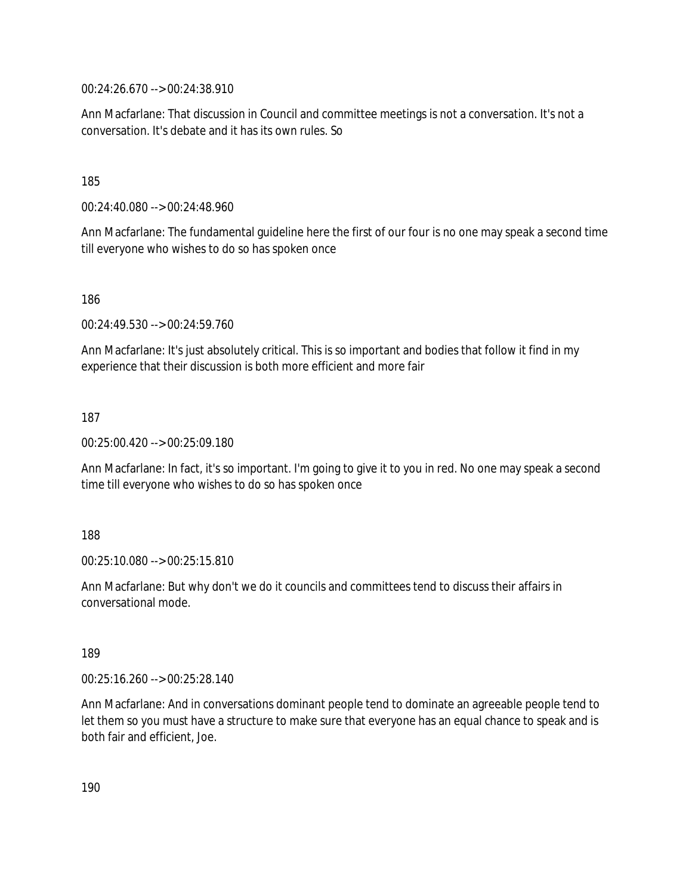00:24:26.670 --> 00:24:38.910

Ann Macfarlane: That discussion in Council and committee meetings is not a conversation. It's not a conversation. It's debate and it has its own rules. So

185

00:24:40.080 --> 00:24:48.960

Ann Macfarlane: The fundamental guideline here the first of our four is no one may speak a second time till everyone who wishes to do so has spoken once

186

00:24:49.530 --> 00:24:59.760

Ann Macfarlane: It's just absolutely critical. This is so important and bodies that follow it find in my experience that their discussion is both more efficient and more fair

187

00:25:00.420 --> 00:25:09.180

Ann Macfarlane: In fact, it's so important. I'm going to give it to you in red. No one may speak a second time till everyone who wishes to do so has spoken once

188

00:25:10.080 --> 00:25:15.810

Ann Macfarlane: But why don't we do it councils and committees tend to discuss their affairs in conversational mode.

189

00:25:16.260 --> 00:25:28.140

Ann Macfarlane: And in conversations dominant people tend to dominate an agreeable people tend to let them so you must have a structure to make sure that everyone has an equal chance to speak and is both fair and efficient, Joe.

190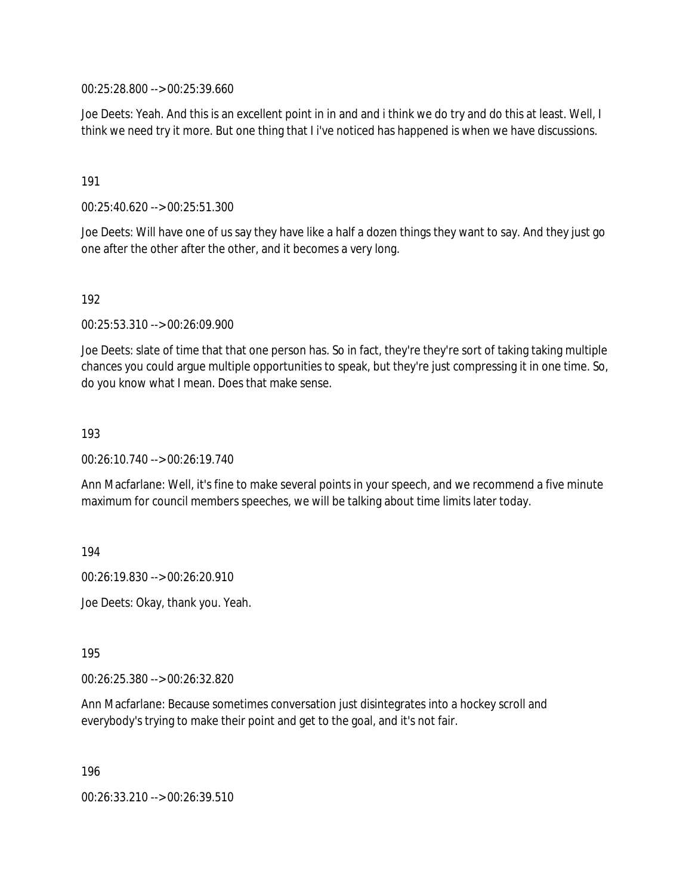00:25:28.800 --> 00:25:39.660

Joe Deets: Yeah. And this is an excellent point in in and and i think we do try and do this at least. Well, I think we need try it more. But one thing that I i've noticed has happened is when we have discussions.

191

00:25:40.620 --> 00:25:51.300

Joe Deets: Will have one of us say they have like a half a dozen things they want to say. And they just go one after the other after the other, and it becomes a very long.

192

00:25:53.310 --> 00:26:09.900

Joe Deets: slate of time that that one person has. So in fact, they're they're sort of taking taking multiple chances you could argue multiple opportunities to speak, but they're just compressing it in one time. So, do you know what I mean. Does that make sense.

193

00:26:10.740 --> 00:26:19.740

Ann Macfarlane: Well, it's fine to make several points in your speech, and we recommend a five minute maximum for council members speeches, we will be talking about time limits later today.

194

00:26:19.830 --> 00:26:20.910

Joe Deets: Okay, thank you. Yeah.

195

00:26:25.380 --> 00:26:32.820

Ann Macfarlane: Because sometimes conversation just disintegrates into a hockey scroll and everybody's trying to make their point and get to the goal, and it's not fair.

196

00:26:33.210 --> 00:26:39.510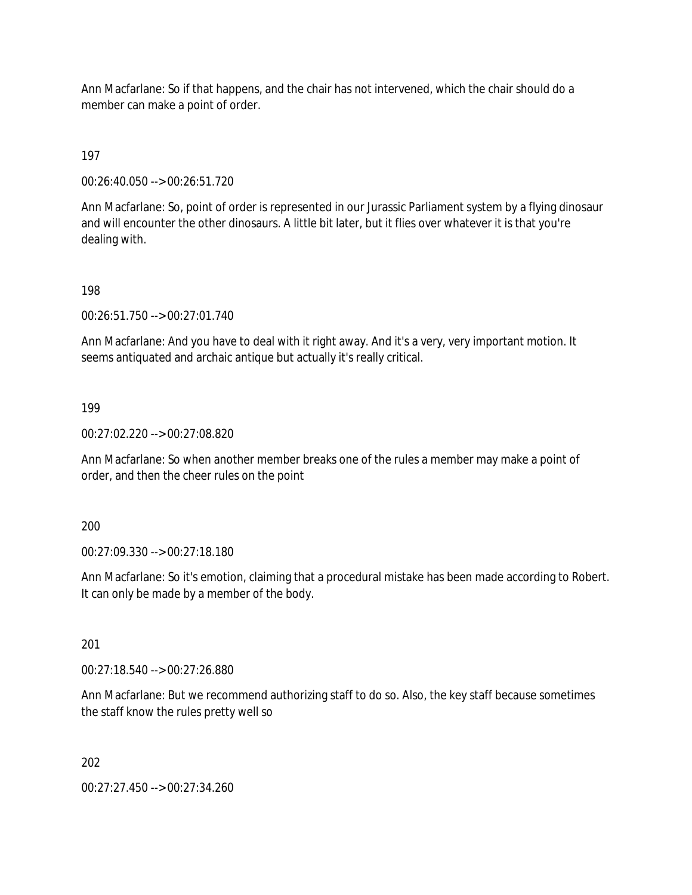Ann Macfarlane: So if that happens, and the chair has not intervened, which the chair should do a member can make a point of order.

197

00:26:40.050 --> 00:26:51.720

Ann Macfarlane: So, point of order is represented in our Jurassic Parliament system by a flying dinosaur and will encounter the other dinosaurs. A little bit later, but it flies over whatever it is that you're dealing with.

198

00:26:51.750 --> 00:27:01.740

Ann Macfarlane: And you have to deal with it right away. And it's a very, very important motion. It seems antiquated and archaic antique but actually it's really critical.

199

00:27:02.220 --> 00:27:08.820

Ann Macfarlane: So when another member breaks one of the rules a member may make a point of order, and then the cheer rules on the point

200

00:27:09.330 --> 00:27:18.180

Ann Macfarlane: So it's emotion, claiming that a procedural mistake has been made according to Robert. It can only be made by a member of the body.

201

00:27:18.540 --> 00:27:26.880

Ann Macfarlane: But we recommend authorizing staff to do so. Also, the key staff because sometimes the staff know the rules pretty well so

202

00:27:27.450 --> 00:27:34.260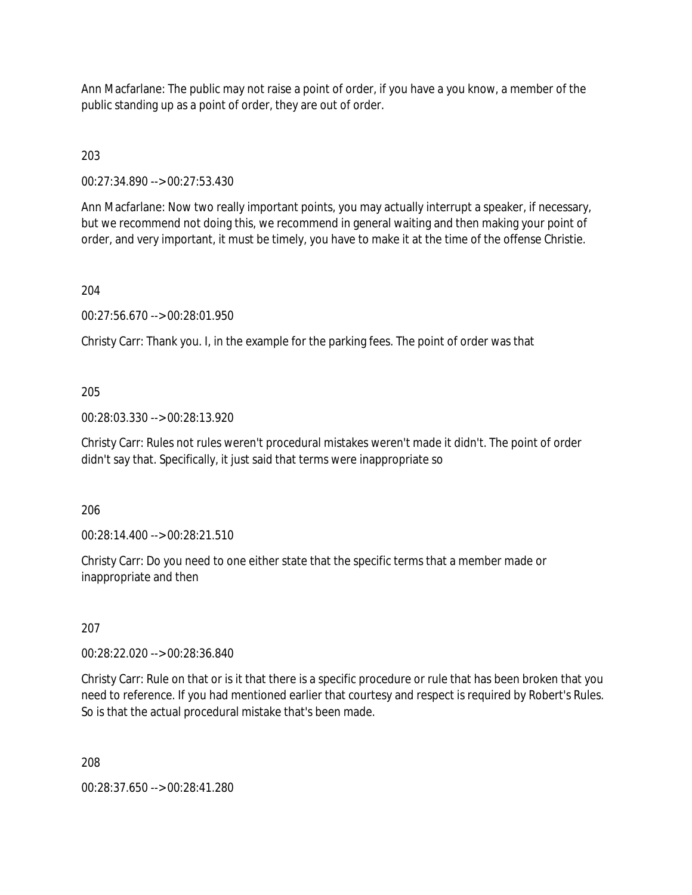Ann Macfarlane: The public may not raise a point of order, if you have a you know, a member of the public standing up as a point of order, they are out of order.

203

00:27:34.890 --> 00:27:53.430

Ann Macfarlane: Now two really important points, you may actually interrupt a speaker, if necessary, but we recommend not doing this, we recommend in general waiting and then making your point of order, and very important, it must be timely, you have to make it at the time of the offense Christie.

### 204

00:27:56.670 --> 00:28:01.950

Christy Carr: Thank you. I, in the example for the parking fees. The point of order was that

### 205

00:28:03.330 --> 00:28:13.920

Christy Carr: Rules not rules weren't procedural mistakes weren't made it didn't. The point of order didn't say that. Specifically, it just said that terms were inappropriate so

206

00:28:14.400 --> 00:28:21.510

Christy Carr: Do you need to one either state that the specific terms that a member made or inappropriate and then

#### 207

00:28:22.020 --> 00:28:36.840

Christy Carr: Rule on that or is it that there is a specific procedure or rule that has been broken that you need to reference. If you had mentioned earlier that courtesy and respect is required by Robert's Rules. So is that the actual procedural mistake that's been made.

208

00:28:37.650 --> 00:28:41.280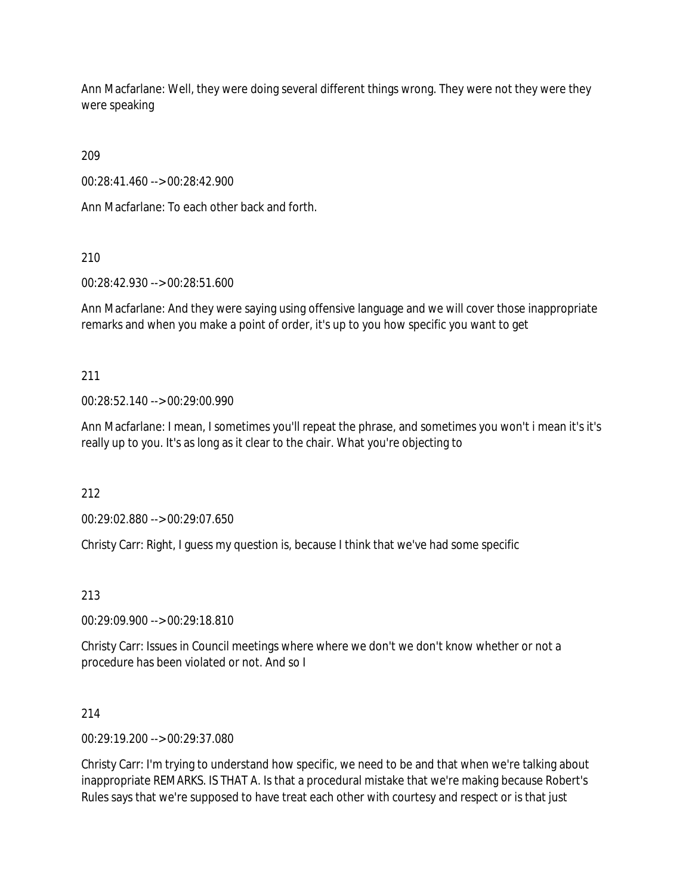Ann Macfarlane: Well, they were doing several different things wrong. They were not they were they were speaking

209

00:28:41.460 --> 00:28:42.900

Ann Macfarlane: To each other back and forth.

210

00:28:42.930 --> 00:28:51.600

Ann Macfarlane: And they were saying using offensive language and we will cover those inappropriate remarks and when you make a point of order, it's up to you how specific you want to get

211

00:28:52.140 --> 00:29:00.990

Ann Macfarlane: I mean, I sometimes you'll repeat the phrase, and sometimes you won't i mean it's it's really up to you. It's as long as it clear to the chair. What you're objecting to

212

00:29:02.880 --> 00:29:07.650

Christy Carr: Right, I guess my question is, because I think that we've had some specific

213

00:29:09.900 --> 00:29:18.810

Christy Carr: Issues in Council meetings where where we don't we don't know whether or not a procedure has been violated or not. And so I

214

00:29:19.200 --> 00:29:37.080

Christy Carr: I'm trying to understand how specific, we need to be and that when we're talking about inappropriate REMARKS. IS THAT A. Is that a procedural mistake that we're making because Robert's Rules says that we're supposed to have treat each other with courtesy and respect or is that just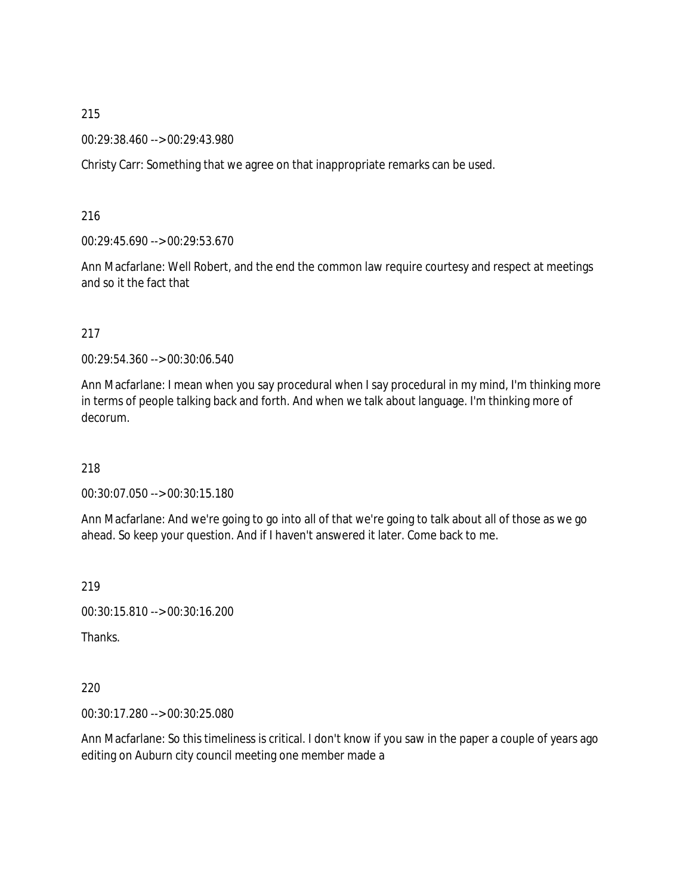00:29:38.460 --> 00:29:43.980

Christy Carr: Something that we agree on that inappropriate remarks can be used.

216

00:29:45.690 --> 00:29:53.670

Ann Macfarlane: Well Robert, and the end the common law require courtesy and respect at meetings and so it the fact that

217

00:29:54.360 --> 00:30:06.540

Ann Macfarlane: I mean when you say procedural when I say procedural in my mind, I'm thinking more in terms of people talking back and forth. And when we talk about language. I'm thinking more of decorum.

218

00:30:07.050 --> 00:30:15.180

Ann Macfarlane: And we're going to go into all of that we're going to talk about all of those as we go ahead. So keep your question. And if I haven't answered it later. Come back to me.

219

00:30:15.810 --> 00:30:16.200

Thanks.

220

00:30:17.280 --> 00:30:25.080

Ann Macfarlane: So this timeliness is critical. I don't know if you saw in the paper a couple of years ago editing on Auburn city council meeting one member made a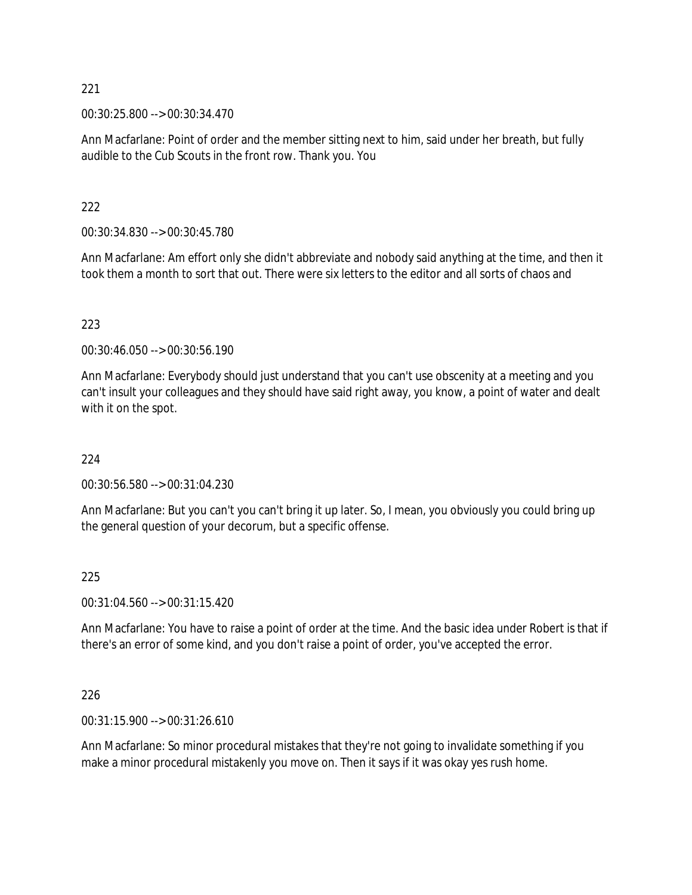00:30:25.800 --> 00:30:34.470

Ann Macfarlane: Point of order and the member sitting next to him, said under her breath, but fully audible to the Cub Scouts in the front row. Thank you. You

#### 222

00:30:34.830 --> 00:30:45.780

Ann Macfarlane: Am effort only she didn't abbreviate and nobody said anything at the time, and then it took them a month to sort that out. There were six letters to the editor and all sorts of chaos and

#### 223

00:30:46.050 --> 00:30:56.190

Ann Macfarlane: Everybody should just understand that you can't use obscenity at a meeting and you can't insult your colleagues and they should have said right away, you know, a point of water and dealt with it on the spot.

#### 224

00:30:56.580 --> 00:31:04.230

Ann Macfarlane: But you can't you can't bring it up later. So, I mean, you obviously you could bring up the general question of your decorum, but a specific offense.

#### 225

00:31:04.560 --> 00:31:15.420

Ann Macfarlane: You have to raise a point of order at the time. And the basic idea under Robert is that if there's an error of some kind, and you don't raise a point of order, you've accepted the error.

#### 226

00:31:15.900 --> 00:31:26.610

Ann Macfarlane: So minor procedural mistakes that they're not going to invalidate something if you make a minor procedural mistakenly you move on. Then it says if it was okay yes rush home.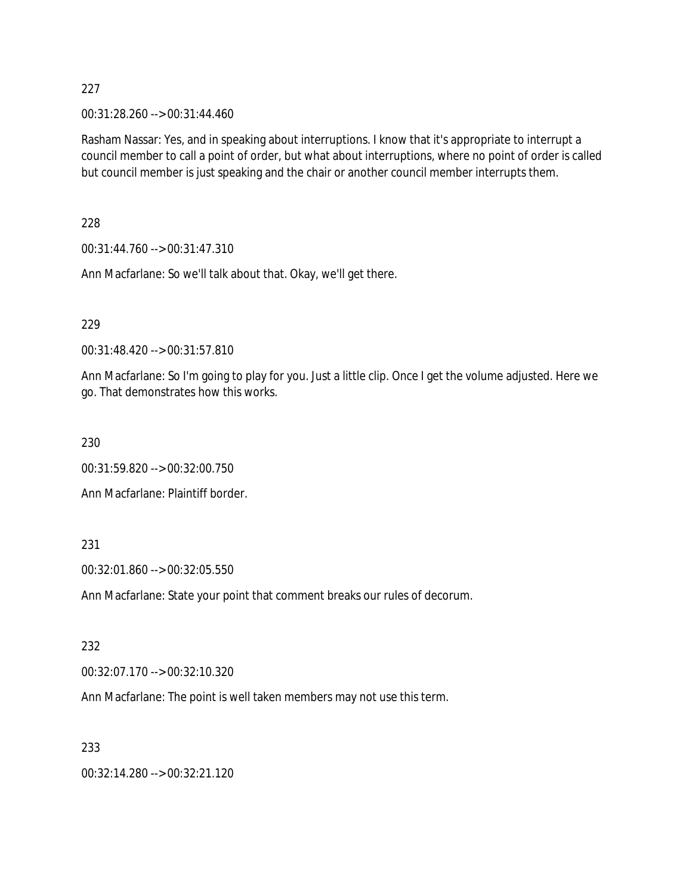00:31:28.260 --> 00:31:44.460

Rasham Nassar: Yes, and in speaking about interruptions. I know that it's appropriate to interrupt a council member to call a point of order, but what about interruptions, where no point of order is called but council member is just speaking and the chair or another council member interrupts them.

228

00:31:44.760 --> 00:31:47.310

Ann Macfarlane: So we'll talk about that. Okay, we'll get there.

### 229

00:31:48.420 --> 00:31:57.810

Ann Macfarlane: So I'm going to play for you. Just a little clip. Once I get the volume adjusted. Here we go. That demonstrates how this works.

230

00:31:59.820 --> 00:32:00.750

Ann Macfarlane: Plaintiff border.

### 231

00:32:01.860 --> 00:32:05.550

Ann Macfarlane: State your point that comment breaks our rules of decorum.

### 232

00:32:07.170 --> 00:32:10.320

Ann Macfarlane: The point is well taken members may not use this term.

## 233

00:32:14.280 --> 00:32:21.120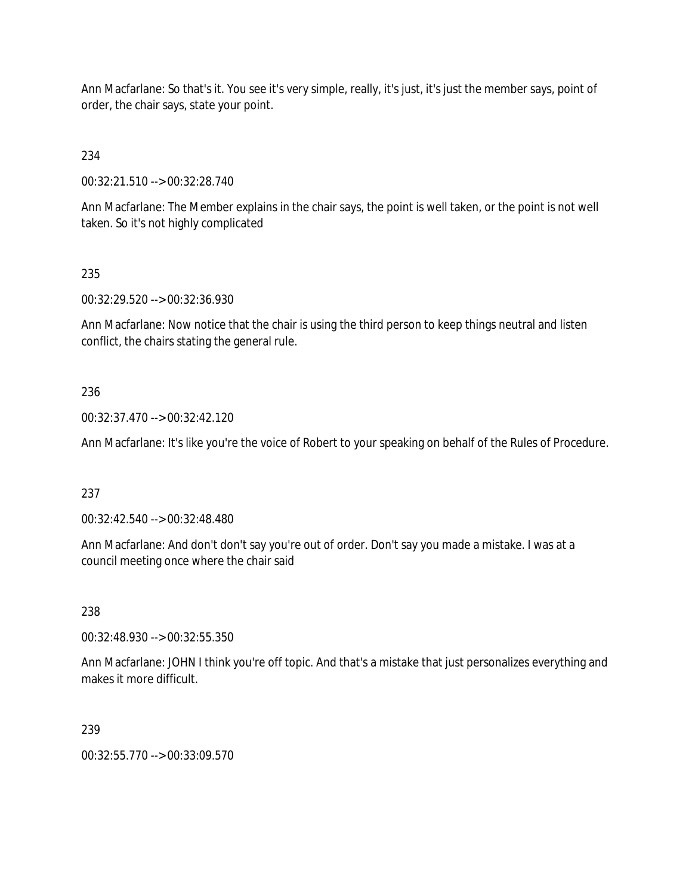Ann Macfarlane: So that's it. You see it's very simple, really, it's just, it's just the member says, point of order, the chair says, state your point.

234

00:32:21.510 --> 00:32:28.740

Ann Macfarlane: The Member explains in the chair says, the point is well taken, or the point is not well taken. So it's not highly complicated

# 235

00:32:29.520 --> 00:32:36.930

Ann Macfarlane: Now notice that the chair is using the third person to keep things neutral and listen conflict, the chairs stating the general rule.

## 236

00:32:37.470 --> 00:32:42.120

Ann Macfarlane: It's like you're the voice of Robert to your speaking on behalf of the Rules of Procedure.

### 237

00:32:42.540 --> 00:32:48.480

Ann Macfarlane: And don't don't say you're out of order. Don't say you made a mistake. I was at a council meeting once where the chair said

### 238

00:32:48.930 --> 00:32:55.350

Ann Macfarlane: JOHN I think you're off topic. And that's a mistake that just personalizes everything and makes it more difficult.

### 239

00:32:55.770 --> 00:33:09.570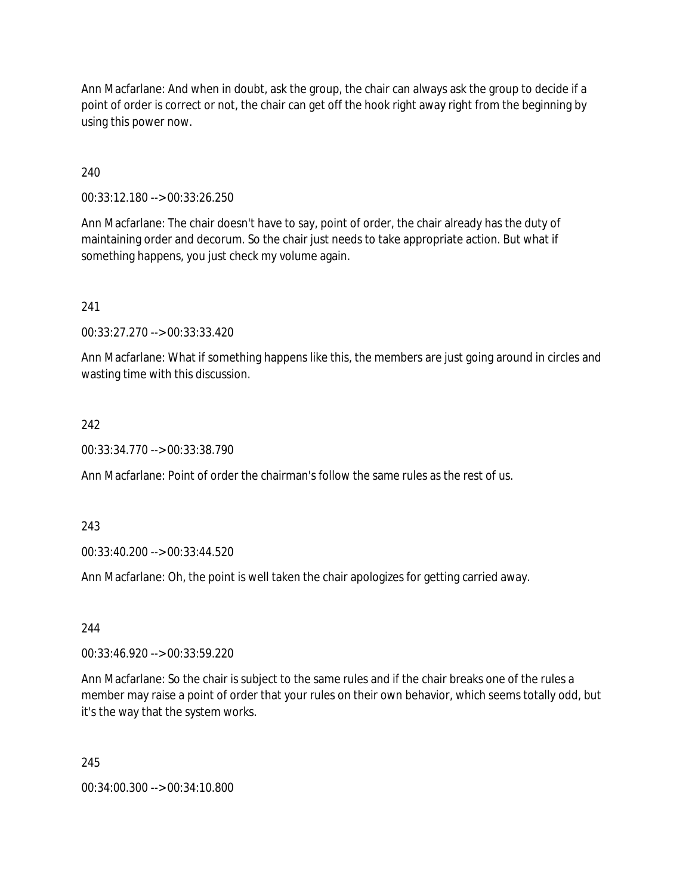Ann Macfarlane: And when in doubt, ask the group, the chair can always ask the group to decide if a point of order is correct or not, the chair can get off the hook right away right from the beginning by using this power now.

240

00:33:12.180 --> 00:33:26.250

Ann Macfarlane: The chair doesn't have to say, point of order, the chair already has the duty of maintaining order and decorum. So the chair just needs to take appropriate action. But what if something happens, you just check my volume again.

241

00:33:27.270 --> 00:33:33.420

Ann Macfarlane: What if something happens like this, the members are just going around in circles and wasting time with this discussion.

#### 242

00:33:34.770 --> 00:33:38.790

Ann Macfarlane: Point of order the chairman's follow the same rules as the rest of us.

243

00:33:40.200 --> 00:33:44.520

Ann Macfarlane: Oh, the point is well taken the chair apologizes for getting carried away.

244

00:33:46.920 --> 00:33:59.220

Ann Macfarlane: So the chair is subject to the same rules and if the chair breaks one of the rules a member may raise a point of order that your rules on their own behavior, which seems totally odd, but it's the way that the system works.

245

00:34:00.300 --> 00:34:10.800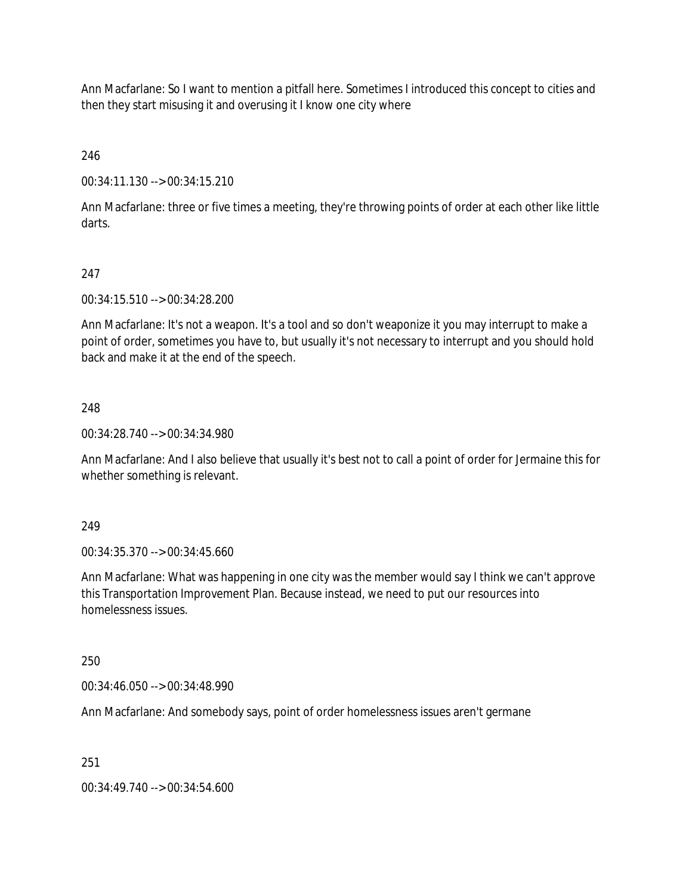Ann Macfarlane: So I want to mention a pitfall here. Sometimes I introduced this concept to cities and then they start misusing it and overusing it I know one city where

246

00:34:11.130 --> 00:34:15.210

Ann Macfarlane: three or five times a meeting, they're throwing points of order at each other like little darts.

# 247

00:34:15.510 --> 00:34:28.200

Ann Macfarlane: It's not a weapon. It's a tool and so don't weaponize it you may interrupt to make a point of order, sometimes you have to, but usually it's not necessary to interrupt and you should hold back and make it at the end of the speech.

## 248

00:34:28.740 --> 00:34:34.980

Ann Macfarlane: And I also believe that usually it's best not to call a point of order for Jermaine this for whether something is relevant.

### 249

00:34:35.370 --> 00:34:45.660

Ann Macfarlane: What was happening in one city was the member would say I think we can't approve this Transportation Improvement Plan. Because instead, we need to put our resources into homelessness issues.

### 250

00:34:46.050 --> 00:34:48.990

Ann Macfarlane: And somebody says, point of order homelessness issues aren't germane

### 251

00:34:49.740 --> 00:34:54.600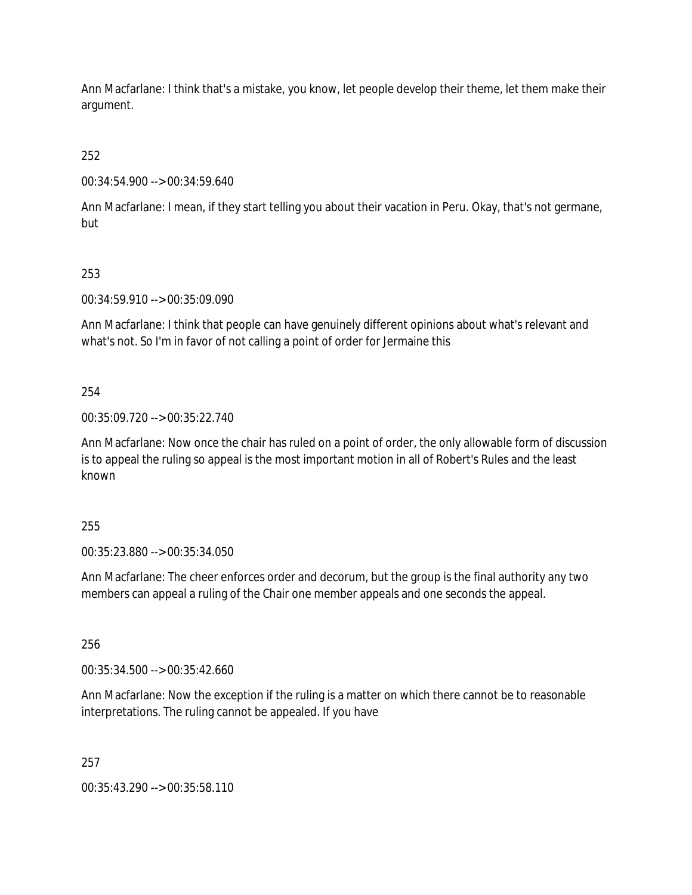Ann Macfarlane: I think that's a mistake, you know, let people develop their theme, let them make their argument.

252

00:34:54.900 --> 00:34:59.640

Ann Macfarlane: I mean, if they start telling you about their vacation in Peru. Okay, that's not germane, but

# 253

00:34:59.910 --> 00:35:09.090

Ann Macfarlane: I think that people can have genuinely different opinions about what's relevant and what's not. So I'm in favor of not calling a point of order for Jermaine this

# 254

00:35:09.720 --> 00:35:22.740

Ann Macfarlane: Now once the chair has ruled on a point of order, the only allowable form of discussion is to appeal the ruling so appeal is the most important motion in all of Robert's Rules and the least known

# 255

00:35:23.880 --> 00:35:34.050

Ann Macfarlane: The cheer enforces order and decorum, but the group is the final authority any two members can appeal a ruling of the Chair one member appeals and one seconds the appeal.

# 256

00:35:34.500 --> 00:35:42.660

Ann Macfarlane: Now the exception if the ruling is a matter on which there cannot be to reasonable interpretations. The ruling cannot be appealed. If you have

# 257

00:35:43.290 --> 00:35:58.110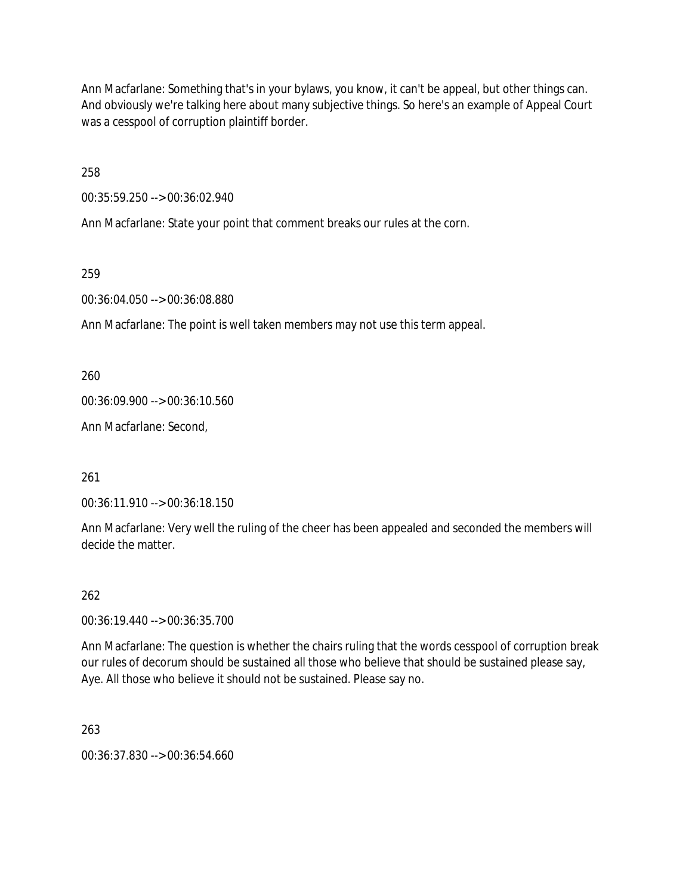Ann Macfarlane: Something that's in your bylaws, you know, it can't be appeal, but other things can. And obviously we're talking here about many subjective things. So here's an example of Appeal Court was a cesspool of corruption plaintiff border.

258

00:35:59.250 --> 00:36:02.940

Ann Macfarlane: State your point that comment breaks our rules at the corn.

259

00:36:04.050 --> 00:36:08.880

Ann Macfarlane: The point is well taken members may not use this term appeal.

260

00:36:09.900 --> 00:36:10.560

Ann Macfarlane: Second,

261

00:36:11.910 --> 00:36:18.150

Ann Macfarlane: Very well the ruling of the cheer has been appealed and seconded the members will decide the matter.

262

00:36:19.440 --> 00:36:35.700

Ann Macfarlane: The question is whether the chairs ruling that the words cesspool of corruption break our rules of decorum should be sustained all those who believe that should be sustained please say, Aye. All those who believe it should not be sustained. Please say no.

263

00:36:37.830 --> 00:36:54.660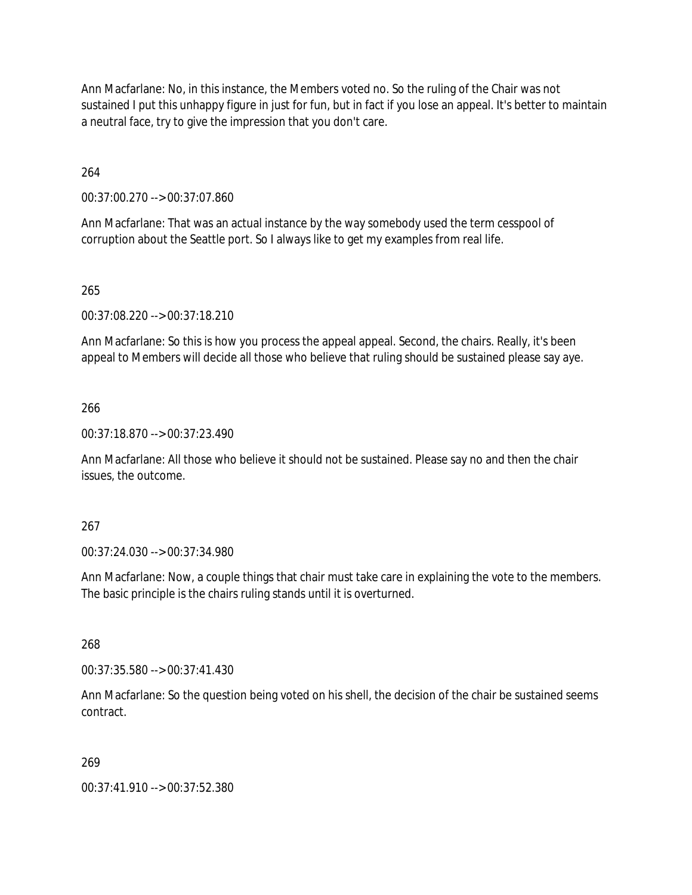Ann Macfarlane: No, in this instance, the Members voted no. So the ruling of the Chair was not sustained I put this unhappy figure in just for fun, but in fact if you lose an appeal. It's better to maintain a neutral face, try to give the impression that you don't care.

264

00:37:00.270 --> 00:37:07.860

Ann Macfarlane: That was an actual instance by the way somebody used the term cesspool of corruption about the Seattle port. So I always like to get my examples from real life.

### 265

00:37:08.220 --> 00:37:18.210

Ann Macfarlane: So this is how you process the appeal appeal. Second, the chairs. Really, it's been appeal to Members will decide all those who believe that ruling should be sustained please say aye.

### 266

00:37:18.870 --> 00:37:23.490

Ann Macfarlane: All those who believe it should not be sustained. Please say no and then the chair issues, the outcome.

### 267

00:37:24.030 --> 00:37:34.980

Ann Macfarlane: Now, a couple things that chair must take care in explaining the vote to the members. The basic principle is the chairs ruling stands until it is overturned.

268

00:37:35.580 --> 00:37:41.430

Ann Macfarlane: So the question being voted on his shell, the decision of the chair be sustained seems contract.

### 269

00:37:41.910 --> 00:37:52.380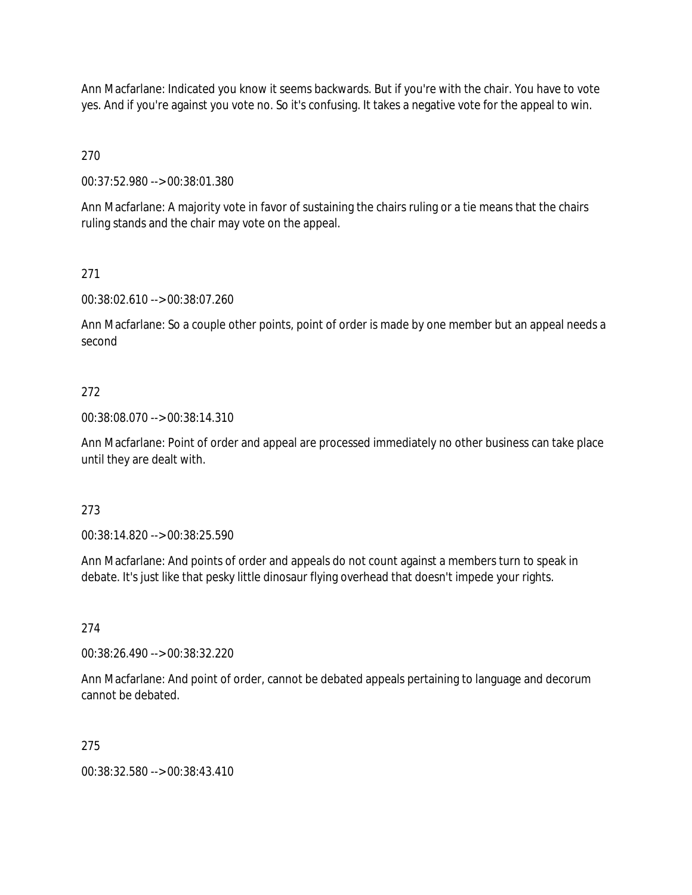Ann Macfarlane: Indicated you know it seems backwards. But if you're with the chair. You have to vote yes. And if you're against you vote no. So it's confusing. It takes a negative vote for the appeal to win.

270

00:37:52.980 --> 00:38:01.380

Ann Macfarlane: A majority vote in favor of sustaining the chairs ruling or a tie means that the chairs ruling stands and the chair may vote on the appeal.

# 271

00:38:02.610 --> 00:38:07.260

Ann Macfarlane: So a couple other points, point of order is made by one member but an appeal needs a second

## 272

00:38:08.070 --> 00:38:14.310

Ann Macfarlane: Point of order and appeal are processed immediately no other business can take place until they are dealt with.

## 273

00:38:14.820 --> 00:38:25.590

Ann Macfarlane: And points of order and appeals do not count against a members turn to speak in debate. It's just like that pesky little dinosaur flying overhead that doesn't impede your rights.

### 274

00:38:26.490 --> 00:38:32.220

Ann Macfarlane: And point of order, cannot be debated appeals pertaining to language and decorum cannot be debated.

## 275

00:38:32.580 --> 00:38:43.410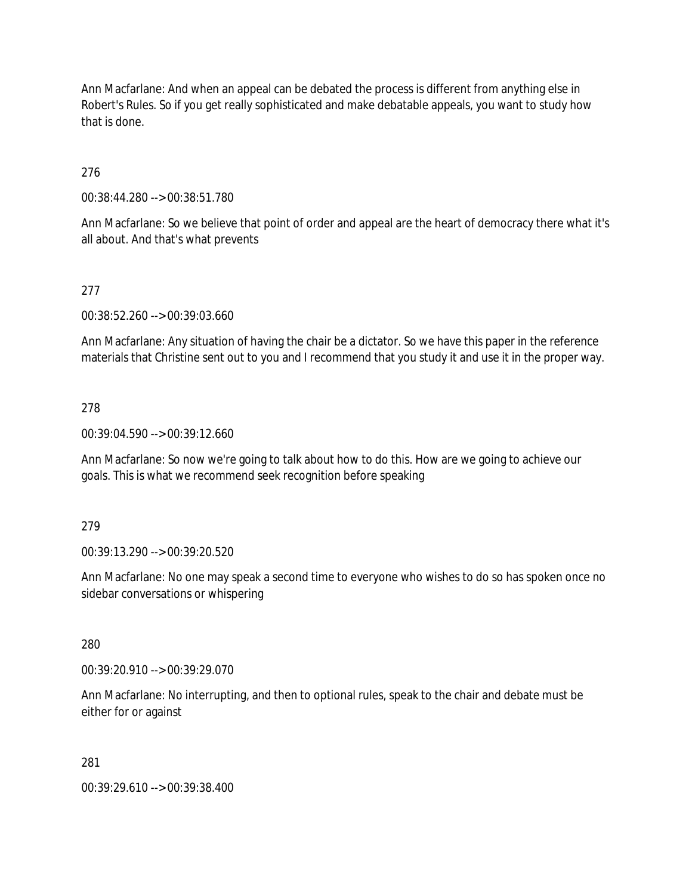Ann Macfarlane: And when an appeal can be debated the process is different from anything else in Robert's Rules. So if you get really sophisticated and make debatable appeals, you want to study how that is done.

276

00:38:44.280 --> 00:38:51.780

Ann Macfarlane: So we believe that point of order and appeal are the heart of democracy there what it's all about. And that's what prevents

## 277

00:38:52.260 --> 00:39:03.660

Ann Macfarlane: Any situation of having the chair be a dictator. So we have this paper in the reference materials that Christine sent out to you and I recommend that you study it and use it in the proper way.

### 278

00:39:04.590 --> 00:39:12.660

Ann Macfarlane: So now we're going to talk about how to do this. How are we going to achieve our goals. This is what we recommend seek recognition before speaking

#### 279

00:39:13.290 --> 00:39:20.520

Ann Macfarlane: No one may speak a second time to everyone who wishes to do so has spoken once no sidebar conversations or whispering

280

00:39:20.910 --> 00:39:29.070

Ann Macfarlane: No interrupting, and then to optional rules, speak to the chair and debate must be either for or against

281

00:39:29.610 --> 00:39:38.400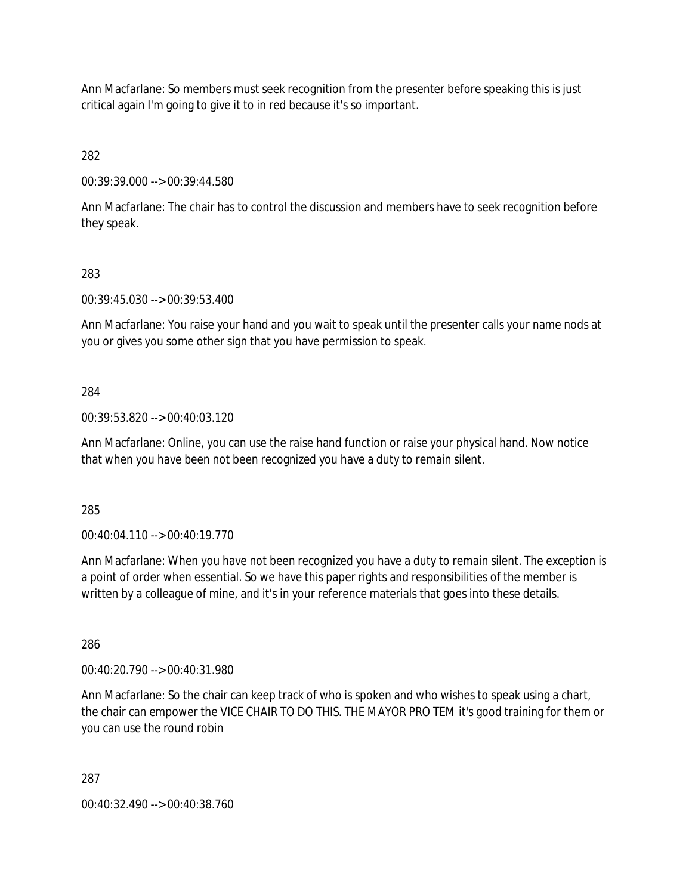Ann Macfarlane: So members must seek recognition from the presenter before speaking this is just critical again I'm going to give it to in red because it's so important.

282

00:39:39.000 --> 00:39:44.580

Ann Macfarlane: The chair has to control the discussion and members have to seek recognition before they speak.

## 283

00:39:45.030 --> 00:39:53.400

Ann Macfarlane: You raise your hand and you wait to speak until the presenter calls your name nods at you or gives you some other sign that you have permission to speak.

## 284

00:39:53.820 --> 00:40:03.120

Ann Macfarlane: Online, you can use the raise hand function or raise your physical hand. Now notice that when you have been not been recognized you have a duty to remain silent.

285

00:40:04.110 --> 00:40:19.770

Ann Macfarlane: When you have not been recognized you have a duty to remain silent. The exception is a point of order when essential. So we have this paper rights and responsibilities of the member is written by a colleague of mine, and it's in your reference materials that goes into these details.

286

00:40:20.790 --> 00:40:31.980

Ann Macfarlane: So the chair can keep track of who is spoken and who wishes to speak using a chart, the chair can empower the VICE CHAIR TO DO THIS. THE MAYOR PRO TEM it's good training for them or you can use the round robin

287

00:40:32.490 --> 00:40:38.760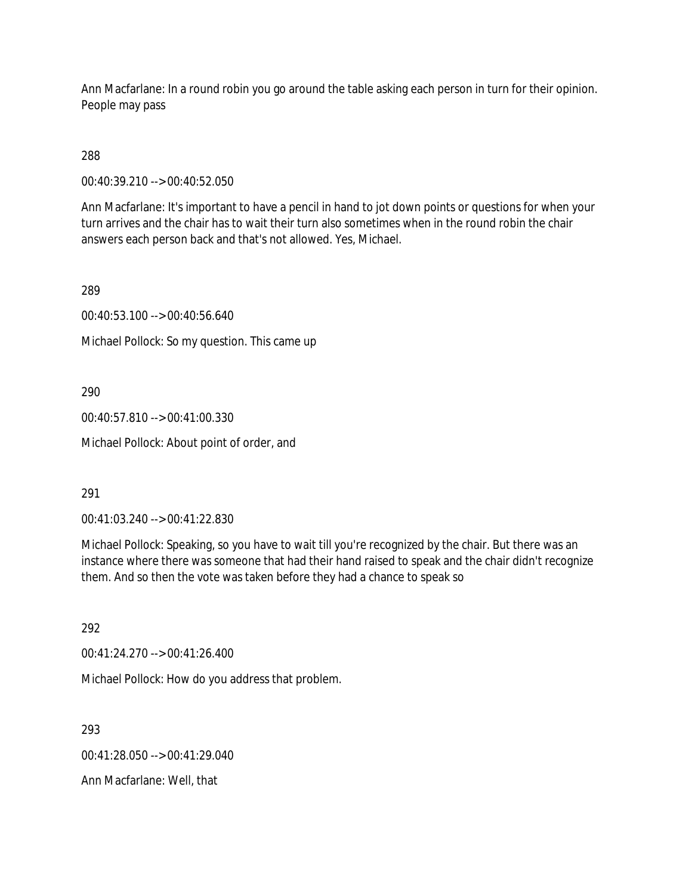Ann Macfarlane: In a round robin you go around the table asking each person in turn for their opinion. People may pass

288

00:40:39.210 --> 00:40:52.050

Ann Macfarlane: It's important to have a pencil in hand to jot down points or questions for when your turn arrives and the chair has to wait their turn also sometimes when in the round robin the chair answers each person back and that's not allowed. Yes, Michael.

289

00:40:53.100 --> 00:40:56.640

Michael Pollock: So my question. This came up

290

00:40:57.810 --> 00:41:00.330

Michael Pollock: About point of order, and

291

00:41:03.240 --> 00:41:22.830

Michael Pollock: Speaking, so you have to wait till you're recognized by the chair. But there was an instance where there was someone that had their hand raised to speak and the chair didn't recognize them. And so then the vote was taken before they had a chance to speak so

292

00:41:24.270 --> 00:41:26.400

Michael Pollock: How do you address that problem.

293

00:41:28.050 --> 00:41:29.040

Ann Macfarlane: Well, that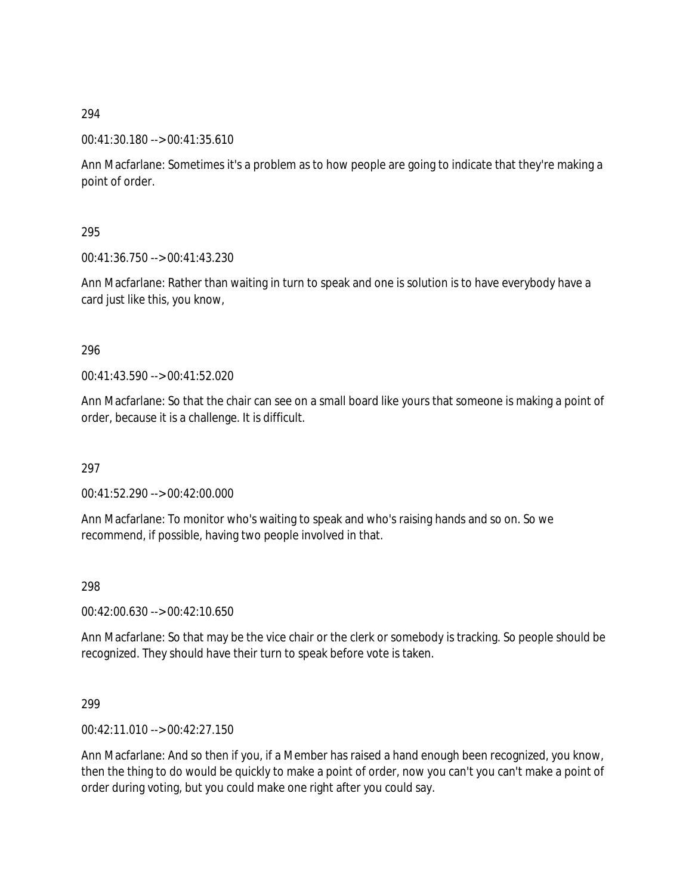### 00:41:30.180 --> 00:41:35.610

Ann Macfarlane: Sometimes it's a problem as to how people are going to indicate that they're making a point of order.

### 295

00:41:36.750 --> 00:41:43.230

Ann Macfarlane: Rather than waiting in turn to speak and one is solution is to have everybody have a card just like this, you know,

### 296

00:41:43.590 --> 00:41:52.020

Ann Macfarlane: So that the chair can see on a small board like yours that someone is making a point of order, because it is a challenge. It is difficult.

### 297

00:41:52.290 --> 00:42:00.000

Ann Macfarlane: To monitor who's waiting to speak and who's raising hands and so on. So we recommend, if possible, having two people involved in that.

### 298

00:42:00.630 --> 00:42:10.650

Ann Macfarlane: So that may be the vice chair or the clerk or somebody is tracking. So people should be recognized. They should have their turn to speak before vote is taken.

### 299

00:42:11.010 --> 00:42:27.150

Ann Macfarlane: And so then if you, if a Member has raised a hand enough been recognized, you know, then the thing to do would be quickly to make a point of order, now you can't you can't make a point of order during voting, but you could make one right after you could say.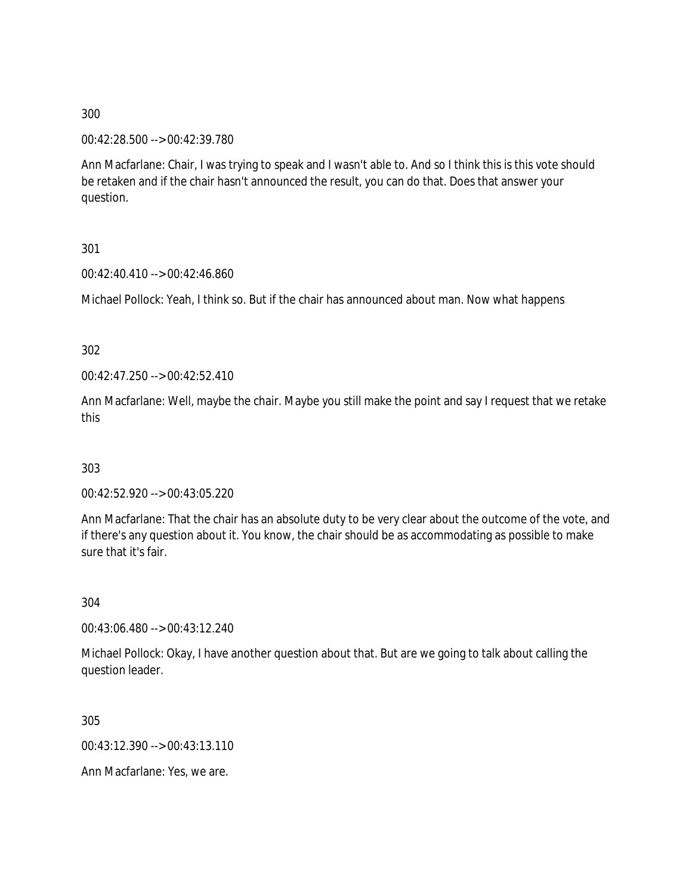00:42:28.500 --> 00:42:39.780

Ann Macfarlane: Chair, I was trying to speak and I wasn't able to. And so I think this is this vote should be retaken and if the chair hasn't announced the result, you can do that. Does that answer your question.

301

00:42:40.410 --> 00:42:46.860

Michael Pollock: Yeah, I think so. But if the chair has announced about man. Now what happens

302

00:42:47.250 --> 00:42:52.410

Ann Macfarlane: Well, maybe the chair. Maybe you still make the point and say I request that we retake this

303

00:42:52.920 --> 00:43:05.220

Ann Macfarlane: That the chair has an absolute duty to be very clear about the outcome of the vote, and if there's any question about it. You know, the chair should be as accommodating as possible to make sure that it's fair.

304

00:43:06.480 --> 00:43:12.240

Michael Pollock: Okay, I have another question about that. But are we going to talk about calling the question leader.

305

00:43:12.390 --> 00:43:13.110

Ann Macfarlane: Yes, we are.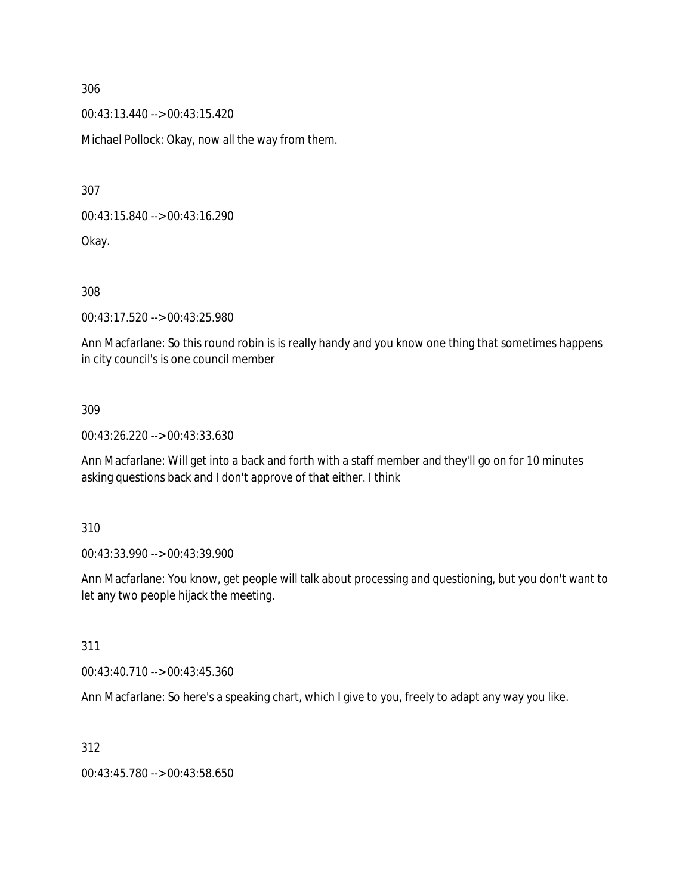00:43:13.440 --> 00:43:15.420

Michael Pollock: Okay, now all the way from them.

307

00:43:15.840 --> 00:43:16.290

Okay.

308

00:43:17.520 --> 00:43:25.980

Ann Macfarlane: So this round robin is is really handy and you know one thing that sometimes happens in city council's is one council member

### 309

00:43:26.220 --> 00:43:33.630

Ann Macfarlane: Will get into a back and forth with a staff member and they'll go on for 10 minutes asking questions back and I don't approve of that either. I think

310

00:43:33.990 --> 00:43:39.900

Ann Macfarlane: You know, get people will talk about processing and questioning, but you don't want to let any two people hijack the meeting.

311

00:43:40.710 --> 00:43:45.360

Ann Macfarlane: So here's a speaking chart, which I give to you, freely to adapt any way you like.

312

00:43:45.780 --> 00:43:58.650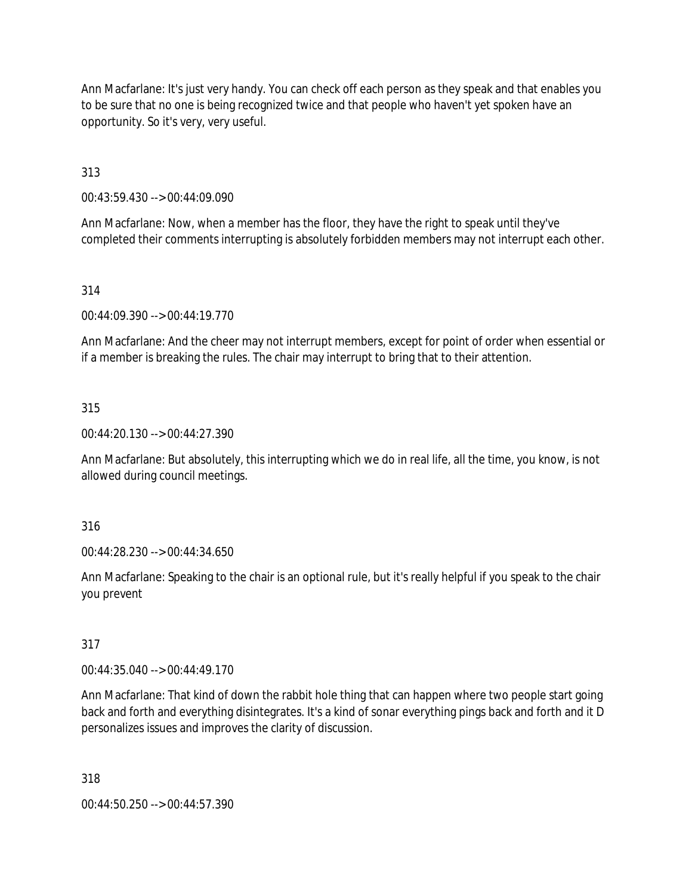Ann Macfarlane: It's just very handy. You can check off each person as they speak and that enables you to be sure that no one is being recognized twice and that people who haven't yet spoken have an opportunity. So it's very, very useful.

313

00:43:59.430 --> 00:44:09.090

Ann Macfarlane: Now, when a member has the floor, they have the right to speak until they've completed their comments interrupting is absolutely forbidden members may not interrupt each other.

### 314

00:44:09.390 --> 00:44:19.770

Ann Macfarlane: And the cheer may not interrupt members, except for point of order when essential or if a member is breaking the rules. The chair may interrupt to bring that to their attention.

### 315

00:44:20.130 --> 00:44:27.390

Ann Macfarlane: But absolutely, this interrupting which we do in real life, all the time, you know, is not allowed during council meetings.

316

00:44:28.230 --> 00:44:34.650

Ann Macfarlane: Speaking to the chair is an optional rule, but it's really helpful if you speak to the chair you prevent

### 317

00:44:35.040 --> 00:44:49.170

Ann Macfarlane: That kind of down the rabbit hole thing that can happen where two people start going back and forth and everything disintegrates. It's a kind of sonar everything pings back and forth and it D personalizes issues and improves the clarity of discussion.

318

00:44:50.250 --> 00:44:57.390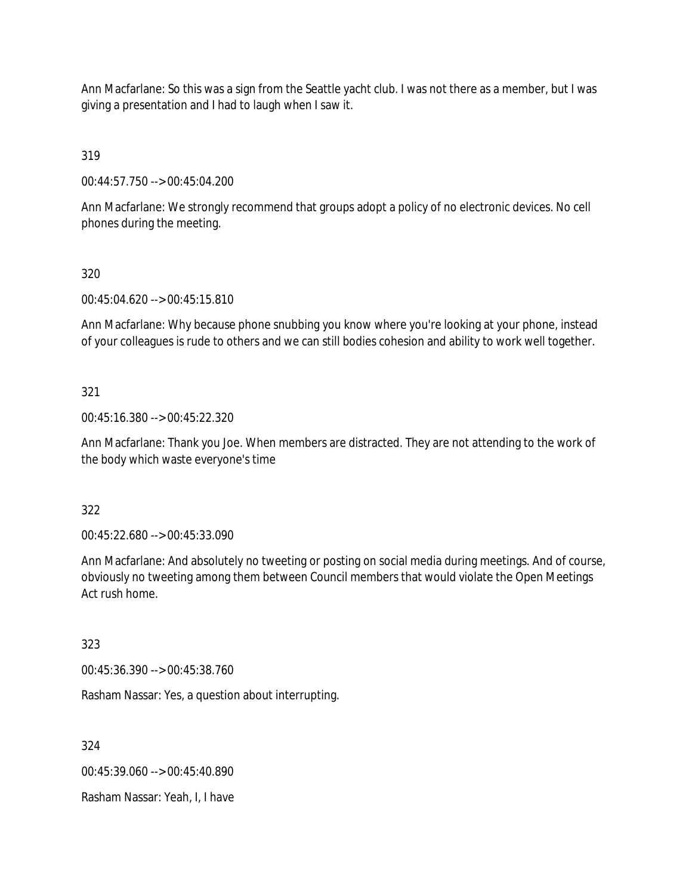Ann Macfarlane: So this was a sign from the Seattle yacht club. I was not there as a member, but I was giving a presentation and I had to laugh when I saw it.

319

00:44:57.750 --> 00:45:04.200

Ann Macfarlane: We strongly recommend that groups adopt a policy of no electronic devices. No cell phones during the meeting.

## 320

00:45:04.620 --> 00:45:15.810

Ann Macfarlane: Why because phone snubbing you know where you're looking at your phone, instead of your colleagues is rude to others and we can still bodies cohesion and ability to work well together.

## 321

00:45:16.380 --> 00:45:22.320

Ann Macfarlane: Thank you Joe. When members are distracted. They are not attending to the work of the body which waste everyone's time

### 322

00:45:22.680 --> 00:45:33.090

Ann Macfarlane: And absolutely no tweeting or posting on social media during meetings. And of course, obviously no tweeting among them between Council members that would violate the Open Meetings Act rush home.

# 323

00:45:36.390 --> 00:45:38.760

Rasham Nassar: Yes, a question about interrupting.

324

00:45:39.060 --> 00:45:40.890

Rasham Nassar: Yeah, I, I have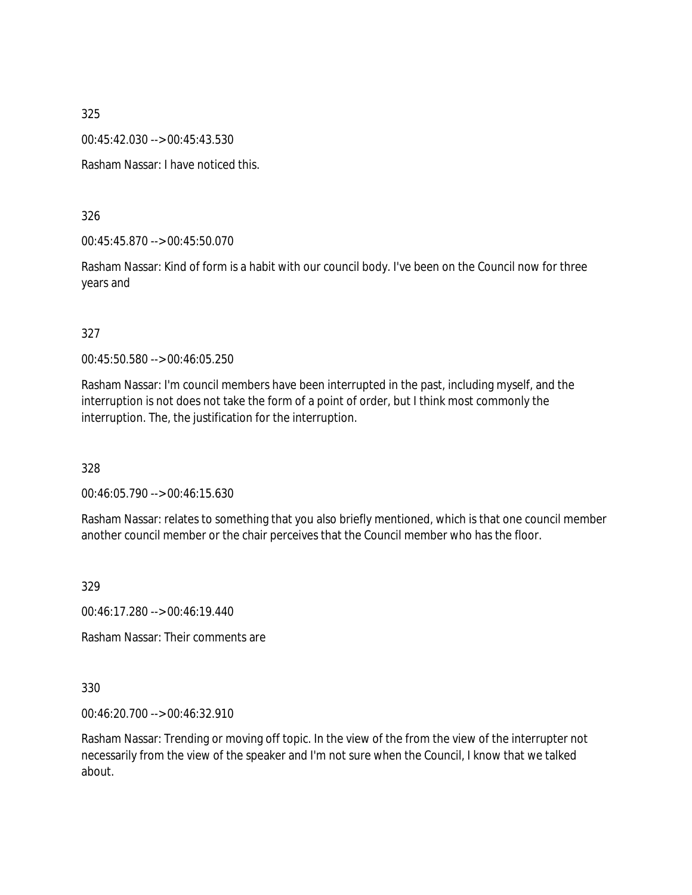00:45:42.030 --> 00:45:43.530

Rasham Nassar: I have noticed this.

326

00:45:45.870 --> 00:45:50.070

Rasham Nassar: Kind of form is a habit with our council body. I've been on the Council now for three years and

## 327

00:45:50.580 --> 00:46:05.250

Rasham Nassar: I'm council members have been interrupted in the past, including myself, and the interruption is not does not take the form of a point of order, but I think most commonly the interruption. The, the justification for the interruption.

328

00:46:05.790 --> 00:46:15.630

Rasham Nassar: relates to something that you also briefly mentioned, which is that one council member another council member or the chair perceives that the Council member who has the floor.

329

00:46:17.280 --> 00:46:19.440

Rasham Nassar: Their comments are

### 330

00:46:20.700 --> 00:46:32.910

Rasham Nassar: Trending or moving off topic. In the view of the from the view of the interrupter not necessarily from the view of the speaker and I'm not sure when the Council, I know that we talked about.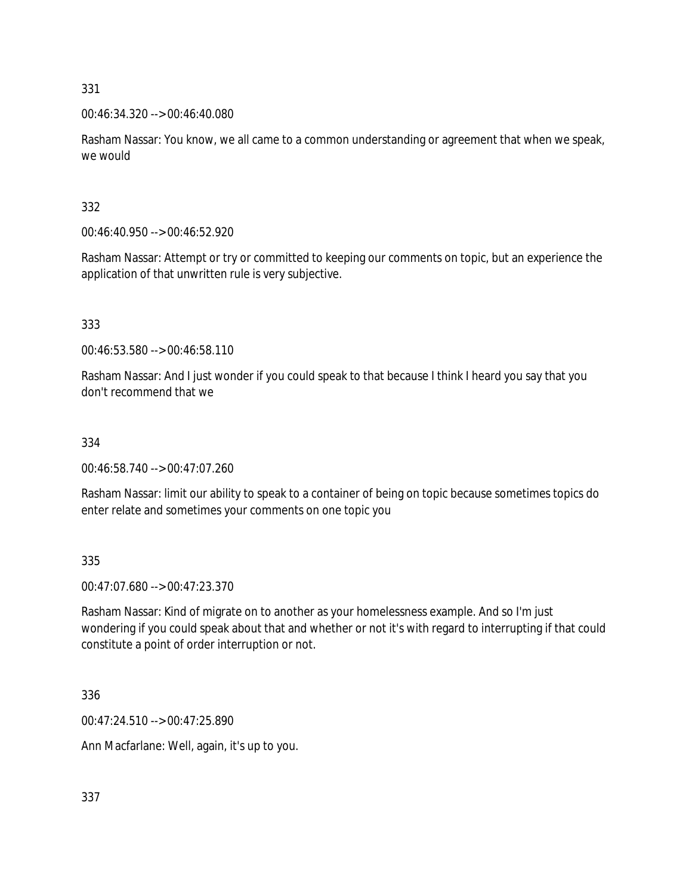## 00:46:34.320 --> 00:46:40.080

Rasham Nassar: You know, we all came to a common understanding or agreement that when we speak, we would

# 332

00:46:40.950 --> 00:46:52.920

Rasham Nassar: Attempt or try or committed to keeping our comments on topic, but an experience the application of that unwritten rule is very subjective.

# 333

00:46:53.580 --> 00:46:58.110

Rasham Nassar: And I just wonder if you could speak to that because I think I heard you say that you don't recommend that we

# 334

00:46:58.740 --> 00:47:07.260

Rasham Nassar: limit our ability to speak to a container of being on topic because sometimes topics do enter relate and sometimes your comments on one topic you

335

00:47:07.680 --> 00:47:23.370

Rasham Nassar: Kind of migrate on to another as your homelessness example. And so I'm just wondering if you could speak about that and whether or not it's with regard to interrupting if that could constitute a point of order interruption or not.

336

00:47:24.510 --> 00:47:25.890

Ann Macfarlane: Well, again, it's up to you.

337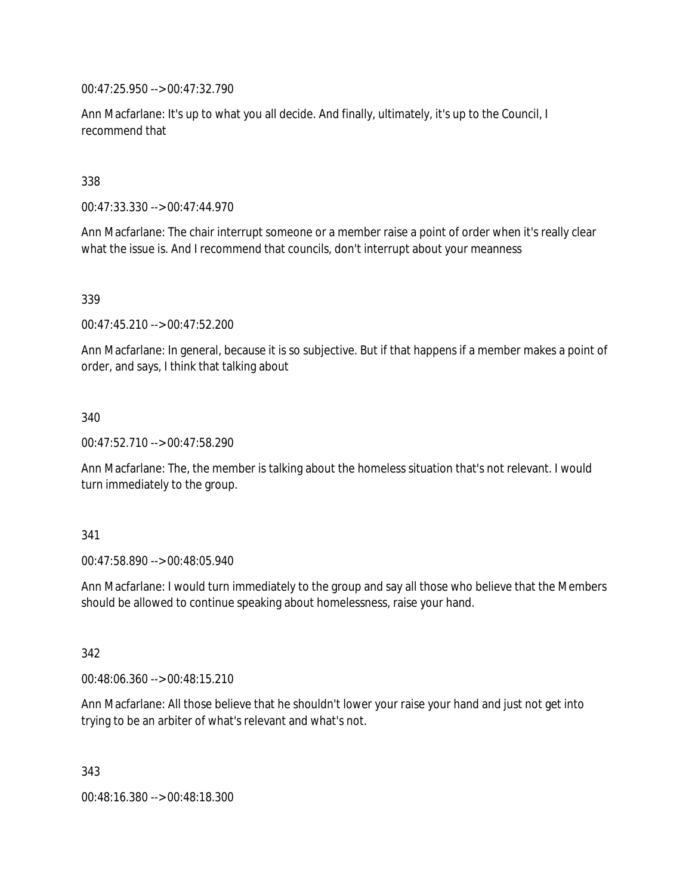00:47:25.950 --> 00:47:32.790

Ann Macfarlane: It's up to what you all decide. And finally, ultimately, it's up to the Council, I recommend that

338

00:47:33.330 --> 00:47:44.970

Ann Macfarlane: The chair interrupt someone or a member raise a point of order when it's really clear what the issue is. And I recommend that councils, don't interrupt about your meanness

339

00:47:45.210 --> 00:47:52.200

Ann Macfarlane: In general, because it is so subjective. But if that happens if a member makes a point of order, and says, I think that talking about

340

00:47:52.710 --> 00:47:58.290

Ann Macfarlane: The, the member is talking about the homeless situation that's not relevant. I would turn immediately to the group.

### 341

00:47:58.890 --> 00:48:05.940

Ann Macfarlane: I would turn immediately to the group and say all those who believe that the Members should be allowed to continue speaking about homelessness, raise your hand.

342

00:48:06.360 --> 00:48:15.210

Ann Macfarlane: All those believe that he shouldn't lower your raise your hand and just not get into trying to be an arbiter of what's relevant and what's not.

343

00:48:16.380 --> 00:48:18.300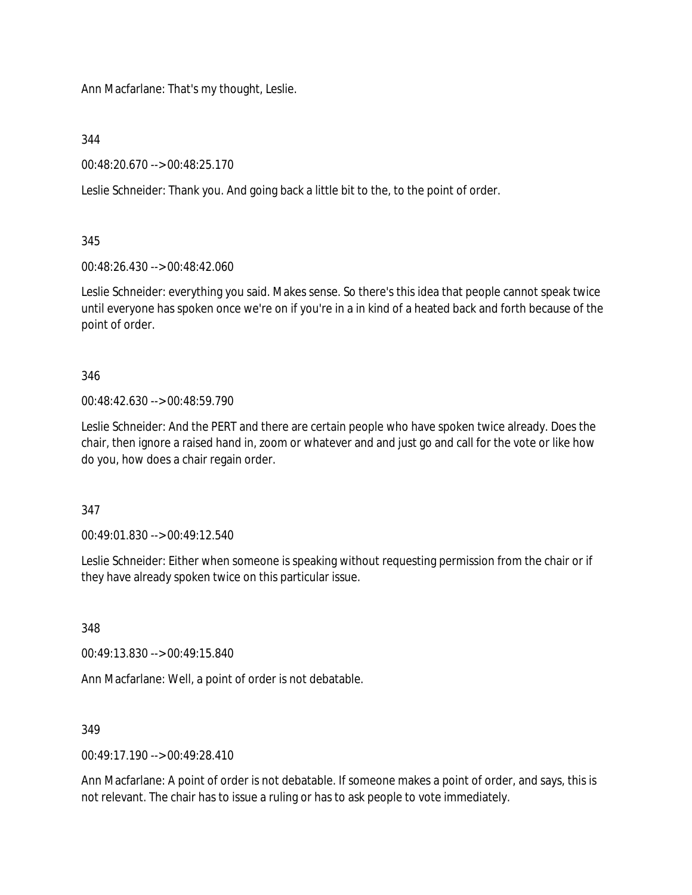Ann Macfarlane: That's my thought, Leslie.

344

00:48:20.670 --> 00:48:25.170

Leslie Schneider: Thank you. And going back a little bit to the, to the point of order.

345

00:48:26.430 --> 00:48:42.060

Leslie Schneider: everything you said. Makes sense. So there's this idea that people cannot speak twice until everyone has spoken once we're on if you're in a in kind of a heated back and forth because of the point of order.

346

00:48:42.630 --> 00:48:59.790

Leslie Schneider: And the PERT and there are certain people who have spoken twice already. Does the chair, then ignore a raised hand in, zoom or whatever and and just go and call for the vote or like how do you, how does a chair regain order.

347

00:49:01.830 --> 00:49:12.540

Leslie Schneider: Either when someone is speaking without requesting permission from the chair or if they have already spoken twice on this particular issue.

348

00:49:13.830 --> 00:49:15.840

Ann Macfarlane: Well, a point of order is not debatable.

349

 $0.0149.17190 -500.49.28410$ 

Ann Macfarlane: A point of order is not debatable. If someone makes a point of order, and says, this is not relevant. The chair has to issue a ruling or has to ask people to vote immediately.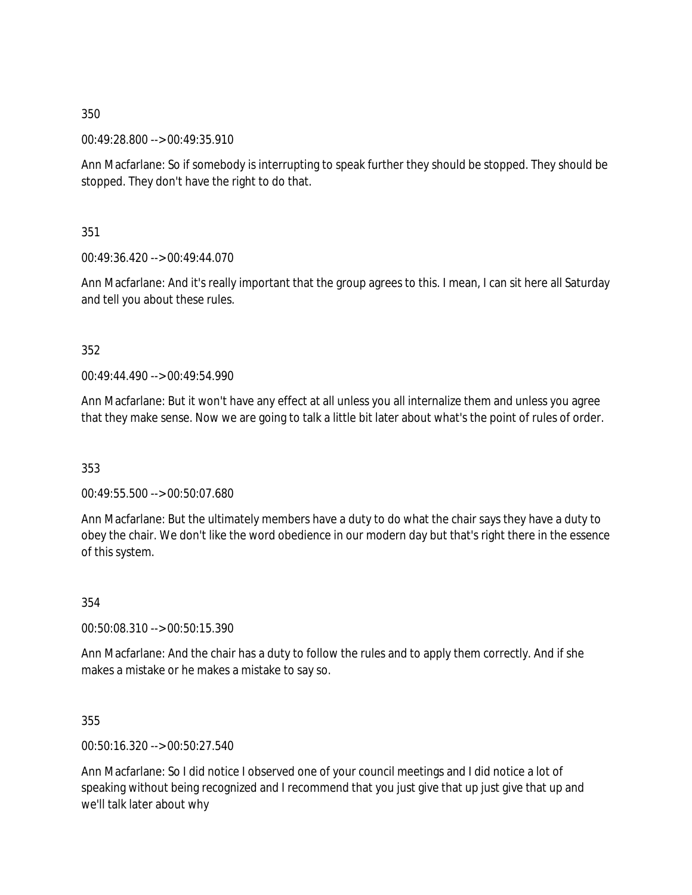00:49:28.800 --> 00:49:35.910

Ann Macfarlane: So if somebody is interrupting to speak further they should be stopped. They should be stopped. They don't have the right to do that.

351

00:49:36.420 --> 00:49:44.070

Ann Macfarlane: And it's really important that the group agrees to this. I mean, I can sit here all Saturday and tell you about these rules.

352

00:49:44.490 --> 00:49:54.990

Ann Macfarlane: But it won't have any effect at all unless you all internalize them and unless you agree that they make sense. Now we are going to talk a little bit later about what's the point of rules of order.

353

00:49:55.500 --> 00:50:07.680

Ann Macfarlane: But the ultimately members have a duty to do what the chair says they have a duty to obey the chair. We don't like the word obedience in our modern day but that's right there in the essence of this system.

354

00:50:08.310 --> 00:50:15.390

Ann Macfarlane: And the chair has a duty to follow the rules and to apply them correctly. And if she makes a mistake or he makes a mistake to say so.

355

00:50:16.320 --> 00:50:27.540

Ann Macfarlane: So I did notice I observed one of your council meetings and I did notice a lot of speaking without being recognized and I recommend that you just give that up just give that up and we'll talk later about why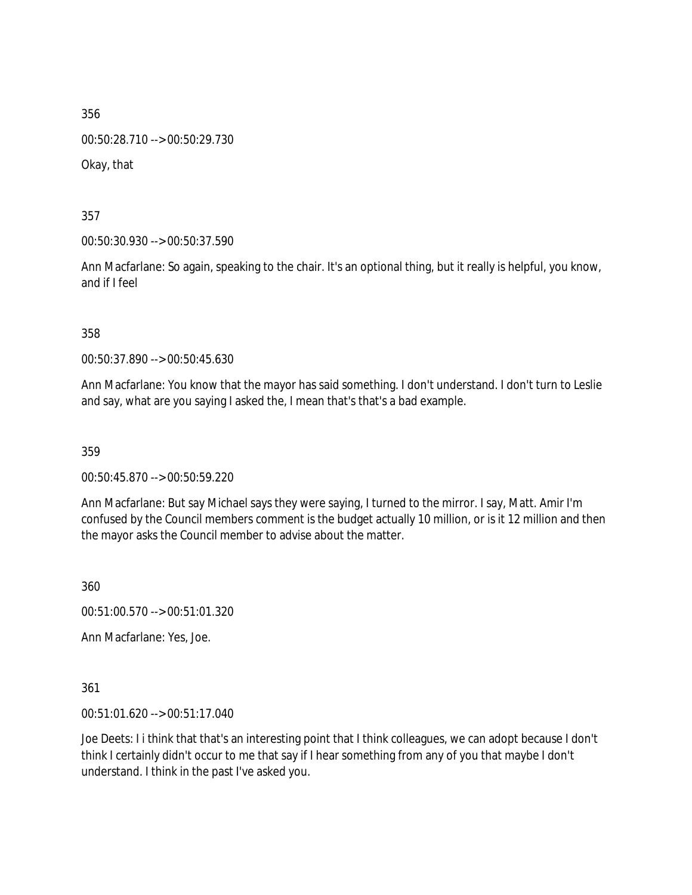00:50:28.710 --> 00:50:29.730

Okay, that

357

00:50:30.930 --> 00:50:37.590

Ann Macfarlane: So again, speaking to the chair. It's an optional thing, but it really is helpful, you know, and if I feel

358

00:50:37.890 --> 00:50:45.630

Ann Macfarlane: You know that the mayor has said something. I don't understand. I don't turn to Leslie and say, what are you saying I asked the, I mean that's that's a bad example.

359

00:50:45.870 --> 00:50:59.220

Ann Macfarlane: But say Michael says they were saying, I turned to the mirror. I say, Matt. Amir I'm confused by the Council members comment is the budget actually 10 million, or is it 12 million and then the mayor asks the Council member to advise about the matter.

360

00:51:00.570 --> 00:51:01.320

Ann Macfarlane: Yes, Joe.

361

00:51:01.620 --> 00:51:17.040

Joe Deets: I i think that that's an interesting point that I think colleagues, we can adopt because I don't think I certainly didn't occur to me that say if I hear something from any of you that maybe I don't understand. I think in the past I've asked you.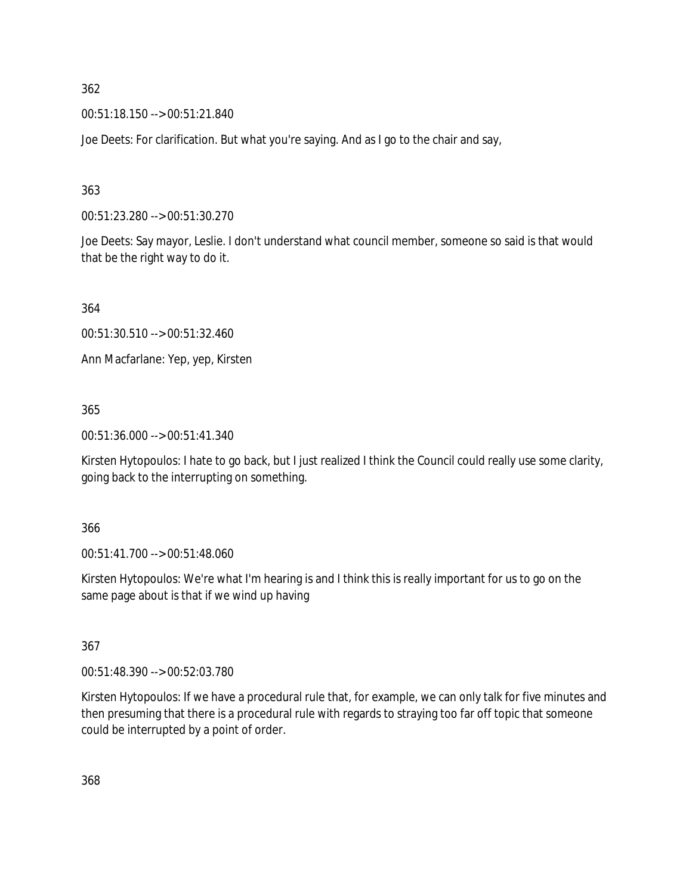00:51:18.150 --> 00:51:21.840

Joe Deets: For clarification. But what you're saying. And as I go to the chair and say,

363

00:51:23.280 --> 00:51:30.270

Joe Deets: Say mayor, Leslie. I don't understand what council member, someone so said is that would that be the right way to do it.

364

00:51:30.510 --> 00:51:32.460

Ann Macfarlane: Yep, yep, Kirsten

365

00:51:36.000 --> 00:51:41.340

Kirsten Hytopoulos: I hate to go back, but I just realized I think the Council could really use some clarity, going back to the interrupting on something.

366

00:51:41.700 --> 00:51:48.060

Kirsten Hytopoulos: We're what I'm hearing is and I think this is really important for us to go on the same page about is that if we wind up having

367

00:51:48.390 --> 00:52:03.780

Kirsten Hytopoulos: If we have a procedural rule that, for example, we can only talk for five minutes and then presuming that there is a procedural rule with regards to straying too far off topic that someone could be interrupted by a point of order.

368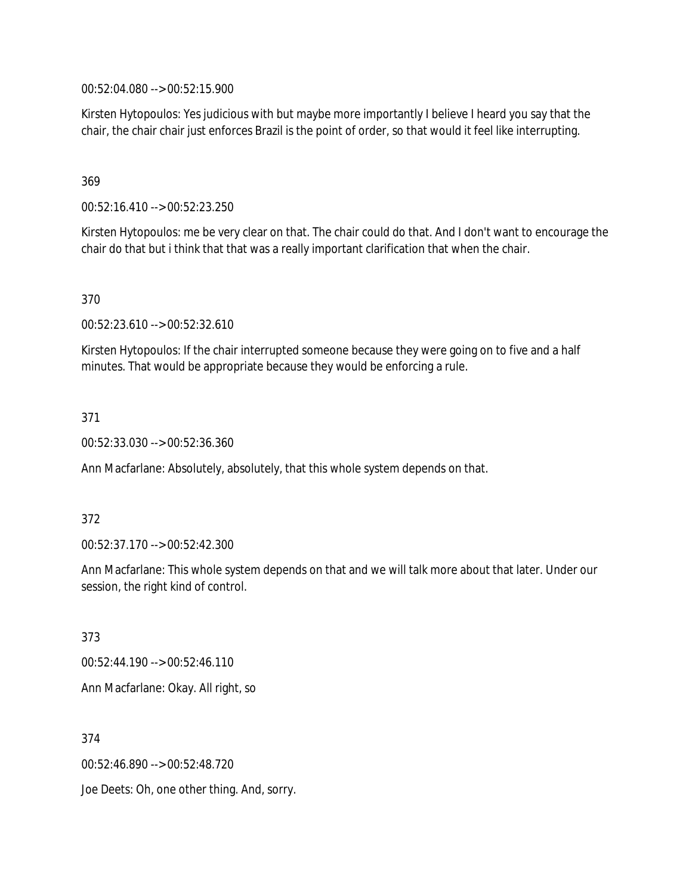00:52:04.080 --> 00:52:15.900

Kirsten Hytopoulos: Yes judicious with but maybe more importantly I believe I heard you say that the chair, the chair chair just enforces Brazil is the point of order, so that would it feel like interrupting.

## 369

00:52:16.410 --> 00:52:23.250

Kirsten Hytopoulos: me be very clear on that. The chair could do that. And I don't want to encourage the chair do that but i think that that was a really important clarification that when the chair.

### 370

00:52:23.610 --> 00:52:32.610

Kirsten Hytopoulos: If the chair interrupted someone because they were going on to five and a half minutes. That would be appropriate because they would be enforcing a rule.

### 371

00:52:33.030 --> 00:52:36.360

Ann Macfarlane: Absolutely, absolutely, that this whole system depends on that.

#### 372

00:52:37.170 --> 00:52:42.300

Ann Macfarlane: This whole system depends on that and we will talk more about that later. Under our session, the right kind of control.

373

00:52:44.190 --> 00:52:46.110 Ann Macfarlane: Okay. All right, so

374

00:52:46.890 --> 00:52:48.720

Joe Deets: Oh, one other thing. And, sorry.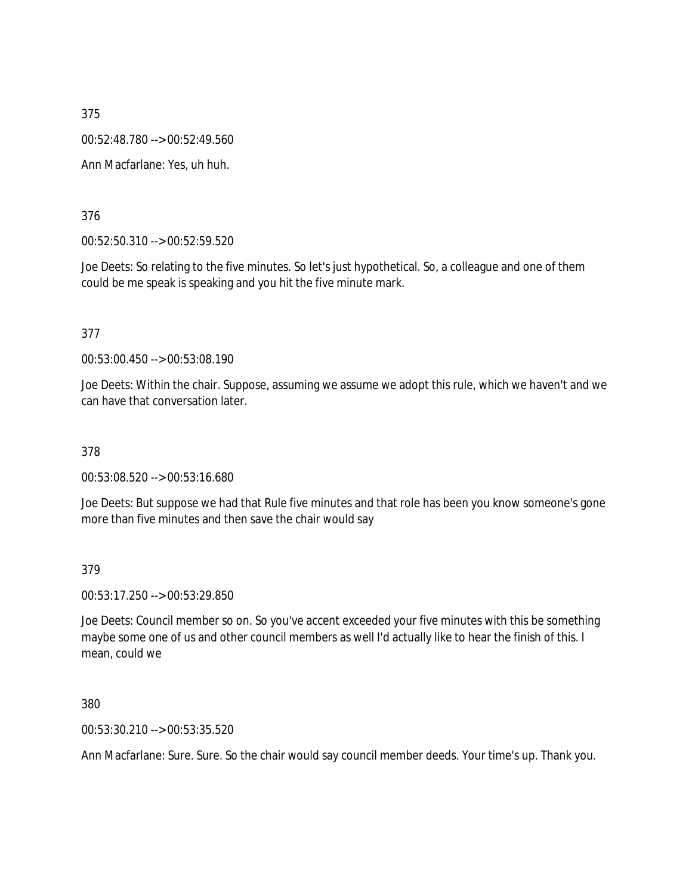00:52:48.780 --> 00:52:49.560

Ann Macfarlane: Yes, uh huh.

376

00:52:50.310 --> 00:52:59.520

Joe Deets: So relating to the five minutes. So let's just hypothetical. So, a colleague and one of them could be me speak is speaking and you hit the five minute mark.

377

00:53:00.450 --> 00:53:08.190

Joe Deets: Within the chair. Suppose, assuming we assume we adopt this rule, which we haven't and we can have that conversation later.

378

00:53:08.520 --> 00:53:16.680

Joe Deets: But suppose we had that Rule five minutes and that role has been you know someone's gone more than five minutes and then save the chair would say

379

00:53:17.250 --> 00:53:29.850

Joe Deets: Council member so on. So you've accent exceeded your five minutes with this be something maybe some one of us and other council members as well I'd actually like to hear the finish of this. I mean, could we

380

00:53:30.210 --> 00:53:35.520

Ann Macfarlane: Sure. Sure. So the chair would say council member deeds. Your time's up. Thank you.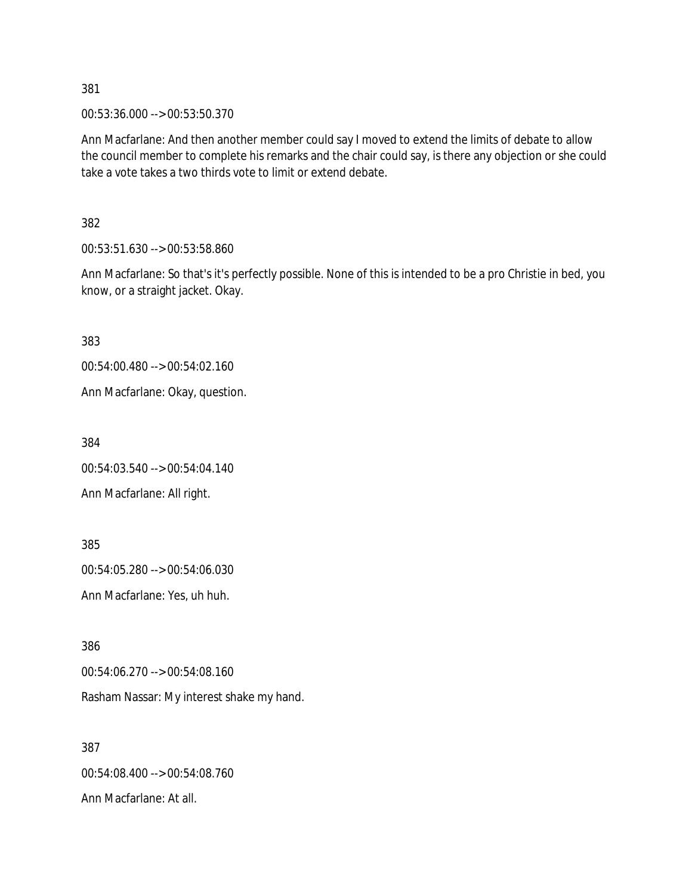00:53:36.000 --> 00:53:50.370

Ann Macfarlane: And then another member could say I moved to extend the limits of debate to allow the council member to complete his remarks and the chair could say, is there any objection or she could take a vote takes a two thirds vote to limit or extend debate.

382

00:53:51.630 --> 00:53:58.860

Ann Macfarlane: So that's it's perfectly possible. None of this is intended to be a pro Christie in bed, you know, or a straight jacket. Okay.

383

00:54:00.480 --> 00:54:02.160

Ann Macfarlane: Okay, question.

384

00:54:03.540 --> 00:54:04.140

Ann Macfarlane: All right.

385 00:54:05.280 --> 00:54:06.030 Ann Macfarlane: Yes, uh huh.

386

00:54:06.270 --> 00:54:08.160

Rasham Nassar: My interest shake my hand.

387 00:54:08.400 --> 00:54:08.760 Ann Macfarlane: At all.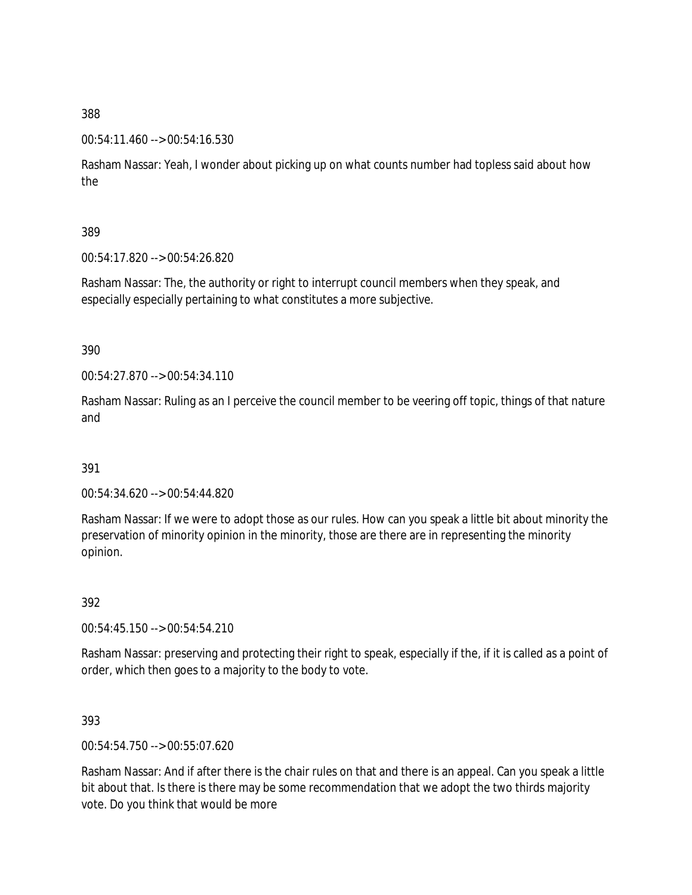### 00:54:11.460 --> 00:54:16.530

Rasham Nassar: Yeah, I wonder about picking up on what counts number had topless said about how the

389

00:54:17.820 --> 00:54:26.820

Rasham Nassar: The, the authority or right to interrupt council members when they speak, and especially especially pertaining to what constitutes a more subjective.

390

00:54:27.870 --> 00:54:34.110

Rasham Nassar: Ruling as an I perceive the council member to be veering off topic, things of that nature and

391

00:54:34.620 --> 00:54:44.820

Rasham Nassar: If we were to adopt those as our rules. How can you speak a little bit about minority the preservation of minority opinion in the minority, those are there are in representing the minority opinion.

392

00:54:45.150 --> 00:54:54.210

Rasham Nassar: preserving and protecting their right to speak, especially if the, if it is called as a point of order, which then goes to a majority to the body to vote.

393

00:54:54.750 --> 00:55:07.620

Rasham Nassar: And if after there is the chair rules on that and there is an appeal. Can you speak a little bit about that. Is there is there may be some recommendation that we adopt the two thirds majority vote. Do you think that would be more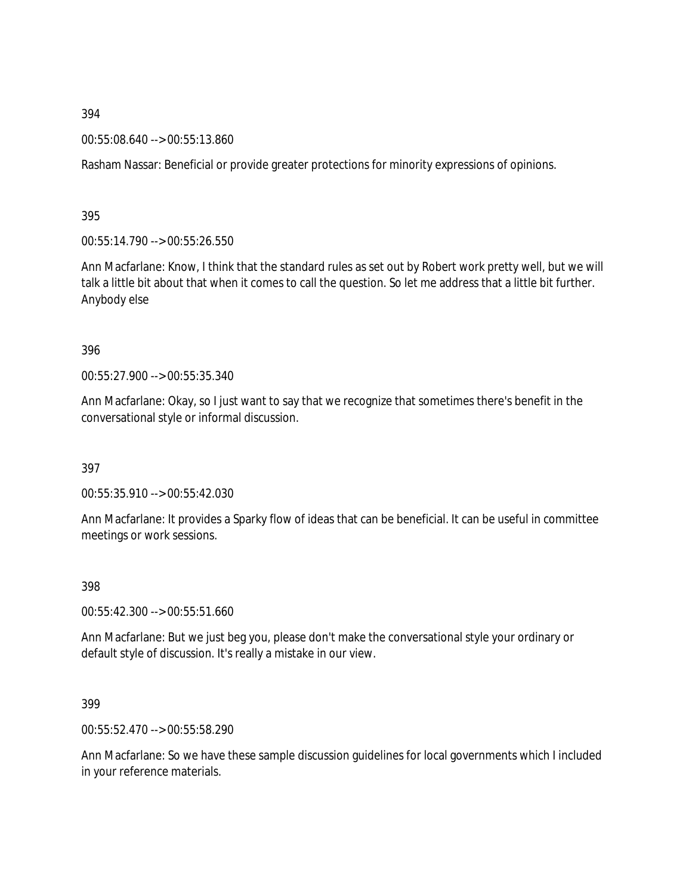00:55:08.640 --> 00:55:13.860

Rasham Nassar: Beneficial or provide greater protections for minority expressions of opinions.

395

00:55:14.790 --> 00:55:26.550

Ann Macfarlane: Know, I think that the standard rules as set out by Robert work pretty well, but we will talk a little bit about that when it comes to call the question. So let me address that a little bit further. Anybody else

### 396

00:55:27.900 --> 00:55:35.340

Ann Macfarlane: Okay, so I just want to say that we recognize that sometimes there's benefit in the conversational style or informal discussion.

397

00:55:35.910 --> 00:55:42.030

Ann Macfarlane: It provides a Sparky flow of ideas that can be beneficial. It can be useful in committee meetings or work sessions.

# 398

00:55:42.300 --> 00:55:51.660

Ann Macfarlane: But we just beg you, please don't make the conversational style your ordinary or default style of discussion. It's really a mistake in our view.

# 399

00:55:52.470 --> 00:55:58.290

Ann Macfarlane: So we have these sample discussion guidelines for local governments which I included in your reference materials.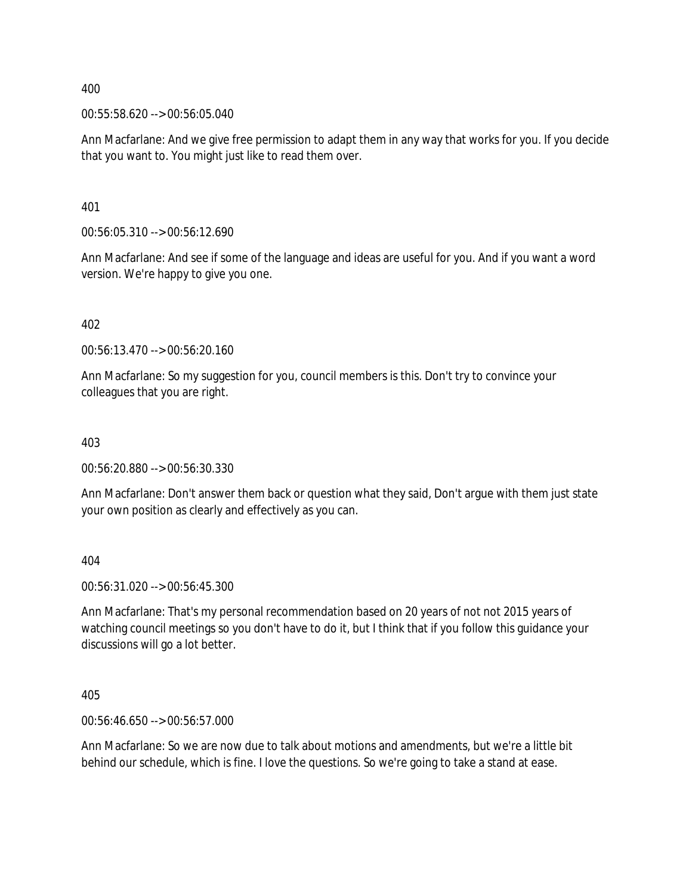00:55:58.620 --> 00:56:05.040

Ann Macfarlane: And we give free permission to adapt them in any way that works for you. If you decide that you want to. You might just like to read them over.

401

00:56:05.310 --> 00:56:12.690

Ann Macfarlane: And see if some of the language and ideas are useful for you. And if you want a word version. We're happy to give you one.

402

00:56:13.470 --> 00:56:20.160

Ann Macfarlane: So my suggestion for you, council members is this. Don't try to convince your colleagues that you are right.

403

00:56:20.880 --> 00:56:30.330

Ann Macfarlane: Don't answer them back or question what they said, Don't argue with them just state your own position as clearly and effectively as you can.

404

00:56:31.020 --> 00:56:45.300

Ann Macfarlane: That's my personal recommendation based on 20 years of not not 2015 years of watching council meetings so you don't have to do it, but I think that if you follow this guidance your discussions will go a lot better.

405

00:56:46.650 --> 00:56:57.000

Ann Macfarlane: So we are now due to talk about motions and amendments, but we're a little bit behind our schedule, which is fine. I love the questions. So we're going to take a stand at ease.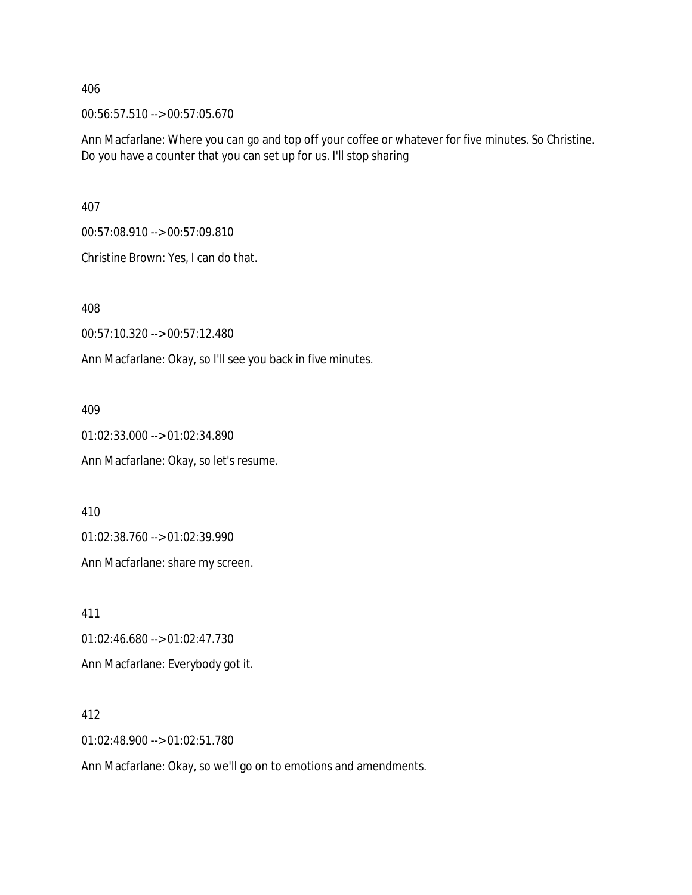00:56:57.510 --> 00:57:05.670

Ann Macfarlane: Where you can go and top off your coffee or whatever for five minutes. So Christine. Do you have a counter that you can set up for us. I'll stop sharing

407

00:57:08.910 --> 00:57:09.810

Christine Brown: Yes, I can do that.

408

00:57:10.320 --> 00:57:12.480

Ann Macfarlane: Okay, so I'll see you back in five minutes.

409

01:02:33.000 --> 01:02:34.890 Ann Macfarlane: Okay, so let's resume.

410

01:02:38.760 --> 01:02:39.990

Ann Macfarlane: share my screen.

411

01:02:46.680 --> 01:02:47.730

Ann Macfarlane: Everybody got it.

412

01:02:48.900 --> 01:02:51.780

Ann Macfarlane: Okay, so we'll go on to emotions and amendments.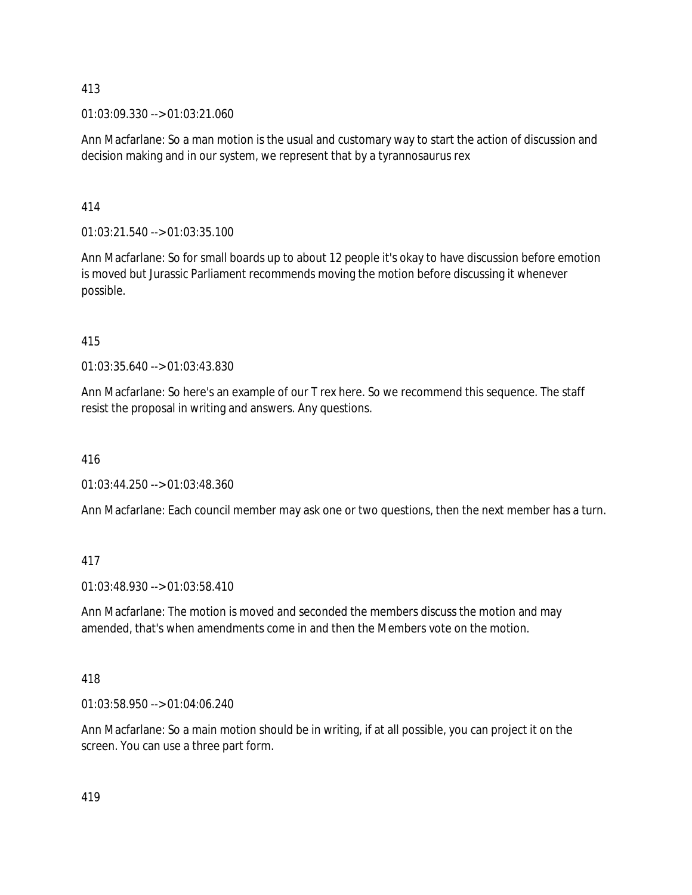01:03:09.330 --> 01:03:21.060

Ann Macfarlane: So a man motion is the usual and customary way to start the action of discussion and decision making and in our system, we represent that by a tyrannosaurus rex

## 414

01:03:21.540 --> 01:03:35.100

Ann Macfarlane: So for small boards up to about 12 people it's okay to have discussion before emotion is moved but Jurassic Parliament recommends moving the motion before discussing it whenever possible.

## 415

01:03:35.640 --> 01:03:43.830

Ann Macfarlane: So here's an example of our T rex here. So we recommend this sequence. The staff resist the proposal in writing and answers. Any questions.

### 416

01:03:44.250 --> 01:03:48.360

Ann Macfarlane: Each council member may ask one or two questions, then the next member has a turn.

# 417

01:03:48.930 --> 01:03:58.410

Ann Macfarlane: The motion is moved and seconded the members discuss the motion and may amended, that's when amendments come in and then the Members vote on the motion.

### 418

01:03:58.950 --> 01:04:06.240

Ann Macfarlane: So a main motion should be in writing, if at all possible, you can project it on the screen. You can use a three part form.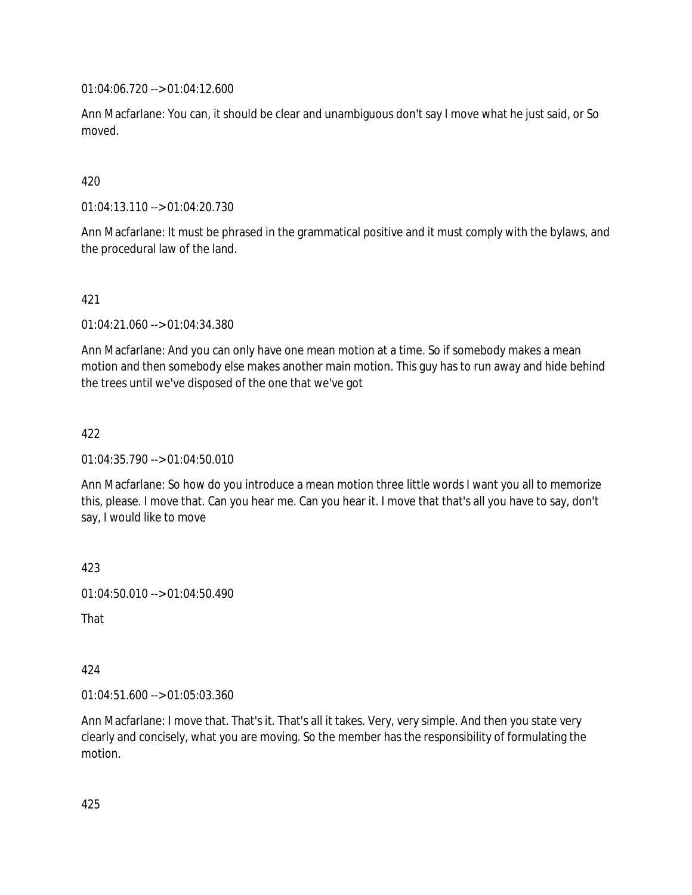01:04:06.720 --> 01:04:12.600

Ann Macfarlane: You can, it should be clear and unambiguous don't say I move what he just said, or So moved.

## 420

01:04:13.110 --> 01:04:20.730

Ann Macfarlane: It must be phrased in the grammatical positive and it must comply with the bylaws, and the procedural law of the land.

### 421

01:04:21.060 --> 01:04:34.380

Ann Macfarlane: And you can only have one mean motion at a time. So if somebody makes a mean motion and then somebody else makes another main motion. This guy has to run away and hide behind the trees until we've disposed of the one that we've got

### 422

01:04:35.790 --> 01:04:50.010

Ann Macfarlane: So how do you introduce a mean motion three little words I want you all to memorize this, please. I move that. Can you hear me. Can you hear it. I move that that's all you have to say, don't say, I would like to move

423

01:04:50.010 --> 01:04:50.490

That

### 424

01:04:51.600 --> 01:05:03.360

Ann Macfarlane: I move that. That's it. That's all it takes. Very, very simple. And then you state very clearly and concisely, what you are moving. So the member has the responsibility of formulating the motion.

425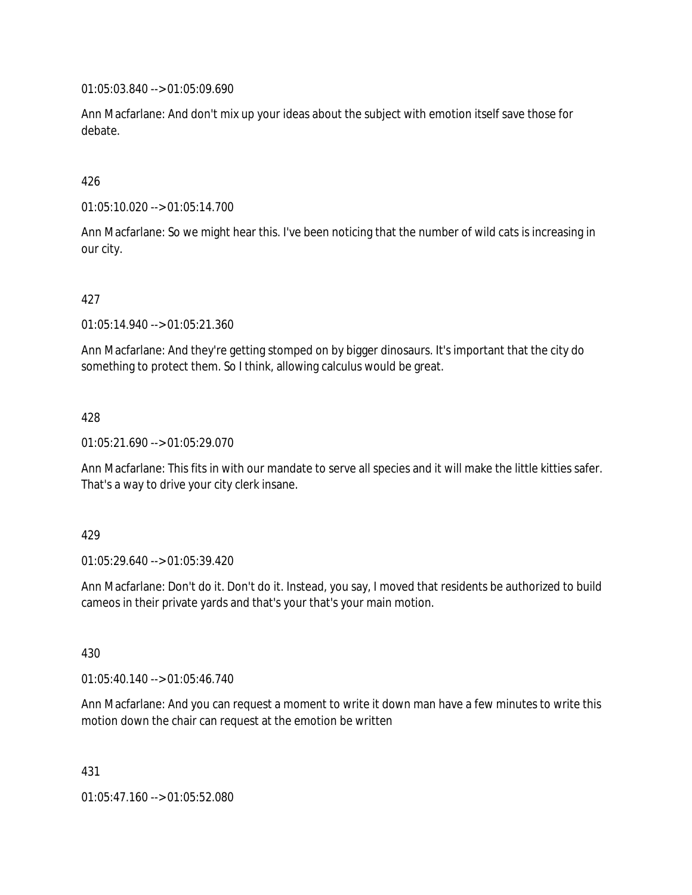01:05:03.840 --> 01:05:09.690

Ann Macfarlane: And don't mix up your ideas about the subject with emotion itself save those for debate.

## 426

01:05:10.020 --> 01:05:14.700

Ann Macfarlane: So we might hear this. I've been noticing that the number of wild cats is increasing in our city.

## 427

01:05:14.940 --> 01:05:21.360

Ann Macfarlane: And they're getting stomped on by bigger dinosaurs. It's important that the city do something to protect them. So I think, allowing calculus would be great.

### 428

01:05:21.690 --> 01:05:29.070

Ann Macfarlane: This fits in with our mandate to serve all species and it will make the little kitties safer. That's a way to drive your city clerk insane.

### 429

01:05:29.640 --> 01:05:39.420

Ann Macfarlane: Don't do it. Don't do it. Instead, you say, I moved that residents be authorized to build cameos in their private yards and that's your that's your main motion.

### 430

01:05:40.140 --> 01:05:46.740

Ann Macfarlane: And you can request a moment to write it down man have a few minutes to write this motion down the chair can request at the emotion be written

431

01:05:47.160 --> 01:05:52.080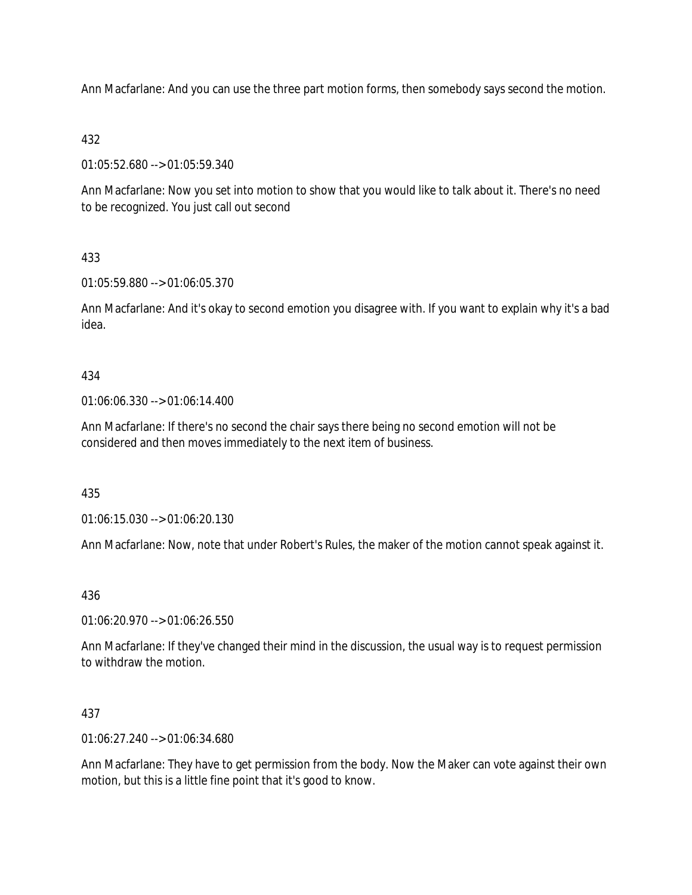Ann Macfarlane: And you can use the three part motion forms, then somebody says second the motion.

## 432

01:05:52.680 --> 01:05:59.340

Ann Macfarlane: Now you set into motion to show that you would like to talk about it. There's no need to be recognized. You just call out second

# 433

01:05:59.880 --> 01:06:05.370

Ann Macfarlane: And it's okay to second emotion you disagree with. If you want to explain why it's a bad idea.

## 434

01:06:06.330 --> 01:06:14.400

Ann Macfarlane: If there's no second the chair says there being no second emotion will not be considered and then moves immediately to the next item of business.

### 435

01:06:15.030 --> 01:06:20.130

Ann Macfarlane: Now, note that under Robert's Rules, the maker of the motion cannot speak against it.

### 436

01:06:20.970 --> 01:06:26.550

Ann Macfarlane: If they've changed their mind in the discussion, the usual way is to request permission to withdraw the motion.

### 437

01:06:27.240 --> 01:06:34.680

Ann Macfarlane: They have to get permission from the body. Now the Maker can vote against their own motion, but this is a little fine point that it's good to know.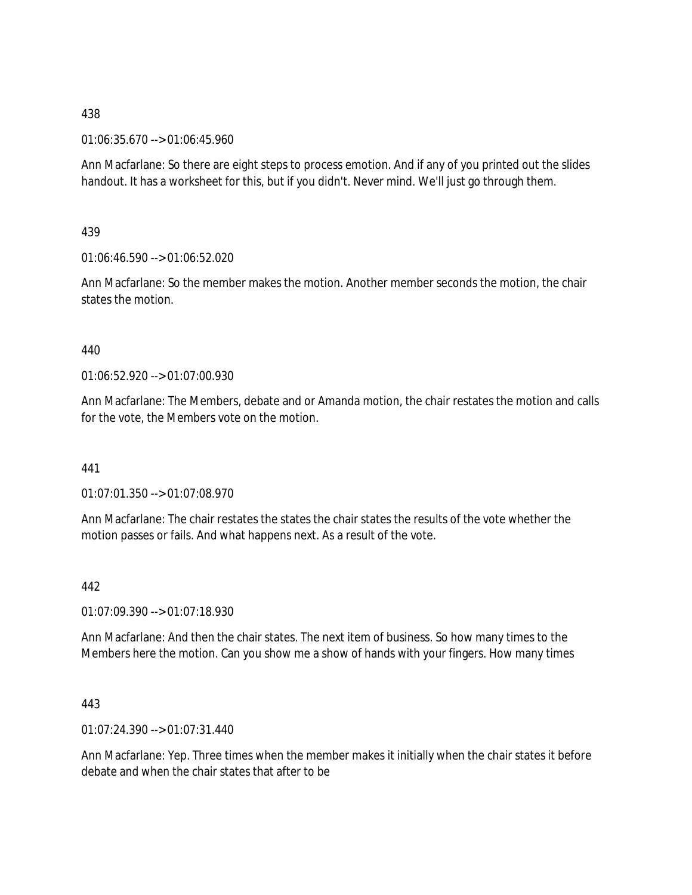01:06:35.670 --> 01:06:45.960

Ann Macfarlane: So there are eight steps to process emotion. And if any of you printed out the slides handout. It has a worksheet for this, but if you didn't. Never mind. We'll just go through them.

439

01:06:46.590 --> 01:06:52.020

Ann Macfarlane: So the member makes the motion. Another member seconds the motion, the chair states the motion.

### 440

01:06:52.920 --> 01:07:00.930

Ann Macfarlane: The Members, debate and or Amanda motion, the chair restates the motion and calls for the vote, the Members vote on the motion.

441

01:07:01.350 --> 01:07:08.970

Ann Macfarlane: The chair restates the states the chair states the results of the vote whether the motion passes or fails. And what happens next. As a result of the vote.

### 442

01:07:09.390 --> 01:07:18.930

Ann Macfarlane: And then the chair states. The next item of business. So how many times to the Members here the motion. Can you show me a show of hands with your fingers. How many times

### 443

01:07:24.390 --> 01:07:31.440

Ann Macfarlane: Yep. Three times when the member makes it initially when the chair states it before debate and when the chair states that after to be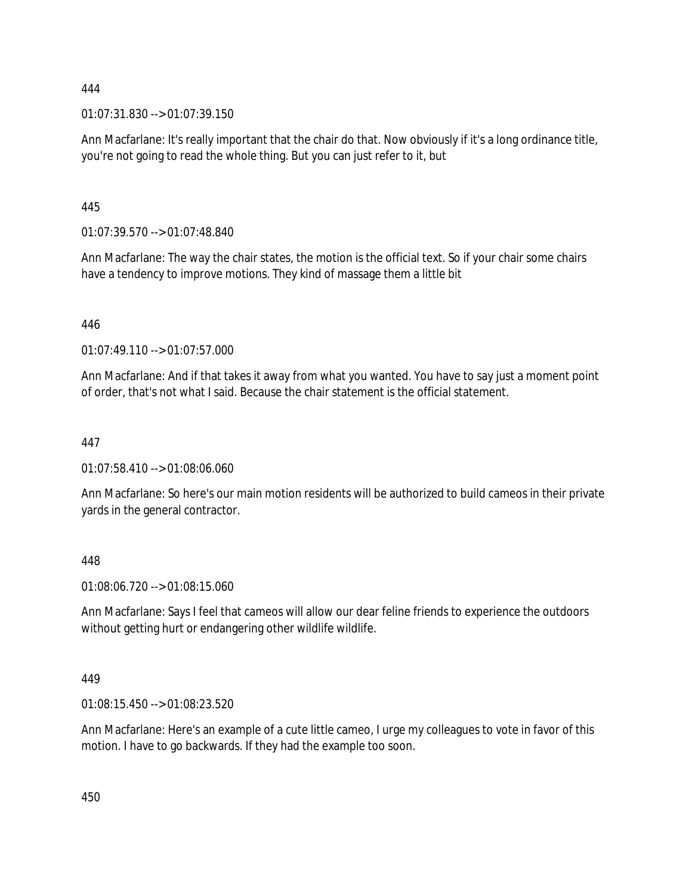01:07:31.830 --> 01:07:39.150

Ann Macfarlane: It's really important that the chair do that. Now obviously if it's a long ordinance title, you're not going to read the whole thing. But you can just refer to it, but

445

01:07:39.570 --> 01:07:48.840

Ann Macfarlane: The way the chair states, the motion is the official text. So if your chair some chairs have a tendency to improve motions. They kind of massage them a little bit

446

01:07:49.110 --> 01:07:57.000

Ann Macfarlane: And if that takes it away from what you wanted. You have to say just a moment point of order, that's not what I said. Because the chair statement is the official statement.

## 447

01:07:58.410 --> 01:08:06.060

Ann Macfarlane: So here's our main motion residents will be authorized to build cameos in their private yards in the general contractor.

448

01:08:06.720 --> 01:08:15.060

Ann Macfarlane: Says I feel that cameos will allow our dear feline friends to experience the outdoors without getting hurt or endangering other wildlife wildlife.

### 449

01:08:15.450 --> 01:08:23.520

Ann Macfarlane: Here's an example of a cute little cameo, I urge my colleagues to vote in favor of this motion. I have to go backwards. If they had the example too soon.

450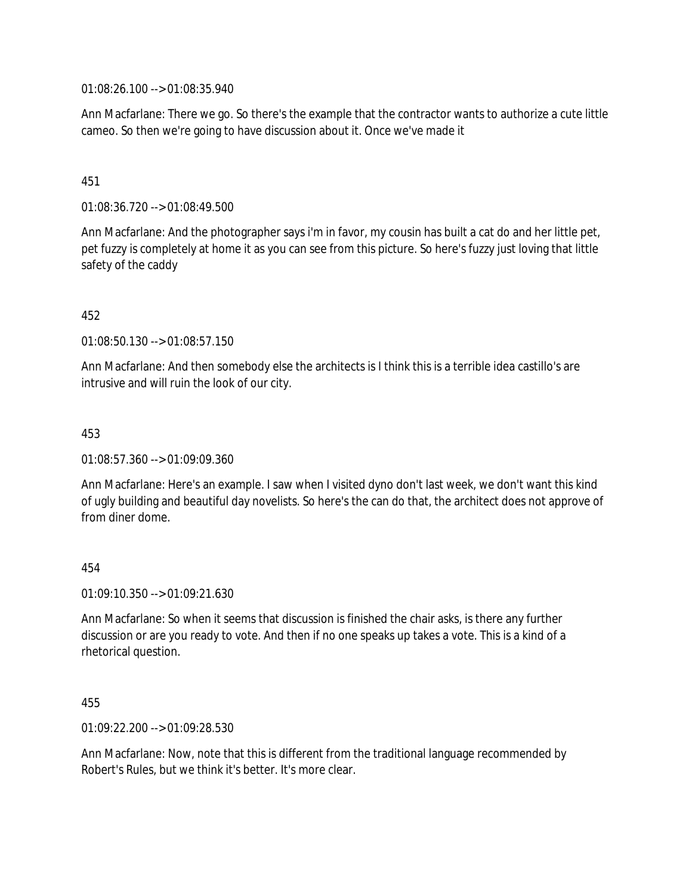01:08:26.100 --> 01:08:35.940

Ann Macfarlane: There we go. So there's the example that the contractor wants to authorize a cute little cameo. So then we're going to have discussion about it. Once we've made it

### 451

01:08:36.720 --> 01:08:49.500

Ann Macfarlane: And the photographer says i'm in favor, my cousin has built a cat do and her little pet, pet fuzzy is completely at home it as you can see from this picture. So here's fuzzy just loving that little safety of the caddy

## 452

01:08:50.130 --> 01:08:57.150

Ann Macfarlane: And then somebody else the architects is I think this is a terrible idea castillo's are intrusive and will ruin the look of our city.

### 453

01:08:57.360 --> 01:09:09.360

Ann Macfarlane: Here's an example. I saw when I visited dyno don't last week, we don't want this kind of ugly building and beautiful day novelists. So here's the can do that, the architect does not approve of from diner dome.

### 454

01:09:10.350 --> 01:09:21.630

Ann Macfarlane: So when it seems that discussion is finished the chair asks, is there any further discussion or are you ready to vote. And then if no one speaks up takes a vote. This is a kind of a rhetorical question.

### 455

01:09:22.200 --> 01:09:28.530

Ann Macfarlane: Now, note that this is different from the traditional language recommended by Robert's Rules, but we think it's better. It's more clear.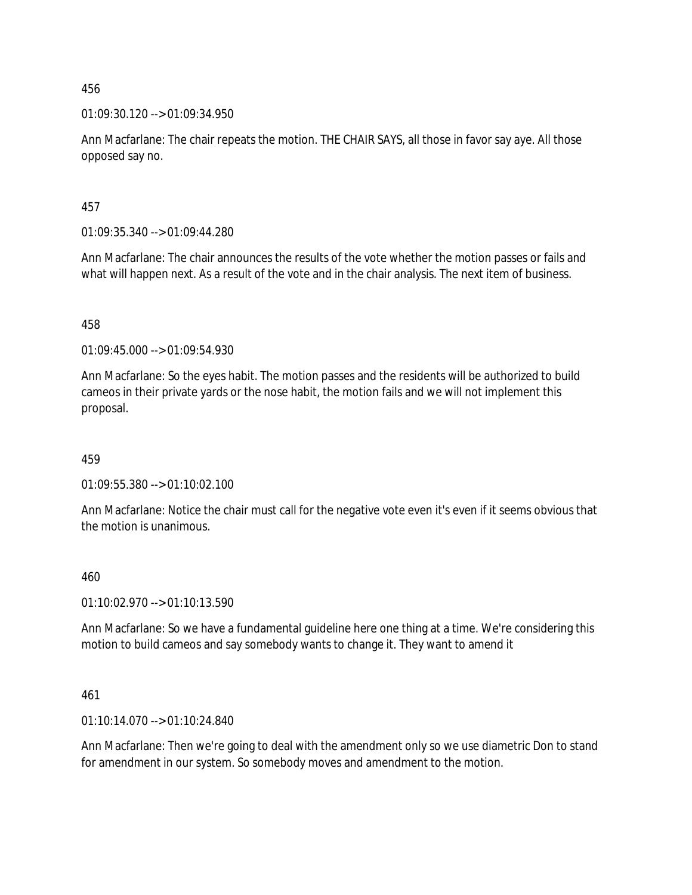01:09:30.120 --> 01:09:34.950

Ann Macfarlane: The chair repeats the motion. THE CHAIR SAYS, all those in favor say aye. All those opposed say no.

457

01:09:35.340 --> 01:09:44.280

Ann Macfarlane: The chair announces the results of the vote whether the motion passes or fails and what will happen next. As a result of the vote and in the chair analysis. The next item of business.

458

01:09:45.000 --> 01:09:54.930

Ann Macfarlane: So the eyes habit. The motion passes and the residents will be authorized to build cameos in their private yards or the nose habit, the motion fails and we will not implement this proposal.

459

01:09:55.380 --> 01:10:02.100

Ann Macfarlane: Notice the chair must call for the negative vote even it's even if it seems obvious that the motion is unanimous.

#### 460

01:10:02.970 --> 01:10:13.590

Ann Macfarlane: So we have a fundamental guideline here one thing at a time. We're considering this motion to build cameos and say somebody wants to change it. They want to amend it

461

01:10:14.070 --> 01:10:24.840

Ann Macfarlane: Then we're going to deal with the amendment only so we use diametric Don to stand for amendment in our system. So somebody moves and amendment to the motion.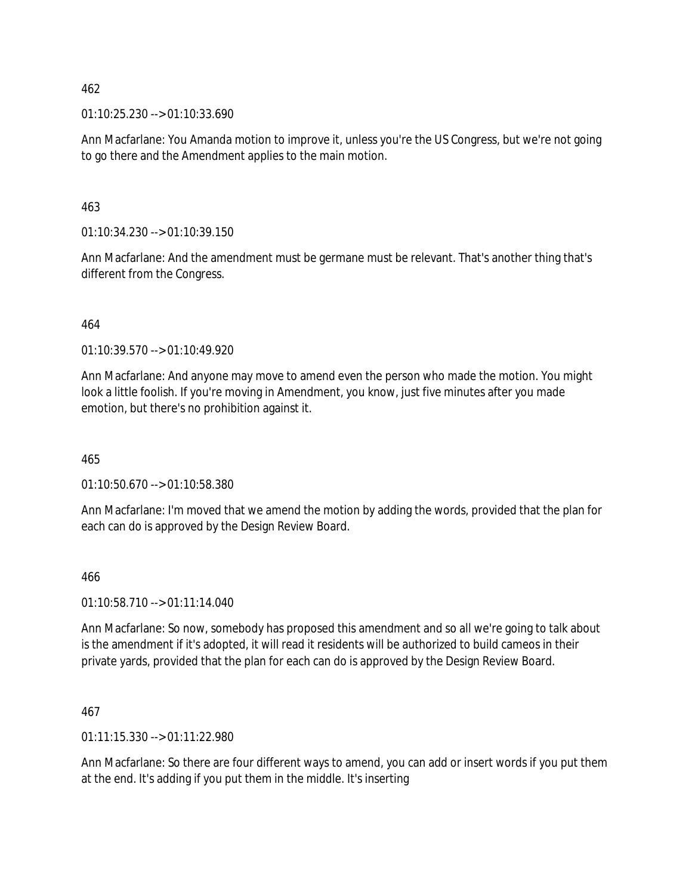01:10:25.230 --> 01:10:33.690

Ann Macfarlane: You Amanda motion to improve it, unless you're the US Congress, but we're not going to go there and the Amendment applies to the main motion.

463

01:10:34.230 --> 01:10:39.150

Ann Macfarlane: And the amendment must be germane must be relevant. That's another thing that's different from the Congress.

464

01:10:39.570 --> 01:10:49.920

Ann Macfarlane: And anyone may move to amend even the person who made the motion. You might look a little foolish. If you're moving in Amendment, you know, just five minutes after you made emotion, but there's no prohibition against it.

465

01:10:50.670 --> 01:10:58.380

Ann Macfarlane: I'm moved that we amend the motion by adding the words, provided that the plan for each can do is approved by the Design Review Board.

466

01:10:58.710 --> 01:11:14.040

Ann Macfarlane: So now, somebody has proposed this amendment and so all we're going to talk about is the amendment if it's adopted, it will read it residents will be authorized to build cameos in their private yards, provided that the plan for each can do is approved by the Design Review Board.

467

01:11:15.330 --> 01:11:22.980

Ann Macfarlane: So there are four different ways to amend, you can add or insert words if you put them at the end. It's adding if you put them in the middle. It's inserting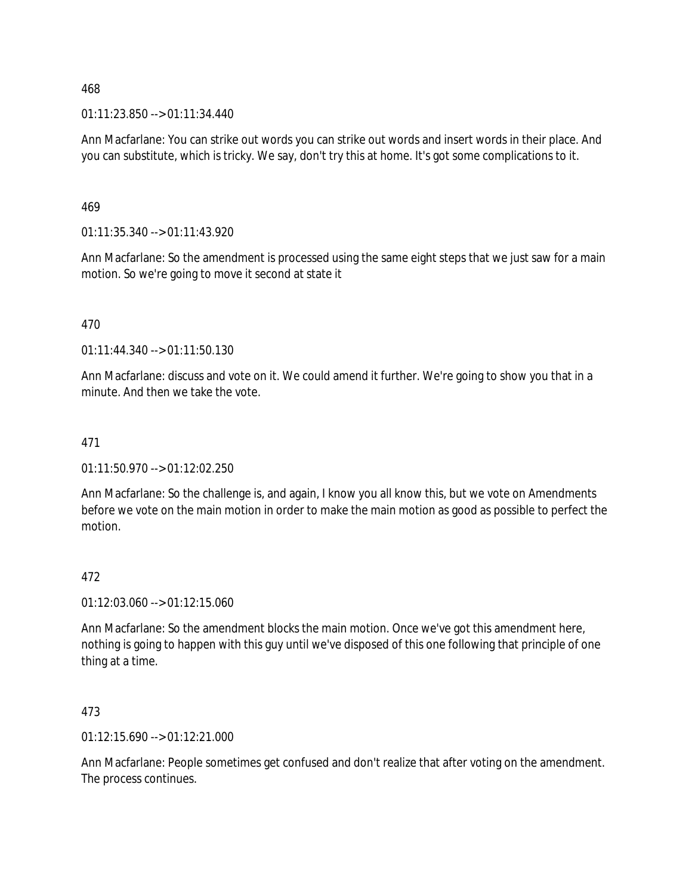01:11:23.850 --> 01:11:34.440

Ann Macfarlane: You can strike out words you can strike out words and insert words in their place. And you can substitute, which is tricky. We say, don't try this at home. It's got some complications to it.

469

01:11:35.340 --> 01:11:43.920

Ann Macfarlane: So the amendment is processed using the same eight steps that we just saw for a main motion. So we're going to move it second at state it

470

01:11:44.340 --> 01:11:50.130

Ann Macfarlane: discuss and vote on it. We could amend it further. We're going to show you that in a minute. And then we take the vote.

### 471

01:11:50.970 --> 01:12:02.250

Ann Macfarlane: So the challenge is, and again, I know you all know this, but we vote on Amendments before we vote on the main motion in order to make the main motion as good as possible to perfect the motion.

### 472

01:12:03.060 --> 01:12:15.060

Ann Macfarlane: So the amendment blocks the main motion. Once we've got this amendment here, nothing is going to happen with this guy until we've disposed of this one following that principle of one thing at a time.

473

 $01:12:15.690 \rightarrow 01:12:21.000$ 

Ann Macfarlane: People sometimes get confused and don't realize that after voting on the amendment. The process continues.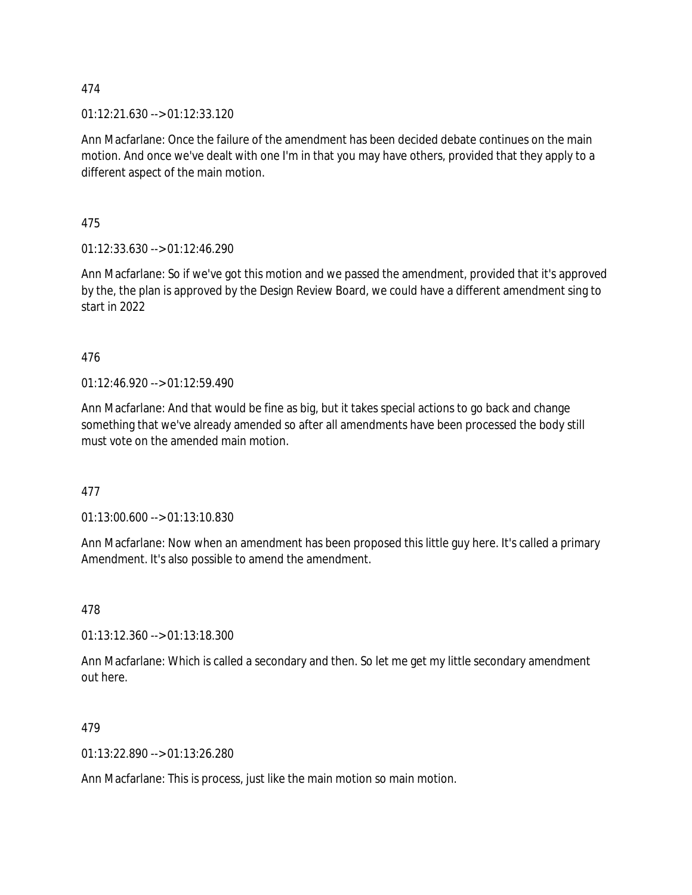01:12:21.630 --> 01:12:33.120

Ann Macfarlane: Once the failure of the amendment has been decided debate continues on the main motion. And once we've dealt with one I'm in that you may have others, provided that they apply to a different aspect of the main motion.

475

01:12:33.630 --> 01:12:46.290

Ann Macfarlane: So if we've got this motion and we passed the amendment, provided that it's approved by the, the plan is approved by the Design Review Board, we could have a different amendment sing to start in 2022

476

 $01:12:46.920 \rightarrow 01:12:59.490$ 

Ann Macfarlane: And that would be fine as big, but it takes special actions to go back and change something that we've already amended so after all amendments have been processed the body still must vote on the amended main motion.

477

01:13:00.600 --> 01:13:10.830

Ann Macfarlane: Now when an amendment has been proposed this little guy here. It's called a primary Amendment. It's also possible to amend the amendment.

478

01:13:12.360 --> 01:13:18.300

Ann Macfarlane: Which is called a secondary and then. So let me get my little secondary amendment out here.

479

01:13:22.890 --> 01:13:26.280

Ann Macfarlane: This is process, just like the main motion so main motion.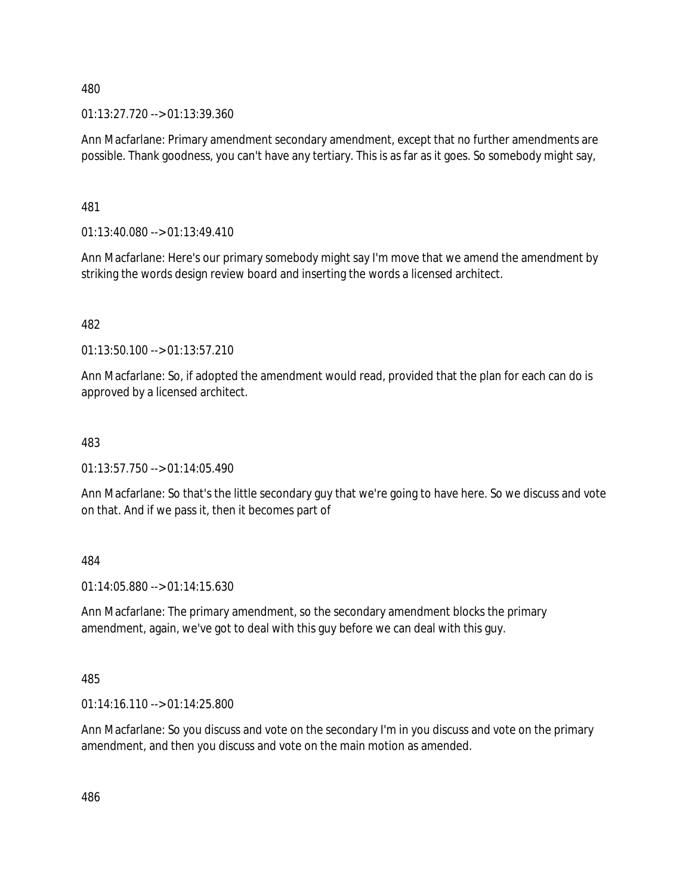01:13:27.720 --> 01:13:39.360

Ann Macfarlane: Primary amendment secondary amendment, except that no further amendments are possible. Thank goodness, you can't have any tertiary. This is as far as it goes. So somebody might say,

481

 $01:13:40.080 \rightarrow 01:13:49.410$ 

Ann Macfarlane: Here's our primary somebody might say I'm move that we amend the amendment by striking the words design review board and inserting the words a licensed architect.

482

01:13:50.100 --> 01:13:57.210

Ann Macfarlane: So, if adopted the amendment would read, provided that the plan for each can do is approved by a licensed architect.

### 483

 $01:13:57.750 \rightarrow 01:14:05.490$ 

Ann Macfarlane: So that's the little secondary guy that we're going to have here. So we discuss and vote on that. And if we pass it, then it becomes part of

484

01:14:05.880 --> 01:14:15.630

Ann Macfarlane: The primary amendment, so the secondary amendment blocks the primary amendment, again, we've got to deal with this guy before we can deal with this guy.

485

01:14:16.110 --> 01:14:25.800

Ann Macfarlane: So you discuss and vote on the secondary I'm in you discuss and vote on the primary amendment, and then you discuss and vote on the main motion as amended.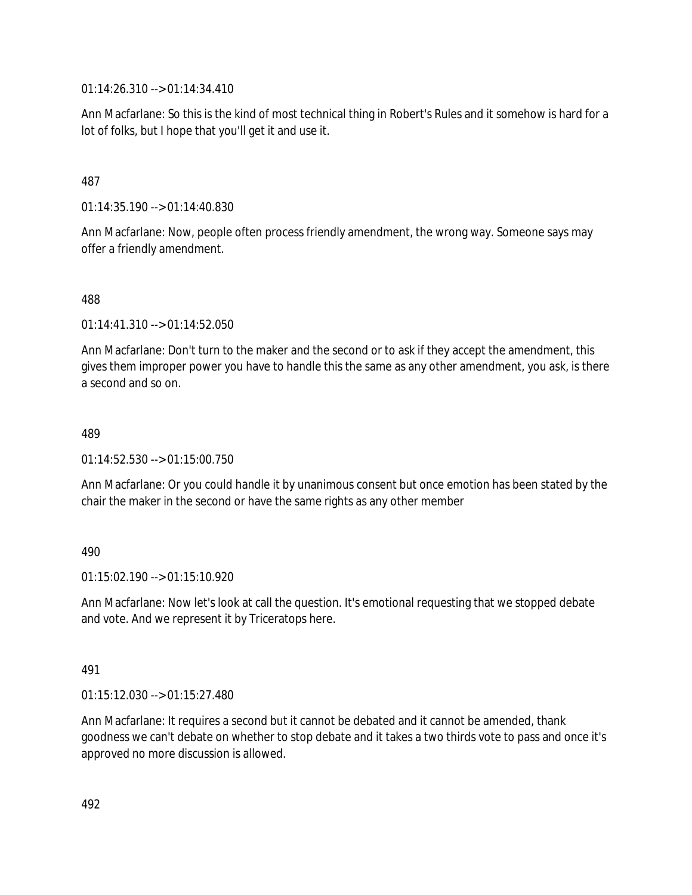01:14:26.310 --> 01:14:34.410

Ann Macfarlane: So this is the kind of most technical thing in Robert's Rules and it somehow is hard for a lot of folks, but I hope that you'll get it and use it.

## 487

01:14:35.190 --> 01:14:40.830

Ann Macfarlane: Now, people often process friendly amendment, the wrong way. Someone says may offer a friendly amendment.

488

01:14:41.310 --> 01:14:52.050

Ann Macfarlane: Don't turn to the maker and the second or to ask if they accept the amendment, this gives them improper power you have to handle this the same as any other amendment, you ask, is there a second and so on.

#### 489

01:14:52.530 --> 01:15:00.750

Ann Macfarlane: Or you could handle it by unanimous consent but once emotion has been stated by the chair the maker in the second or have the same rights as any other member

### 490

 $01:15:02.190 \rightarrow 01:15:10.920$ 

Ann Macfarlane: Now let's look at call the question. It's emotional requesting that we stopped debate and vote. And we represent it by Triceratops here.

### 491

01:15:12.030 --> 01:15:27.480

Ann Macfarlane: It requires a second but it cannot be debated and it cannot be amended, thank goodness we can't debate on whether to stop debate and it takes a two thirds vote to pass and once it's approved no more discussion is allowed.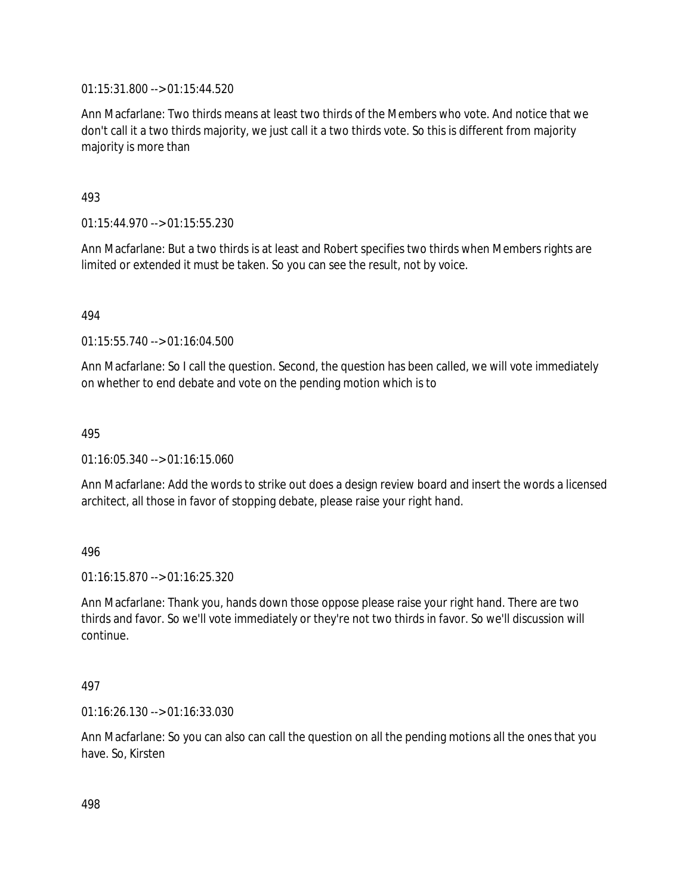01:15:31.800 --> 01:15:44.520

Ann Macfarlane: Two thirds means at least two thirds of the Members who vote. And notice that we don't call it a two thirds majority, we just call it a two thirds vote. So this is different from majority majority is more than

## 493

01:15:44.970 --> 01:15:55.230

Ann Macfarlane: But a two thirds is at least and Robert specifies two thirds when Members rights are limited or extended it must be taken. So you can see the result, not by voice.

### 494

01:15:55.740 --> 01:16:04.500

Ann Macfarlane: So I call the question. Second, the question has been called, we will vote immediately on whether to end debate and vote on the pending motion which is to

#### 495

01:16:05.340 --> 01:16:15.060

Ann Macfarlane: Add the words to strike out does a design review board and insert the words a licensed architect, all those in favor of stopping debate, please raise your right hand.

### 496

01:16:15.870 --> 01:16:25.320

Ann Macfarlane: Thank you, hands down those oppose please raise your right hand. There are two thirds and favor. So we'll vote immediately or they're not two thirds in favor. So we'll discussion will continue.

#### 497

01:16:26.130 --> 01:16:33.030

Ann Macfarlane: So you can also can call the question on all the pending motions all the ones that you have. So, Kirsten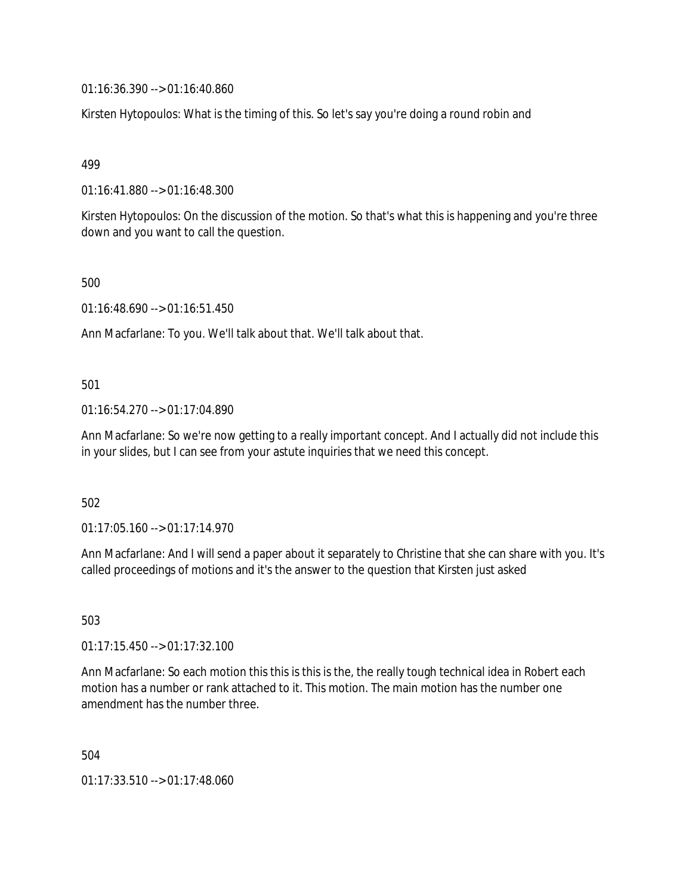01:16:36.390 --> 01:16:40.860

Kirsten Hytopoulos: What is the timing of this. So let's say you're doing a round robin and

499

01:16:41.880 --> 01:16:48.300

Kirsten Hytopoulos: On the discussion of the motion. So that's what this is happening and you're three down and you want to call the question.

500

01:16:48.690 --> 01:16:51.450

Ann Macfarlane: To you. We'll talk about that. We'll talk about that.

501

01:16:54.270 --> 01:17:04.890

Ann Macfarlane: So we're now getting to a really important concept. And I actually did not include this in your slides, but I can see from your astute inquiries that we need this concept.

502

01:17:05.160 --> 01:17:14.970

Ann Macfarlane: And I will send a paper about it separately to Christine that she can share with you. It's called proceedings of motions and it's the answer to the question that Kirsten just asked

503

01:17:15.450 --> 01:17:32.100

Ann Macfarlane: So each motion this this is this is the, the really tough technical idea in Robert each motion has a number or rank attached to it. This motion. The main motion has the number one amendment has the number three.

504

01:17:33.510 --> 01:17:48.060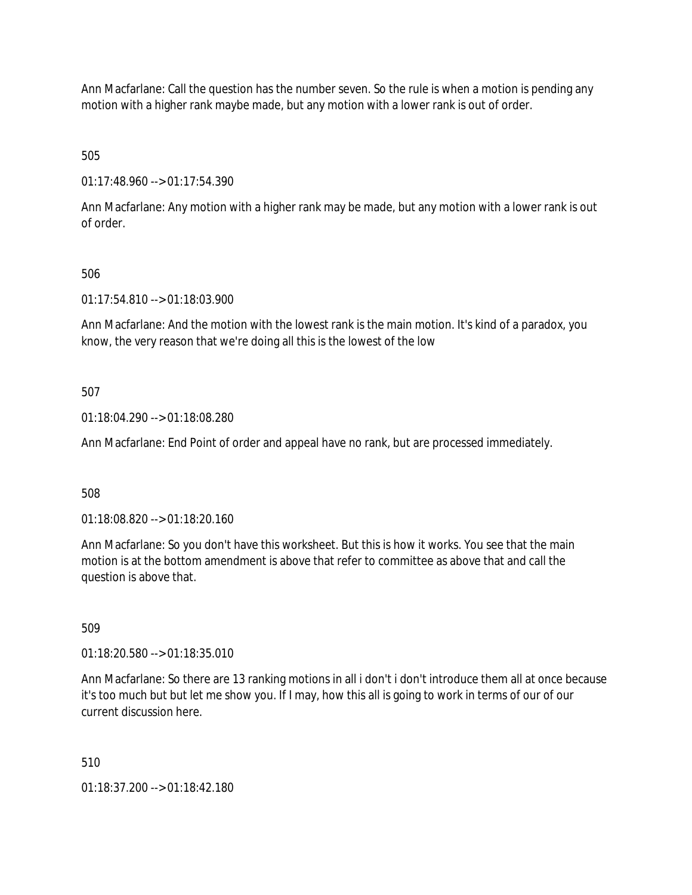Ann Macfarlane: Call the question has the number seven. So the rule is when a motion is pending any motion with a higher rank maybe made, but any motion with a lower rank is out of order.

505

01:17:48.960 --> 01:17:54.390

Ann Macfarlane: Any motion with a higher rank may be made, but any motion with a lower rank is out of order.

# 506

01:17:54.810 --> 01:18:03.900

Ann Macfarlane: And the motion with the lowest rank is the main motion. It's kind of a paradox, you know, the very reason that we're doing all this is the lowest of the low

# 507

01:18:04.290 --> 01:18:08.280

Ann Macfarlane: End Point of order and appeal have no rank, but are processed immediately.

# 508

01:18:08.820 --> 01:18:20.160

Ann Macfarlane: So you don't have this worksheet. But this is how it works. You see that the main motion is at the bottom amendment is above that refer to committee as above that and call the question is above that.

509

01:18:20.580 --> 01:18:35.010

Ann Macfarlane: So there are 13 ranking motions in all i don't i don't introduce them all at once because it's too much but but let me show you. If I may, how this all is going to work in terms of our of our current discussion here.

# 510

01:18:37.200 --> 01:18:42.180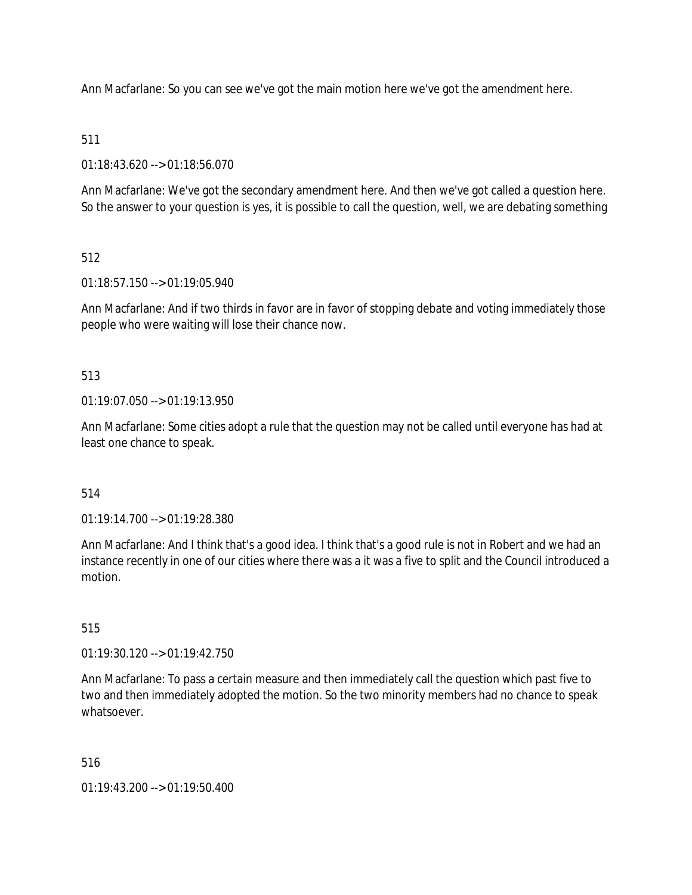Ann Macfarlane: So you can see we've got the main motion here we've got the amendment here.

## 511

01:18:43.620 --> 01:18:56.070

Ann Macfarlane: We've got the secondary amendment here. And then we've got called a question here. So the answer to your question is yes, it is possible to call the question, well, we are debating something

# 512

01:18:57.150 --> 01:19:05.940

Ann Macfarlane: And if two thirds in favor are in favor of stopping debate and voting immediately those people who were waiting will lose their chance now.

## 513

 $01.19.07.050 -> 01.19.13.950$ 

Ann Macfarlane: Some cities adopt a rule that the question may not be called until everyone has had at least one chance to speak.

# 514

01:19:14.700 --> 01:19:28.380

Ann Macfarlane: And I think that's a good idea. I think that's a good rule is not in Robert and we had an instance recently in one of our cities where there was a it was a five to split and the Council introduced a motion.

### 515

01:19:30.120 --> 01:19:42.750

Ann Macfarlane: To pass a certain measure and then immediately call the question which past five to two and then immediately adopted the motion. So the two minority members had no chance to speak whatsoever.

### 516

01:19:43.200 --> 01:19:50.400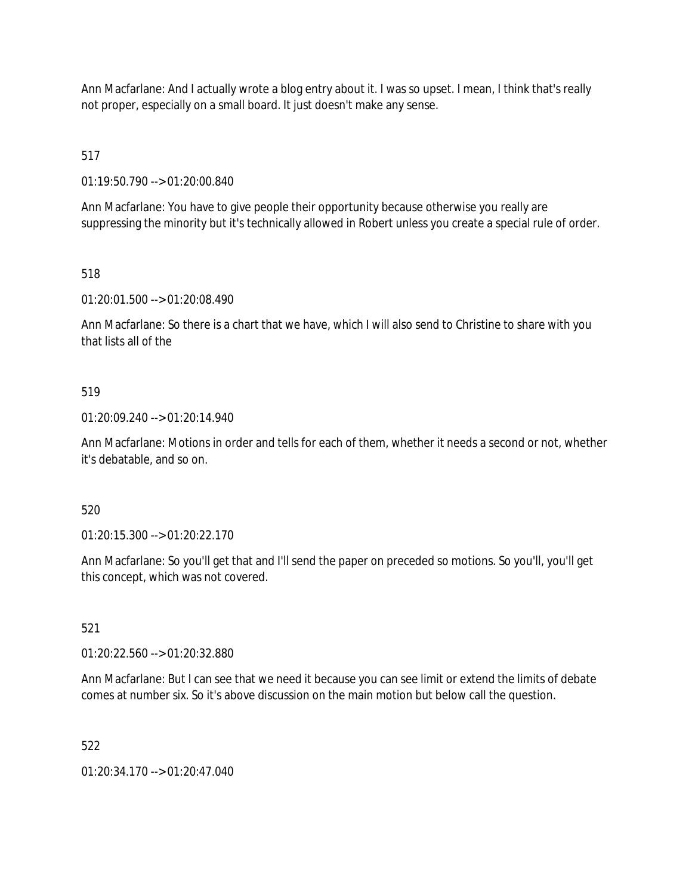Ann Macfarlane: And I actually wrote a blog entry about it. I was so upset. I mean, I think that's really not proper, especially on a small board. It just doesn't make any sense.

517

01:19:50.790 --> 01:20:00.840

Ann Macfarlane: You have to give people their opportunity because otherwise you really are suppressing the minority but it's technically allowed in Robert unless you create a special rule of order.

518

01:20:01.500 --> 01:20:08.490

Ann Macfarlane: So there is a chart that we have, which I will also send to Christine to share with you that lists all of the

### 519

01:20:09.240 --> 01:20:14.940

Ann Macfarlane: Motions in order and tells for each of them, whether it needs a second or not, whether it's debatable, and so on.

## 520

01:20:15.300 --> 01:20:22.170

Ann Macfarlane: So you'll get that and I'll send the paper on preceded so motions. So you'll, you'll get this concept, which was not covered.

### 521

01:20:22.560 --> 01:20:32.880

Ann Macfarlane: But I can see that we need it because you can see limit or extend the limits of debate comes at number six. So it's above discussion on the main motion but below call the question.

522

01:20:34.170 --> 01:20:47.040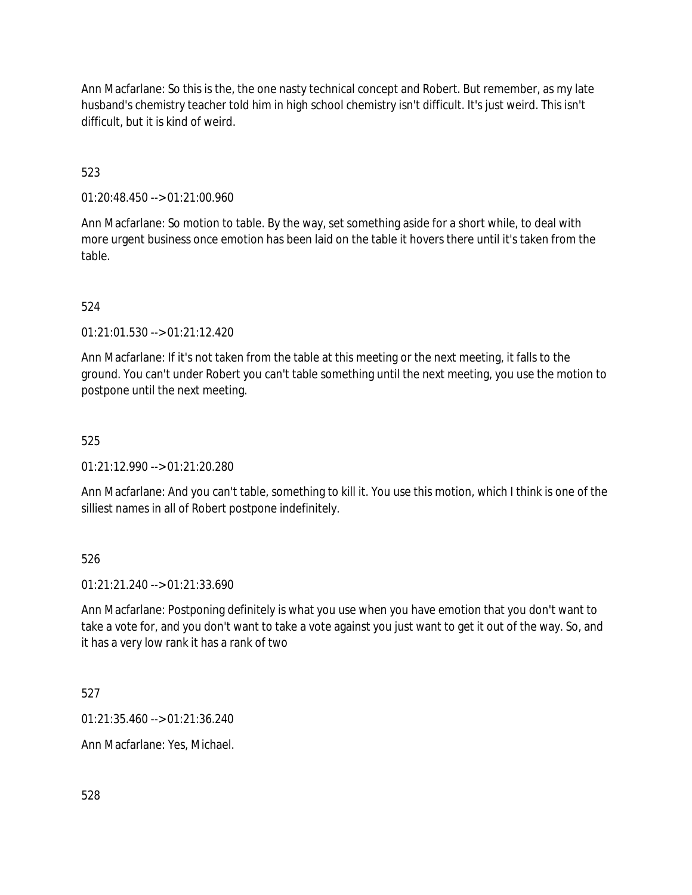Ann Macfarlane: So this is the, the one nasty technical concept and Robert. But remember, as my late husband's chemistry teacher told him in high school chemistry isn't difficult. It's just weird. This isn't difficult, but it is kind of weird.

# 523

01:20:48.450 --> 01:21:00.960

Ann Macfarlane: So motion to table. By the way, set something aside for a short while, to deal with more urgent business once emotion has been laid on the table it hovers there until it's taken from the table.

## 524

01:21:01.530 --> 01:21:12.420

Ann Macfarlane: If it's not taken from the table at this meeting or the next meeting, it falls to the ground. You can't under Robert you can't table something until the next meeting, you use the motion to postpone until the next meeting.

## 525

01:21:12.990 --> 01:21:20.280

Ann Macfarlane: And you can't table, something to kill it. You use this motion, which I think is one of the silliest names in all of Robert postpone indefinitely.

### 526

01:21:21.240 --> 01:21:33.690

Ann Macfarlane: Postponing definitely is what you use when you have emotion that you don't want to take a vote for, and you don't want to take a vote against you just want to get it out of the way. So, and it has a very low rank it has a rank of two

527

01:21:35.460 --> 01:21:36.240

Ann Macfarlane: Yes, Michael.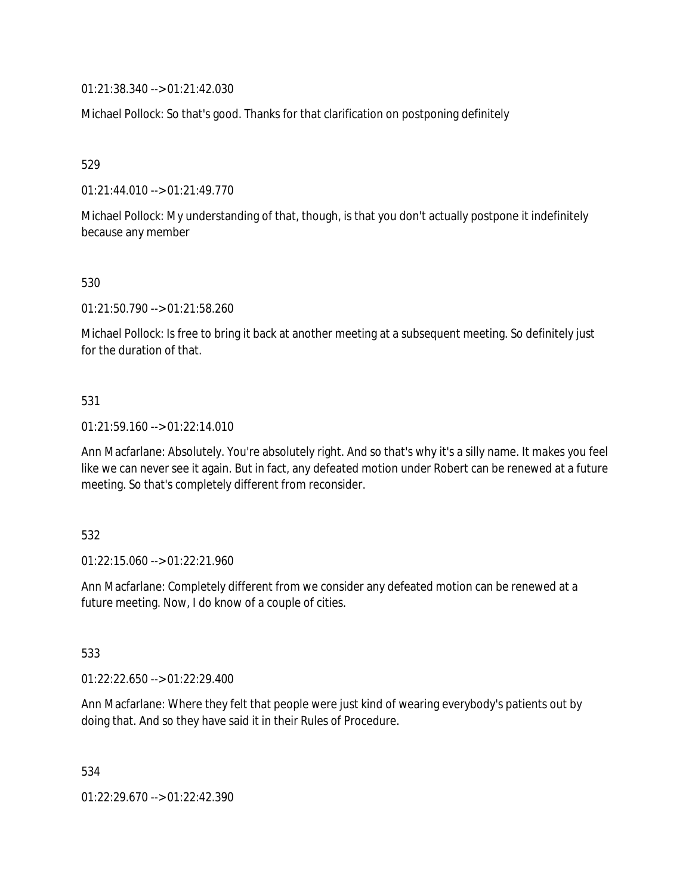01:21:38.340 --> 01:21:42.030

Michael Pollock: So that's good. Thanks for that clarification on postponing definitely

529

01:21:44.010 --> 01:21:49.770

Michael Pollock: My understanding of that, though, is that you don't actually postpone it indefinitely because any member

530

01:21:50.790 --> 01:21:58.260

Michael Pollock: Is free to bring it back at another meeting at a subsequent meeting. So definitely just for the duration of that.

### 531

01:21:59.160 --> 01:22:14.010

Ann Macfarlane: Absolutely. You're absolutely right. And so that's why it's a silly name. It makes you feel like we can never see it again. But in fact, any defeated motion under Robert can be renewed at a future meeting. So that's completely different from reconsider.

532

01:22:15.060 --> 01:22:21.960

Ann Macfarlane: Completely different from we consider any defeated motion can be renewed at a future meeting. Now, I do know of a couple of cities.

533

01:22:22.650 --> 01:22:29.400

Ann Macfarlane: Where they felt that people were just kind of wearing everybody's patients out by doing that. And so they have said it in their Rules of Procedure.

534

01:22:29.670 --> 01:22:42.390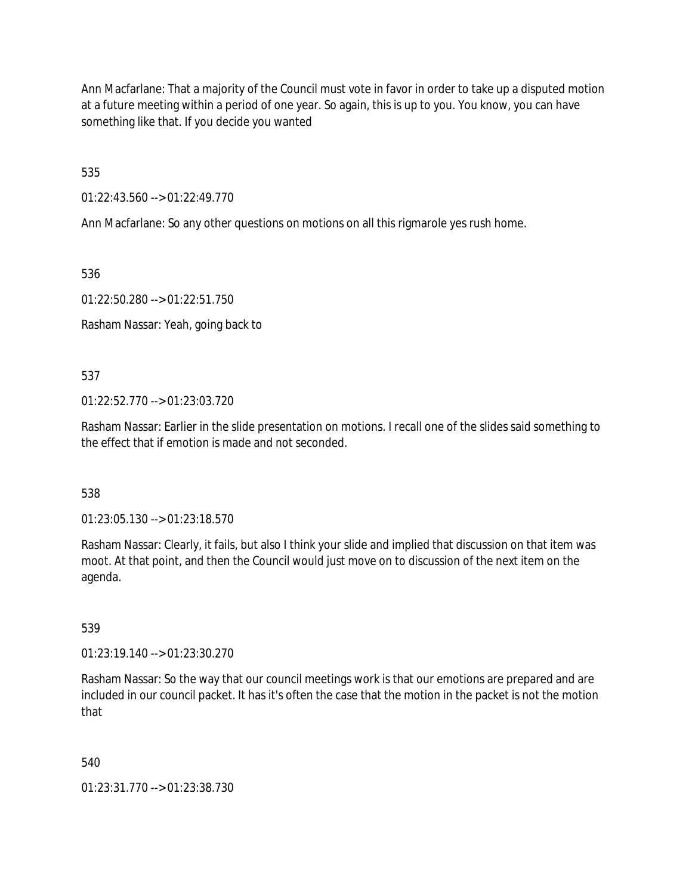Ann Macfarlane: That a majority of the Council must vote in favor in order to take up a disputed motion at a future meeting within a period of one year. So again, this is up to you. You know, you can have something like that. If you decide you wanted

535

01:22:43.560 --> 01:22:49.770

Ann Macfarlane: So any other questions on motions on all this rigmarole yes rush home.

536

01:22:50.280 --> 01:22:51.750

Rasham Nassar: Yeah, going back to

537

 $01:22:52.770 \rightarrow 01:23:03.720$ 

Rasham Nassar: Earlier in the slide presentation on motions. I recall one of the slides said something to the effect that if emotion is made and not seconded.

538

01:23:05.130 --> 01:23:18.570

Rasham Nassar: Clearly, it fails, but also I think your slide and implied that discussion on that item was moot. At that point, and then the Council would just move on to discussion of the next item on the agenda.

539

01:23:19.140 --> 01:23:30.270

Rasham Nassar: So the way that our council meetings work is that our emotions are prepared and are included in our council packet. It has it's often the case that the motion in the packet is not the motion that

540

01:23:31.770 --> 01:23:38.730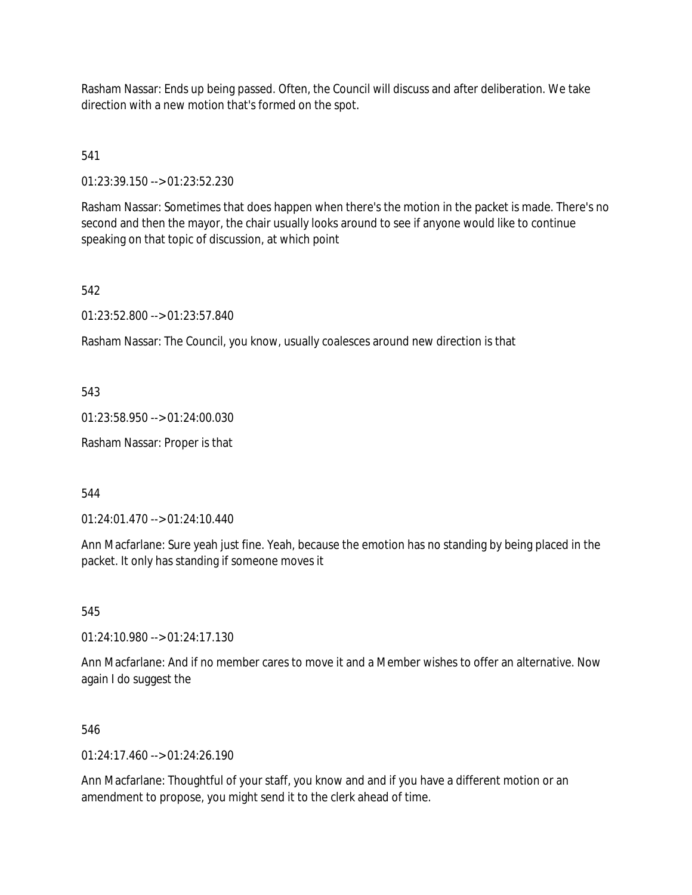Rasham Nassar: Ends up being passed. Often, the Council will discuss and after deliberation. We take direction with a new motion that's formed on the spot.

541

01:23:39.150 --> 01:23:52.230

Rasham Nassar: Sometimes that does happen when there's the motion in the packet is made. There's no second and then the mayor, the chair usually looks around to see if anyone would like to continue speaking on that topic of discussion, at which point

542

01:23:52.800 --> 01:23:57.840

Rasham Nassar: The Council, you know, usually coalesces around new direction is that

543

01:23:58.950 --> 01:24:00.030

Rasham Nassar: Proper is that

544

01:24:01.470 --> 01:24:10.440

Ann Macfarlane: Sure yeah just fine. Yeah, because the emotion has no standing by being placed in the packet. It only has standing if someone moves it

545

01:24:10.980 --> 01:24:17.130

Ann Macfarlane: And if no member cares to move it and a Member wishes to offer an alternative. Now again I do suggest the

546

 $01:24:17.460 \rightarrow 01:24:26.190$ 

Ann Macfarlane: Thoughtful of your staff, you know and and if you have a different motion or an amendment to propose, you might send it to the clerk ahead of time.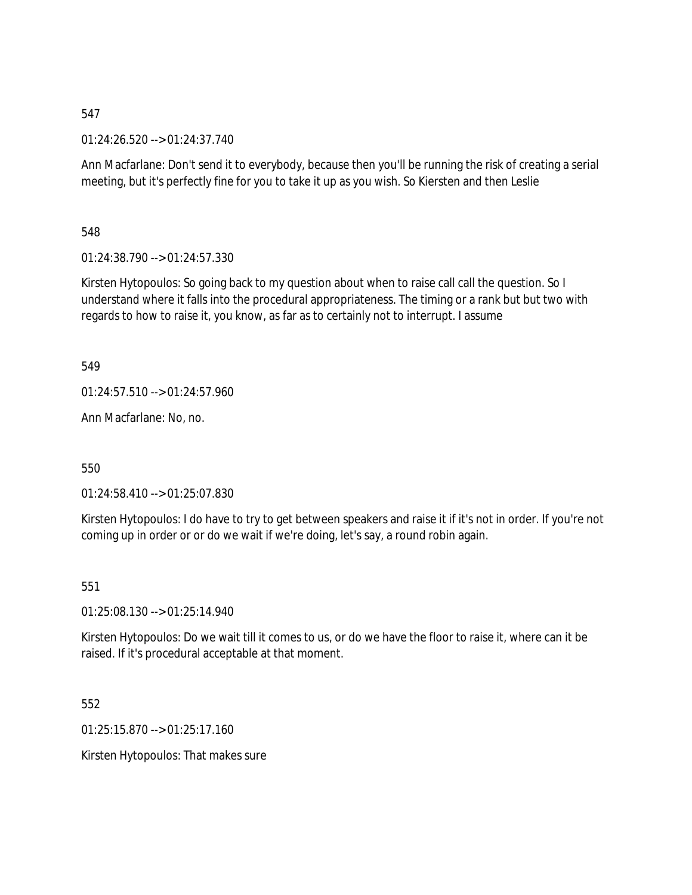01:24:26.520 --> 01:24:37.740

Ann Macfarlane: Don't send it to everybody, because then you'll be running the risk of creating a serial meeting, but it's perfectly fine for you to take it up as you wish. So Kiersten and then Leslie

548

01:24:38.790 --> 01:24:57.330

Kirsten Hytopoulos: So going back to my question about when to raise call call the question. So I understand where it falls into the procedural appropriateness. The timing or a rank but but two with regards to how to raise it, you know, as far as to certainly not to interrupt. I assume

549

01:24:57.510 --> 01:24:57.960

Ann Macfarlane: No, no.

550

01:24:58.410 --> 01:25:07.830

Kirsten Hytopoulos: I do have to try to get between speakers and raise it if it's not in order. If you're not coming up in order or or do we wait if we're doing, let's say, a round robin again.

551

01:25:08.130 --> 01:25:14.940

Kirsten Hytopoulos: Do we wait till it comes to us, or do we have the floor to raise it, where can it be raised. If it's procedural acceptable at that moment.

552

01:25:15.870 --> 01:25:17.160

Kirsten Hytopoulos: That makes sure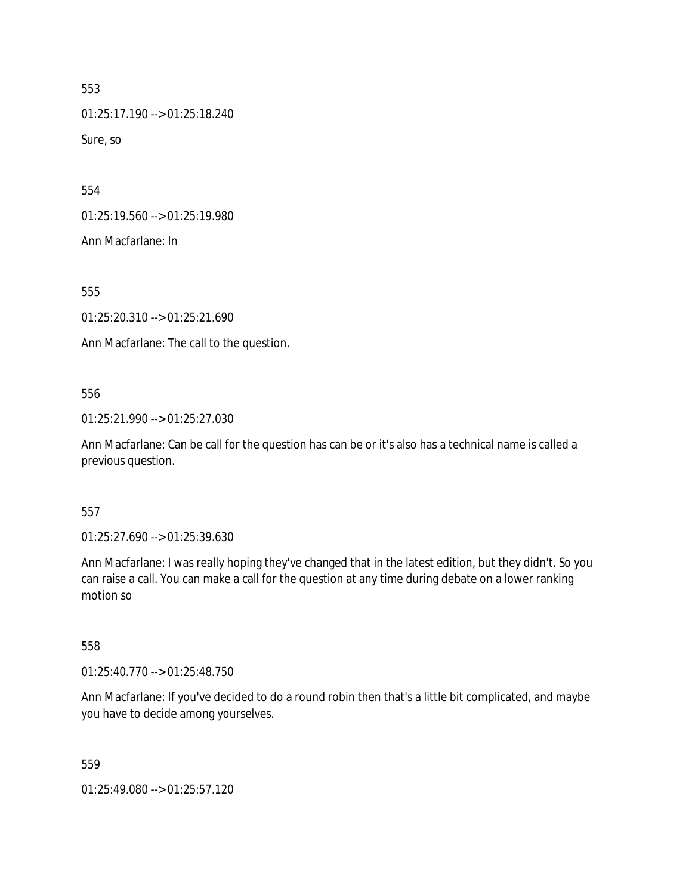01:25:17.190 --> 01:25:18.240 Sure, so

554

01:25:19.560 --> 01:25:19.980

Ann Macfarlane: In

555

01:25:20.310 --> 01:25:21.690

Ann Macfarlane: The call to the question.

### 556

01:25:21.990 --> 01:25:27.030

Ann Macfarlane: Can be call for the question has can be or it's also has a technical name is called a previous question.

#### 557

01:25:27.690 --> 01:25:39.630

Ann Macfarlane: I was really hoping they've changed that in the latest edition, but they didn't. So you can raise a call. You can make a call for the question at any time during debate on a lower ranking motion so

### 558

01:25:40.770 --> 01:25:48.750

Ann Macfarlane: If you've decided to do a round robin then that's a little bit complicated, and maybe you have to decide among yourselves.

### 559

01:25:49.080 --> 01:25:57.120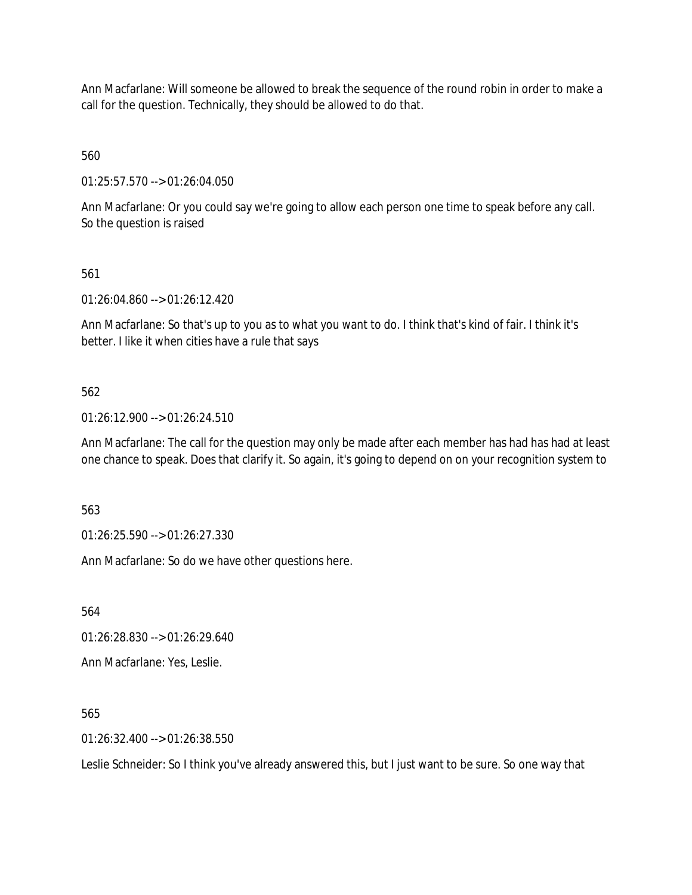Ann Macfarlane: Will someone be allowed to break the sequence of the round robin in order to make a call for the question. Technically, they should be allowed to do that.

560

01:25:57.570 --> 01:26:04.050

Ann Macfarlane: Or you could say we're going to allow each person one time to speak before any call. So the question is raised

561

01:26:04.860 --> 01:26:12.420

Ann Macfarlane: So that's up to you as to what you want to do. I think that's kind of fair. I think it's better. I like it when cities have a rule that says

562

01:26:12.900 --> 01:26:24.510

Ann Macfarlane: The call for the question may only be made after each member has had has had at least one chance to speak. Does that clarify it. So again, it's going to depend on on your recognition system to

563

01:26:25.590 --> 01:26:27.330

Ann Macfarlane: So do we have other questions here.

564

01:26:28.830 --> 01:26:29.640

Ann Macfarlane: Yes, Leslie.

565

01:26:32.400 --> 01:26:38.550

Leslie Schneider: So I think you've already answered this, but I just want to be sure. So one way that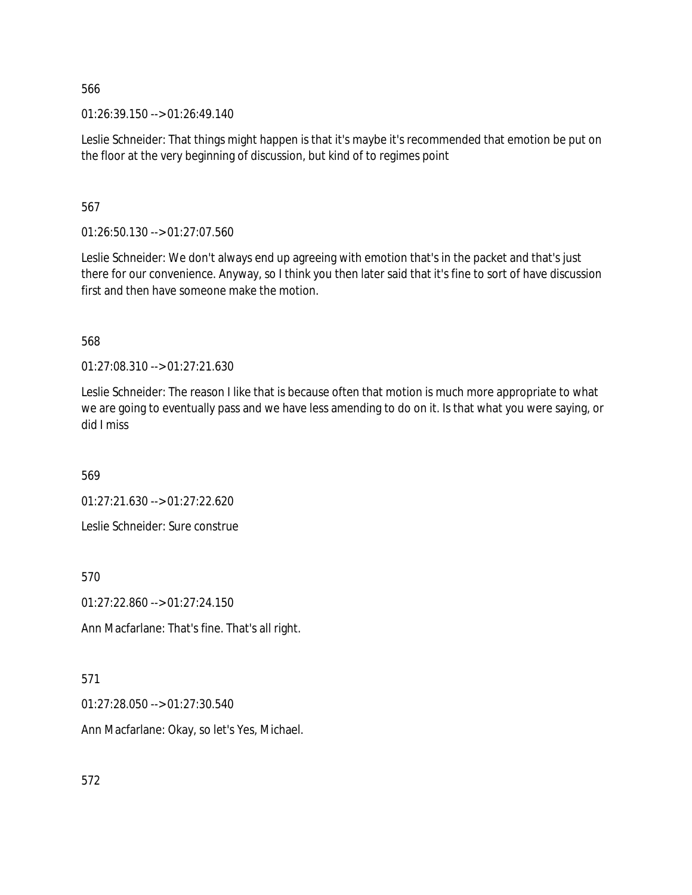01:26:39.150 --> 01:26:49.140

Leslie Schneider: That things might happen is that it's maybe it's recommended that emotion be put on the floor at the very beginning of discussion, but kind of to regimes point

567

01:26:50.130 --> 01:27:07.560

Leslie Schneider: We don't always end up agreeing with emotion that's in the packet and that's just there for our convenience. Anyway, so I think you then later said that it's fine to sort of have discussion first and then have someone make the motion.

568

01:27:08.310 --> 01:27:21.630

Leslie Schneider: The reason I like that is because often that motion is much more appropriate to what we are going to eventually pass and we have less amending to do on it. Is that what you were saying, or did I miss

569

01:27:21.630 --> 01:27:22.620

Leslie Schneider: Sure construe

570

01:27:22.860 --> 01:27:24.150

Ann Macfarlane: That's fine. That's all right.

571

01:27:28.050 --> 01:27:30.540

Ann Macfarlane: Okay, so let's Yes, Michael.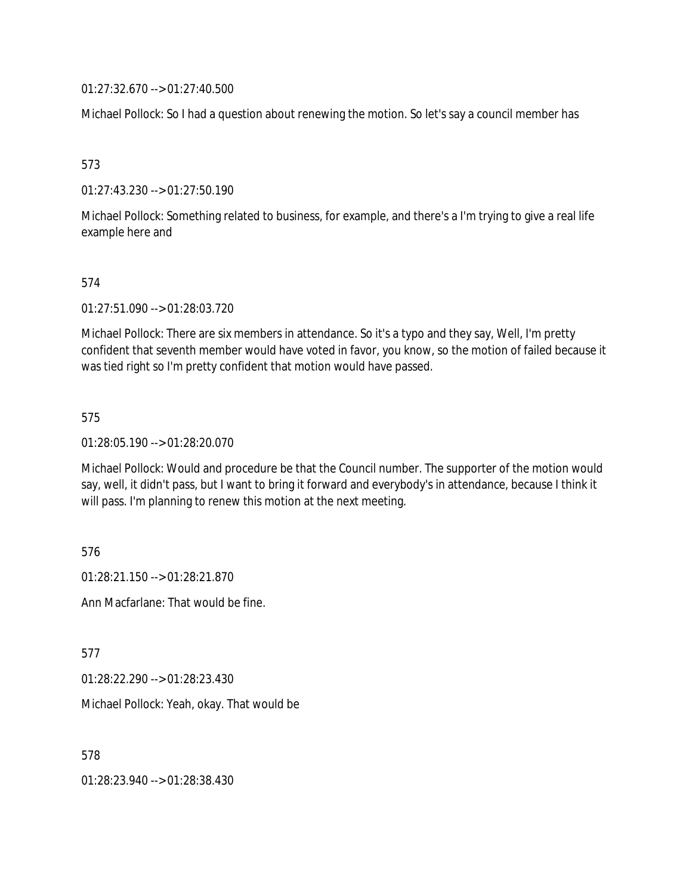01:27:32.670 --> 01:27:40.500

Michael Pollock: So I had a question about renewing the motion. So let's say a council member has

573

01:27:43.230 --> 01:27:50.190

Michael Pollock: Something related to business, for example, and there's a I'm trying to give a real life example here and

574

01:27:51.090 --> 01:28:03.720

Michael Pollock: There are six members in attendance. So it's a typo and they say, Well, I'm pretty confident that seventh member would have voted in favor, you know, so the motion of failed because it was tied right so I'm pretty confident that motion would have passed.

575

01:28:05.190 --> 01:28:20.070

Michael Pollock: Would and procedure be that the Council number. The supporter of the motion would say, well, it didn't pass, but I want to bring it forward and everybody's in attendance, because I think it will pass. I'm planning to renew this motion at the next meeting.

576

01:28:21.150 --> 01:28:21.870

Ann Macfarlane: That would be fine.

577

01:28:22.290 --> 01:28:23.430

Michael Pollock: Yeah, okay. That would be

578

01:28:23.940 --> 01:28:38.430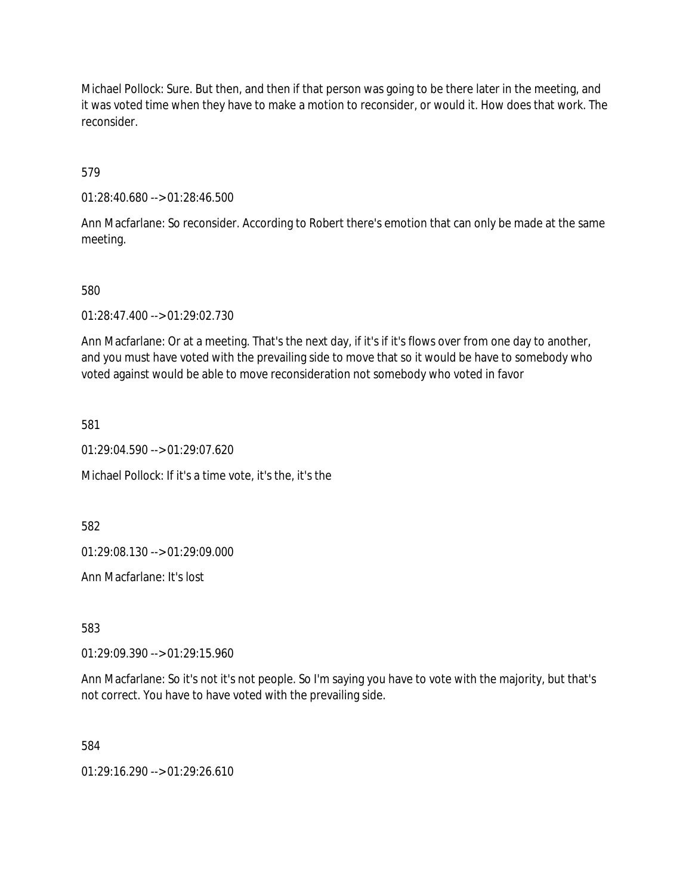Michael Pollock: Sure. But then, and then if that person was going to be there later in the meeting, and it was voted time when they have to make a motion to reconsider, or would it. How does that work. The reconsider.

579

01:28:40.680 --> 01:28:46.500

Ann Macfarlane: So reconsider. According to Robert there's emotion that can only be made at the same meeting.

580

01:28:47.400 --> 01:29:02.730

Ann Macfarlane: Or at a meeting. That's the next day, if it's if it's flows over from one day to another, and you must have voted with the prevailing side to move that so it would be have to somebody who voted against would be able to move reconsideration not somebody who voted in favor

581

01:29:04.590 --> 01:29:07.620

Michael Pollock: If it's a time vote, it's the, it's the

582

01:29:08.130 --> 01:29:09.000

Ann Macfarlane: It's lost

583

01:29:09.390 --> 01:29:15.960

Ann Macfarlane: So it's not it's not people. So I'm saying you have to vote with the majority, but that's not correct. You have to have voted with the prevailing side.

584

01:29:16.290 --> 01:29:26.610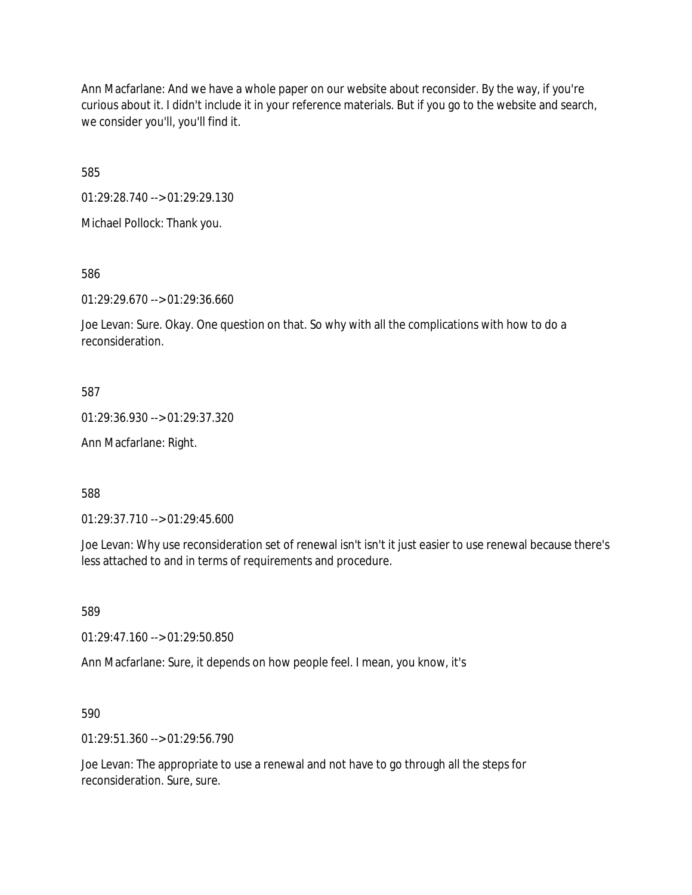Ann Macfarlane: And we have a whole paper on our website about reconsider. By the way, if you're curious about it. I didn't include it in your reference materials. But if you go to the website and search, we consider you'll, you'll find it.

585

01:29:28.740 --> 01:29:29.130

Michael Pollock: Thank you.

586

01:29:29.670 --> 01:29:36.660

Joe Levan: Sure. Okay. One question on that. So why with all the complications with how to do a reconsideration.

587

01:29:36.930 --> 01:29:37.320

Ann Macfarlane: Right.

588

01:29:37.710 --> 01:29:45.600

Joe Levan: Why use reconsideration set of renewal isn't isn't it just easier to use renewal because there's less attached to and in terms of requirements and procedure.

589

01:29:47.160 --> 01:29:50.850

Ann Macfarlane: Sure, it depends on how people feel. I mean, you know, it's

590

01:29:51.360 --> 01:29:56.790

Joe Levan: The appropriate to use a renewal and not have to go through all the steps for reconsideration. Sure, sure.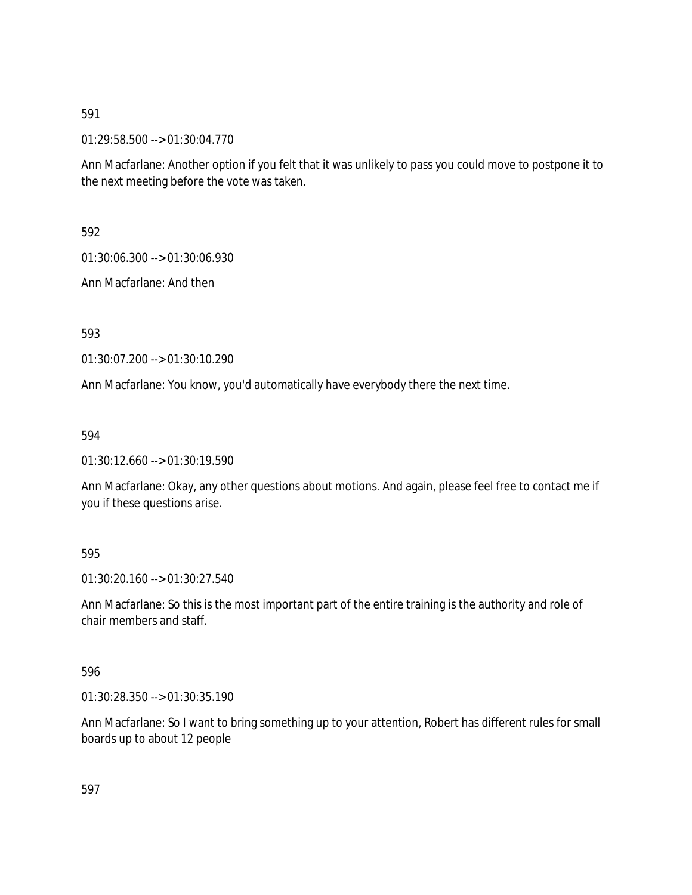01:29:58.500 --> 01:30:04.770

Ann Macfarlane: Another option if you felt that it was unlikely to pass you could move to postpone it to the next meeting before the vote was taken.

592

01:30:06.300 --> 01:30:06.930

Ann Macfarlane: And then

593

01:30:07.200 --> 01:30:10.290

Ann Macfarlane: You know, you'd automatically have everybody there the next time.

594

01:30:12.660 --> 01:30:19.590

Ann Macfarlane: Okay, any other questions about motions. And again, please feel free to contact me if you if these questions arise.

### 595

01:30:20.160 --> 01:30:27.540

Ann Macfarlane: So this is the most important part of the entire training is the authority and role of chair members and staff.

### 596

01:30:28.350 --> 01:30:35.190

Ann Macfarlane: So I want to bring something up to your attention, Robert has different rules for small boards up to about 12 people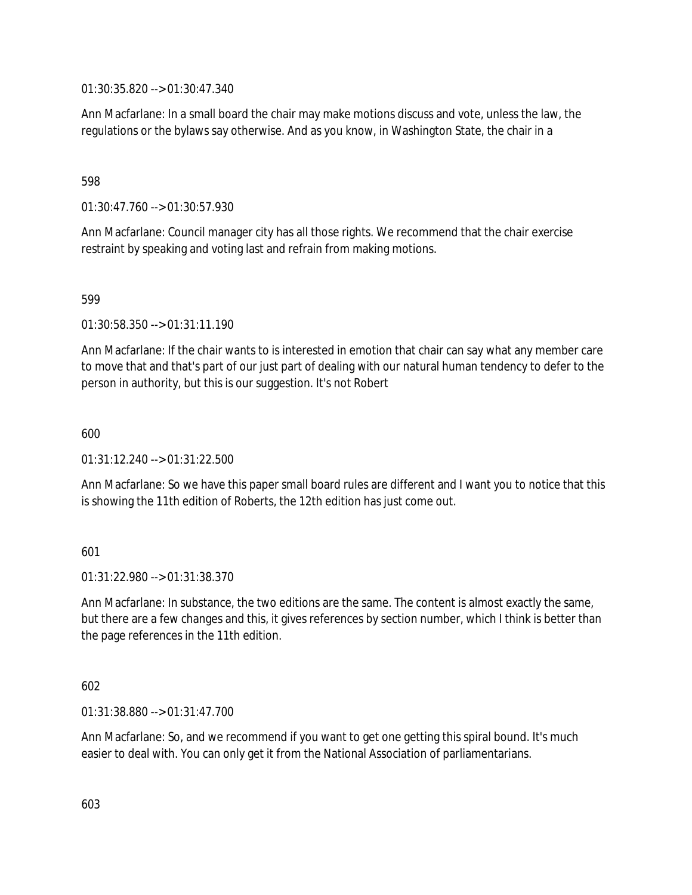01:30:35.820 --> 01:30:47.340

Ann Macfarlane: In a small board the chair may make motions discuss and vote, unless the law, the regulations or the bylaws say otherwise. And as you know, in Washington State, the chair in a

## 598

01:30:47.760 --> 01:30:57.930

Ann Macfarlane: Council manager city has all those rights. We recommend that the chair exercise restraint by speaking and voting last and refrain from making motions.

## 599

01:30:58.350 --> 01:31:11.190

Ann Macfarlane: If the chair wants to is interested in emotion that chair can say what any member care to move that and that's part of our just part of dealing with our natural human tendency to defer to the person in authority, but this is our suggestion. It's not Robert

### 600

01:31:12.240 --> 01:31:22.500

Ann Macfarlane: So we have this paper small board rules are different and I want you to notice that this is showing the 11th edition of Roberts, the 12th edition has just come out.

### 601

01:31:22.980 --> 01:31:38.370

Ann Macfarlane: In substance, the two editions are the same. The content is almost exactly the same, but there are a few changes and this, it gives references by section number, which I think is better than the page references in the 11th edition.

### 602

01:31:38.880 --> 01:31:47.700

Ann Macfarlane: So, and we recommend if you want to get one getting this spiral bound. It's much easier to deal with. You can only get it from the National Association of parliamentarians.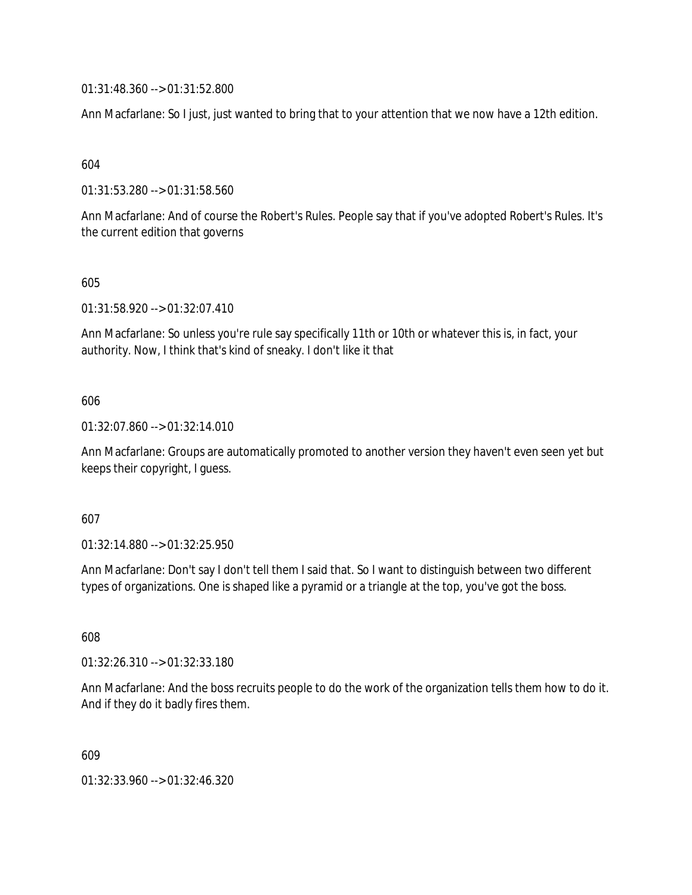01:31:48.360 --> 01:31:52.800

Ann Macfarlane: So I just, just wanted to bring that to your attention that we now have a 12th edition.

604

01:31:53.280 --> 01:31:58.560

Ann Macfarlane: And of course the Robert's Rules. People say that if you've adopted Robert's Rules. It's the current edition that governs

605

01:31:58.920 --> 01:32:07.410

Ann Macfarlane: So unless you're rule say specifically 11th or 10th or whatever this is, in fact, your authority. Now, I think that's kind of sneaky. I don't like it that

### 606

01:32:07.860 --> 01:32:14.010

Ann Macfarlane: Groups are automatically promoted to another version they haven't even seen yet but keeps their copyright, I guess.

### 607

01:32:14.880 --> 01:32:25.950

Ann Macfarlane: Don't say I don't tell them I said that. So I want to distinguish between two different types of organizations. One is shaped like a pyramid or a triangle at the top, you've got the boss.

608

01:32:26.310 --> 01:32:33.180

Ann Macfarlane: And the boss recruits people to do the work of the organization tells them how to do it. And if they do it badly fires them.

609

01:32:33.960 --> 01:32:46.320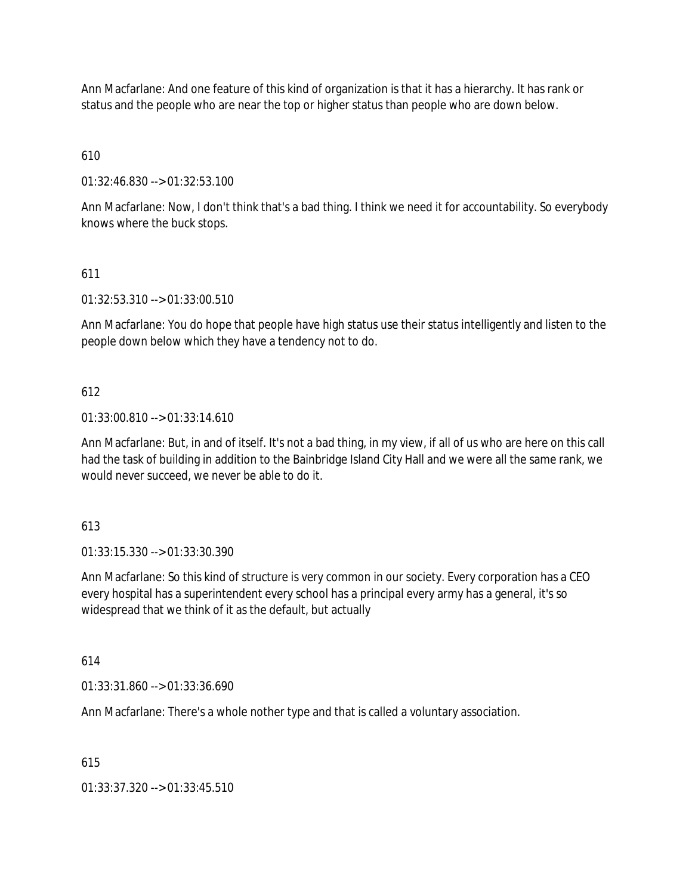Ann Macfarlane: And one feature of this kind of organization is that it has a hierarchy. It has rank or status and the people who are near the top or higher status than people who are down below.

610

01:32:46.830 --> 01:32:53.100

Ann Macfarlane: Now, I don't think that's a bad thing. I think we need it for accountability. So everybody knows where the buck stops.

### 611

01:32:53.310 --> 01:33:00.510

Ann Macfarlane: You do hope that people have high status use their status intelligently and listen to the people down below which they have a tendency not to do.

#### 612

01:33:00.810 --> 01:33:14.610

Ann Macfarlane: But, in and of itself. It's not a bad thing, in my view, if all of us who are here on this call had the task of building in addition to the Bainbridge Island City Hall and we were all the same rank, we would never succeed, we never be able to do it.

613

01:33:15.330 --> 01:33:30.390

Ann Macfarlane: So this kind of structure is very common in our society. Every corporation has a CEO every hospital has a superintendent every school has a principal every army has a general, it's so widespread that we think of it as the default, but actually

614

01:33:31.860 --> 01:33:36.690

Ann Macfarlane: There's a whole nother type and that is called a voluntary association.

615

01:33:37.320 --> 01:33:45.510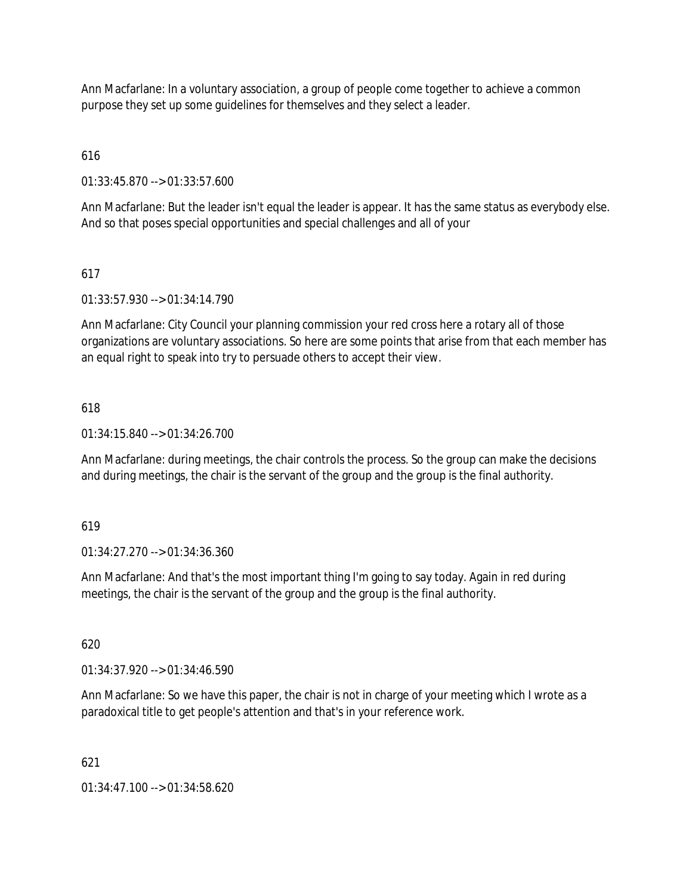Ann Macfarlane: In a voluntary association, a group of people come together to achieve a common purpose they set up some guidelines for themselves and they select a leader.

616

01:33:45.870 --> 01:33:57.600

Ann Macfarlane: But the leader isn't equal the leader is appear. It has the same status as everybody else. And so that poses special opportunities and special challenges and all of your

# 617

01:33:57.930 --> 01:34:14.790

Ann Macfarlane: City Council your planning commission your red cross here a rotary all of those organizations are voluntary associations. So here are some points that arise from that each member has an equal right to speak into try to persuade others to accept their view.

## 618

01:34:15.840 --> 01:34:26.700

Ann Macfarlane: during meetings, the chair controls the process. So the group can make the decisions and during meetings, the chair is the servant of the group and the group is the final authority.

### 619

01:34:27.270 --> 01:34:36.360

Ann Macfarlane: And that's the most important thing I'm going to say today. Again in red during meetings, the chair is the servant of the group and the group is the final authority.

620

01:34:37.920 --> 01:34:46.590

Ann Macfarlane: So we have this paper, the chair is not in charge of your meeting which I wrote as a paradoxical title to get people's attention and that's in your reference work.

### 621

01:34:47.100 --> 01:34:58.620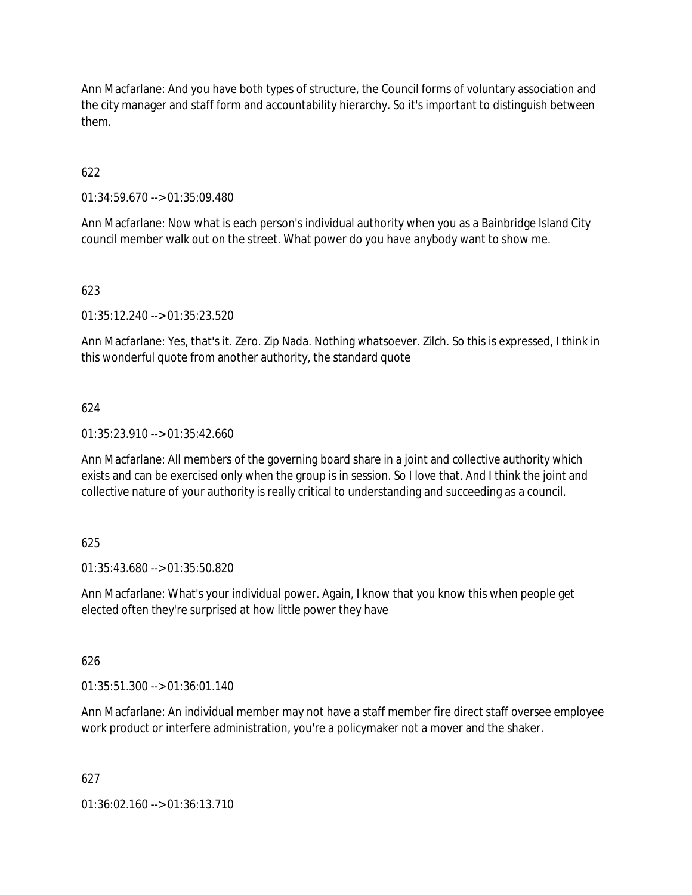Ann Macfarlane: And you have both types of structure, the Council forms of voluntary association and the city manager and staff form and accountability hierarchy. So it's important to distinguish between them.

# 622

01:34:59.670 --> 01:35:09.480

Ann Macfarlane: Now what is each person's individual authority when you as a Bainbridge Island City council member walk out on the street. What power do you have anybody want to show me.

## 623

01:35:12.240 --> 01:35:23.520

Ann Macfarlane: Yes, that's it. Zero. Zip Nada. Nothing whatsoever. Zilch. So this is expressed, I think in this wonderful quote from another authority, the standard quote

## 624

 $01:35:23.910 \rightarrow 01:35:42.660$ 

Ann Macfarlane: All members of the governing board share in a joint and collective authority which exists and can be exercised only when the group is in session. So I love that. And I think the joint and collective nature of your authority is really critical to understanding and succeeding as a council.

### 625

01:35:43.680 --> 01:35:50.820

Ann Macfarlane: What's your individual power. Again, I know that you know this when people get elected often they're surprised at how little power they have

### 626

 $01:35:51.300 \rightarrow 01:36:01.140$ 

Ann Macfarlane: An individual member may not have a staff member fire direct staff oversee employee work product or interfere administration, you're a policymaker not a mover and the shaker.

### 627

01:36:02.160 --> 01:36:13.710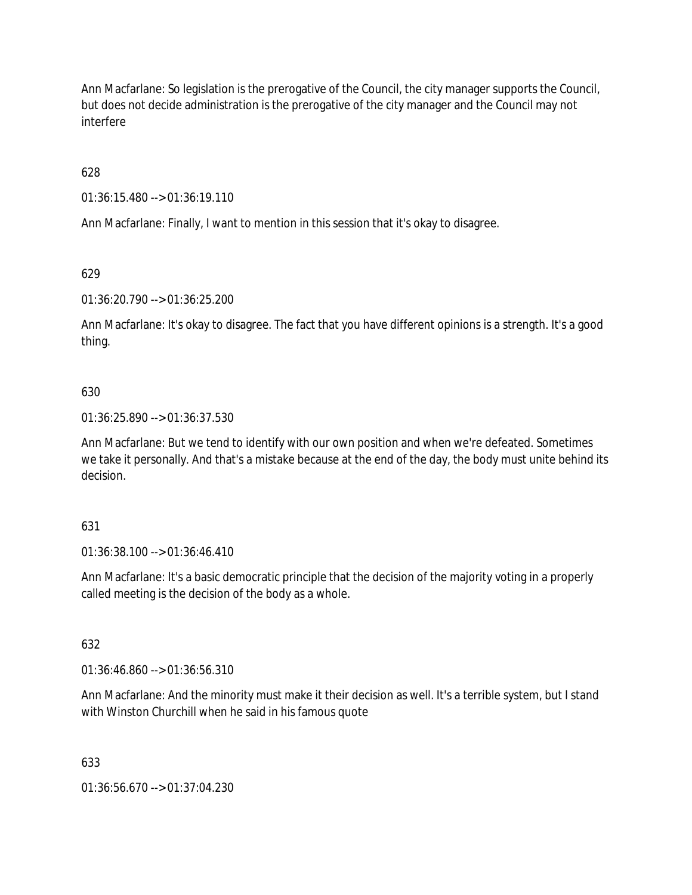Ann Macfarlane: So legislation is the prerogative of the Council, the city manager supports the Council, but does not decide administration is the prerogative of the city manager and the Council may not interfere

628

01:36:15.480 --> 01:36:19.110

Ann Macfarlane: Finally, I want to mention in this session that it's okay to disagree.

629

01:36:20.790 --> 01:36:25.200

Ann Macfarlane: It's okay to disagree. The fact that you have different opinions is a strength. It's a good thing.

### 630

01:36:25.890 --> 01:36:37.530

Ann Macfarlane: But we tend to identify with our own position and when we're defeated. Sometimes we take it personally. And that's a mistake because at the end of the day, the body must unite behind its decision.

### 631

01:36:38.100 --> 01:36:46.410

Ann Macfarlane: It's a basic democratic principle that the decision of the majority voting in a properly called meeting is the decision of the body as a whole.

632

01:36:46.860 --> 01:36:56.310

Ann Macfarlane: And the minority must make it their decision as well. It's a terrible system, but I stand with Winston Churchill when he said in his famous quote

### 633

01:36:56.670 --> 01:37:04.230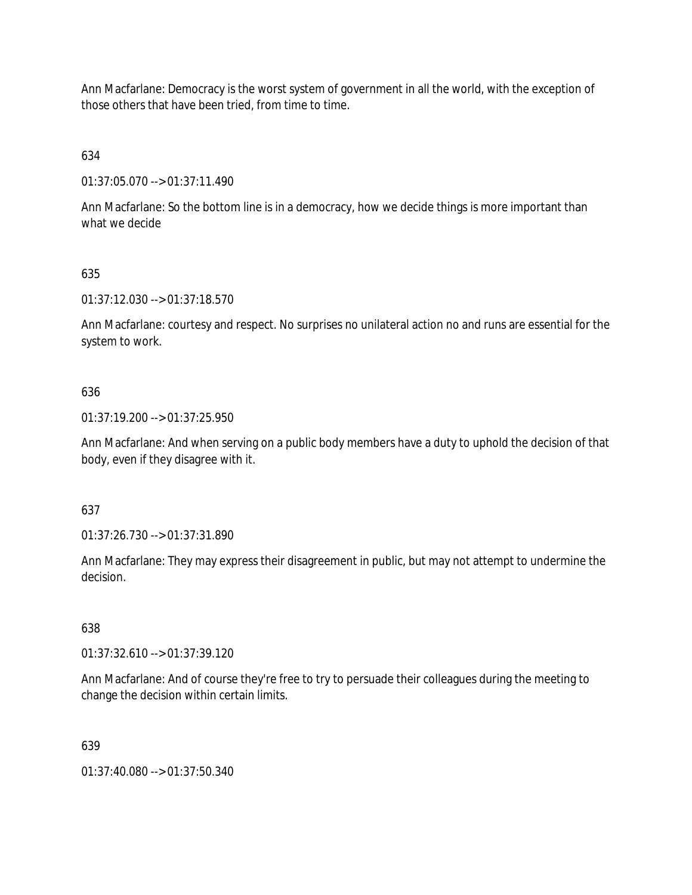Ann Macfarlane: Democracy is the worst system of government in all the world, with the exception of those others that have been tried, from time to time.

634

01:37:05.070 --> 01:37:11.490

Ann Macfarlane: So the bottom line is in a democracy, how we decide things is more important than what we decide

# 635

01:37:12.030 --> 01:37:18.570

Ann Macfarlane: courtesy and respect. No surprises no unilateral action no and runs are essential for the system to work.

## 636

01:37:19.200 --> 01:37:25.950

Ann Macfarlane: And when serving on a public body members have a duty to uphold the decision of that body, even if they disagree with it.

### 637

01:37:26.730 --> 01:37:31.890

Ann Macfarlane: They may express their disagreement in public, but may not attempt to undermine the decision.

### 638

01:37:32.610 --> 01:37:39.120

Ann Macfarlane: And of course they're free to try to persuade their colleagues during the meeting to change the decision within certain limits.

# 639

01:37:40.080 --> 01:37:50.340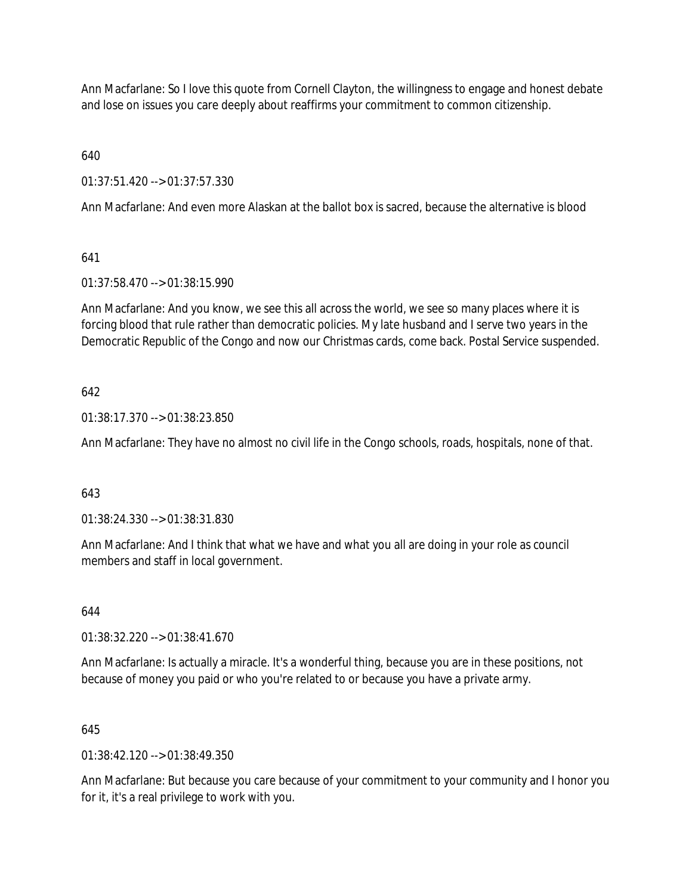Ann Macfarlane: So I love this quote from Cornell Clayton, the willingness to engage and honest debate and lose on issues you care deeply about reaffirms your commitment to common citizenship.

640

01:37:51.420 --> 01:37:57.330

Ann Macfarlane: And even more Alaskan at the ballot box is sacred, because the alternative is blood

641

01:37:58.470 --> 01:38:15.990

Ann Macfarlane: And you know, we see this all across the world, we see so many places where it is forcing blood that rule rather than democratic policies. My late husband and I serve two years in the Democratic Republic of the Congo and now our Christmas cards, come back. Postal Service suspended.

642

01:38:17.370 --> 01:38:23.850

Ann Macfarlane: They have no almost no civil life in the Congo schools, roads, hospitals, none of that.

643

01:38:24.330 --> 01:38:31.830

Ann Macfarlane: And I think that what we have and what you all are doing in your role as council members and staff in local government.

644

01:38:32.220 --> 01:38:41.670

Ann Macfarlane: Is actually a miracle. It's a wonderful thing, because you are in these positions, not because of money you paid or who you're related to or because you have a private army.

645

 $01:38:42.120 \rightarrow 01:38:49.350$ 

Ann Macfarlane: But because you care because of your commitment to your community and I honor you for it, it's a real privilege to work with you.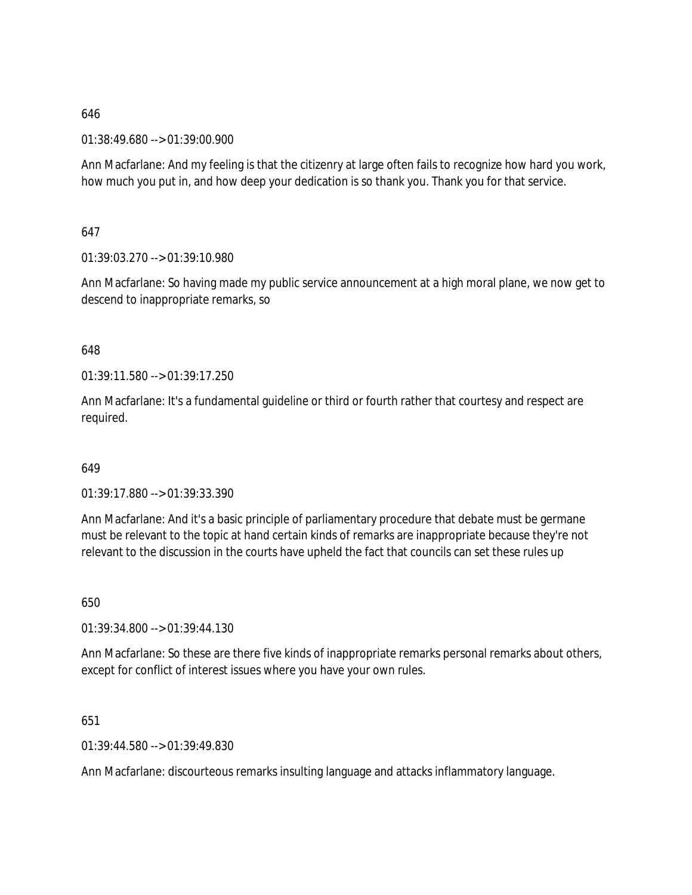01:38:49.680 --> 01:39:00.900

Ann Macfarlane: And my feeling is that the citizenry at large often fails to recognize how hard you work, how much you put in, and how deep your dedication is so thank you. Thank you for that service.

647

01:39:03.270 --> 01:39:10.980

Ann Macfarlane: So having made my public service announcement at a high moral plane, we now get to descend to inappropriate remarks, so

648

01:39:11.580 --> 01:39:17.250

Ann Macfarlane: It's a fundamental guideline or third or fourth rather that courtesy and respect are required.

649

01:39:17.880 --> 01:39:33.390

Ann Macfarlane: And it's a basic principle of parliamentary procedure that debate must be germane must be relevant to the topic at hand certain kinds of remarks are inappropriate because they're not relevant to the discussion in the courts have upheld the fact that councils can set these rules up

650

01:39:34.800 --> 01:39:44.130

Ann Macfarlane: So these are there five kinds of inappropriate remarks personal remarks about others, except for conflict of interest issues where you have your own rules.

651

01:39:44.580 --> 01:39:49.830

Ann Macfarlane: discourteous remarks insulting language and attacks inflammatory language.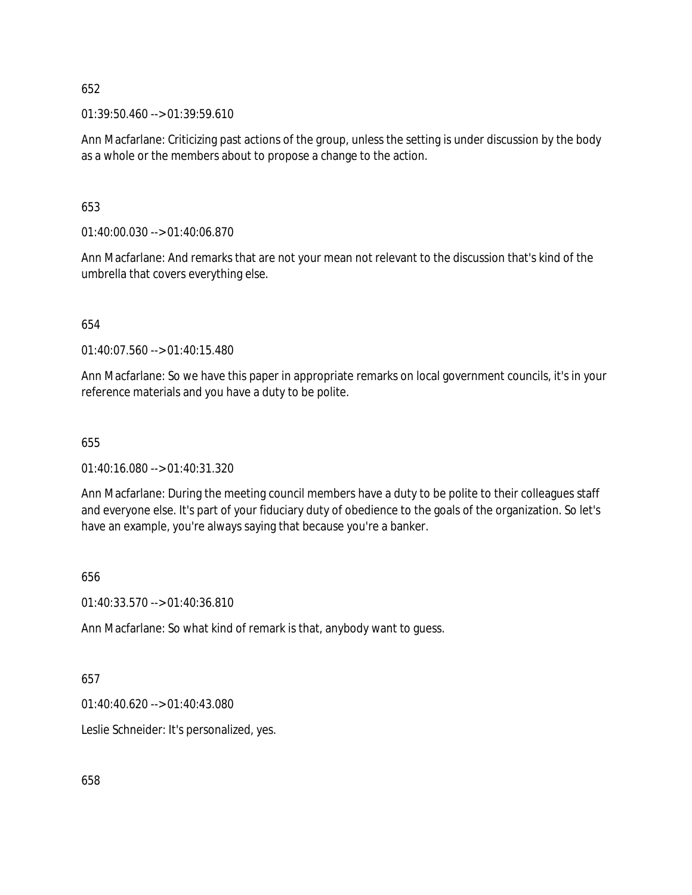$01:39:50.460 \rightarrow 01:39:59.610$ 

Ann Macfarlane: Criticizing past actions of the group, unless the setting is under discussion by the body as a whole or the members about to propose a change to the action.

653

01:40:00.030 --> 01:40:06.870

Ann Macfarlane: And remarks that are not your mean not relevant to the discussion that's kind of the umbrella that covers everything else.

654

01:40:07.560 --> 01:40:15.480

Ann Macfarlane: So we have this paper in appropriate remarks on local government councils, it's in your reference materials and you have a duty to be polite.

655

01:40:16.080 --> 01:40:31.320

Ann Macfarlane: During the meeting council members have a duty to be polite to their colleagues staff and everyone else. It's part of your fiduciary duty of obedience to the goals of the organization. So let's have an example, you're always saying that because you're a banker.

656

01:40:33.570 --> 01:40:36.810

Ann Macfarlane: So what kind of remark is that, anybody want to guess.

657

01:40:40.620 --> 01:40:43.080

Leslie Schneider: It's personalized, yes.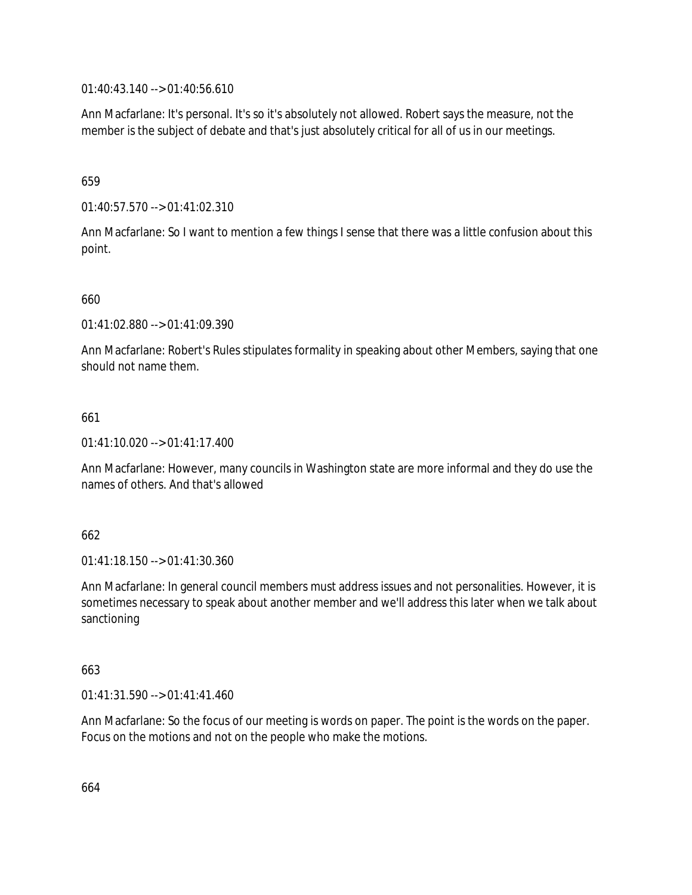01:40:43.140 --> 01:40:56.610

Ann Macfarlane: It's personal. It's so it's absolutely not allowed. Robert says the measure, not the member is the subject of debate and that's just absolutely critical for all of us in our meetings.

659

01:40:57.570 --> 01:41:02.310

Ann Macfarlane: So I want to mention a few things I sense that there was a little confusion about this point.

660

01:41:02.880 --> 01:41:09.390

Ann Macfarlane: Robert's Rules stipulates formality in speaking about other Members, saying that one should not name them.

661

01:41:10.020 --> 01:41:17.400

Ann Macfarlane: However, many councils in Washington state are more informal and they do use the names of others. And that's allowed

662

01:41:18.150 --> 01:41:30.360

Ann Macfarlane: In general council members must address issues and not personalities. However, it is sometimes necessary to speak about another member and we'll address this later when we talk about sanctioning

663

01:41:31.590 --> 01:41:41.460

Ann Macfarlane: So the focus of our meeting is words on paper. The point is the words on the paper. Focus on the motions and not on the people who make the motions.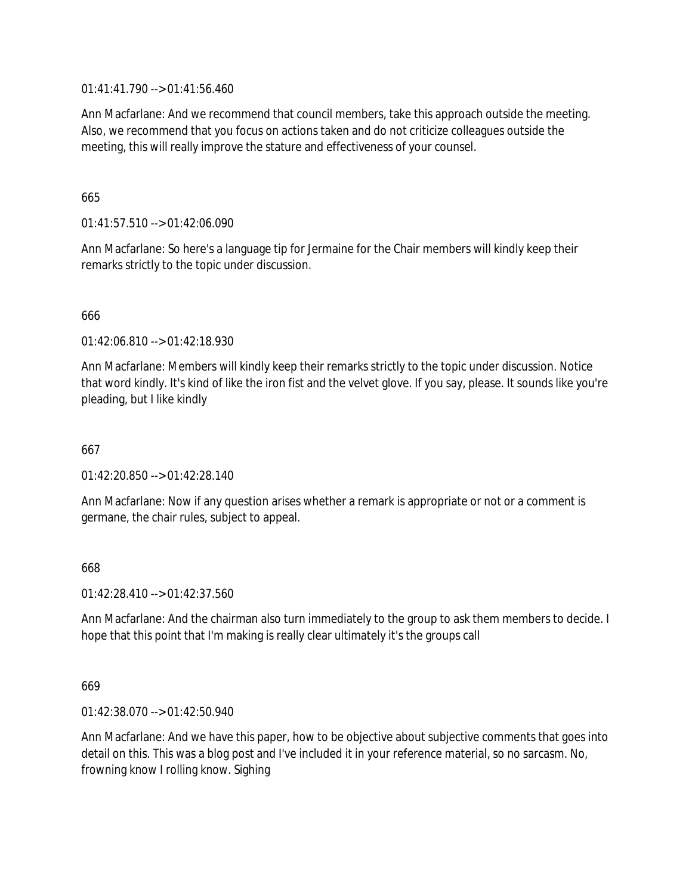01:41:41.790 --> 01:41:56.460

Ann Macfarlane: And we recommend that council members, take this approach outside the meeting. Also, we recommend that you focus on actions taken and do not criticize colleagues outside the meeting, this will really improve the stature and effectiveness of your counsel.

## 665

01:41:57.510 --> 01:42:06.090

Ann Macfarlane: So here's a language tip for Jermaine for the Chair members will kindly keep their remarks strictly to the topic under discussion.

## 666

01:42:06.810 --> 01:42:18.930

Ann Macfarlane: Members will kindly keep their remarks strictly to the topic under discussion. Notice that word kindly. It's kind of like the iron fist and the velvet glove. If you say, please. It sounds like you're pleading, but I like kindly

667

 $01:42:20.850 \rightarrow 01:42:28.140$ 

Ann Macfarlane: Now if any question arises whether a remark is appropriate or not or a comment is germane, the chair rules, subject to appeal.

### 668

01:42:28.410 --> 01:42:37.560

Ann Macfarlane: And the chairman also turn immediately to the group to ask them members to decide. I hope that this point that I'm making is really clear ultimately it's the groups call

669

01:42:38.070 --> 01:42:50.940

Ann Macfarlane: And we have this paper, how to be objective about subjective comments that goes into detail on this. This was a blog post and I've included it in your reference material, so no sarcasm. No, frowning know I rolling know. Sighing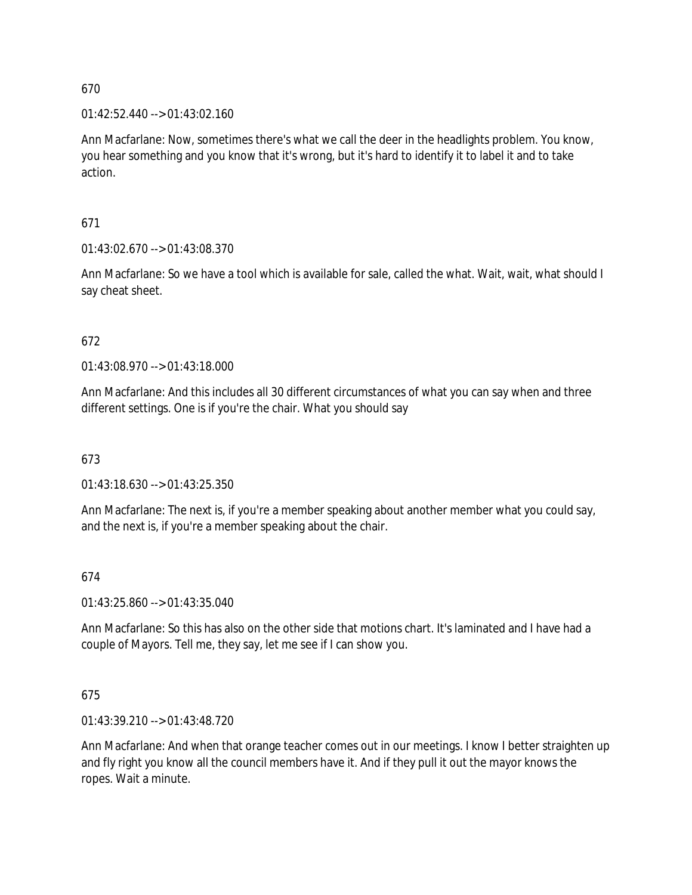01:42:52.440 --> 01:43:02.160

Ann Macfarlane: Now, sometimes there's what we call the deer in the headlights problem. You know, you hear something and you know that it's wrong, but it's hard to identify it to label it and to take action.

671

01:43:02.670 --> 01:43:08.370

Ann Macfarlane: So we have a tool which is available for sale, called the what. Wait, wait, what should I say cheat sheet.

672

01:43:08.970 --> 01:43:18.000

Ann Macfarlane: And this includes all 30 different circumstances of what you can say when and three different settings. One is if you're the chair. What you should say

673

01:43:18.630 --> 01:43:25.350

Ann Macfarlane: The next is, if you're a member speaking about another member what you could say, and the next is, if you're a member speaking about the chair.

# 674

01:43:25.860 --> 01:43:35.040

Ann Macfarlane: So this has also on the other side that motions chart. It's laminated and I have had a couple of Mayors. Tell me, they say, let me see if I can show you.

# 675

01:43:39.210 --> 01:43:48.720

Ann Macfarlane: And when that orange teacher comes out in our meetings. I know I better straighten up and fly right you know all the council members have it. And if they pull it out the mayor knows the ropes. Wait a minute.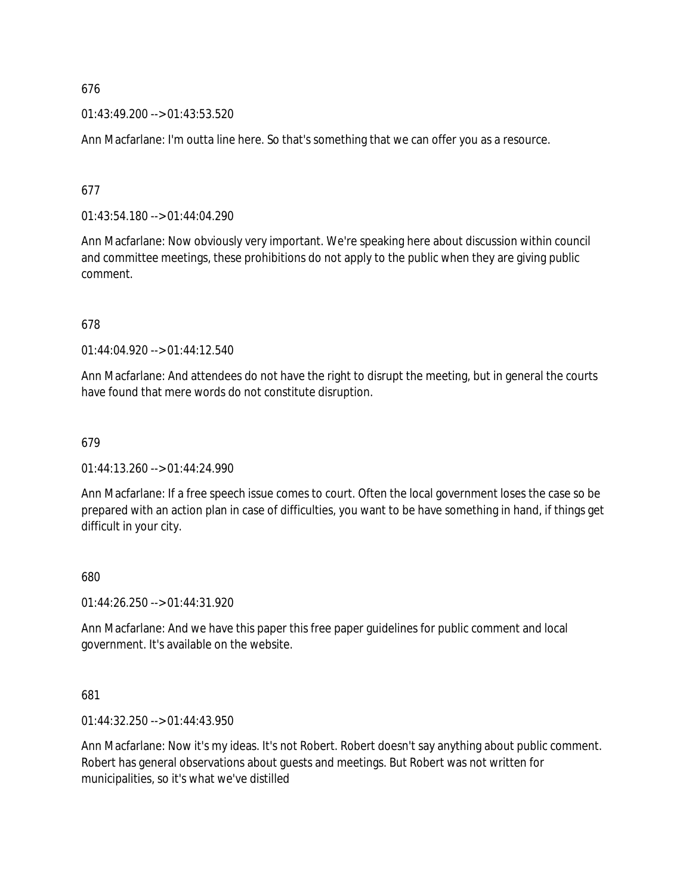01:43:49.200 --> 01:43:53.520

Ann Macfarlane: I'm outta line here. So that's something that we can offer you as a resource.

677

01:43:54.180 --> 01:44:04.290

Ann Macfarlane: Now obviously very important. We're speaking here about discussion within council and committee meetings, these prohibitions do not apply to the public when they are giving public comment.

678

01:44:04.920 --> 01:44:12.540

Ann Macfarlane: And attendees do not have the right to disrupt the meeting, but in general the courts have found that mere words do not constitute disruption.

679

01:44:13.260 --> 01:44:24.990

Ann Macfarlane: If a free speech issue comes to court. Often the local government loses the case so be prepared with an action plan in case of difficulties, you want to be have something in hand, if things get difficult in your city.

680

01:44:26.250 --> 01:44:31.920

Ann Macfarlane: And we have this paper this free paper guidelines for public comment and local government. It's available on the website.

681

01:44:32.250 --> 01:44:43.950

Ann Macfarlane: Now it's my ideas. It's not Robert. Robert doesn't say anything about public comment. Robert has general observations about guests and meetings. But Robert was not written for municipalities, so it's what we've distilled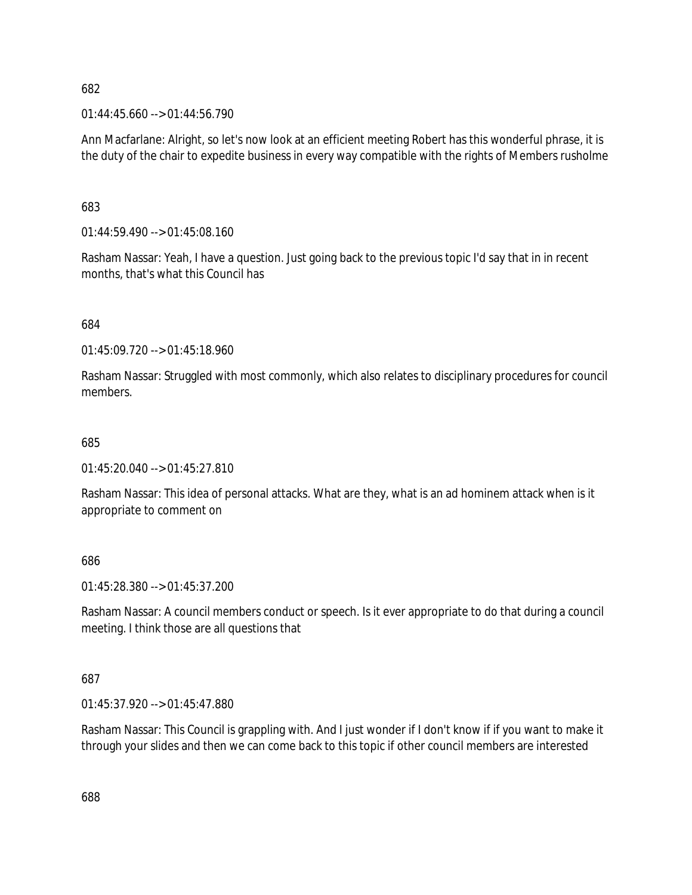$01:44:45.660 \rightarrow 01:44:56.790$ 

Ann Macfarlane: Alright, so let's now look at an efficient meeting Robert has this wonderful phrase, it is the duty of the chair to expedite business in every way compatible with the rights of Members rusholme

683

01:44:59.490 --> 01:45:08.160

Rasham Nassar: Yeah, I have a question. Just going back to the previous topic I'd say that in in recent months, that's what this Council has

684

01:45:09.720 --> 01:45:18.960

Rasham Nassar: Struggled with most commonly, which also relates to disciplinary procedures for council members.

685

01:45:20.040 --> 01:45:27.810

Rasham Nassar: This idea of personal attacks. What are they, what is an ad hominem attack when is it appropriate to comment on

686

01:45:28.380 --> 01:45:37.200

Rasham Nassar: A council members conduct or speech. Is it ever appropriate to do that during a council meeting. I think those are all questions that

687

01:45:37.920 --> 01:45:47.880

Rasham Nassar: This Council is grappling with. And I just wonder if I don't know if if you want to make it through your slides and then we can come back to this topic if other council members are interested

688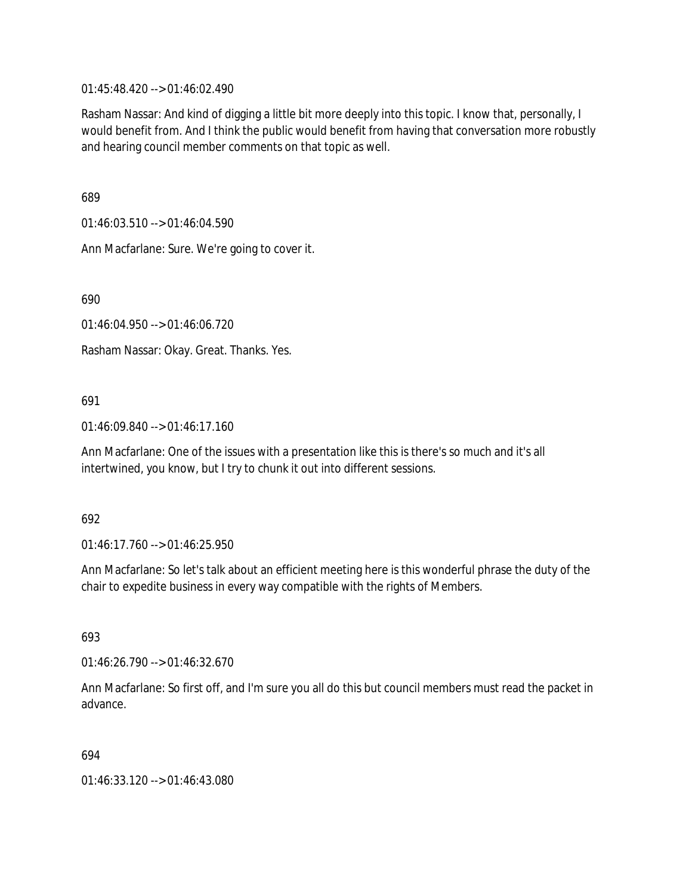01:45:48.420 --> 01:46:02.490

Rasham Nassar: And kind of digging a little bit more deeply into this topic. I know that, personally, I would benefit from. And I think the public would benefit from having that conversation more robustly and hearing council member comments on that topic as well.

689

01:46:03.510 --> 01:46:04.590

Ann Macfarlane: Sure. We're going to cover it.

690

01:46:04.950 --> 01:46:06.720

Rasham Nassar: Okay. Great. Thanks. Yes.

#### 691

01:46:09.840 --> 01:46:17.160

Ann Macfarlane: One of the issues with a presentation like this is there's so much and it's all intertwined, you know, but I try to chunk it out into different sessions.

#### 692

01:46:17.760 --> 01:46:25.950

Ann Macfarlane: So let's talk about an efficient meeting here is this wonderful phrase the duty of the chair to expedite business in every way compatible with the rights of Members.

693

01:46:26.790 --> 01:46:32.670

Ann Macfarlane: So first off, and I'm sure you all do this but council members must read the packet in advance.

#### 694

01:46:33.120 --> 01:46:43.080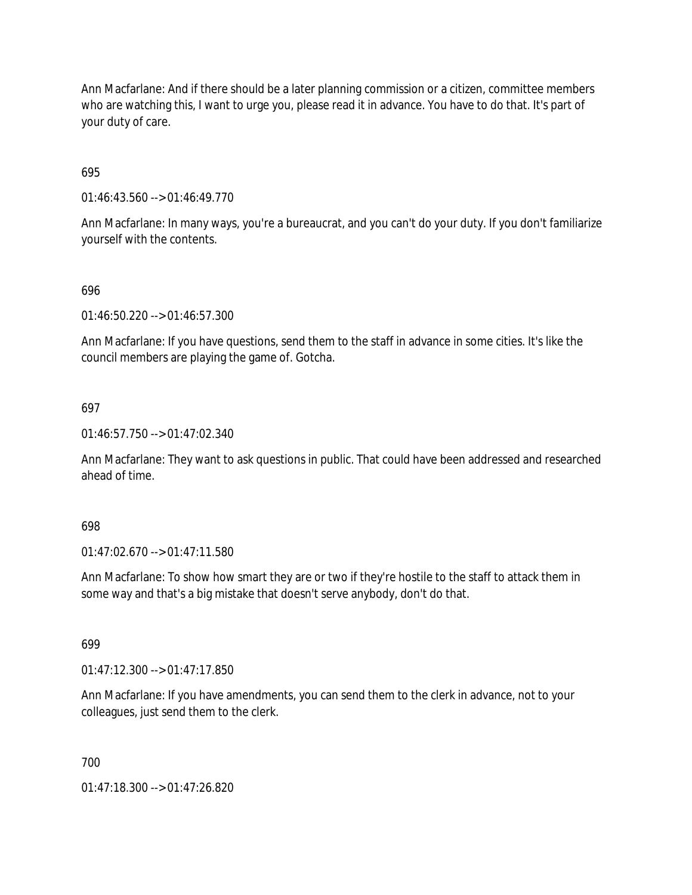Ann Macfarlane: And if there should be a later planning commission or a citizen, committee members who are watching this, I want to urge you, please read it in advance. You have to do that. It's part of your duty of care.

695

01:46:43.560 --> 01:46:49.770

Ann Macfarlane: In many ways, you're a bureaucrat, and you can't do your duty. If you don't familiarize yourself with the contents.

#### 696

01:46:50.220 --> 01:46:57.300

Ann Macfarlane: If you have questions, send them to the staff in advance in some cities. It's like the council members are playing the game of. Gotcha.

#### 697

01:46:57.750 --> 01:47:02.340

Ann Macfarlane: They want to ask questions in public. That could have been addressed and researched ahead of time.

#### 698

01:47:02.670 --> 01:47:11.580

Ann Macfarlane: To show how smart they are or two if they're hostile to the staff to attack them in some way and that's a big mistake that doesn't serve anybody, don't do that.

#### 699

01:47:12.300 --> 01:47:17.850

Ann Macfarlane: If you have amendments, you can send them to the clerk in advance, not to your colleagues, just send them to the clerk.

#### 700

01:47:18.300 --> 01:47:26.820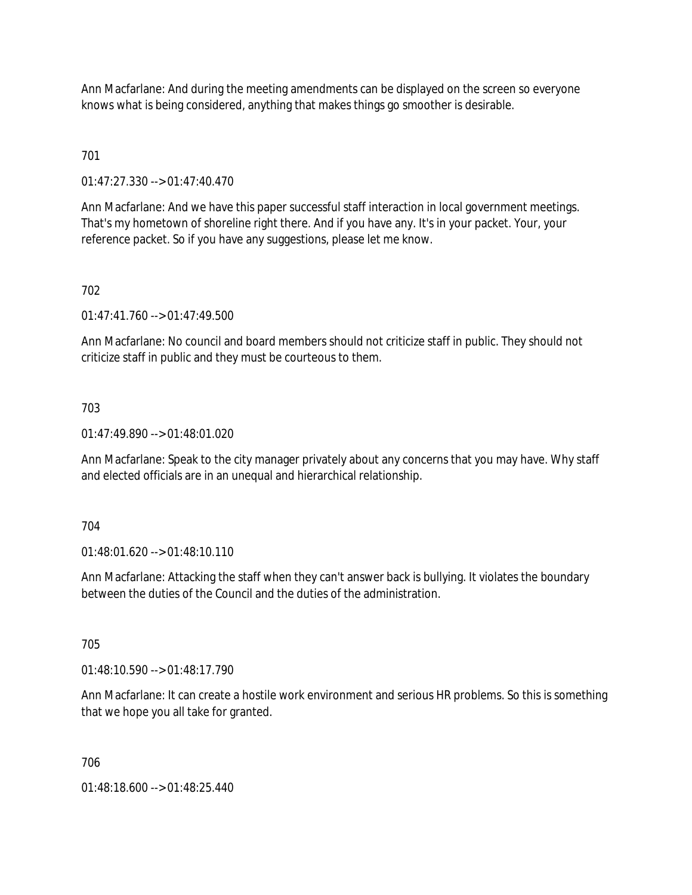Ann Macfarlane: And during the meeting amendments can be displayed on the screen so everyone knows what is being considered, anything that makes things go smoother is desirable.

# 701

01:47:27.330 --> 01:47:40.470

Ann Macfarlane: And we have this paper successful staff interaction in local government meetings. That's my hometown of shoreline right there. And if you have any. It's in your packet. Your, your reference packet. So if you have any suggestions, please let me know.

# 702

01:47:41.760 --> 01:47:49.500

Ann Macfarlane: No council and board members should not criticize staff in public. They should not criticize staff in public and they must be courteous to them.

# 703

01:47:49.890 --> 01:48:01.020

Ann Macfarlane: Speak to the city manager privately about any concerns that you may have. Why staff and elected officials are in an unequal and hierarchical relationship.

#### 704

01:48:01.620 --> 01:48:10.110

Ann Macfarlane: Attacking the staff when they can't answer back is bullying. It violates the boundary between the duties of the Council and the duties of the administration.

# 705

01:48:10.590 --> 01:48:17.790

Ann Macfarlane: It can create a hostile work environment and serious HR problems. So this is something that we hope you all take for granted.

#### 706

01:48:18.600 --> 01:48:25.440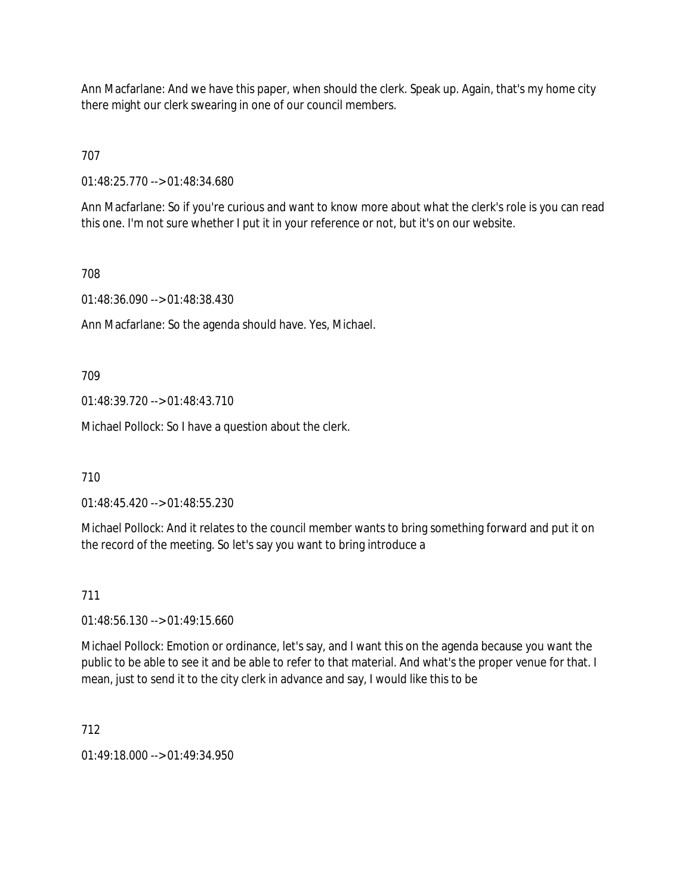Ann Macfarlane: And we have this paper, when should the clerk. Speak up. Again, that's my home city there might our clerk swearing in one of our council members.

707

01:48:25.770 --> 01:48:34.680

Ann Macfarlane: So if you're curious and want to know more about what the clerk's role is you can read this one. I'm not sure whether I put it in your reference or not, but it's on our website.

# 708

01:48:36.090 --> 01:48:38.430

Ann Macfarlane: So the agenda should have. Yes, Michael.

709

01:48:39.720 --> 01:48:43.710

Michael Pollock: So I have a question about the clerk.

710

01:48:45.420 --> 01:48:55.230

Michael Pollock: And it relates to the council member wants to bring something forward and put it on the record of the meeting. So let's say you want to bring introduce a

#### 711

01:48:56.130 --> 01:49:15.660

Michael Pollock: Emotion or ordinance, let's say, and I want this on the agenda because you want the public to be able to see it and be able to refer to that material. And what's the proper venue for that. I mean, just to send it to the city clerk in advance and say, I would like this to be

712

 $01.49.18.000 -> 01.49.34.950$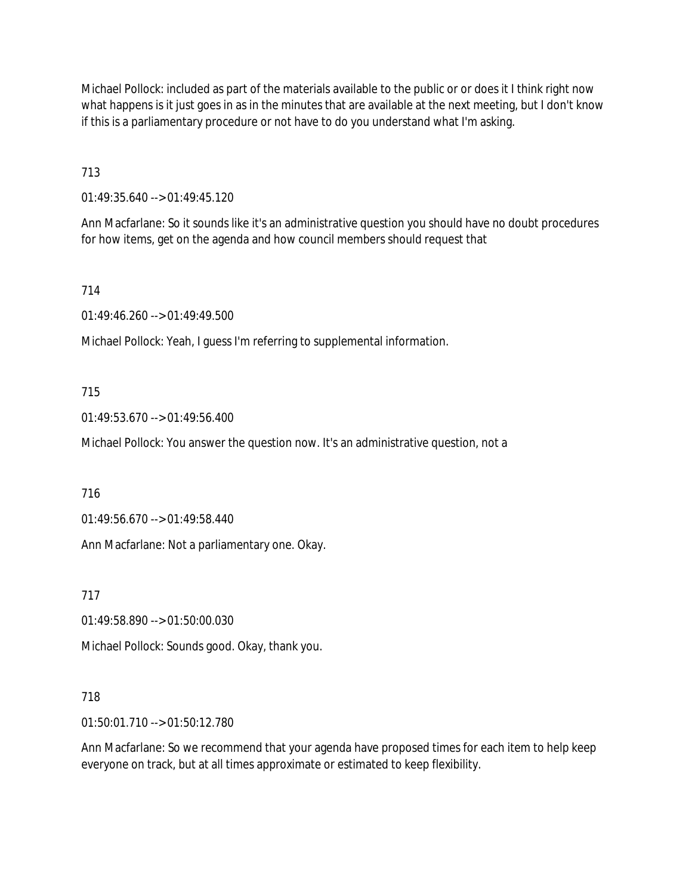Michael Pollock: included as part of the materials available to the public or or does it I think right now what happens is it just goes in as in the minutes that are available at the next meeting, but I don't know if this is a parliamentary procedure or not have to do you understand what I'm asking.

713

01:49:35.640 --> 01:49:45.120

Ann Macfarlane: So it sounds like it's an administrative question you should have no doubt procedures for how items, get on the agenda and how council members should request that

714

01:49:46.260 --> 01:49:49.500

Michael Pollock: Yeah, I guess I'm referring to supplemental information.

# 715

01:49:53.670 --> 01:49:56.400

Michael Pollock: You answer the question now. It's an administrative question, not a

716

01:49:56.670 --> 01:49:58.440

Ann Macfarlane: Not a parliamentary one. Okay.

717

01:49:58.890 --> 01:50:00.030

Michael Pollock: Sounds good. Okay, thank you.

#### 718

01:50:01.710 --> 01:50:12.780

Ann Macfarlane: So we recommend that your agenda have proposed times for each item to help keep everyone on track, but at all times approximate or estimated to keep flexibility.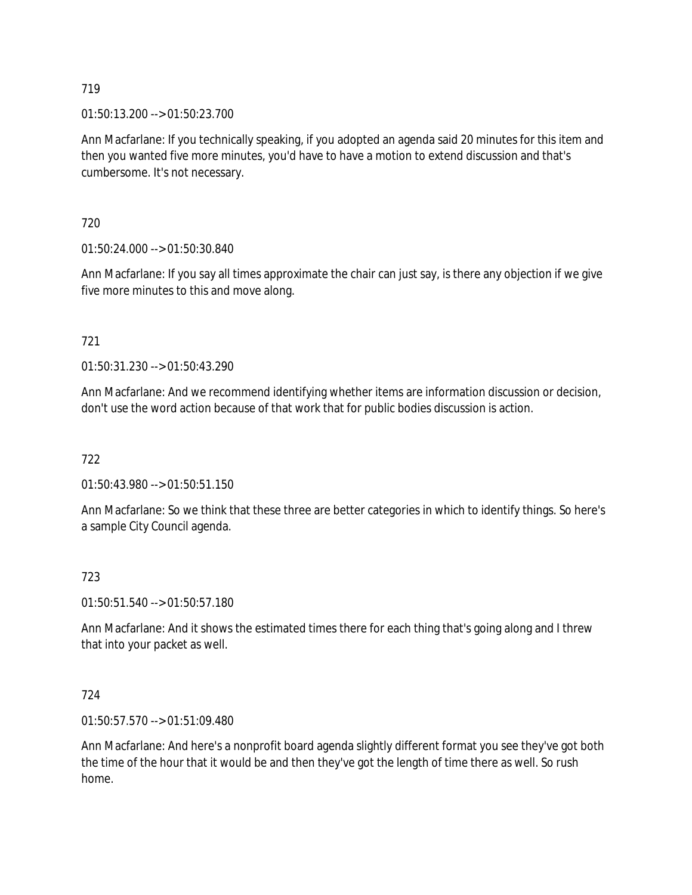01:50:13.200 --> 01:50:23.700

Ann Macfarlane: If you technically speaking, if you adopted an agenda said 20 minutes for this item and then you wanted five more minutes, you'd have to have a motion to extend discussion and that's cumbersome. It's not necessary.

720

01:50:24.000 --> 01:50:30.840

Ann Macfarlane: If you say all times approximate the chair can just say, is there any objection if we give five more minutes to this and move along.

# 721

01:50:31.230 --> 01:50:43.290

Ann Macfarlane: And we recommend identifying whether items are information discussion or decision, don't use the word action because of that work that for public bodies discussion is action.

722

01:50:43.980 --> 01:50:51.150

Ann Macfarlane: So we think that these three are better categories in which to identify things. So here's a sample City Council agenda.

#### 723

01:50:51.540 --> 01:50:57.180

Ann Macfarlane: And it shows the estimated times there for each thing that's going along and I threw that into your packet as well.

#### 724

01:50:57.570 --> 01:51:09.480

Ann Macfarlane: And here's a nonprofit board agenda slightly different format you see they've got both the time of the hour that it would be and then they've got the length of time there as well. So rush home.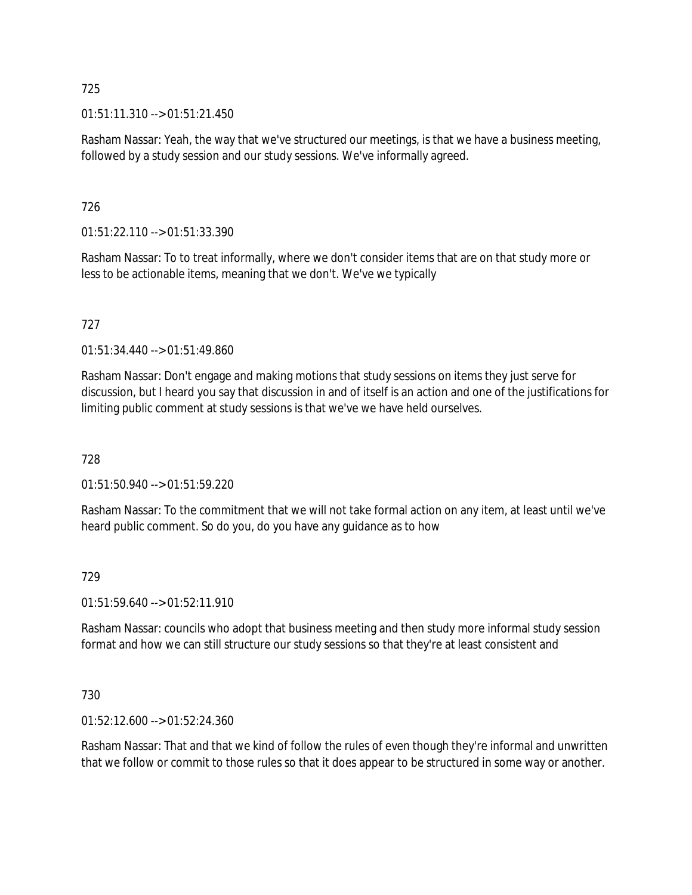01:51:11.310 --> 01:51:21.450

Rasham Nassar: Yeah, the way that we've structured our meetings, is that we have a business meeting, followed by a study session and our study sessions. We've informally agreed.

# 726

01:51:22.110 --> 01:51:33.390

Rasham Nassar: To to treat informally, where we don't consider items that are on that study more or less to be actionable items, meaning that we don't. We've we typically

# 727

01:51:34.440 --> 01:51:49.860

Rasham Nassar: Don't engage and making motions that study sessions on items they just serve for discussion, but I heard you say that discussion in and of itself is an action and one of the justifications for limiting public comment at study sessions is that we've we have held ourselves.

#### 728

01:51:50.940 --> 01:51:59.220

Rasham Nassar: To the commitment that we will not take formal action on any item, at least until we've heard public comment. So do you, do you have any guidance as to how

#### 729

01:51:59.640 --> 01:52:11.910

Rasham Nassar: councils who adopt that business meeting and then study more informal study session format and how we can still structure our study sessions so that they're at least consistent and

#### 730

01:52:12.600 --> 01:52:24.360

Rasham Nassar: That and that we kind of follow the rules of even though they're informal and unwritten that we follow or commit to those rules so that it does appear to be structured in some way or another.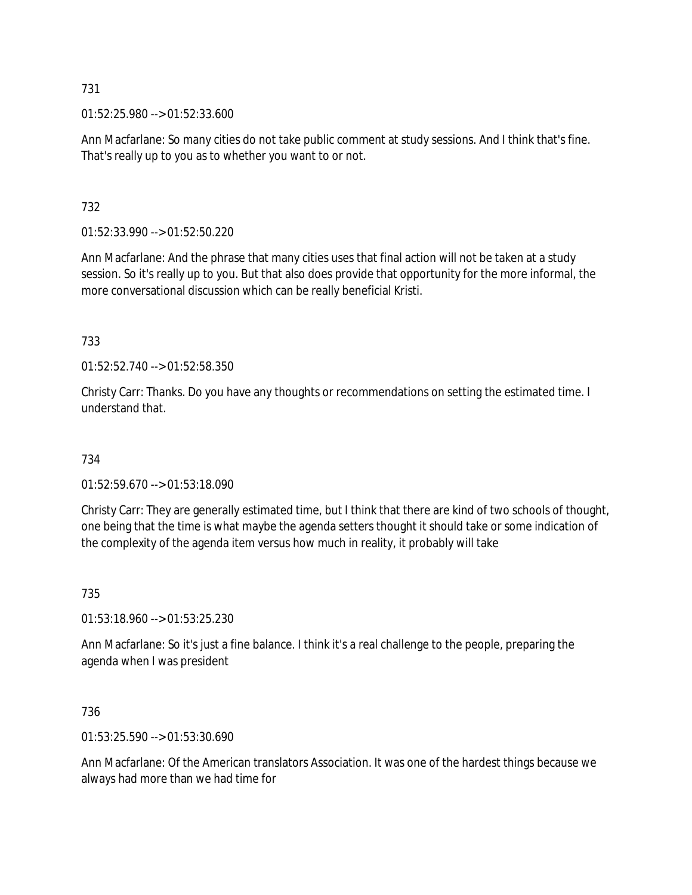01:52:25.980 --> 01:52:33.600

Ann Macfarlane: So many cities do not take public comment at study sessions. And I think that's fine. That's really up to you as to whether you want to or not.

# 732

01:52:33.990 --> 01:52:50.220

Ann Macfarlane: And the phrase that many cities uses that final action will not be taken at a study session. So it's really up to you. But that also does provide that opportunity for the more informal, the more conversational discussion which can be really beneficial Kristi.

733

01:52:52.740 --> 01:52:58.350

Christy Carr: Thanks. Do you have any thoughts or recommendations on setting the estimated time. I understand that.

734

01:52:59.670 --> 01:53:18.090

Christy Carr: They are generally estimated time, but I think that there are kind of two schools of thought, one being that the time is what maybe the agenda setters thought it should take or some indication of the complexity of the agenda item versus how much in reality, it probably will take

735

01:53:18.960 --> 01:53:25.230

Ann Macfarlane: So it's just a fine balance. I think it's a real challenge to the people, preparing the agenda when I was president

736

01:53:25.590 --> 01:53:30.690

Ann Macfarlane: Of the American translators Association. It was one of the hardest things because we always had more than we had time for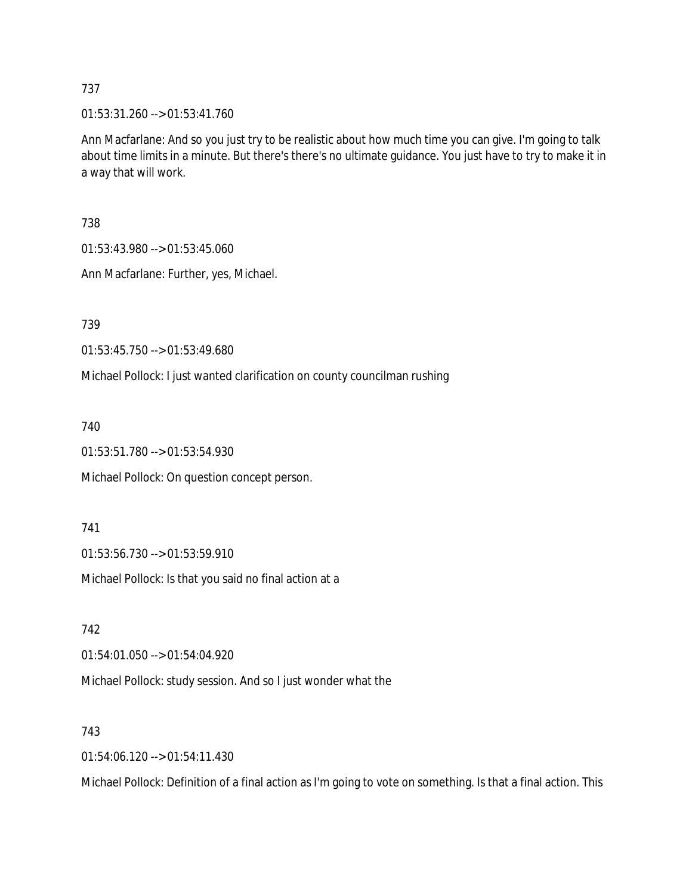01:53:31.260 --> 01:53:41.760

Ann Macfarlane: And so you just try to be realistic about how much time you can give. I'm going to talk about time limits in a minute. But there's there's no ultimate guidance. You just have to try to make it in a way that will work.

738

01:53:43.980 --> 01:53:45.060

Ann Macfarlane: Further, yes, Michael.

739

01:53:45.750 --> 01:53:49.680

Michael Pollock: I just wanted clarification on county councilman rushing

740

01:53:51.780 --> 01:53:54.930

Michael Pollock: On question concept person.

741

01:53:56.730 --> 01:53:59.910

Michael Pollock: Is that you said no final action at a

742

01:54:01.050 --> 01:54:04.920

Michael Pollock: study session. And so I just wonder what the

743

01:54:06.120 --> 01:54:11.430

Michael Pollock: Definition of a final action as I'm going to vote on something. Is that a final action. This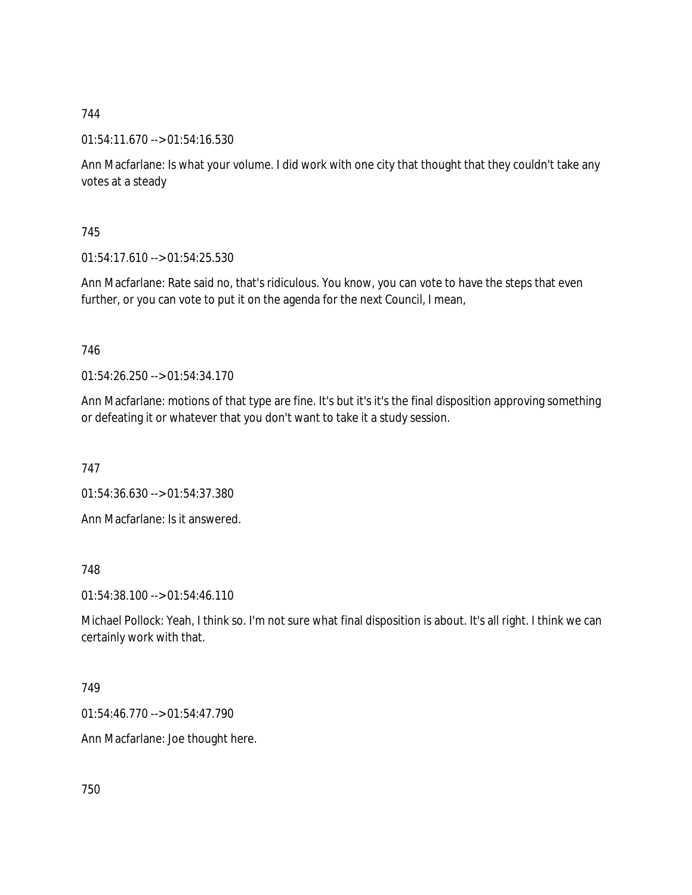01:54:11.670 --> 01:54:16.530

Ann Macfarlane: Is what your volume. I did work with one city that thought that they couldn't take any votes at a steady

745

01:54:17.610 --> 01:54:25.530

Ann Macfarlane: Rate said no, that's ridiculous. You know, you can vote to have the steps that even further, or you can vote to put it on the agenda for the next Council, I mean,

746

01:54:26.250 --> 01:54:34.170

Ann Macfarlane: motions of that type are fine. It's but it's it's the final disposition approving something or defeating it or whatever that you don't want to take it a study session.

747

01:54:36.630 --> 01:54:37.380

Ann Macfarlane: Is it answered.

748

01:54:38.100 --> 01:54:46.110

Michael Pollock: Yeah, I think so. I'm not sure what final disposition is about. It's all right. I think we can certainly work with that.

749

01:54:46.770 --> 01:54:47.790

Ann Macfarlane: Joe thought here.

750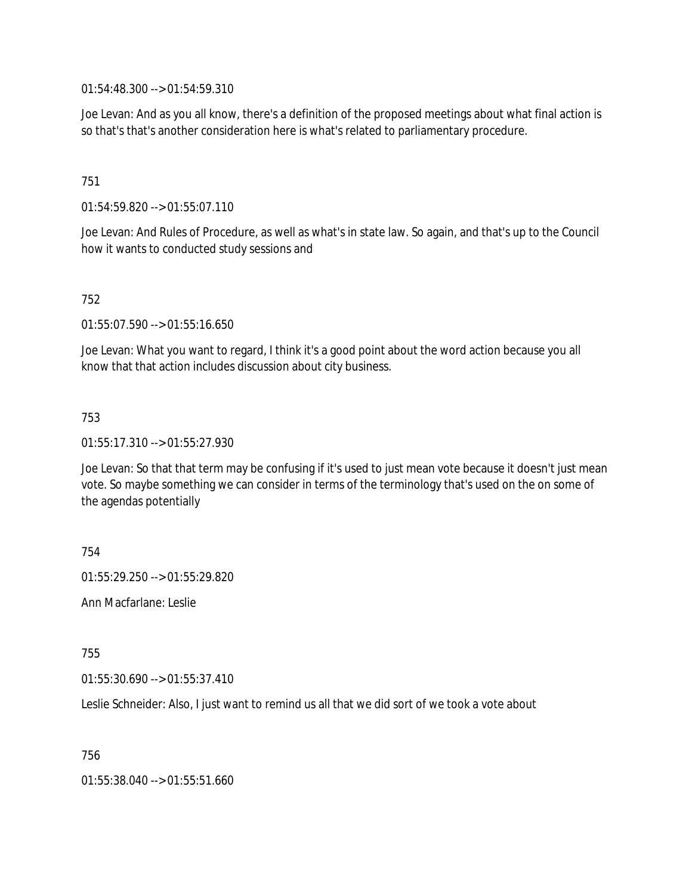01:54:48.300 --> 01:54:59.310

Joe Levan: And as you all know, there's a definition of the proposed meetings about what final action is so that's that's another consideration here is what's related to parliamentary procedure.

# 751

01:54:59.820 --> 01:55:07.110

Joe Levan: And Rules of Procedure, as well as what's in state law. So again, and that's up to the Council how it wants to conducted study sessions and

#### 752

01:55:07.590 --> 01:55:16.650

Joe Levan: What you want to regard, I think it's a good point about the word action because you all know that that action includes discussion about city business.

#### 753

01:55:17.310 --> 01:55:27.930

Joe Levan: So that that term may be confusing if it's used to just mean vote because it doesn't just mean vote. So maybe something we can consider in terms of the terminology that's used on the on some of the agendas potentially

754

01:55:29.250 --> 01:55:29.820

Ann Macfarlane: Leslie

755

01:55:30.690 --> 01:55:37.410

Leslie Schneider: Also, I just want to remind us all that we did sort of we took a vote about

756

01:55:38.040 --> 01:55:51.660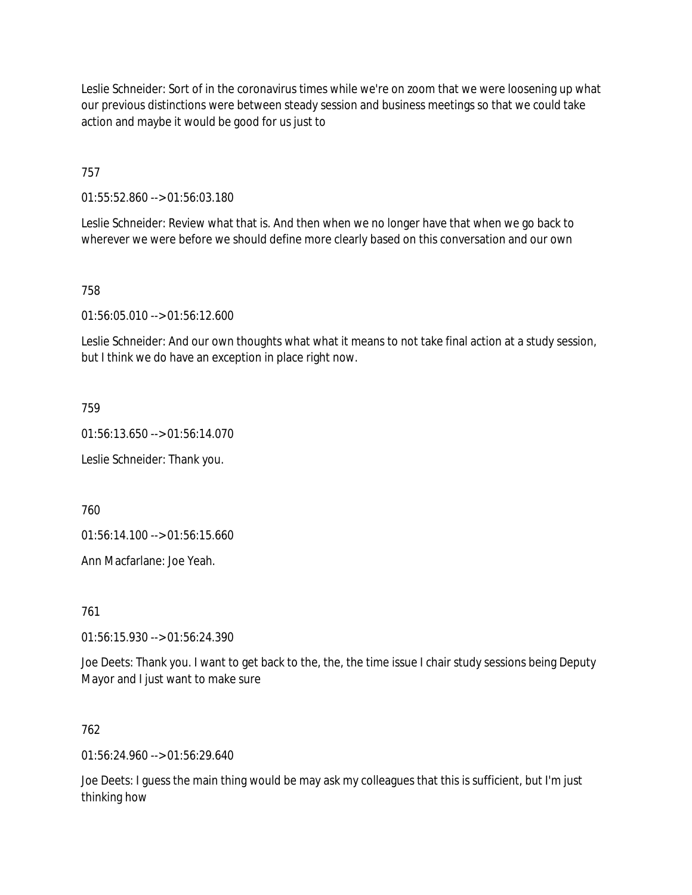Leslie Schneider: Sort of in the coronavirus times while we're on zoom that we were loosening up what our previous distinctions were between steady session and business meetings so that we could take action and maybe it would be good for us just to

757

01:55:52.860 --> 01:56:03.180

Leslie Schneider: Review what that is. And then when we no longer have that when we go back to wherever we were before we should define more clearly based on this conversation and our own

758

01:56:05.010 --> 01:56:12.600

Leslie Schneider: And our own thoughts what what it means to not take final action at a study session, but I think we do have an exception in place right now.

759

01:56:13.650 --> 01:56:14.070

Leslie Schneider: Thank you.

760

01:56:14.100 --> 01:56:15.660

Ann Macfarlane: Joe Yeah.

761

01:56:15.930 --> 01:56:24.390

Joe Deets: Thank you. I want to get back to the, the, the time issue I chair study sessions being Deputy Mayor and I just want to make sure

762

01:56:24.960 --> 01:56:29.640

Joe Deets: I guess the main thing would be may ask my colleagues that this is sufficient, but I'm just thinking how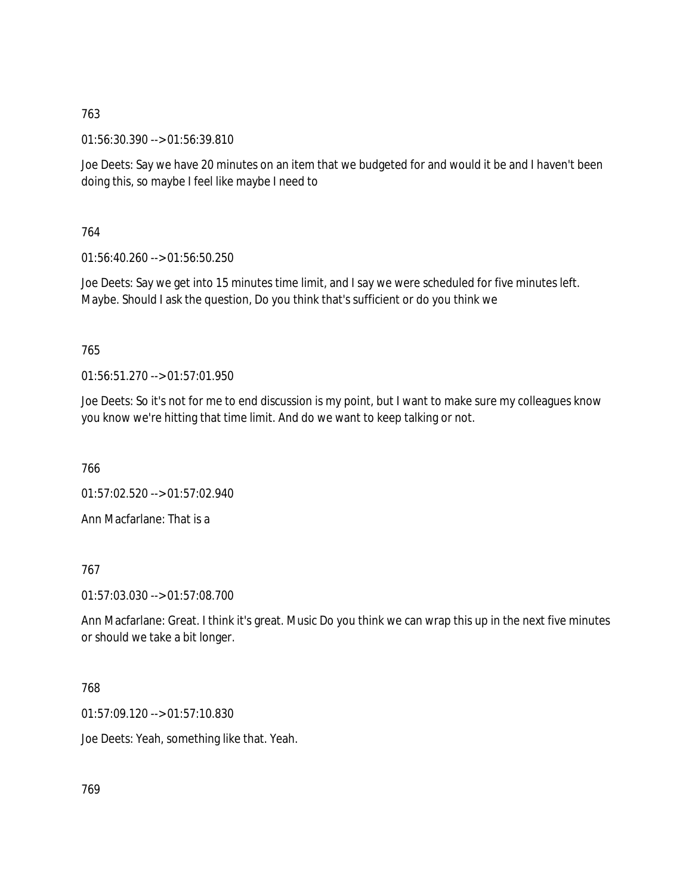01:56:30.390 --> 01:56:39.810

Joe Deets: Say we have 20 minutes on an item that we budgeted for and would it be and I haven't been doing this, so maybe I feel like maybe I need to

# 764

01:56:40.260 --> 01:56:50.250

Joe Deets: Say we get into 15 minutes time limit, and I say we were scheduled for five minutes left. Maybe. Should I ask the question, Do you think that's sufficient or do you think we

# 765

01:56:51.270 --> 01:57:01.950

Joe Deets: So it's not for me to end discussion is my point, but I want to make sure my colleagues know you know we're hitting that time limit. And do we want to keep talking or not.

766

01:57:02.520 --> 01:57:02.940

Ann Macfarlane: That is a

#### 767

01:57:03.030 --> 01:57:08.700

Ann Macfarlane: Great. I think it's great. Music Do you think we can wrap this up in the next five minutes or should we take a bit longer.

#### 768

01:57:09.120 --> 01:57:10.830

Joe Deets: Yeah, something like that. Yeah.

769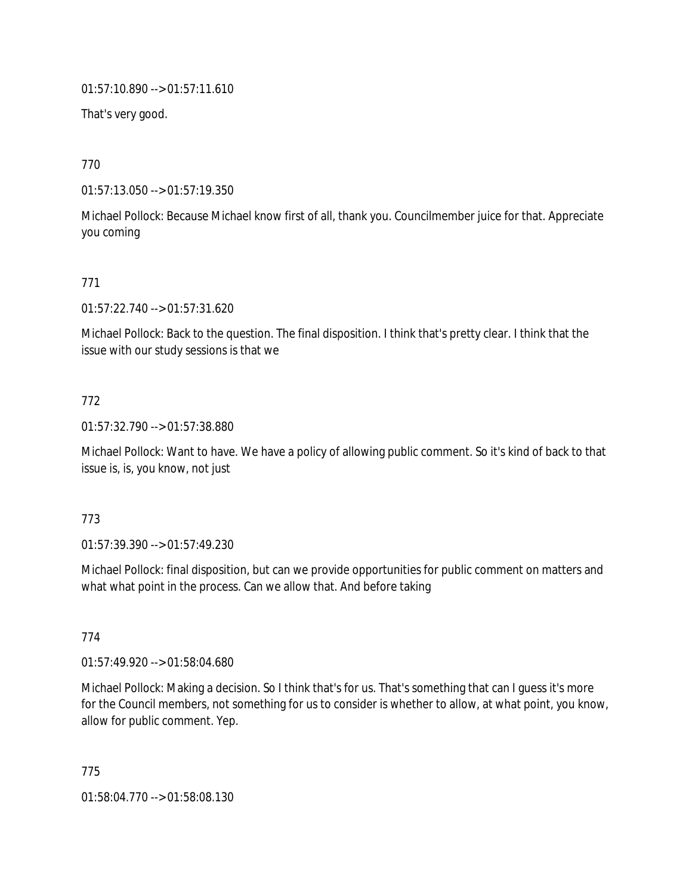01:57:10.890 --> 01:57:11.610

That's very good.

770

01:57:13.050 --> 01:57:19.350

Michael Pollock: Because Michael know first of all, thank you. Councilmember juice for that. Appreciate you coming

# 771

01:57:22.740 --> 01:57:31.620

Michael Pollock: Back to the question. The final disposition. I think that's pretty clear. I think that the issue with our study sessions is that we

# 772

01:57:32.790 --> 01:57:38.880

Michael Pollock: Want to have. We have a policy of allowing public comment. So it's kind of back to that issue is, is, you know, not just

#### 773

01:57:39.390 --> 01:57:49.230

Michael Pollock: final disposition, but can we provide opportunities for public comment on matters and what what point in the process. Can we allow that. And before taking

#### 774

01:57:49.920 --> 01:58:04.680

Michael Pollock: Making a decision. So I think that's for us. That's something that can I guess it's more for the Council members, not something for us to consider is whether to allow, at what point, you know, allow for public comment. Yep.

775 01:58:04.770 --> 01:58:08.130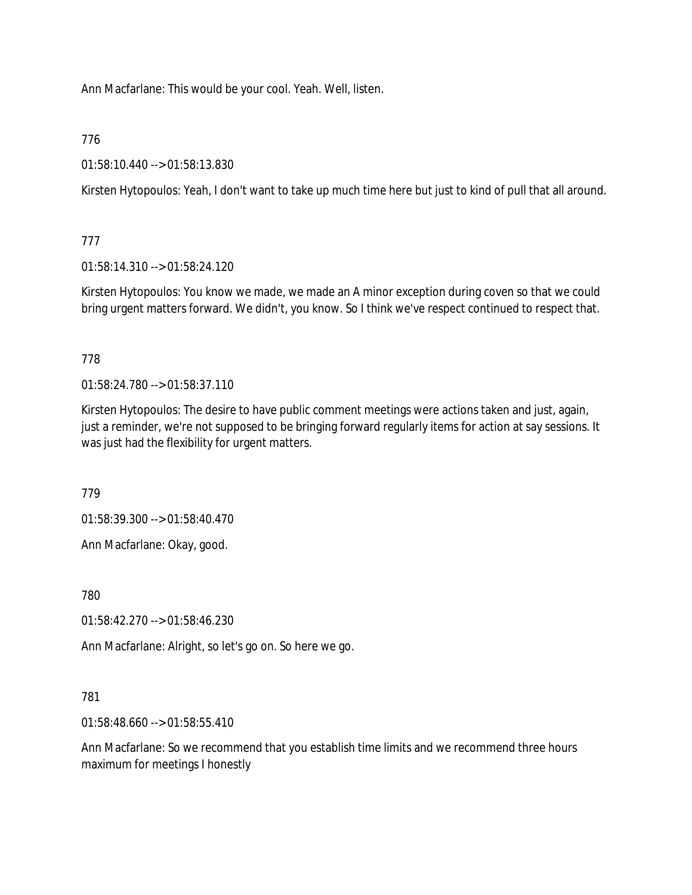Ann Macfarlane: This would be your cool. Yeah. Well, listen.

776

01:58:10.440 --> 01:58:13.830

Kirsten Hytopoulos: Yeah, I don't want to take up much time here but just to kind of pull that all around.

777

01:58:14.310 --> 01:58:24.120

Kirsten Hytopoulos: You know we made, we made an A minor exception during coven so that we could bring urgent matters forward. We didn't, you know. So I think we've respect continued to respect that.

778

01:58:24.780 --> 01:58:37.110

Kirsten Hytopoulos: The desire to have public comment meetings were actions taken and just, again, just a reminder, we're not supposed to be bringing forward regularly items for action at say sessions. It was just had the flexibility for urgent matters.

779

01:58:39.300 --> 01:58:40.470

Ann Macfarlane: Okay, good.

780

01:58:42.270 --> 01:58:46.230

Ann Macfarlane: Alright, so let's go on. So here we go.

#### 781

01:58:48.660 --> 01:58:55.410

Ann Macfarlane: So we recommend that you establish time limits and we recommend three hours maximum for meetings I honestly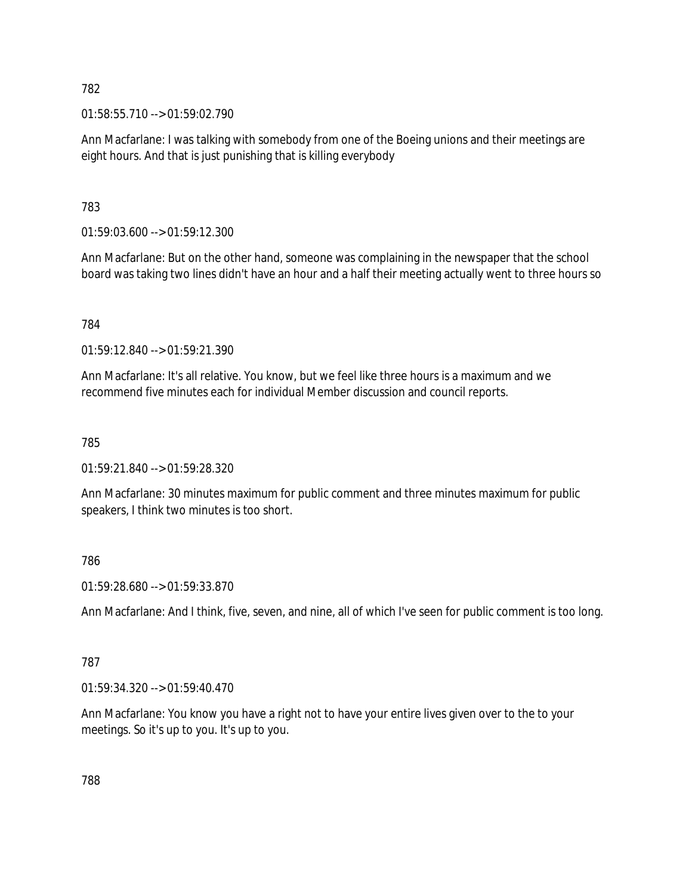01:58:55.710 --> 01:59:02.790

Ann Macfarlane: I was talking with somebody from one of the Boeing unions and their meetings are eight hours. And that is just punishing that is killing everybody

# 783

01:59:03.600 --> 01:59:12.300

Ann Macfarlane: But on the other hand, someone was complaining in the newspaper that the school board was taking two lines didn't have an hour and a half their meeting actually went to three hours so

# 784

01:59:12.840 --> 01:59:21.390

Ann Macfarlane: It's all relative. You know, but we feel like three hours is a maximum and we recommend five minutes each for individual Member discussion and council reports.

# 785

01:59:21.840 --> 01:59:28.320

Ann Macfarlane: 30 minutes maximum for public comment and three minutes maximum for public speakers, I think two minutes is too short.

# 786

01:59:28.680 --> 01:59:33.870

Ann Macfarlane: And I think, five, seven, and nine, all of which I've seen for public comment is too long.

# 787

01:59:34.320 --> 01:59:40.470

Ann Macfarlane: You know you have a right not to have your entire lives given over to the to your meetings. So it's up to you. It's up to you.

788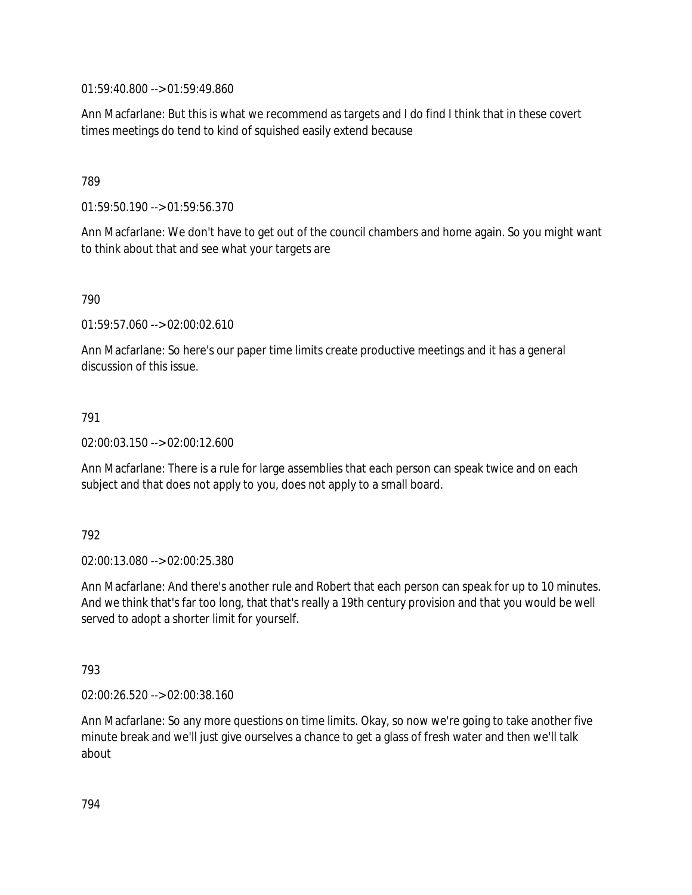01:59:40.800 --> 01:59:49.860

Ann Macfarlane: But this is what we recommend as targets and I do find I think that in these covert times meetings do tend to kind of squished easily extend because

### 789

01:59:50.190 --> 01:59:56.370

Ann Macfarlane: We don't have to get out of the council chambers and home again. So you might want to think about that and see what your targets are

#### 790

01:59:57.060 --> 02:00:02.610

Ann Macfarlane: So here's our paper time limits create productive meetings and it has a general discussion of this issue.

# 791

02:00:03.150 --> 02:00:12.600

Ann Macfarlane: There is a rule for large assemblies that each person can speak twice and on each subject and that does not apply to you, does not apply to a small board.

#### 792

02:00:13.080 --> 02:00:25.380

Ann Macfarlane: And there's another rule and Robert that each person can speak for up to 10 minutes. And we think that's far too long, that that's really a 19th century provision and that you would be well served to adopt a shorter limit for yourself.

#### 793

02:00:26.520 --> 02:00:38.160

Ann Macfarlane: So any more questions on time limits. Okay, so now we're going to take another five minute break and we'll just give ourselves a chance to get a glass of fresh water and then we'll talk about

794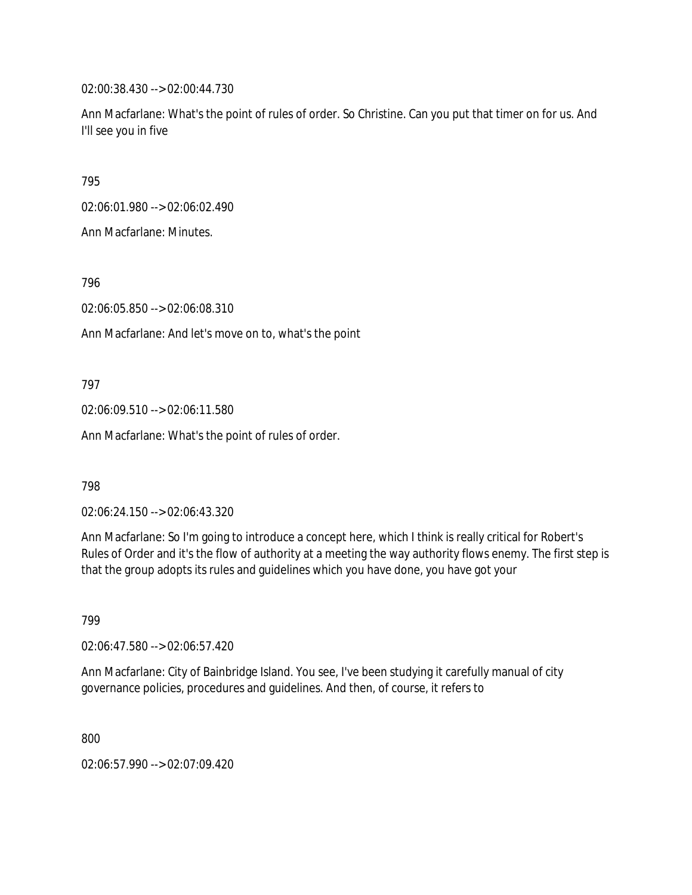02:00:38.430 --> 02:00:44.730

Ann Macfarlane: What's the point of rules of order. So Christine. Can you put that timer on for us. And I'll see you in five

795

02:06:01.980 --> 02:06:02.490

Ann Macfarlane: Minutes.

796

02:06:05.850 --> 02:06:08.310

Ann Macfarlane: And let's move on to, what's the point

797

02:06:09.510 --> 02:06:11.580

Ann Macfarlane: What's the point of rules of order.

798

02:06:24.150 --> 02:06:43.320

Ann Macfarlane: So I'm going to introduce a concept here, which I think is really critical for Robert's Rules of Order and it's the flow of authority at a meeting the way authority flows enemy. The first step is that the group adopts its rules and guidelines which you have done, you have got your

799

02:06:47.580 --> 02:06:57.420

Ann Macfarlane: City of Bainbridge Island. You see, I've been studying it carefully manual of city governance policies, procedures and guidelines. And then, of course, it refers to

800

02:06:57.990 --> 02:07:09.420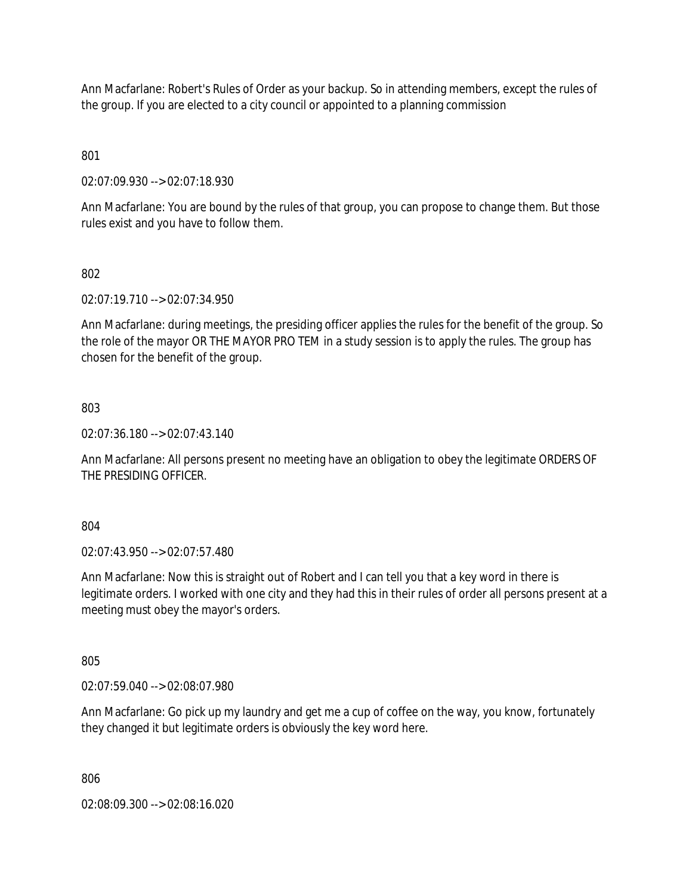Ann Macfarlane: Robert's Rules of Order as your backup. So in attending members, except the rules of the group. If you are elected to a city council or appointed to a planning commission

801

02:07:09.930 --> 02:07:18.930

Ann Macfarlane: You are bound by the rules of that group, you can propose to change them. But those rules exist and you have to follow them.

# 802

02:07:19.710 --> 02:07:34.950

Ann Macfarlane: during meetings, the presiding officer applies the rules for the benefit of the group. So the role of the mayor OR THE MAYOR PRO TEM in a study session is to apply the rules. The group has chosen for the benefit of the group.

#### 803

02:07:36.180 --> 02:07:43.140

Ann Macfarlane: All persons present no meeting have an obligation to obey the legitimate ORDERS OF THE PRESIDING OFFICER.

804

02:07:43.950 --> 02:07:57.480

Ann Macfarlane: Now this is straight out of Robert and I can tell you that a key word in there is legitimate orders. I worked with one city and they had this in their rules of order all persons present at a meeting must obey the mayor's orders.

805

02:07:59.040 --> 02:08:07.980

Ann Macfarlane: Go pick up my laundry and get me a cup of coffee on the way, you know, fortunately they changed it but legitimate orders is obviously the key word here.

806

02:08:09.300 --> 02:08:16.020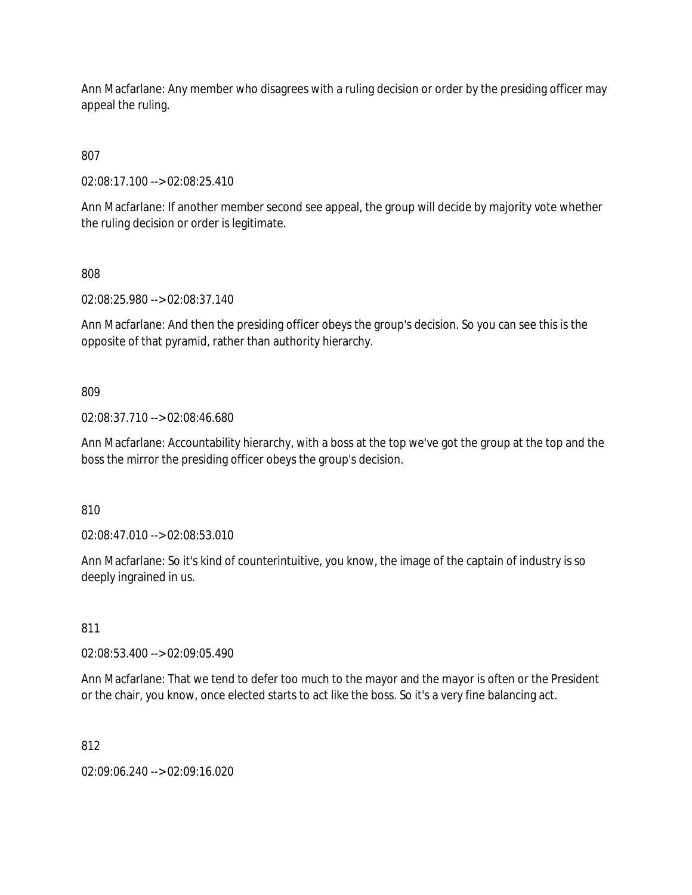Ann Macfarlane: Any member who disagrees with a ruling decision or order by the presiding officer may appeal the ruling.

807

02:08:17.100 --> 02:08:25.410

Ann Macfarlane: If another member second see appeal, the group will decide by majority vote whether the ruling decision or order is legitimate.

808

02:08:25.980 --> 02:08:37.140

Ann Macfarlane: And then the presiding officer obeys the group's decision. So you can see this is the opposite of that pyramid, rather than authority hierarchy.

809

02:08:37.710 --> 02:08:46.680

Ann Macfarlane: Accountability hierarchy, with a boss at the top we've got the group at the top and the boss the mirror the presiding officer obeys the group's decision.

810

02:08:47.010 --> 02:08:53.010

Ann Macfarlane: So it's kind of counterintuitive, you know, the image of the captain of industry is so deeply ingrained in us.

811

02:08:53.400 --> 02:09:05.490

Ann Macfarlane: That we tend to defer too much to the mayor and the mayor is often or the President or the chair, you know, once elected starts to act like the boss. So it's a very fine balancing act.

812

02:09:06.240 --> 02:09:16.020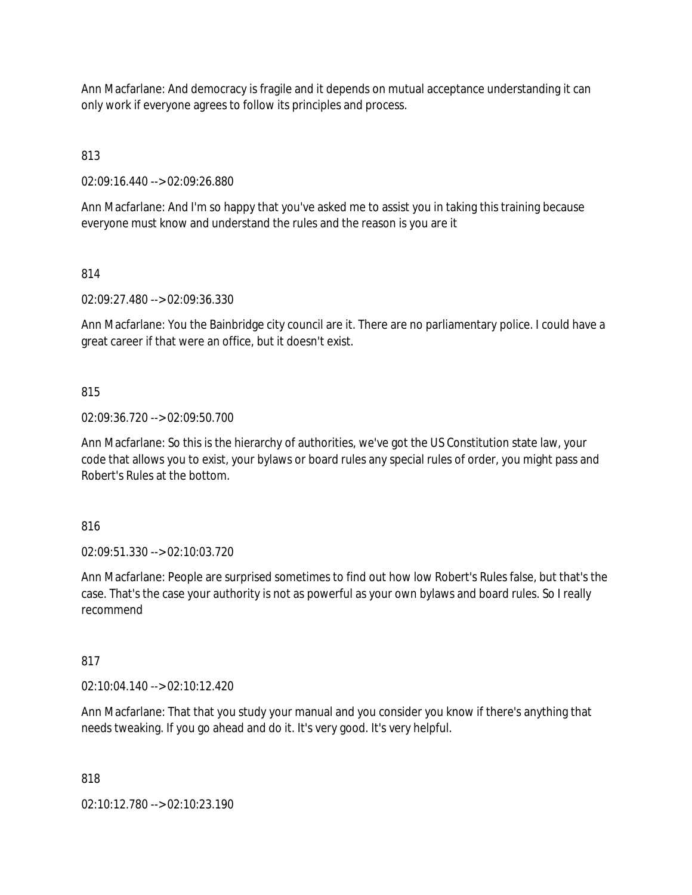Ann Macfarlane: And democracy is fragile and it depends on mutual acceptance understanding it can only work if everyone agrees to follow its principles and process.

813

02:09:16.440 --> 02:09:26.880

Ann Macfarlane: And I'm so happy that you've asked me to assist you in taking this training because everyone must know and understand the rules and the reason is you are it

814

02:09:27.480 --> 02:09:36.330

Ann Macfarlane: You the Bainbridge city council are it. There are no parliamentary police. I could have a great career if that were an office, but it doesn't exist.

# 815

02:09:36.720 --> 02:09:50.700

Ann Macfarlane: So this is the hierarchy of authorities, we've got the US Constitution state law, your code that allows you to exist, your bylaws or board rules any special rules of order, you might pass and Robert's Rules at the bottom.

816

02:09:51.330 --> 02:10:03.720

Ann Macfarlane: People are surprised sometimes to find out how low Robert's Rules false, but that's the case. That's the case your authority is not as powerful as your own bylaws and board rules. So I really recommend

817

02:10:04.140 --> 02:10:12.420

Ann Macfarlane: That that you study your manual and you consider you know if there's anything that needs tweaking. If you go ahead and do it. It's very good. It's very helpful.

818

02:10:12.780 --> 02:10:23.190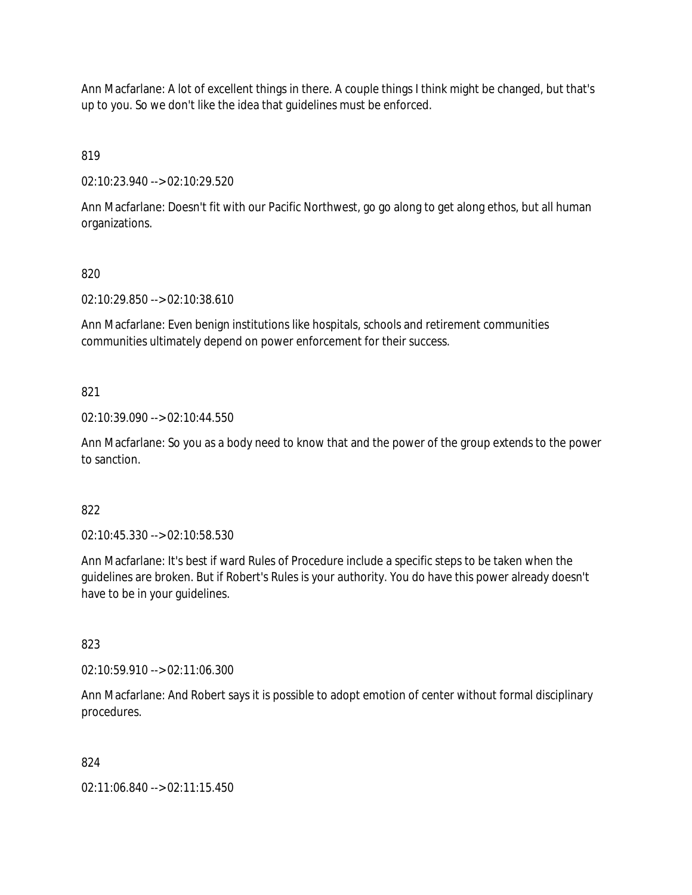Ann Macfarlane: A lot of excellent things in there. A couple things I think might be changed, but that's up to you. So we don't like the idea that guidelines must be enforced.

819

02:10:23.940 --> 02:10:29.520

Ann Macfarlane: Doesn't fit with our Pacific Northwest, go go along to get along ethos, but all human organizations.

# 820

02:10:29.850 --> 02:10:38.610

Ann Macfarlane: Even benign institutions like hospitals, schools and retirement communities communities ultimately depend on power enforcement for their success.

# 821

02:10:39.090 --> 02:10:44.550

Ann Macfarlane: So you as a body need to know that and the power of the group extends to the power to sanction.

#### 822

02:10:45.330 --> 02:10:58.530

Ann Macfarlane: It's best if ward Rules of Procedure include a specific steps to be taken when the guidelines are broken. But if Robert's Rules is your authority. You do have this power already doesn't have to be in your guidelines.

#### 823

02:10:59.910 --> 02:11:06.300

Ann Macfarlane: And Robert says it is possible to adopt emotion of center without formal disciplinary procedures.

#### 824

02:11:06.840 --> 02:11:15.450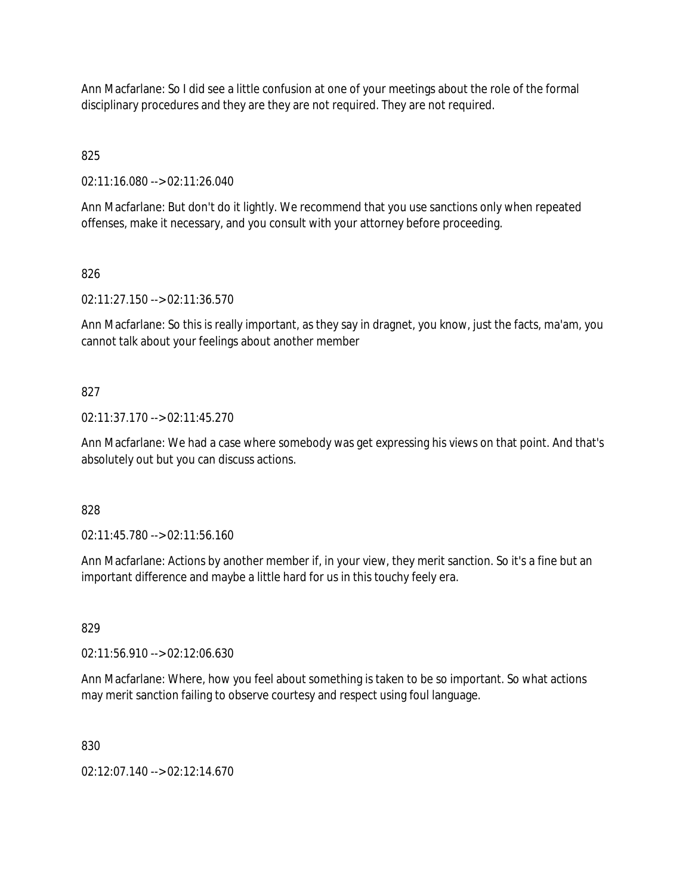Ann Macfarlane: So I did see a little confusion at one of your meetings about the role of the formal disciplinary procedures and they are they are not required. They are not required.

825

02:11:16.080 --> 02:11:26.040

Ann Macfarlane: But don't do it lightly. We recommend that you use sanctions only when repeated offenses, make it necessary, and you consult with your attorney before proceeding.

826

02:11:27.150 --> 02:11:36.570

Ann Macfarlane: So this is really important, as they say in dragnet, you know, just the facts, ma'am, you cannot talk about your feelings about another member

#### 827

02:11:37.170 --> 02:11:45.270

Ann Macfarlane: We had a case where somebody was get expressing his views on that point. And that's absolutely out but you can discuss actions.

#### 828

02:11:45.780 --> 02:11:56.160

Ann Macfarlane: Actions by another member if, in your view, they merit sanction. So it's a fine but an important difference and maybe a little hard for us in this touchy feely era.

829

02:11:56.910 --> 02:12:06.630

Ann Macfarlane: Where, how you feel about something is taken to be so important. So what actions may merit sanction failing to observe courtesy and respect using foul language.

830

02:12:07.140 --> 02:12:14.670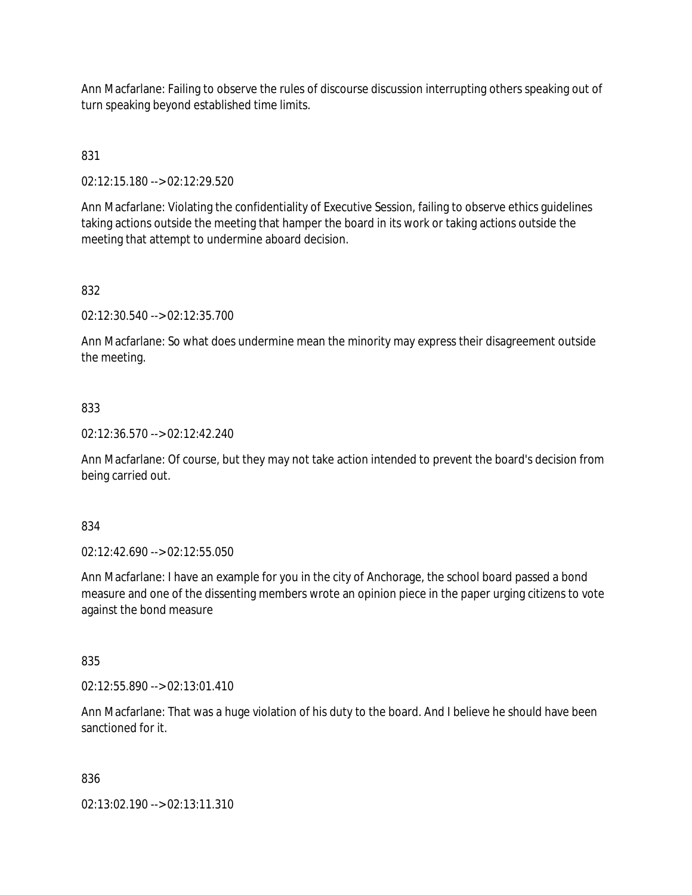Ann Macfarlane: Failing to observe the rules of discourse discussion interrupting others speaking out of turn speaking beyond established time limits.

# 831

02:12:15.180 --> 02:12:29.520

Ann Macfarlane: Violating the confidentiality of Executive Session, failing to observe ethics guidelines taking actions outside the meeting that hamper the board in its work or taking actions outside the meeting that attempt to undermine aboard decision.

# 832

02:12:30.540 --> 02:12:35.700

Ann Macfarlane: So what does undermine mean the minority may express their disagreement outside the meeting.

#### 833

02:12:36.570 --> 02:12:42.240

Ann Macfarlane: Of course, but they may not take action intended to prevent the board's decision from being carried out.

#### 834

02:12:42.690 --> 02:12:55.050

Ann Macfarlane: I have an example for you in the city of Anchorage, the school board passed a bond measure and one of the dissenting members wrote an opinion piece in the paper urging citizens to vote against the bond measure

#### 835

02:12:55.890 --> 02:13:01.410

Ann Macfarlane: That was a huge violation of his duty to the board. And I believe he should have been sanctioned for it.

#### 836

02:13:02.190 --> 02:13:11.310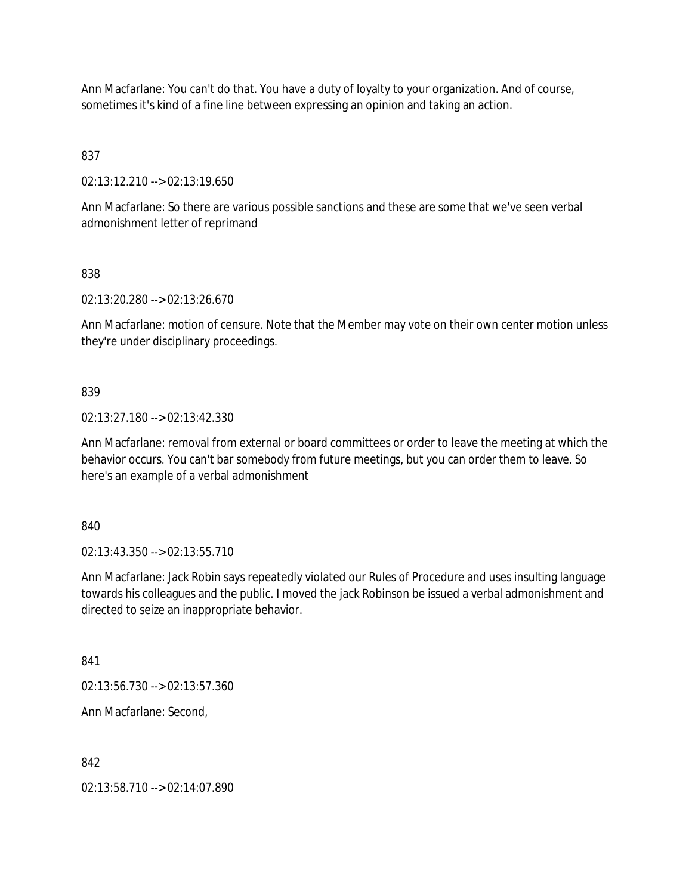Ann Macfarlane: You can't do that. You have a duty of loyalty to your organization. And of course, sometimes it's kind of a fine line between expressing an opinion and taking an action.

837

02:13:12.210 --> 02:13:19.650

Ann Macfarlane: So there are various possible sanctions and these are some that we've seen verbal admonishment letter of reprimand

838

02:13:20.280 --> 02:13:26.670

Ann Macfarlane: motion of censure. Note that the Member may vote on their own center motion unless they're under disciplinary proceedings.

839

02:13:27.180 --> 02:13:42.330

Ann Macfarlane: removal from external or board committees or order to leave the meeting at which the behavior occurs. You can't bar somebody from future meetings, but you can order them to leave. So here's an example of a verbal admonishment

840

02:13:43.350 --> 02:13:55.710

Ann Macfarlane: Jack Robin says repeatedly violated our Rules of Procedure and uses insulting language towards his colleagues and the public. I moved the jack Robinson be issued a verbal admonishment and directed to seize an inappropriate behavior.

841

02:13:56.730 --> 02:13:57.360

Ann Macfarlane: Second,

842

02:13:58.710 --> 02:14:07.890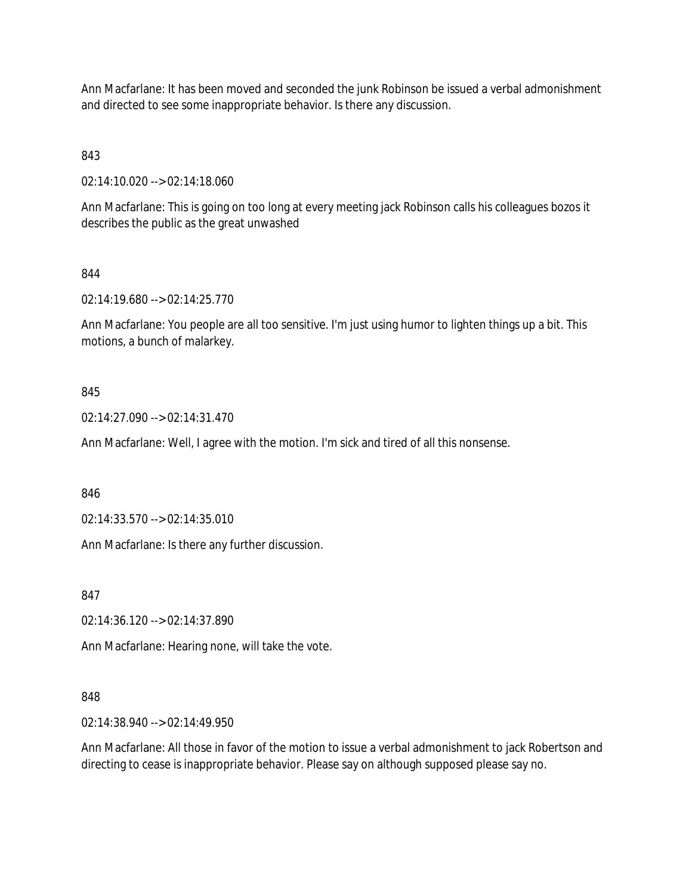Ann Macfarlane: It has been moved and seconded the junk Robinson be issued a verbal admonishment and directed to see some inappropriate behavior. Is there any discussion.

# 843

02:14:10.020 --> 02:14:18.060

Ann Macfarlane: This is going on too long at every meeting jack Robinson calls his colleagues bozos it describes the public as the great unwashed

# 844

02:14:19.680 --> 02:14:25.770

Ann Macfarlane: You people are all too sensitive. I'm just using humor to lighten things up a bit. This motions, a bunch of malarkey.

# 845

02:14:27.090 --> 02:14:31.470

Ann Macfarlane: Well, I agree with the motion. I'm sick and tired of all this nonsense.

846

02:14:33.570 --> 02:14:35.010

Ann Macfarlane: Is there any further discussion.

847

02:14:36.120 --> 02:14:37.890

Ann Macfarlane: Hearing none, will take the vote.

#### 848

02:14:38.940 --> 02:14:49.950

Ann Macfarlane: All those in favor of the motion to issue a verbal admonishment to jack Robertson and directing to cease is inappropriate behavior. Please say on although supposed please say no.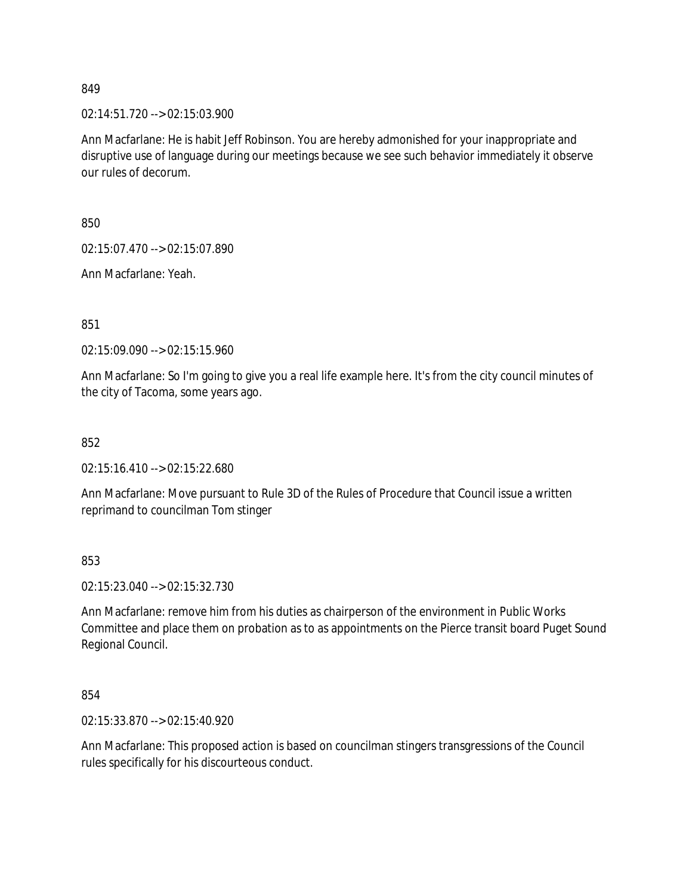02:14:51.720 --> 02:15:03.900

Ann Macfarlane: He is habit Jeff Robinson. You are hereby admonished for your inappropriate and disruptive use of language during our meetings because we see such behavior immediately it observe our rules of decorum.

850

02:15:07.470 --> 02:15:07.890

Ann Macfarlane: Yeah.

851

02:15:09.090 --> 02:15:15.960

Ann Macfarlane: So I'm going to give you a real life example here. It's from the city council minutes of the city of Tacoma, some years ago.

852

02:15:16.410 --> 02:15:22.680

Ann Macfarlane: Move pursuant to Rule 3D of the Rules of Procedure that Council issue a written reprimand to councilman Tom stinger

853

02:15:23.040 --> 02:15:32.730

Ann Macfarlane: remove him from his duties as chairperson of the environment in Public Works Committee and place them on probation as to as appointments on the Pierce transit board Puget Sound Regional Council.

854

02:15:33.870 --> 02:15:40.920

Ann Macfarlane: This proposed action is based on councilman stingers transgressions of the Council rules specifically for his discourteous conduct.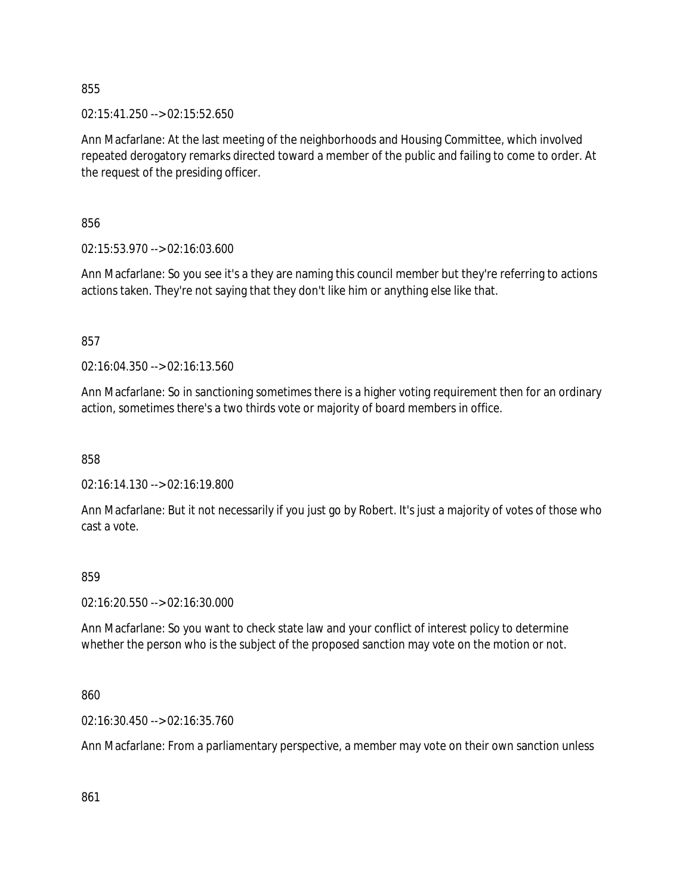02:15:41.250 --> 02:15:52.650

Ann Macfarlane: At the last meeting of the neighborhoods and Housing Committee, which involved repeated derogatory remarks directed toward a member of the public and failing to come to order. At the request of the presiding officer.

856

02:15:53.970 --> 02:16:03.600

Ann Macfarlane: So you see it's a they are naming this council member but they're referring to actions actions taken. They're not saying that they don't like him or anything else like that.

857

02:16:04.350 --> 02:16:13.560

Ann Macfarlane: So in sanctioning sometimes there is a higher voting requirement then for an ordinary action, sometimes there's a two thirds vote or majority of board members in office.

858

02:16:14.130 --> 02:16:19.800

Ann Macfarlane: But it not necessarily if you just go by Robert. It's just a majority of votes of those who cast a vote.

#### 859

02:16:20.550 --> 02:16:30.000

Ann Macfarlane: So you want to check state law and your conflict of interest policy to determine whether the person who is the subject of the proposed sanction may vote on the motion or not.

860

02:16:30.450 --> 02:16:35.760

Ann Macfarlane: From a parliamentary perspective, a member may vote on their own sanction unless

861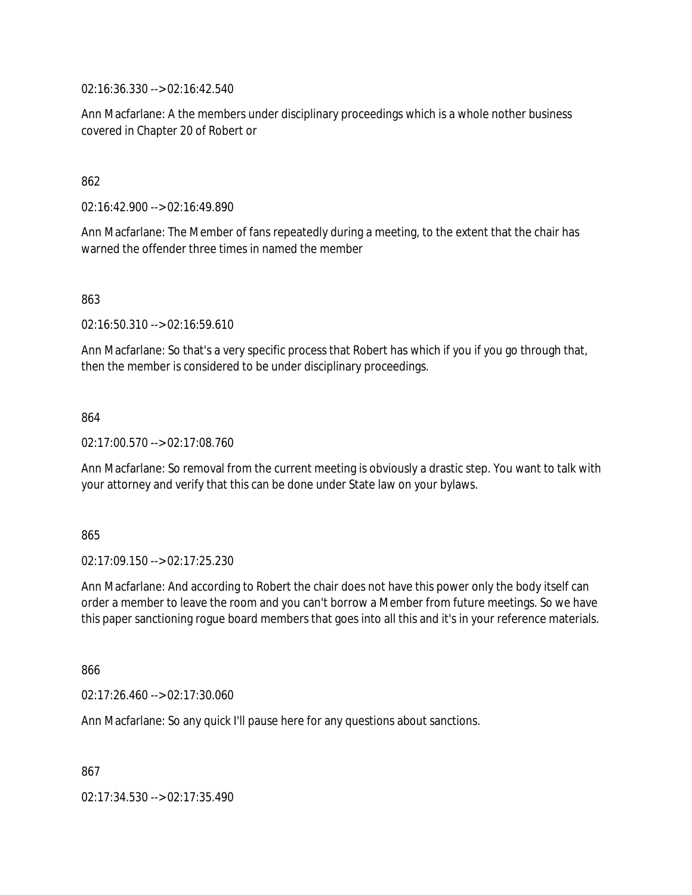02:16:36.330 --> 02:16:42.540

Ann Macfarlane: A the members under disciplinary proceedings which is a whole nother business covered in Chapter 20 of Robert or

#### 862

02:16:42.900 --> 02:16:49.890

Ann Macfarlane: The Member of fans repeatedly during a meeting, to the extent that the chair has warned the offender three times in named the member

863

02:16:50.310 --> 02:16:59.610

Ann Macfarlane: So that's a very specific process that Robert has which if you if you go through that, then the member is considered to be under disciplinary proceedings.

#### 864

02:17:00.570 --> 02:17:08.760

Ann Macfarlane: So removal from the current meeting is obviously a drastic step. You want to talk with your attorney and verify that this can be done under State law on your bylaws.

#### 865

02:17:09.150 --> 02:17:25.230

Ann Macfarlane: And according to Robert the chair does not have this power only the body itself can order a member to leave the room and you can't borrow a Member from future meetings. So we have this paper sanctioning rogue board members that goes into all this and it's in your reference materials.

866

02:17:26.460 --> 02:17:30.060

Ann Macfarlane: So any quick I'll pause here for any questions about sanctions.

867

02:17:34.530 --> 02:17:35.490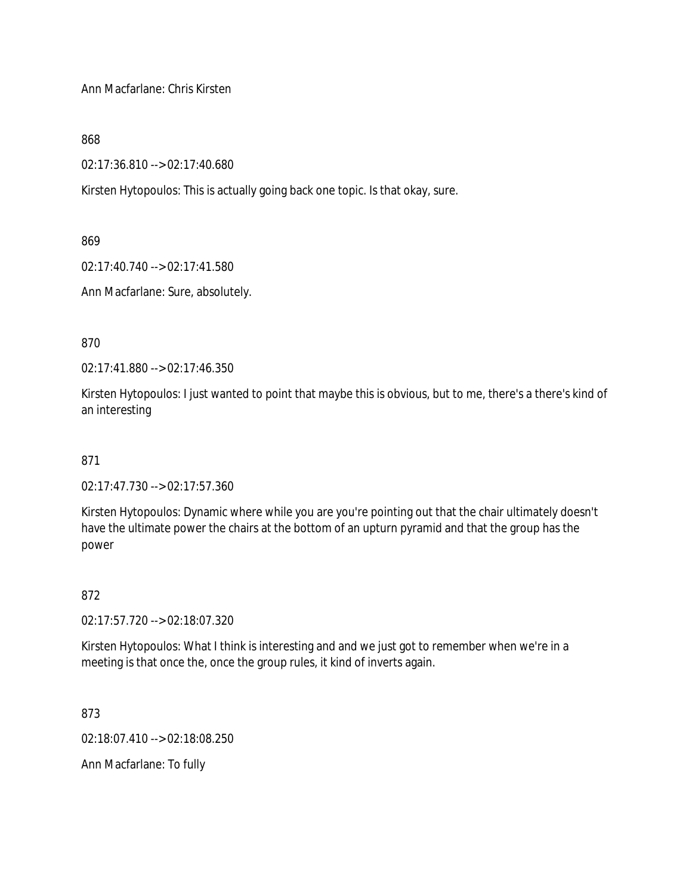Ann Macfarlane: Chris Kirsten

868

02:17:36.810 --> 02:17:40.680

Kirsten Hytopoulos: This is actually going back one topic. Is that okay, sure.

869

02:17:40.740 --> 02:17:41.580

Ann Macfarlane: Sure, absolutely.

870

02:17:41.880 --> 02:17:46.350

Kirsten Hytopoulos: I just wanted to point that maybe this is obvious, but to me, there's a there's kind of an interesting

871

02:17:47.730 --> 02:17:57.360

Kirsten Hytopoulos: Dynamic where while you are you're pointing out that the chair ultimately doesn't have the ultimate power the chairs at the bottom of an upturn pyramid and that the group has the power

872

02:17:57.720 --> 02:18:07.320

Kirsten Hytopoulos: What I think is interesting and and we just got to remember when we're in a meeting is that once the, once the group rules, it kind of inverts again.

873

02:18:07.410 --> 02:18:08.250

Ann Macfarlane: To fully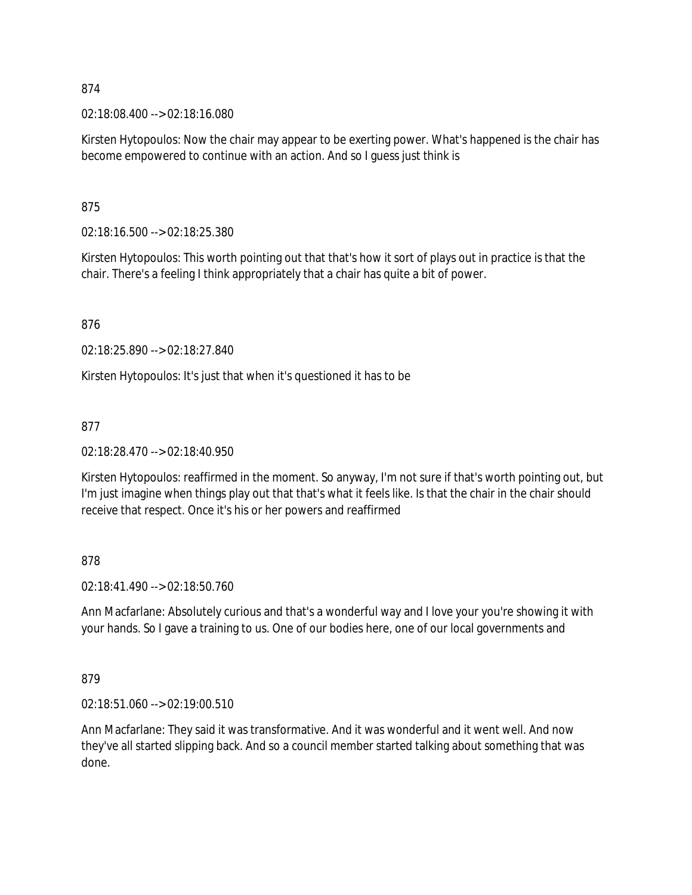02:18:08.400 --> 02:18:16.080

Kirsten Hytopoulos: Now the chair may appear to be exerting power. What's happened is the chair has become empowered to continue with an action. And so I guess just think is

875

02:18:16.500 --> 02:18:25.380

Kirsten Hytopoulos: This worth pointing out that that's how it sort of plays out in practice is that the chair. There's a feeling I think appropriately that a chair has quite a bit of power.

876

02:18:25.890 --> 02:18:27.840

Kirsten Hytopoulos: It's just that when it's questioned it has to be

877

02:18:28.470 --> 02:18:40.950

Kirsten Hytopoulos: reaffirmed in the moment. So anyway, I'm not sure if that's worth pointing out, but I'm just imagine when things play out that that's what it feels like. Is that the chair in the chair should receive that respect. Once it's his or her powers and reaffirmed

878

02:18:41.490 --> 02:18:50.760

Ann Macfarlane: Absolutely curious and that's a wonderful way and I love your you're showing it with your hands. So I gave a training to us. One of our bodies here, one of our local governments and

879

02:18:51.060 --> 02:19:00.510

Ann Macfarlane: They said it was transformative. And it was wonderful and it went well. And now they've all started slipping back. And so a council member started talking about something that was done.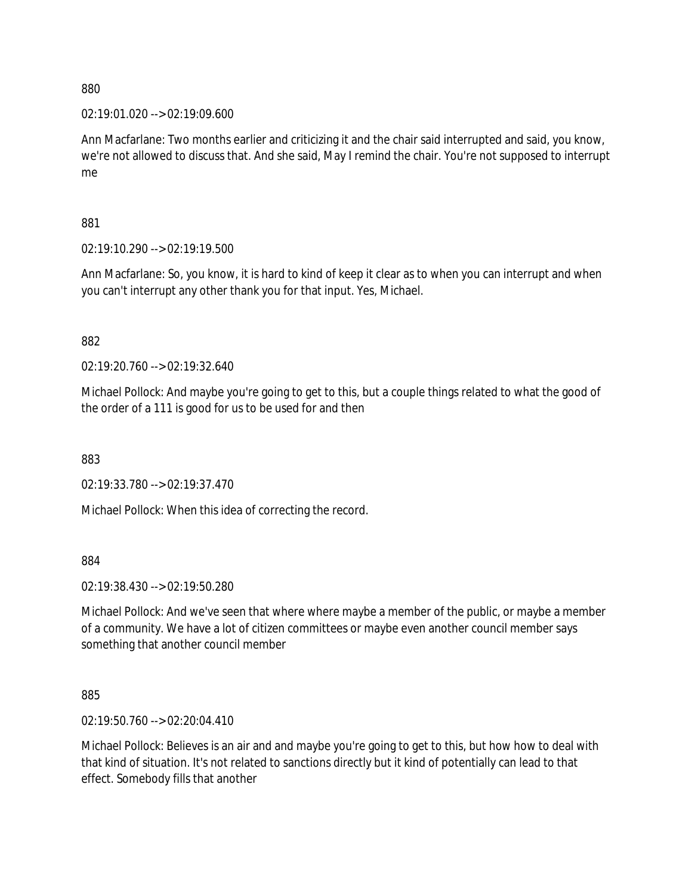02:19:01.020 --> 02:19:09.600

Ann Macfarlane: Two months earlier and criticizing it and the chair said interrupted and said, you know, we're not allowed to discuss that. And she said, May I remind the chair. You're not supposed to interrupt me

881

02:19:10.290 --> 02:19:19.500

Ann Macfarlane: So, you know, it is hard to kind of keep it clear as to when you can interrupt and when you can't interrupt any other thank you for that input. Yes, Michael.

882

02:19:20.760 --> 02:19:32.640

Michael Pollock: And maybe you're going to get to this, but a couple things related to what the good of the order of a 111 is good for us to be used for and then

883

02:19:33.780 --> 02:19:37.470

Michael Pollock: When this idea of correcting the record.

884

02:19:38.430 --> 02:19:50.280

Michael Pollock: And we've seen that where where maybe a member of the public, or maybe a member of a community. We have a lot of citizen committees or maybe even another council member says something that another council member

885

02:19:50.760 --> 02:20:04.410

Michael Pollock: Believes is an air and and maybe you're going to get to this, but how how to deal with that kind of situation. It's not related to sanctions directly but it kind of potentially can lead to that effect. Somebody fills that another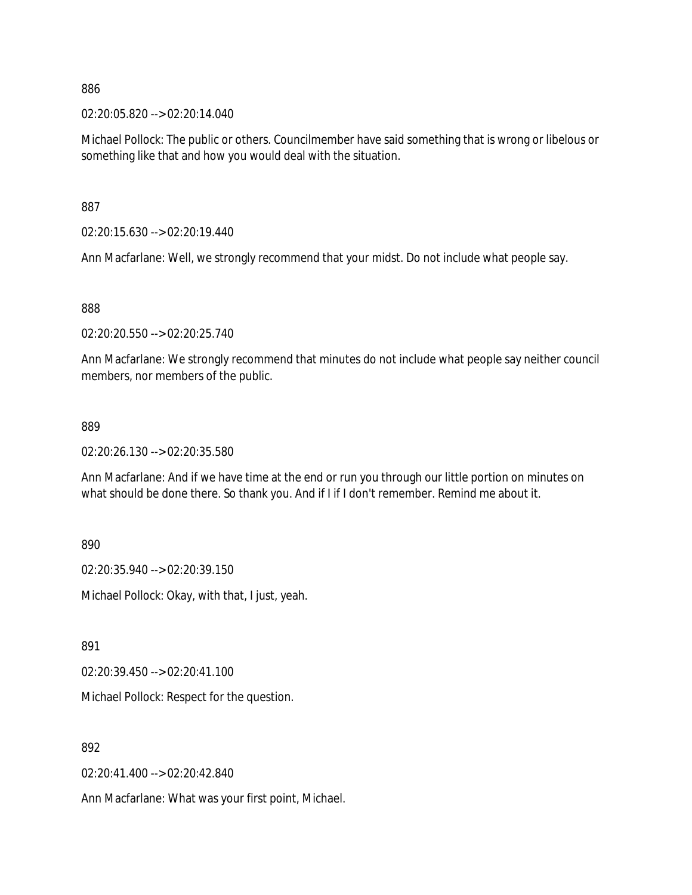02:20:05.820 --> 02:20:14.040

Michael Pollock: The public or others. Councilmember have said something that is wrong or libelous or something like that and how you would deal with the situation.

887

02:20:15.630 --> 02:20:19.440

Ann Macfarlane: Well, we strongly recommend that your midst. Do not include what people say.

888

02:20:20.550 --> 02:20:25.740

Ann Macfarlane: We strongly recommend that minutes do not include what people say neither council members, nor members of the public.

#### 889

02:20:26.130 --> 02:20:35.580

Ann Macfarlane: And if we have time at the end or run you through our little portion on minutes on what should be done there. So thank you. And if I if I don't remember. Remind me about it.

890

02:20:35.940 --> 02:20:39.150

Michael Pollock: Okay, with that, I just, yeah.

891

02:20:39.450 --> 02:20:41.100

Michael Pollock: Respect for the question.

892

02:20:41.400 --> 02:20:42.840

Ann Macfarlane: What was your first point, Michael.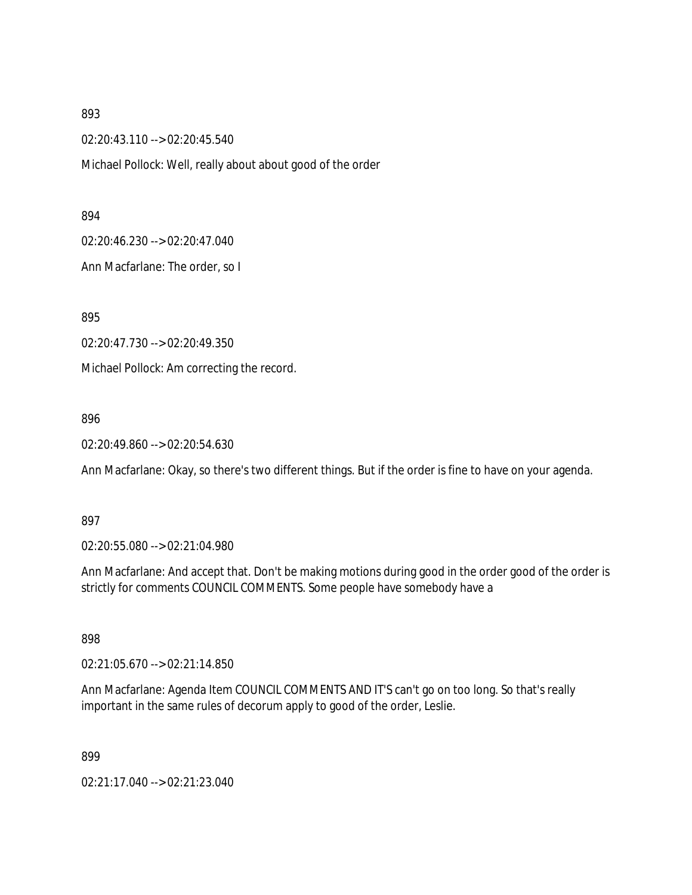02:20:43.110 --> 02:20:45.540

Michael Pollock: Well, really about about good of the order

894

02:20:46.230 --> 02:20:47.040

Ann Macfarlane: The order, so I

895

02:20:47.730 --> 02:20:49.350

Michael Pollock: Am correcting the record.

896

02:20:49.860 --> 02:20:54.630

Ann Macfarlane: Okay, so there's two different things. But if the order is fine to have on your agenda.

897

02:20:55.080 --> 02:21:04.980

Ann Macfarlane: And accept that. Don't be making motions during good in the order good of the order is strictly for comments COUNCIL COMMENTS. Some people have somebody have a

898

02:21:05.670 --> 02:21:14.850

Ann Macfarlane: Agenda Item COUNCIL COMMENTS AND IT'S can't go on too long. So that's really important in the same rules of decorum apply to good of the order, Leslie.

899

02:21:17.040 --> 02:21:23.040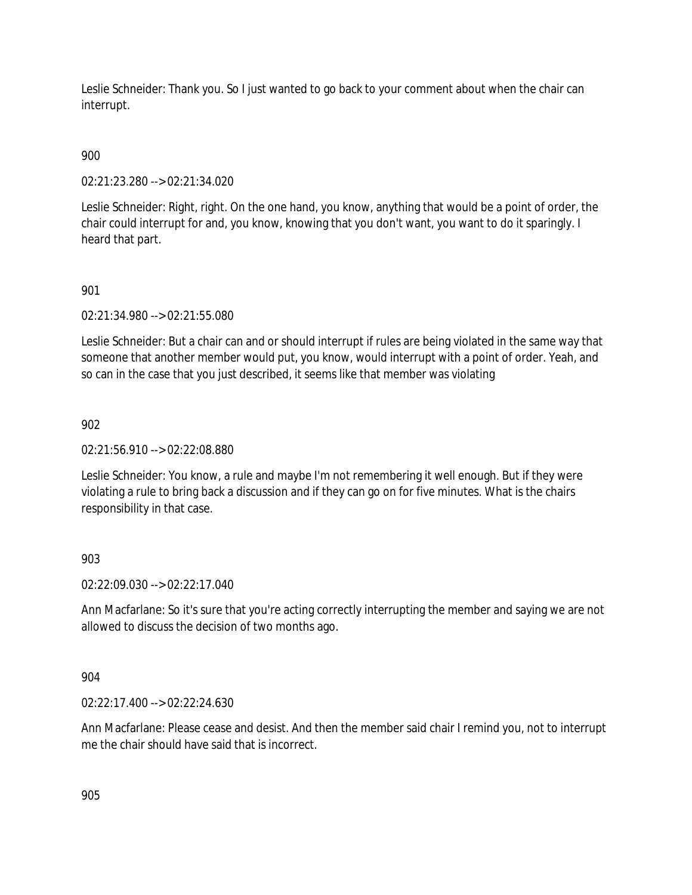Leslie Schneider: Thank you. So I just wanted to go back to your comment about when the chair can interrupt.

# 900

02:21:23.280 --> 02:21:34.020

Leslie Schneider: Right, right. On the one hand, you know, anything that would be a point of order, the chair could interrupt for and, you know, knowing that you don't want, you want to do it sparingly. I heard that part.

## 901

02:21:34.980 --> 02:21:55.080

Leslie Schneider: But a chair can and or should interrupt if rules are being violated in the same way that someone that another member would put, you know, would interrupt with a point of order. Yeah, and so can in the case that you just described, it seems like that member was violating

## 902

02:21:56.910 --> 02:22:08.880

Leslie Schneider: You know, a rule and maybe I'm not remembering it well enough. But if they were violating a rule to bring back a discussion and if they can go on for five minutes. What is the chairs responsibility in that case.

#### 903

02:22:09.030 --> 02:22:17.040

Ann Macfarlane: So it's sure that you're acting correctly interrupting the member and saying we are not allowed to discuss the decision of two months ago.

#### 904

02:22:17.400 --> 02:22:24.630

Ann Macfarlane: Please cease and desist. And then the member said chair I remind you, not to interrupt me the chair should have said that is incorrect.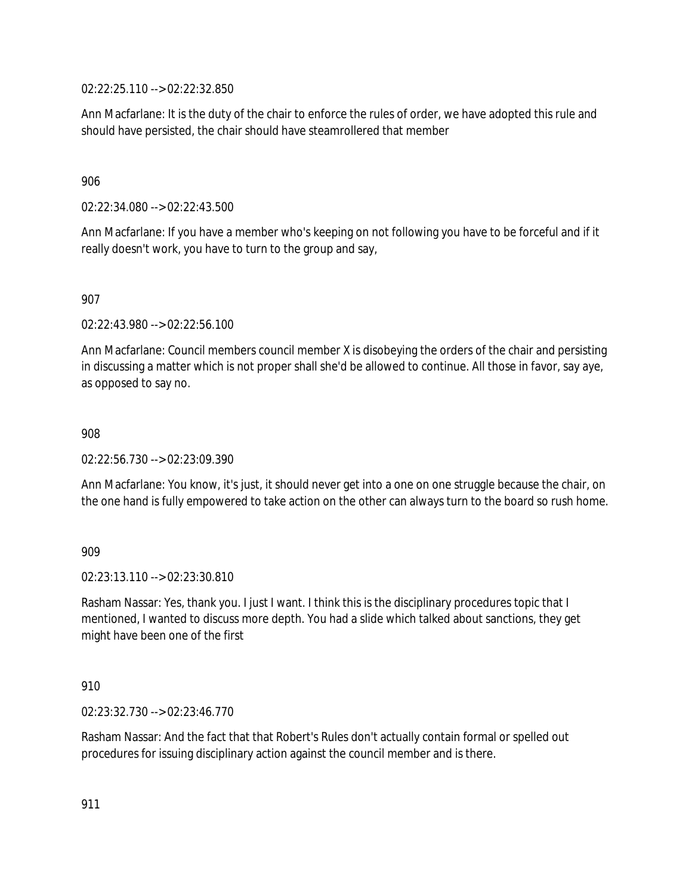02:22:25.110 --> 02:22:32.850

Ann Macfarlane: It is the duty of the chair to enforce the rules of order, we have adopted this rule and should have persisted, the chair should have steamrollered that member

### 906

02:22:34.080 --> 02:22:43.500

Ann Macfarlane: If you have a member who's keeping on not following you have to be forceful and if it really doesn't work, you have to turn to the group and say,

## 907

02:22:43.980 --> 02:22:56.100

Ann Macfarlane: Council members council member X is disobeying the orders of the chair and persisting in discussing a matter which is not proper shall she'd be allowed to continue. All those in favor, say aye, as opposed to say no.

#### 908

02:22:56.730 --> 02:23:09.390

Ann Macfarlane: You know, it's just, it should never get into a one on one struggle because the chair, on the one hand is fully empowered to take action on the other can always turn to the board so rush home.

#### 909

02:23:13.110 --> 02:23:30.810

Rasham Nassar: Yes, thank you. I just I want. I think this is the disciplinary procedures topic that I mentioned, I wanted to discuss more depth. You had a slide which talked about sanctions, they get might have been one of the first

#### 910

02:23:32.730 --> 02:23:46.770

Rasham Nassar: And the fact that that Robert's Rules don't actually contain formal or spelled out procedures for issuing disciplinary action against the council member and is there.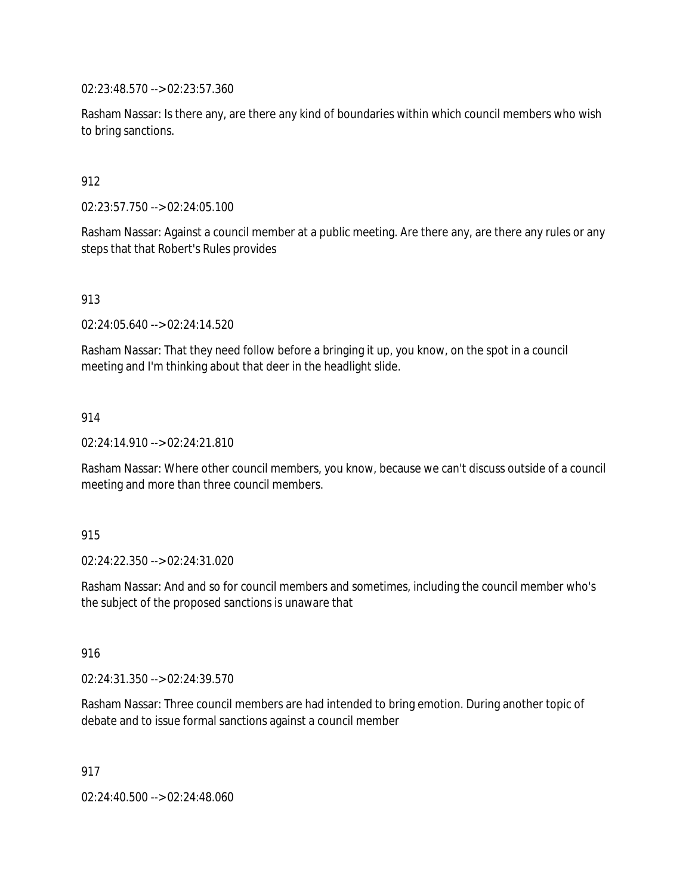02:23:48.570 --> 02:23:57.360

Rasham Nassar: Is there any, are there any kind of boundaries within which council members who wish to bring sanctions.

912

02:23:57.750 --> 02:24:05.100

Rasham Nassar: Against a council member at a public meeting. Are there any, are there any rules or any steps that that Robert's Rules provides

913

02:24:05.640 --> 02:24:14.520

Rasham Nassar: That they need follow before a bringing it up, you know, on the spot in a council meeting and I'm thinking about that deer in the headlight slide.

914

02:24:14.910 --> 02:24:21.810

Rasham Nassar: Where other council members, you know, because we can't discuss outside of a council meeting and more than three council members.

915

02:24:22.350 --> 02:24:31.020

Rasham Nassar: And and so for council members and sometimes, including the council member who's the subject of the proposed sanctions is unaware that

916

02:24:31.350 --> 02:24:39.570

Rasham Nassar: Three council members are had intended to bring emotion. During another topic of debate and to issue formal sanctions against a council member

917

02:24:40.500 --> 02:24:48.060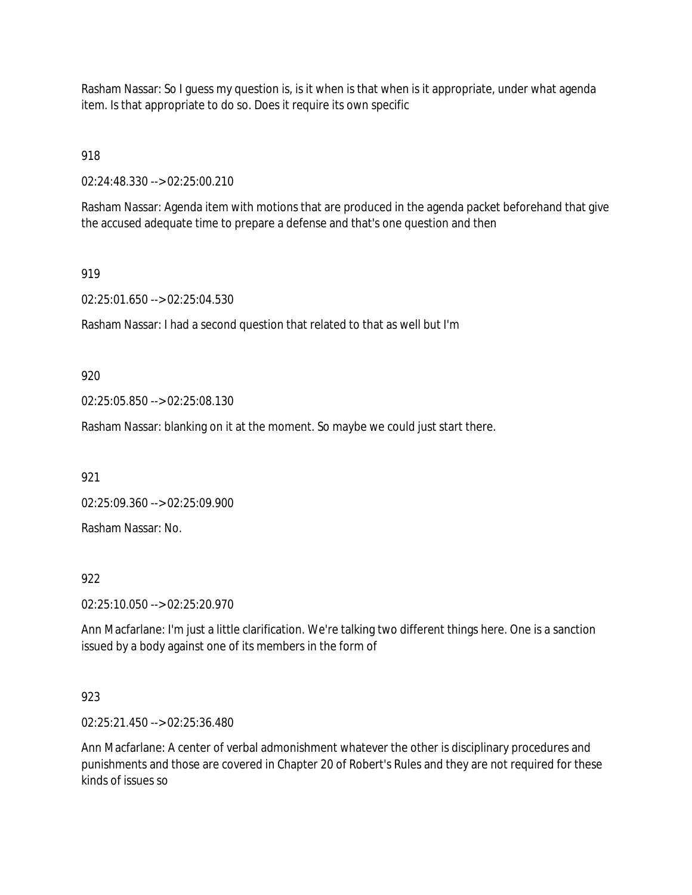Rasham Nassar: So I guess my question is, is it when is that when is it appropriate, under what agenda item. Is that appropriate to do so. Does it require its own specific

918

02:24:48.330 --> 02:25:00.210

Rasham Nassar: Agenda item with motions that are produced in the agenda packet beforehand that give the accused adequate time to prepare a defense and that's one question and then

#### 919

02:25:01.650 --> 02:25:04.530

Rasham Nassar: I had a second question that related to that as well but I'm

920

02:25:05.850 --> 02:25:08.130

Rasham Nassar: blanking on it at the moment. So maybe we could just start there.

921

02:25:09.360 --> 02:25:09.900

Rasham Nassar: No.

922

02:25:10.050 --> 02:25:20.970

Ann Macfarlane: I'm just a little clarification. We're talking two different things here. One is a sanction issued by a body against one of its members in the form of

### 923

02:25:21.450 --> 02:25:36.480

Ann Macfarlane: A center of verbal admonishment whatever the other is disciplinary procedures and punishments and those are covered in Chapter 20 of Robert's Rules and they are not required for these kinds of issues so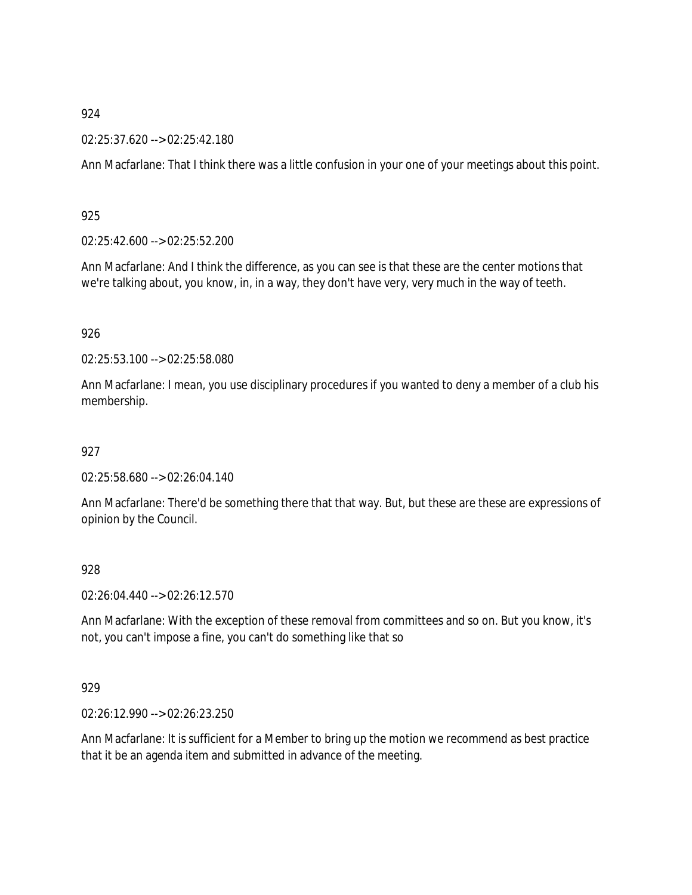#### 02:25:37.620 --> 02:25:42.180

Ann Macfarlane: That I think there was a little confusion in your one of your meetings about this point.

925

02:25:42.600 --> 02:25:52.200

Ann Macfarlane: And I think the difference, as you can see is that these are the center motions that we're talking about, you know, in, in a way, they don't have very, very much in the way of teeth.

926

02:25:53.100 --> 02:25:58.080

Ann Macfarlane: I mean, you use disciplinary procedures if you wanted to deny a member of a club his membership.

927

02:25:58.680 --> 02:26:04.140

Ann Macfarlane: There'd be something there that that way. But, but these are these are expressions of opinion by the Council.

928

02:26:04.440 --> 02:26:12.570

Ann Macfarlane: With the exception of these removal from committees and so on. But you know, it's not, you can't impose a fine, you can't do something like that so

929

02:26:12.990 --> 02:26:23.250

Ann Macfarlane: It is sufficient for a Member to bring up the motion we recommend as best practice that it be an agenda item and submitted in advance of the meeting.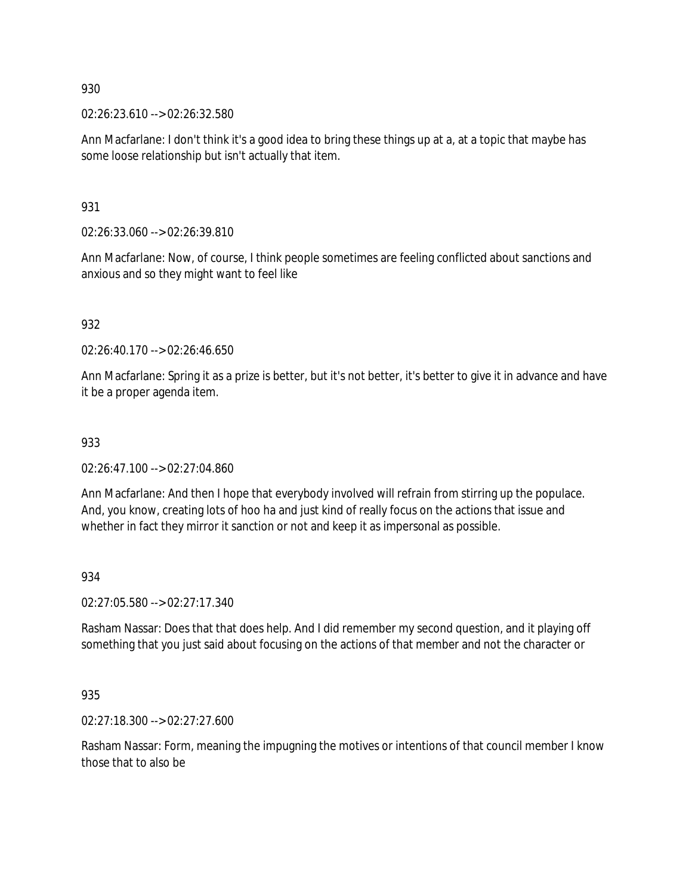02:26:23.610 --> 02:26:32.580

Ann Macfarlane: I don't think it's a good idea to bring these things up at a, at a topic that maybe has some loose relationship but isn't actually that item.

931

02:26:33.060 --> 02:26:39.810

Ann Macfarlane: Now, of course, I think people sometimes are feeling conflicted about sanctions and anxious and so they might want to feel like

932

02:26:40.170 --> 02:26:46.650

Ann Macfarlane: Spring it as a prize is better, but it's not better, it's better to give it in advance and have it be a proper agenda item.

### 933

02:26:47.100 --> 02:27:04.860

Ann Macfarlane: And then I hope that everybody involved will refrain from stirring up the populace. And, you know, creating lots of hoo ha and just kind of really focus on the actions that issue and whether in fact they mirror it sanction or not and keep it as impersonal as possible.

#### 934

02:27:05.580 --> 02:27:17.340

Rasham Nassar: Does that that does help. And I did remember my second question, and it playing off something that you just said about focusing on the actions of that member and not the character or

935

02:27:18.300 --> 02:27:27.600

Rasham Nassar: Form, meaning the impugning the motives or intentions of that council member I know those that to also be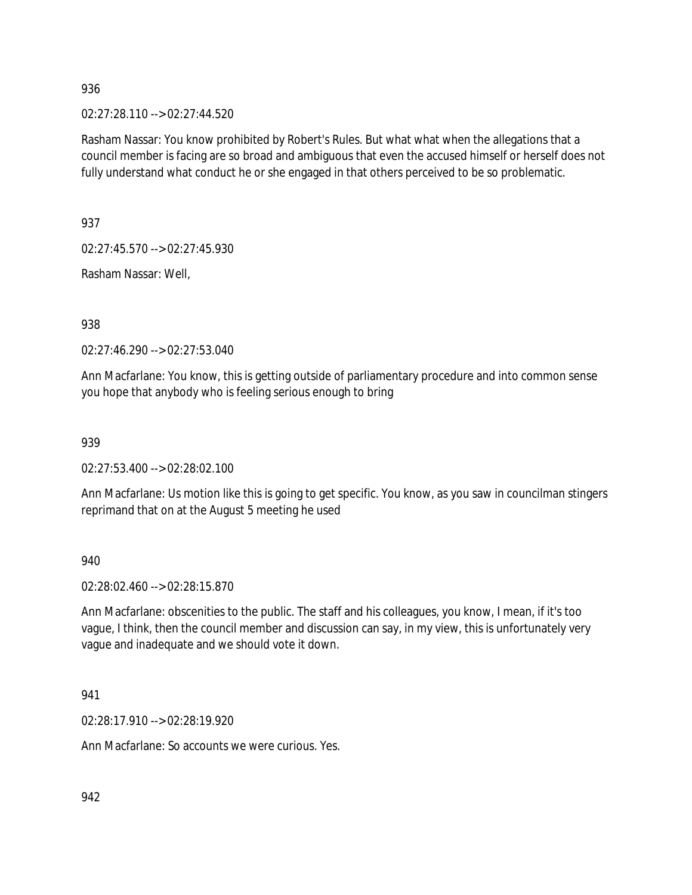02:27:28.110 --> 02:27:44.520

Rasham Nassar: You know prohibited by Robert's Rules. But what what when the allegations that a council member is facing are so broad and ambiguous that even the accused himself or herself does not fully understand what conduct he or she engaged in that others perceived to be so problematic.

937

02:27:45.570 --> 02:27:45.930

Rasham Nassar: Well,

938

02:27:46.290 --> 02:27:53.040

Ann Macfarlane: You know, this is getting outside of parliamentary procedure and into common sense you hope that anybody who is feeling serious enough to bring

939

02:27:53.400 --> 02:28:02.100

Ann Macfarlane: Us motion like this is going to get specific. You know, as you saw in councilman stingers reprimand that on at the August 5 meeting he used

940

02:28:02.460 --> 02:28:15.870

Ann Macfarlane: obscenities to the public. The staff and his colleagues, you know, I mean, if it's too vague, I think, then the council member and discussion can say, in my view, this is unfortunately very vague and inadequate and we should vote it down.

941

02:28:17.910 --> 02:28:19.920

Ann Macfarlane: So accounts we were curious. Yes.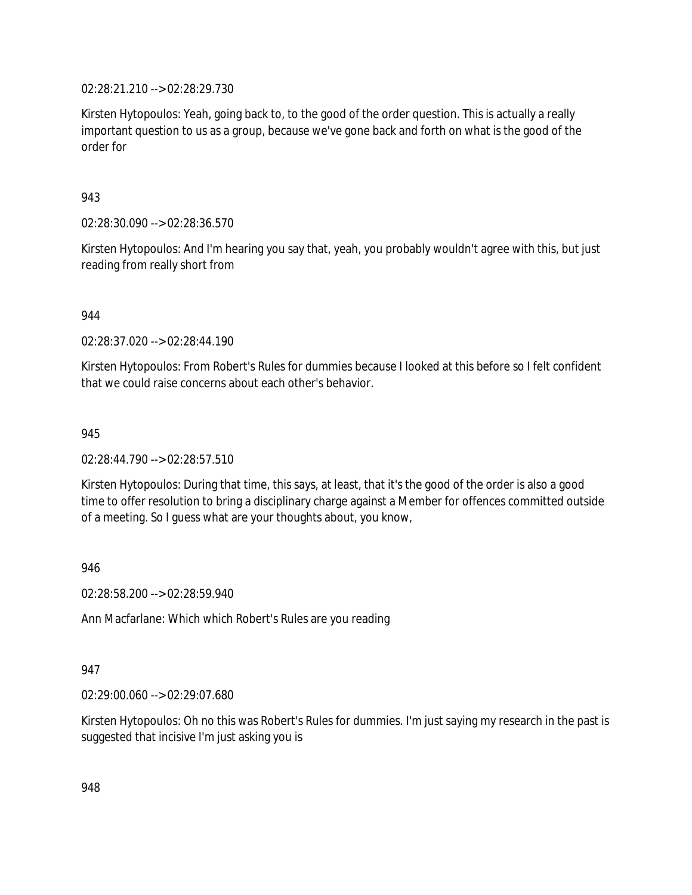02:28:21.210 --> 02:28:29.730

Kirsten Hytopoulos: Yeah, going back to, to the good of the order question. This is actually a really important question to us as a group, because we've gone back and forth on what is the good of the order for

943

02:28:30.090 --> 02:28:36.570

Kirsten Hytopoulos: And I'm hearing you say that, yeah, you probably wouldn't agree with this, but just reading from really short from

944

02:28:37.020 --> 02:28:44.190

Kirsten Hytopoulos: From Robert's Rules for dummies because I looked at this before so I felt confident that we could raise concerns about each other's behavior.

945

02:28:44.790 --> 02:28:57.510

Kirsten Hytopoulos: During that time, this says, at least, that it's the good of the order is also a good time to offer resolution to bring a disciplinary charge against a Member for offences committed outside of a meeting. So I guess what are your thoughts about, you know,

946

02:28:58.200 --> 02:28:59.940

Ann Macfarlane: Which which Robert's Rules are you reading

947

02:29:00.060 --> 02:29:07.680

Kirsten Hytopoulos: Oh no this was Robert's Rules for dummies. I'm just saying my research in the past is suggested that incisive I'm just asking you is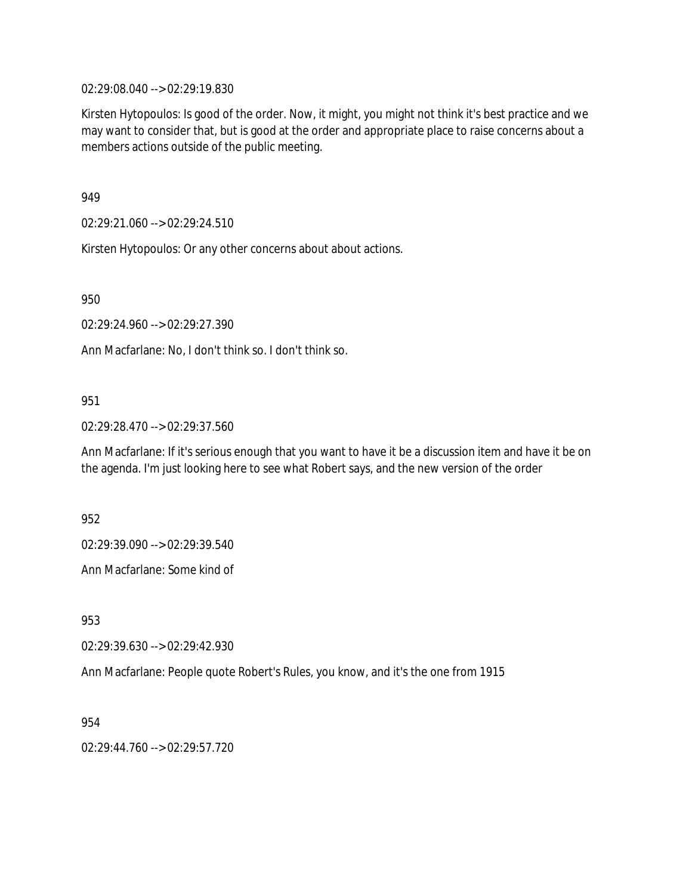02:29:08.040 --> 02:29:19.830

Kirsten Hytopoulos: Is good of the order. Now, it might, you might not think it's best practice and we may want to consider that, but is good at the order and appropriate place to raise concerns about a members actions outside of the public meeting.

949

02:29:21.060 --> 02:29:24.510

Kirsten Hytopoulos: Or any other concerns about about actions.

950

02:29:24.960 --> 02:29:27.390

Ann Macfarlane: No, I don't think so. I don't think so.

#### 951

02:29:28.470 --> 02:29:37.560

Ann Macfarlane: If it's serious enough that you want to have it be a discussion item and have it be on the agenda. I'm just looking here to see what Robert says, and the new version of the order

952

02:29:39.090 --> 02:29:39.540

Ann Macfarlane: Some kind of

953

02:29:39.630 --> 02:29:42.930

Ann Macfarlane: People quote Robert's Rules, you know, and it's the one from 1915

954

02:29:44.760 --> 02:29:57.720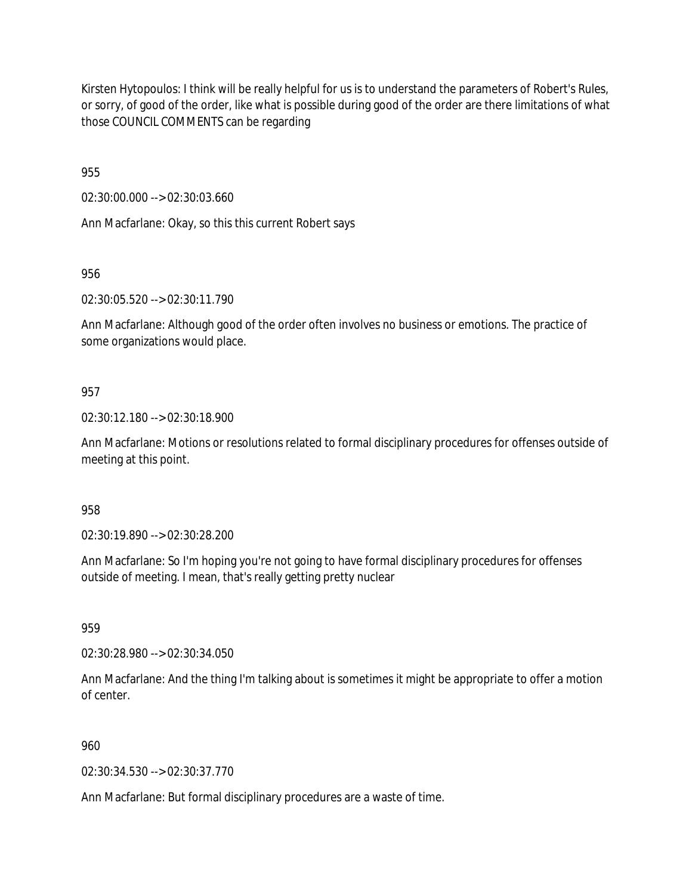Kirsten Hytopoulos: I think will be really helpful for us is to understand the parameters of Robert's Rules, or sorry, of good of the order, like what is possible during good of the order are there limitations of what those COUNCIL COMMENTS can be regarding

955

02:30:00.000 --> 02:30:03.660

Ann Macfarlane: Okay, so this this current Robert says

956

02:30:05.520 --> 02:30:11.790

Ann Macfarlane: Although good of the order often involves no business or emotions. The practice of some organizations would place.

#### 957

02:30:12.180 --> 02:30:18.900

Ann Macfarlane: Motions or resolutions related to formal disciplinary procedures for offenses outside of meeting at this point.

958

02:30:19.890 --> 02:30:28.200

Ann Macfarlane: So I'm hoping you're not going to have formal disciplinary procedures for offenses outside of meeting. I mean, that's really getting pretty nuclear

959

02:30:28.980 --> 02:30:34.050

Ann Macfarlane: And the thing I'm talking about is sometimes it might be appropriate to offer a motion of center.

#### 960

02:30:34.530 --> 02:30:37.770

Ann Macfarlane: But formal disciplinary procedures are a waste of time.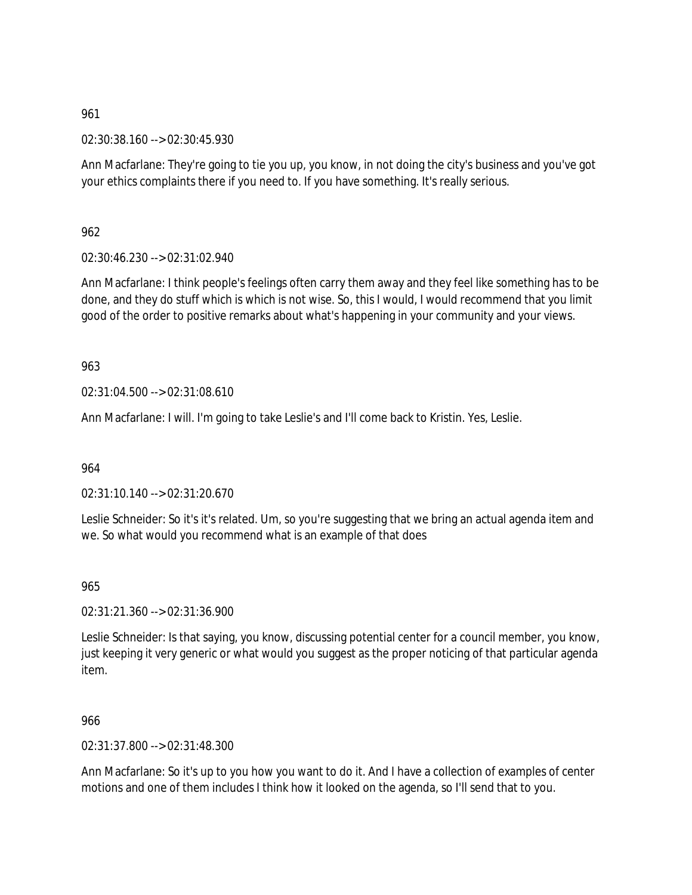02:30:38.160 --> 02:30:45.930

Ann Macfarlane: They're going to tie you up, you know, in not doing the city's business and you've got your ethics complaints there if you need to. If you have something. It's really serious.

962

02:30:46.230 --> 02:31:02.940

Ann Macfarlane: I think people's feelings often carry them away and they feel like something has to be done, and they do stuff which is which is not wise. So, this I would, I would recommend that you limit good of the order to positive remarks about what's happening in your community and your views.

963

02:31:04.500 --> 02:31:08.610

Ann Macfarlane: I will. I'm going to take Leslie's and I'll come back to Kristin. Yes, Leslie.

964

02:31:10.140 --> 02:31:20.670

Leslie Schneider: So it's it's related. Um, so you're suggesting that we bring an actual agenda item and we. So what would you recommend what is an example of that does

965

02:31:21.360 --> 02:31:36.900

Leslie Schneider: Is that saying, you know, discussing potential center for a council member, you know, just keeping it very generic or what would you suggest as the proper noticing of that particular agenda item.

966

02:31:37.800 --> 02:31:48.300

Ann Macfarlane: So it's up to you how you want to do it. And I have a collection of examples of center motions and one of them includes I think how it looked on the agenda, so I'll send that to you.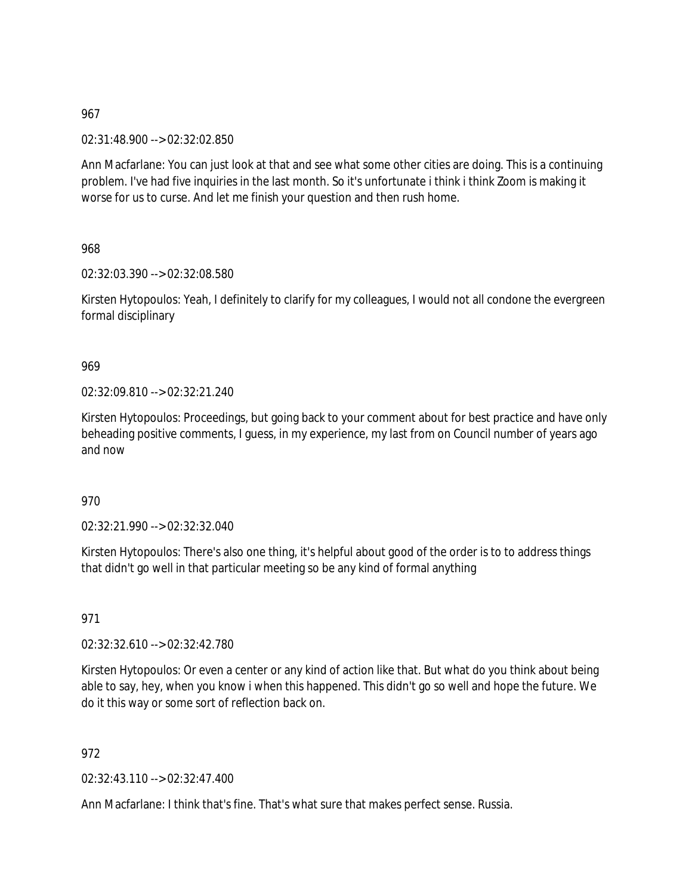02:31:48.900 --> 02:32:02.850

Ann Macfarlane: You can just look at that and see what some other cities are doing. This is a continuing problem. I've had five inquiries in the last month. So it's unfortunate i think i think Zoom is making it worse for us to curse. And let me finish your question and then rush home.

968

02:32:03.390 --> 02:32:08.580

Kirsten Hytopoulos: Yeah, I definitely to clarify for my colleagues, I would not all condone the evergreen formal disciplinary

969

02:32:09.810 --> 02:32:21.240

Kirsten Hytopoulos: Proceedings, but going back to your comment about for best practice and have only beheading positive comments, I guess, in my experience, my last from on Council number of years ago and now

970

02:32:21.990 --> 02:32:32.040

Kirsten Hytopoulos: There's also one thing, it's helpful about good of the order is to to address things that didn't go well in that particular meeting so be any kind of formal anything

971

02:32:32.610 --> 02:32:42.780

Kirsten Hytopoulos: Or even a center or any kind of action like that. But what do you think about being able to say, hey, when you know i when this happened. This didn't go so well and hope the future. We do it this way or some sort of reflection back on.

972

02:32:43.110 --> 02:32:47.400

Ann Macfarlane: I think that's fine. That's what sure that makes perfect sense. Russia.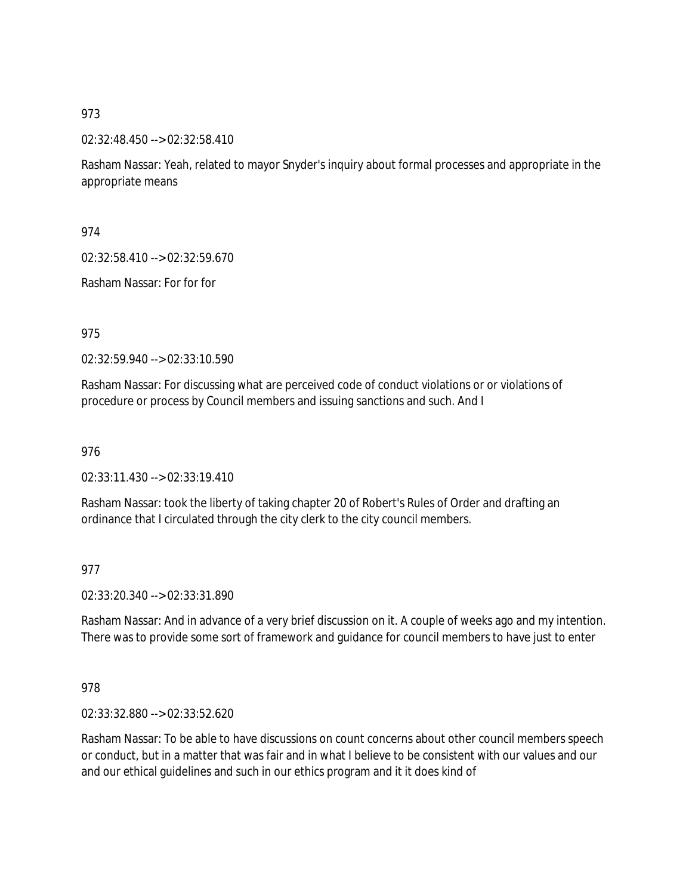02:32:48.450 --> 02:32:58.410

Rasham Nassar: Yeah, related to mayor Snyder's inquiry about formal processes and appropriate in the appropriate means

974

02:32:58.410 --> 02:32:59.670

Rasham Nassar: For for for

975

02:32:59.940 --> 02:33:10.590

Rasham Nassar: For discussing what are perceived code of conduct violations or or violations of procedure or process by Council members and issuing sanctions and such. And I

976

02:33:11.430 --> 02:33:19.410

Rasham Nassar: took the liberty of taking chapter 20 of Robert's Rules of Order and drafting an ordinance that I circulated through the city clerk to the city council members.

977

02:33:20.340 --> 02:33:31.890

Rasham Nassar: And in advance of a very brief discussion on it. A couple of weeks ago and my intention. There was to provide some sort of framework and guidance for council members to have just to enter

978

02:33:32.880 --> 02:33:52.620

Rasham Nassar: To be able to have discussions on count concerns about other council members speech or conduct, but in a matter that was fair and in what I believe to be consistent with our values and our and our ethical guidelines and such in our ethics program and it it does kind of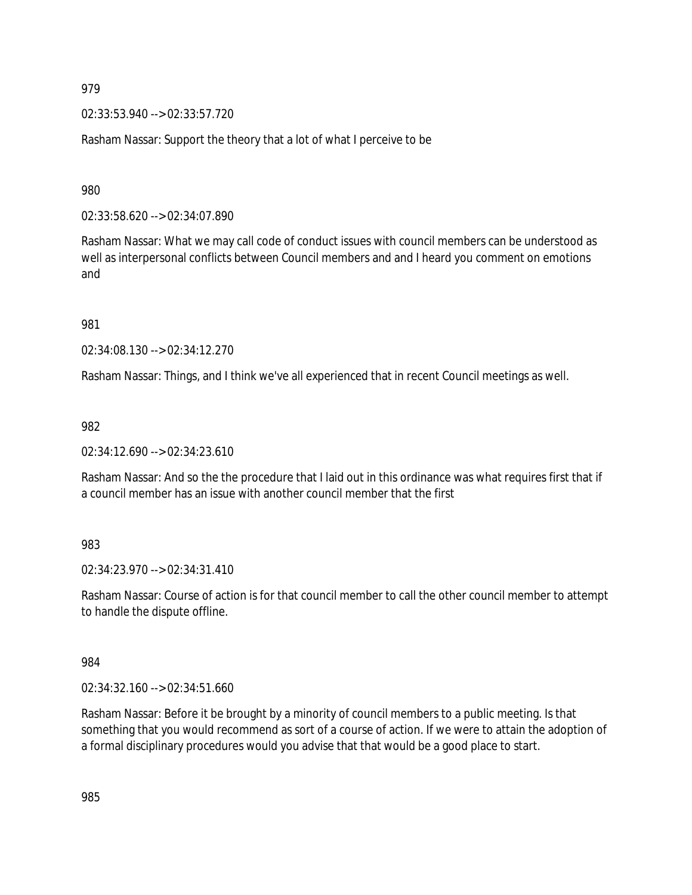02:33:53.940 --> 02:33:57.720

Rasham Nassar: Support the theory that a lot of what I perceive to be

980

02:33:58.620 --> 02:34:07.890

Rasham Nassar: What we may call code of conduct issues with council members can be understood as well as interpersonal conflicts between Council members and and I heard you comment on emotions and

981

02:34:08.130 --> 02:34:12.270

Rasham Nassar: Things, and I think we've all experienced that in recent Council meetings as well.

982

02:34:12.690 --> 02:34:23.610

Rasham Nassar: And so the the procedure that I laid out in this ordinance was what requires first that if a council member has an issue with another council member that the first

983

02:34:23.970 --> 02:34:31.410

Rasham Nassar: Course of action is for that council member to call the other council member to attempt to handle the dispute offline.

984

02:34:32.160 --> 02:34:51.660

Rasham Nassar: Before it be brought by a minority of council members to a public meeting. Is that something that you would recommend as sort of a course of action. If we were to attain the adoption of a formal disciplinary procedures would you advise that that would be a good place to start.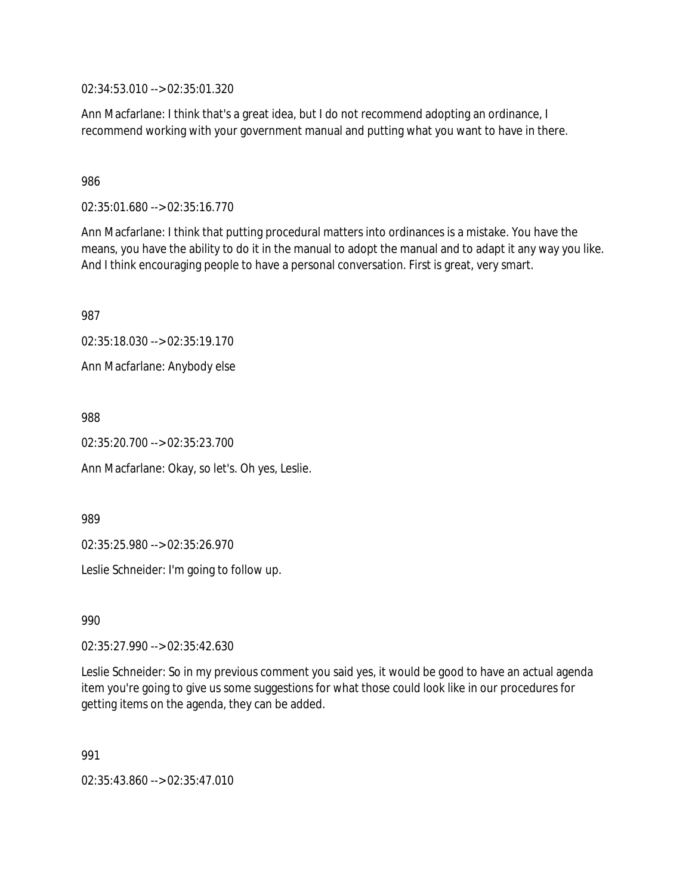02:34:53.010 --> 02:35:01.320

Ann Macfarlane: I think that's a great idea, but I do not recommend adopting an ordinance, I recommend working with your government manual and putting what you want to have in there.

986

02:35:01.680 --> 02:35:16.770

Ann Macfarlane: I think that putting procedural matters into ordinances is a mistake. You have the means, you have the ability to do it in the manual to adopt the manual and to adapt it any way you like. And I think encouraging people to have a personal conversation. First is great, very smart.

987

02:35:18.030 --> 02:35:19.170

Ann Macfarlane: Anybody else

988

02:35:20.700 --> 02:35:23.700

Ann Macfarlane: Okay, so let's. Oh yes, Leslie.

989

02:35:25.980 --> 02:35:26.970

Leslie Schneider: I'm going to follow up.

990

02:35:27.990 --> 02:35:42.630

Leslie Schneider: So in my previous comment you said yes, it would be good to have an actual agenda item you're going to give us some suggestions for what those could look like in our procedures for getting items on the agenda, they can be added.

991

02:35:43.860 --> 02:35:47.010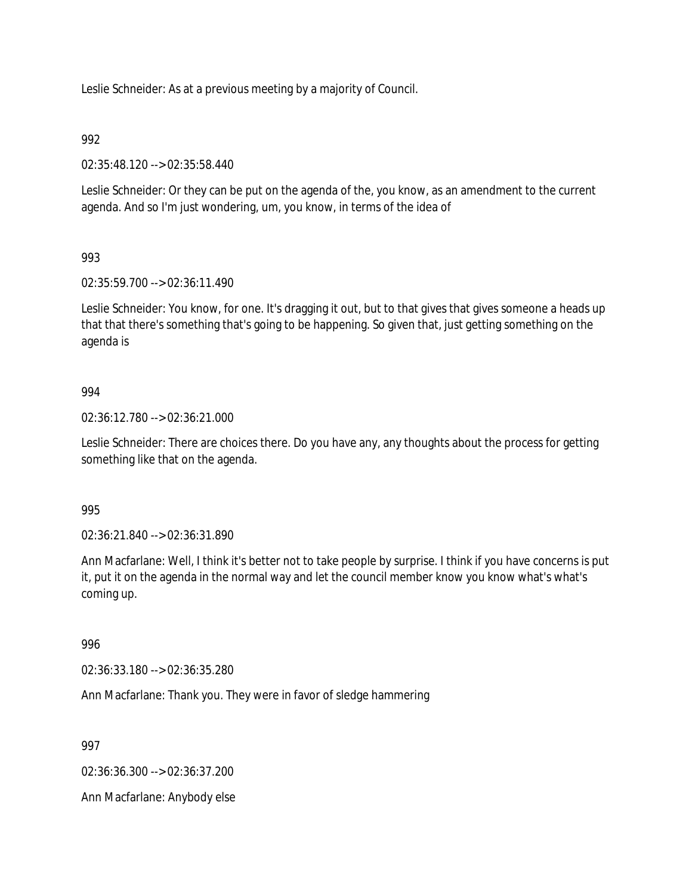Leslie Schneider: As at a previous meeting by a majority of Council.

### 992

02:35:48.120 --> 02:35:58.440

Leslie Schneider: Or they can be put on the agenda of the, you know, as an amendment to the current agenda. And so I'm just wondering, um, you know, in terms of the idea of

## 993

02:35:59.700 --> 02:36:11.490

Leslie Schneider: You know, for one. It's dragging it out, but to that gives that gives someone a heads up that that there's something that's going to be happening. So given that, just getting something on the agenda is

#### 994

02:36:12.780 --> 02:36:21.000

Leslie Schneider: There are choices there. Do you have any, any thoughts about the process for getting something like that on the agenda.

#### 995

02:36:21.840 --> 02:36:31.890

Ann Macfarlane: Well, I think it's better not to take people by surprise. I think if you have concerns is put it, put it on the agenda in the normal way and let the council member know you know what's what's coming up.

#### 996

02:36:33.180 --> 02:36:35.280

Ann Macfarlane: Thank you. They were in favor of sledge hammering

997

02:36:36.300 --> 02:36:37.200

Ann Macfarlane: Anybody else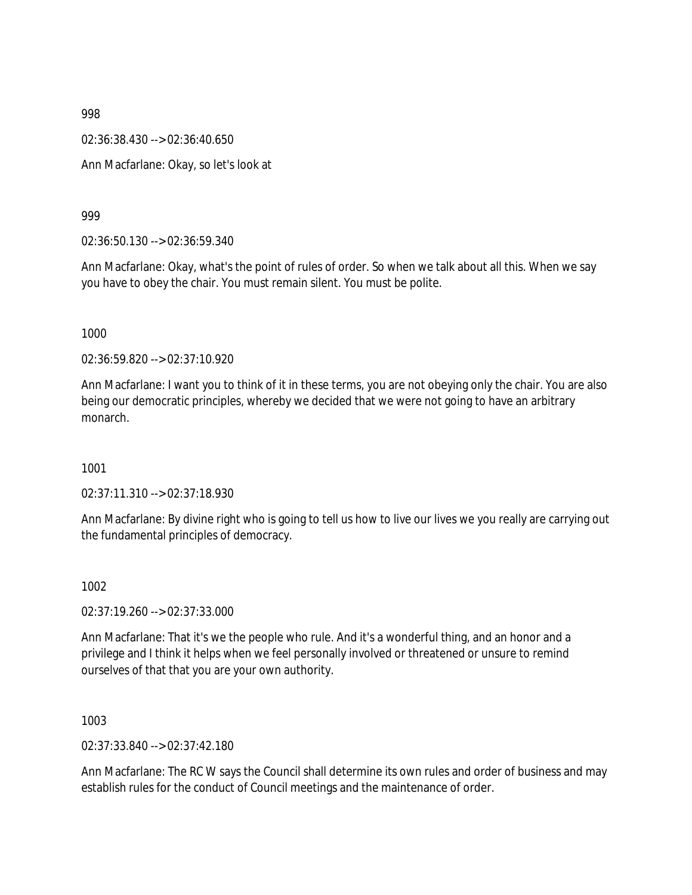02:36:38.430 --> 02:36:40.650

Ann Macfarlane: Okay, so let's look at

999

02:36:50.130 --> 02:36:59.340

Ann Macfarlane: Okay, what's the point of rules of order. So when we talk about all this. When we say you have to obey the chair. You must remain silent. You must be polite.

1000

02:36:59.820 --> 02:37:10.920

Ann Macfarlane: I want you to think of it in these terms, you are not obeying only the chair. You are also being our democratic principles, whereby we decided that we were not going to have an arbitrary monarch.

1001

02:37:11.310 --> 02:37:18.930

Ann Macfarlane: By divine right who is going to tell us how to live our lives we you really are carrying out the fundamental principles of democracy.

1002

02:37:19.260 --> 02:37:33.000

Ann Macfarlane: That it's we the people who rule. And it's a wonderful thing, and an honor and a privilege and I think it helps when we feel personally involved or threatened or unsure to remind ourselves of that that you are your own authority.

1003

02:37:33.840 --> 02:37:42.180

Ann Macfarlane: The RC W says the Council shall determine its own rules and order of business and may establish rules for the conduct of Council meetings and the maintenance of order.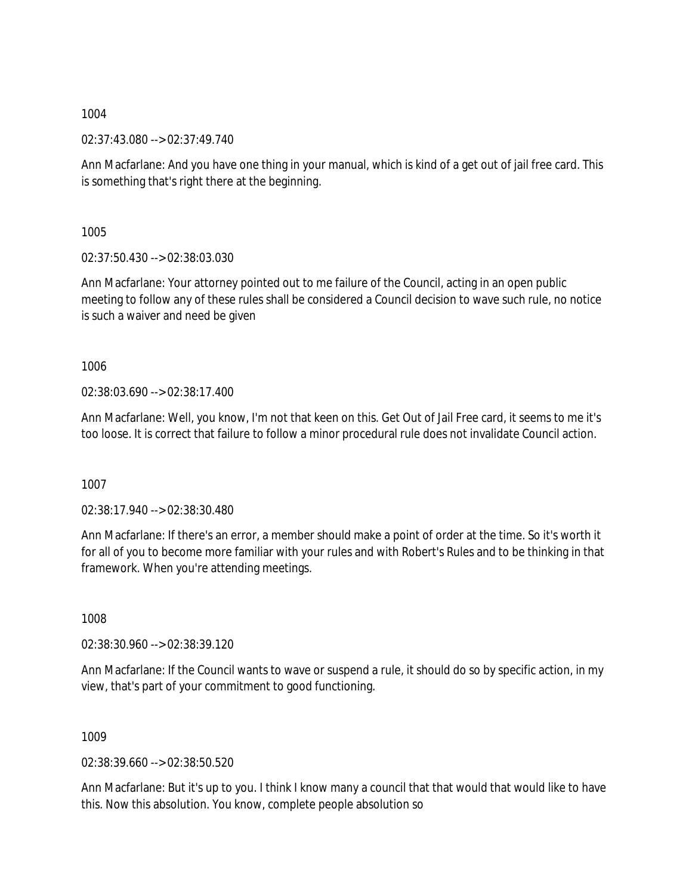02:37:43.080 --> 02:37:49.740

Ann Macfarlane: And you have one thing in your manual, which is kind of a get out of jail free card. This is something that's right there at the beginning.

1005

02:37:50.430 --> 02:38:03.030

Ann Macfarlane: Your attorney pointed out to me failure of the Council, acting in an open public meeting to follow any of these rules shall be considered a Council decision to wave such rule, no notice is such a waiver and need be given

1006

02:38:03.690 --> 02:38:17.400

Ann Macfarlane: Well, you know, I'm not that keen on this. Get Out of Jail Free card, it seems to me it's too loose. It is correct that failure to follow a minor procedural rule does not invalidate Council action.

1007

02:38:17.940 --> 02:38:30.480

Ann Macfarlane: If there's an error, a member should make a point of order at the time. So it's worth it for all of you to become more familiar with your rules and with Robert's Rules and to be thinking in that framework. When you're attending meetings.

1008

02:38:30.960 --> 02:38:39.120

Ann Macfarlane: If the Council wants to wave or suspend a rule, it should do so by specific action, in my view, that's part of your commitment to good functioning.

1009

02:38:39.660 --> 02:38:50.520

Ann Macfarlane: But it's up to you. I think I know many a council that that would that would like to have this. Now this absolution. You know, complete people absolution so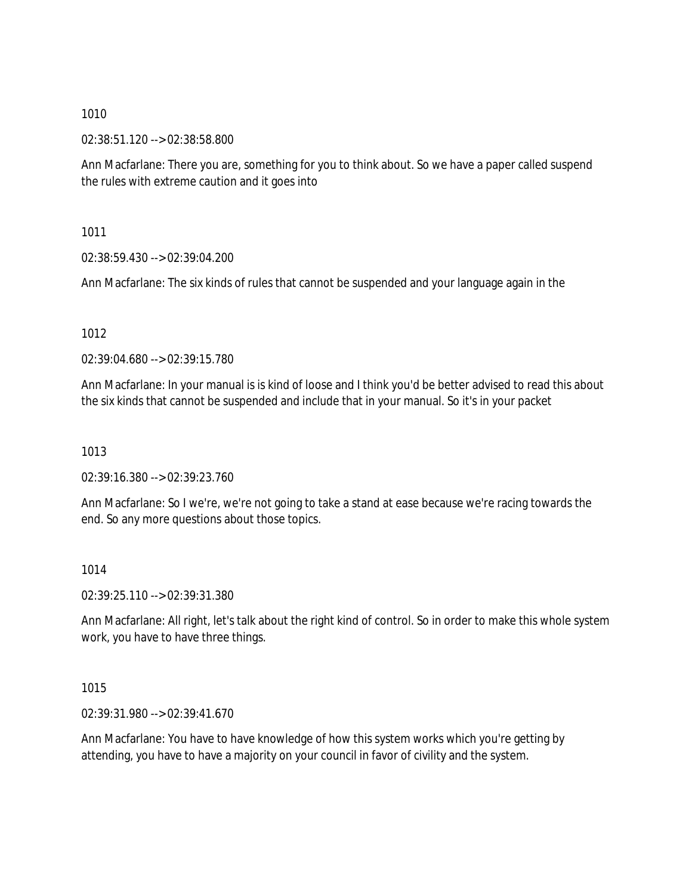02:38:51.120 --> 02:38:58.800

Ann Macfarlane: There you are, something for you to think about. So we have a paper called suspend the rules with extreme caution and it goes into

1011

02:38:59.430 --> 02:39:04.200

Ann Macfarlane: The six kinds of rules that cannot be suspended and your language again in the

1012

02:39:04.680 --> 02:39:15.780

Ann Macfarlane: In your manual is is kind of loose and I think you'd be better advised to read this about the six kinds that cannot be suspended and include that in your manual. So it's in your packet

1013

02:39:16.380 --> 02:39:23.760

Ann Macfarlane: So I we're, we're not going to take a stand at ease because we're racing towards the end. So any more questions about those topics.

1014

02:39:25.110 --> 02:39:31.380

Ann Macfarlane: All right, let's talk about the right kind of control. So in order to make this whole system work, you have to have three things.

1015

02:39:31.980 --> 02:39:41.670

Ann Macfarlane: You have to have knowledge of how this system works which you're getting by attending, you have to have a majority on your council in favor of civility and the system.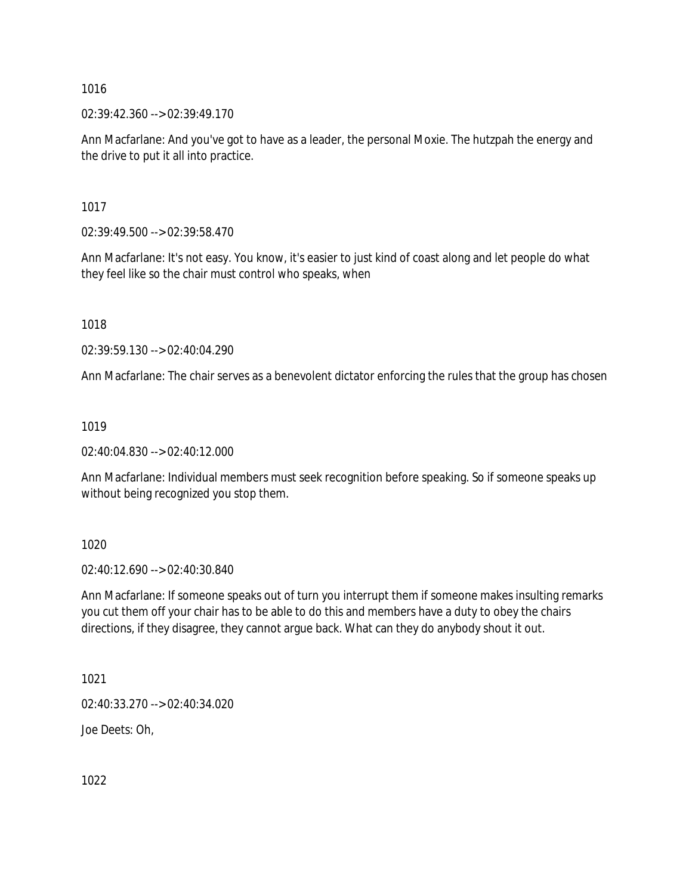$02:39:42.360 \rightarrow 02:39:49.170$ 

Ann Macfarlane: And you've got to have as a leader, the personal Moxie. The hutzpah the energy and the drive to put it all into practice.

1017

02:39:49.500 --> 02:39:58.470

Ann Macfarlane: It's not easy. You know, it's easier to just kind of coast along and let people do what they feel like so the chair must control who speaks, when

1018

02:39:59.130 --> 02:40:04.290

Ann Macfarlane: The chair serves as a benevolent dictator enforcing the rules that the group has chosen

1019

02:40:04.830 --> 02:40:12.000

Ann Macfarlane: Individual members must seek recognition before speaking. So if someone speaks up without being recognized you stop them.

1020

02:40:12.690 --> 02:40:30.840

Ann Macfarlane: If someone speaks out of turn you interrupt them if someone makes insulting remarks you cut them off your chair has to be able to do this and members have a duty to obey the chairs directions, if they disagree, they cannot argue back. What can they do anybody shout it out.

1021

02:40:33.270 --> 02:40:34.020

Joe Deets: Oh,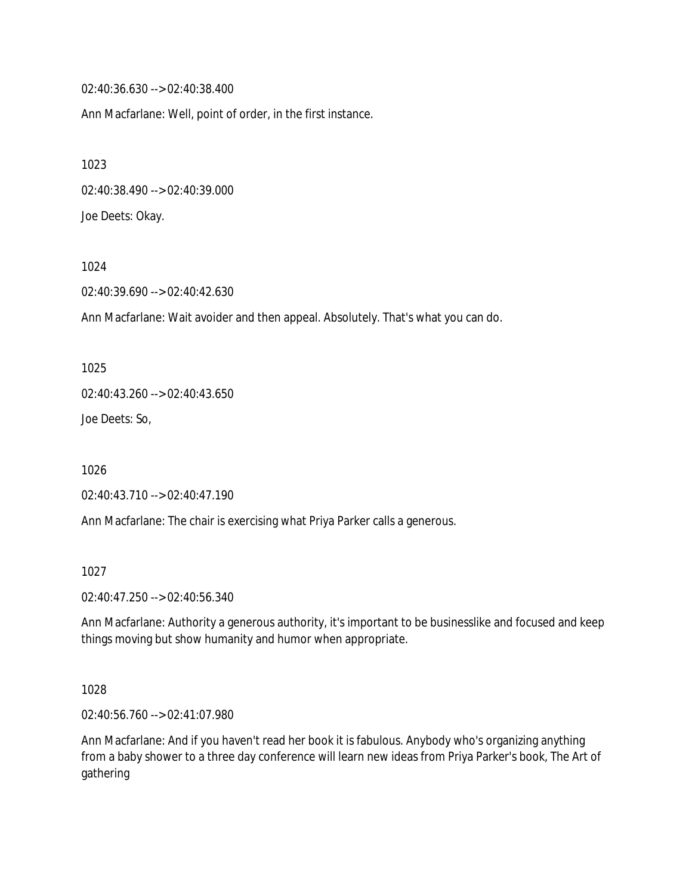02:40:36.630 --> 02:40:38.400

Ann Macfarlane: Well, point of order, in the first instance.

1023 02:40:38.490 --> 02:40:39.000 Joe Deets: Okay.

1024

02:40:39.690 --> 02:40:42.630

Ann Macfarlane: Wait avoider and then appeal. Absolutely. That's what you can do.

1025

02:40:43.260 --> 02:40:43.650

Joe Deets: So,

1026

02:40:43.710 --> 02:40:47.190

Ann Macfarlane: The chair is exercising what Priya Parker calls a generous.

1027

02:40:47.250 --> 02:40:56.340

Ann Macfarlane: Authority a generous authority, it's important to be businesslike and focused and keep things moving but show humanity and humor when appropriate.

1028

02:40:56.760 --> 02:41:07.980

Ann Macfarlane: And if you haven't read her book it is fabulous. Anybody who's organizing anything from a baby shower to a three day conference will learn new ideas from Priya Parker's book, The Art of gathering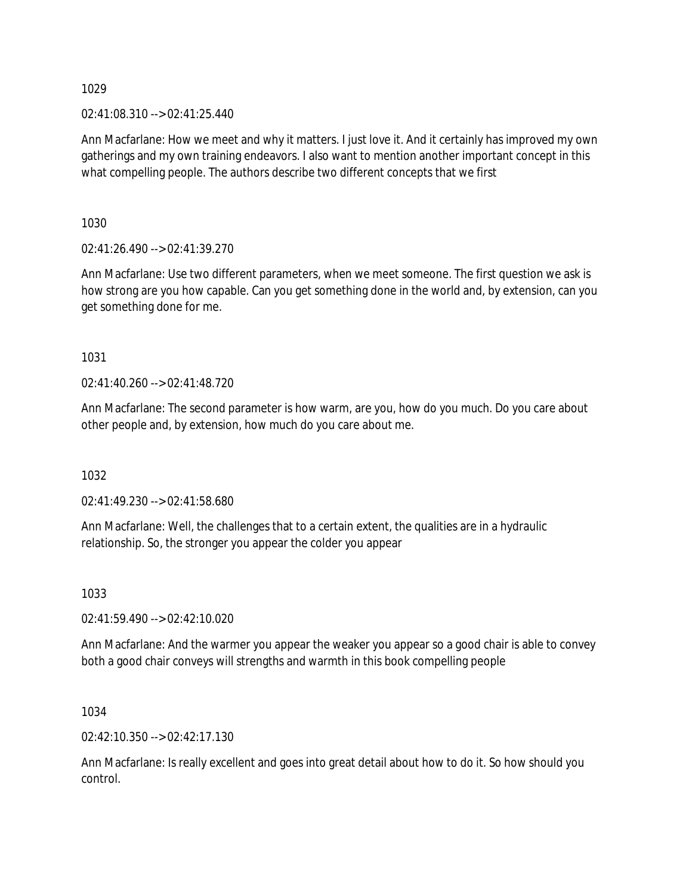02:41:08.310 --> 02:41:25.440

Ann Macfarlane: How we meet and why it matters. I just love it. And it certainly has improved my own gatherings and my own training endeavors. I also want to mention another important concept in this what compelling people. The authors describe two different concepts that we first

1030

02:41:26.490 --> 02:41:39.270

Ann Macfarlane: Use two different parameters, when we meet someone. The first question we ask is how strong are you how capable. Can you get something done in the world and, by extension, can you get something done for me.

1031

02:41:40.260 --> 02:41:48.720

Ann Macfarlane: The second parameter is how warm, are you, how do you much. Do you care about other people and, by extension, how much do you care about me.

1032

02:41:49.230 --> 02:41:58.680

Ann Macfarlane: Well, the challenges that to a certain extent, the qualities are in a hydraulic relationship. So, the stronger you appear the colder you appear

1033

02:41:59.490 --> 02:42:10.020

Ann Macfarlane: And the warmer you appear the weaker you appear so a good chair is able to convey both a good chair conveys will strengths and warmth in this book compelling people

1034

02:42:10.350 --> 02:42:17.130

Ann Macfarlane: Is really excellent and goes into great detail about how to do it. So how should you control.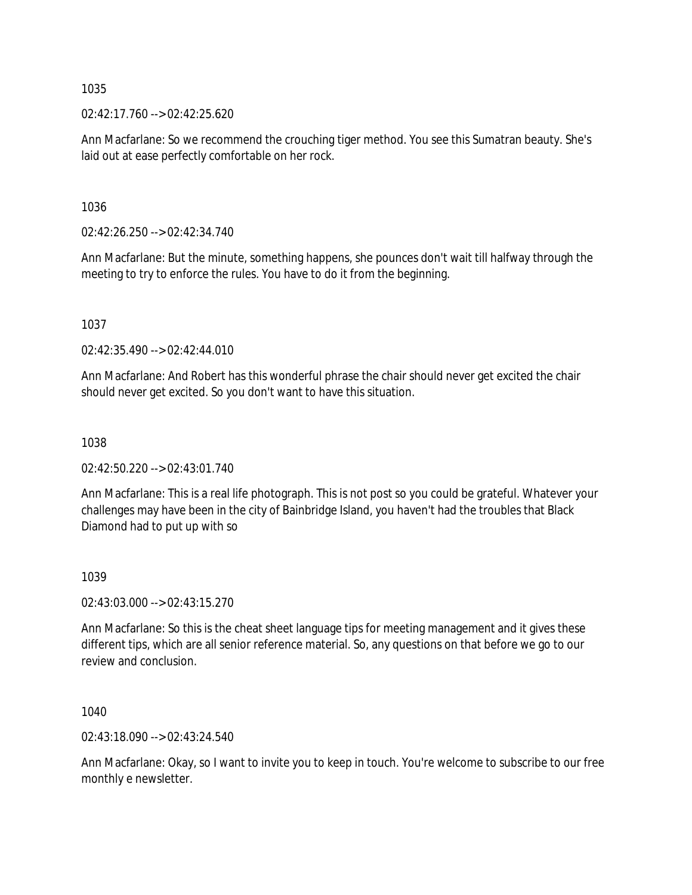02:42:17.760 --> 02:42:25.620

Ann Macfarlane: So we recommend the crouching tiger method. You see this Sumatran beauty. She's laid out at ease perfectly comfortable on her rock.

1036

02:42:26.250 --> 02:42:34.740

Ann Macfarlane: But the minute, something happens, she pounces don't wait till halfway through the meeting to try to enforce the rules. You have to do it from the beginning.

1037

02:42:35.490 --> 02:42:44.010

Ann Macfarlane: And Robert has this wonderful phrase the chair should never get excited the chair should never get excited. So you don't want to have this situation.

1038

02:42:50.220 --> 02:43:01.740

Ann Macfarlane: This is a real life photograph. This is not post so you could be grateful. Whatever your challenges may have been in the city of Bainbridge Island, you haven't had the troubles that Black Diamond had to put up with so

#### 1039

02:43:03.000 --> 02:43:15.270

Ann Macfarlane: So this is the cheat sheet language tips for meeting management and it gives these different tips, which are all senior reference material. So, any questions on that before we go to our review and conclusion.

1040

02:43:18.090 --> 02:43:24.540

Ann Macfarlane: Okay, so I want to invite you to keep in touch. You're welcome to subscribe to our free monthly e newsletter.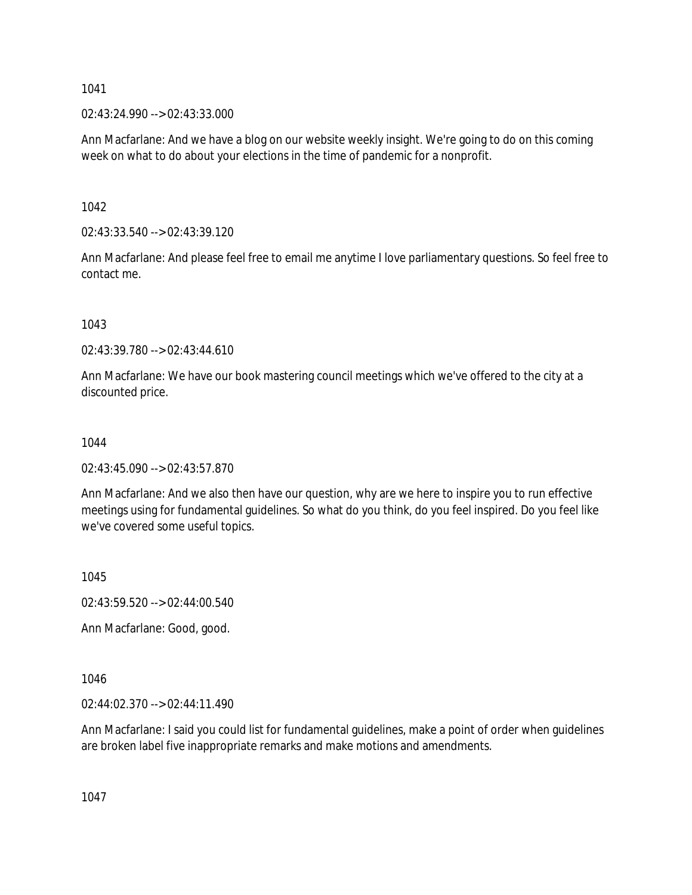02:43:24.990 --> 02:43:33.000

Ann Macfarlane: And we have a blog on our website weekly insight. We're going to do on this coming week on what to do about your elections in the time of pandemic for a nonprofit.

1042

02:43:33.540 --> 02:43:39.120

Ann Macfarlane: And please feel free to email me anytime I love parliamentary questions. So feel free to contact me.

1043

02:43:39.780 --> 02:43:44.610

Ann Macfarlane: We have our book mastering council meetings which we've offered to the city at a discounted price.

1044

02:43:45.090 --> 02:43:57.870

Ann Macfarlane: And we also then have our question, why are we here to inspire you to run effective meetings using for fundamental guidelines. So what do you think, do you feel inspired. Do you feel like we've covered some useful topics.

1045

02:43:59.520 --> 02:44:00.540

Ann Macfarlane: Good, good.

1046

02:44:02.370 --> 02:44:11.490

Ann Macfarlane: I said you could list for fundamental guidelines, make a point of order when guidelines are broken label five inappropriate remarks and make motions and amendments.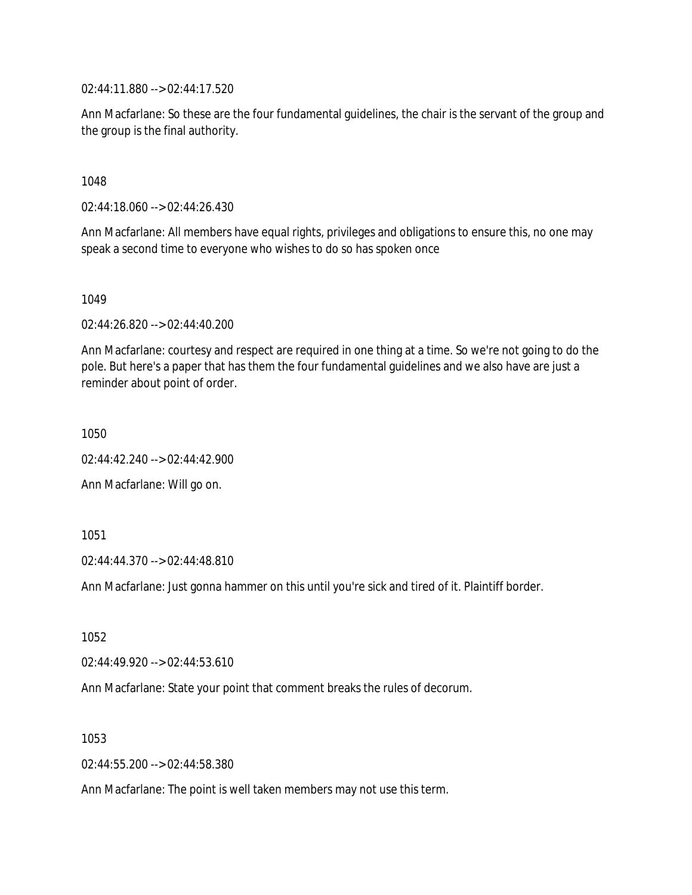02:44:11.880 --> 02:44:17.520

Ann Macfarlane: So these are the four fundamental guidelines, the chair is the servant of the group and the group is the final authority.

1048

02:44:18.060 --> 02:44:26.430

Ann Macfarlane: All members have equal rights, privileges and obligations to ensure this, no one may speak a second time to everyone who wishes to do so has spoken once

1049

02:44:26.820 --> 02:44:40.200

Ann Macfarlane: courtesy and respect are required in one thing at a time. So we're not going to do the pole. But here's a paper that has them the four fundamental guidelines and we also have are just a reminder about point of order.

1050

02:44:42.240 --> 02:44:42.900

Ann Macfarlane: Will go on.

1051

02:44:44.370 --> 02:44:48.810

Ann Macfarlane: Just gonna hammer on this until you're sick and tired of it. Plaintiff border.

1052

02:44:49.920 --> 02:44:53.610

Ann Macfarlane: State your point that comment breaks the rules of decorum.

1053

02:44:55.200 --> 02:44:58.380

Ann Macfarlane: The point is well taken members may not use this term.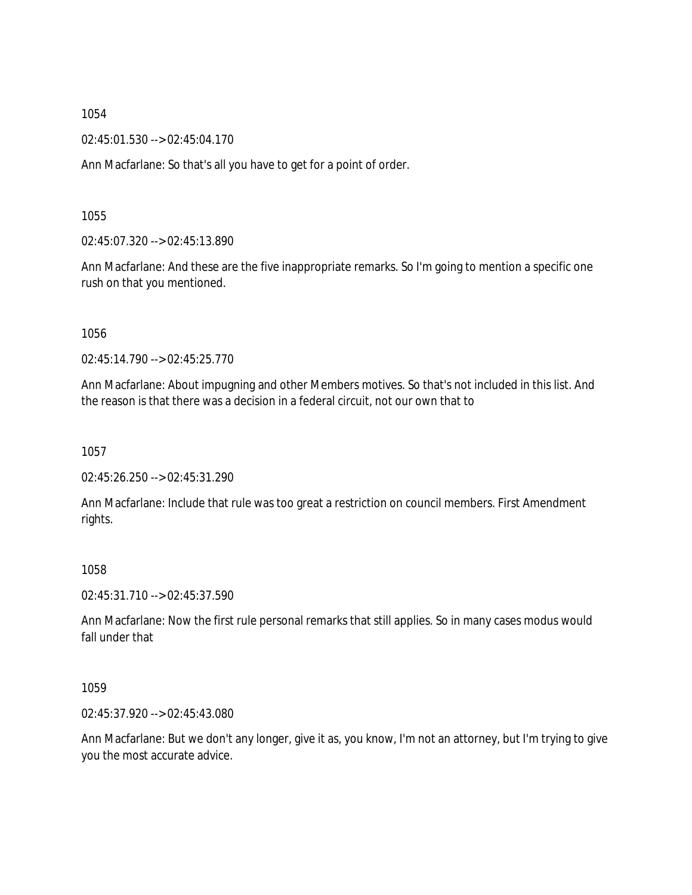02:45:01.530 --> 02:45:04.170

Ann Macfarlane: So that's all you have to get for a point of order.

1055

02:45:07.320 --> 02:45:13.890

Ann Macfarlane: And these are the five inappropriate remarks. So I'm going to mention a specific one rush on that you mentioned.

1056

02:45:14.790 --> 02:45:25.770

Ann Macfarlane: About impugning and other Members motives. So that's not included in this list. And the reason is that there was a decision in a federal circuit, not our own that to

1057

02:45:26.250 --> 02:45:31.290

Ann Macfarlane: Include that rule was too great a restriction on council members. First Amendment rights.

1058

02:45:31.710 --> 02:45:37.590

Ann Macfarlane: Now the first rule personal remarks that still applies. So in many cases modus would fall under that

1059

02:45:37.920 --> 02:45:43.080

Ann Macfarlane: But we don't any longer, give it as, you know, I'm not an attorney, but I'm trying to give you the most accurate advice.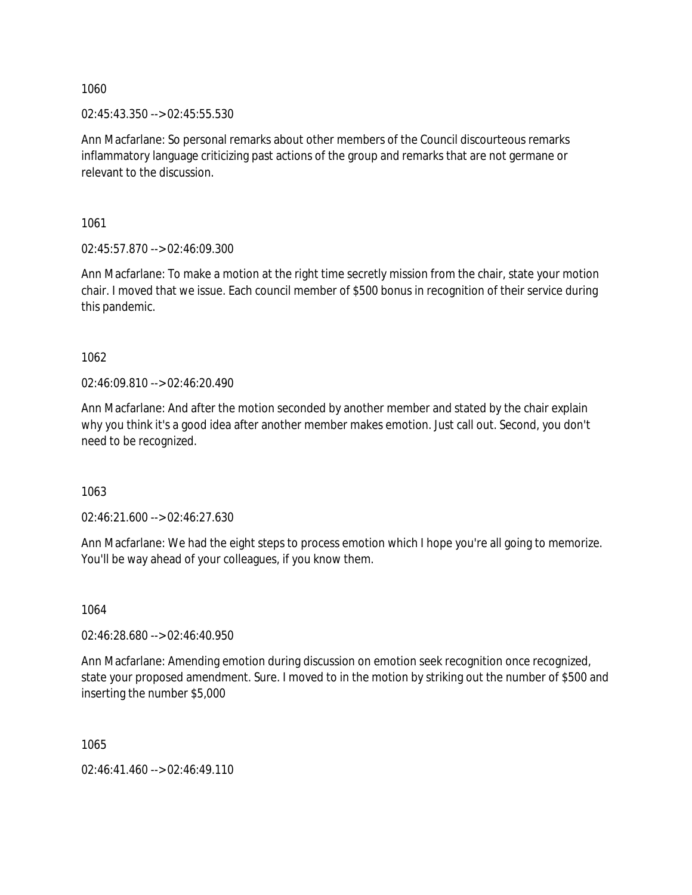02:45:43.350 --> 02:45:55.530

Ann Macfarlane: So personal remarks about other members of the Council discourteous remarks inflammatory language criticizing past actions of the group and remarks that are not germane or relevant to the discussion.

1061

02:45:57.870 --> 02:46:09.300

Ann Macfarlane: To make a motion at the right time secretly mission from the chair, state your motion chair. I moved that we issue. Each council member of \$500 bonus in recognition of their service during this pandemic.

1062

02:46:09.810 --> 02:46:20.490

Ann Macfarlane: And after the motion seconded by another member and stated by the chair explain why you think it's a good idea after another member makes emotion. Just call out. Second, you don't need to be recognized.

1063

02:46:21.600 --> 02:46:27.630

Ann Macfarlane: We had the eight steps to process emotion which I hope you're all going to memorize. You'll be way ahead of your colleagues, if you know them.

1064

02:46:28.680 --> 02:46:40.950

Ann Macfarlane: Amending emotion during discussion on emotion seek recognition once recognized, state your proposed amendment. Sure. I moved to in the motion by striking out the number of \$500 and inserting the number \$5,000

1065

02:46:41.460 --> 02:46:49.110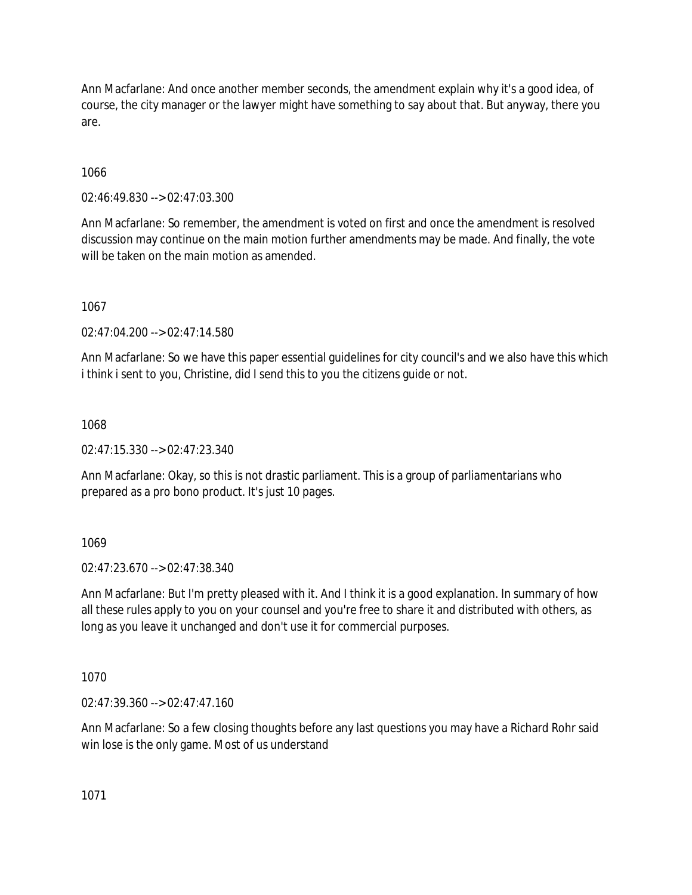Ann Macfarlane: And once another member seconds, the amendment explain why it's a good idea, of course, the city manager or the lawyer might have something to say about that. But anyway, there you are.

1066

02:46:49.830 --> 02:47:03.300

Ann Macfarlane: So remember, the amendment is voted on first and once the amendment is resolved discussion may continue on the main motion further amendments may be made. And finally, the vote will be taken on the main motion as amended.

1067

02:47:04.200 --> 02:47:14.580

Ann Macfarlane: So we have this paper essential guidelines for city council's and we also have this which i think i sent to you, Christine, did I send this to you the citizens guide or not.

1068

02:47:15.330 --> 02:47:23.340

Ann Macfarlane: Okay, so this is not drastic parliament. This is a group of parliamentarians who prepared as a pro bono product. It's just 10 pages.

1069

02:47:23.670 --> 02:47:38.340

Ann Macfarlane: But I'm pretty pleased with it. And I think it is a good explanation. In summary of how all these rules apply to you on your counsel and you're free to share it and distributed with others, as long as you leave it unchanged and don't use it for commercial purposes.

1070

02:47:39.360 --> 02:47:47.160

Ann Macfarlane: So a few closing thoughts before any last questions you may have a Richard Rohr said win lose is the only game. Most of us understand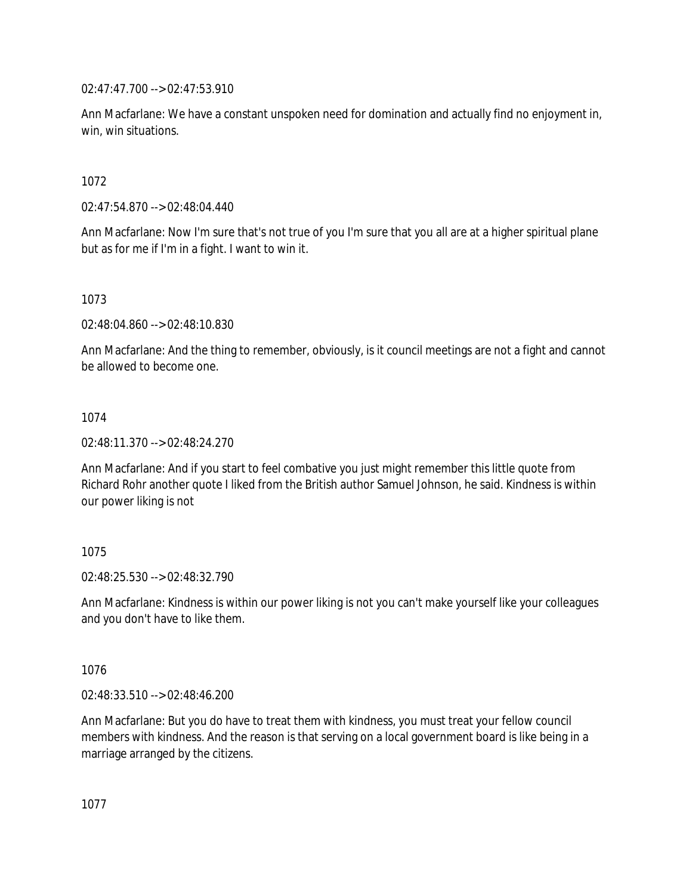02:47:47.700 --> 02:47:53.910

Ann Macfarlane: We have a constant unspoken need for domination and actually find no enjoyment in, win, win situations.

1072

02:47:54.870 --> 02:48:04.440

Ann Macfarlane: Now I'm sure that's not true of you I'm sure that you all are at a higher spiritual plane but as for me if I'm in a fight. I want to win it.

1073

02:48:04.860 --> 02:48:10.830

Ann Macfarlane: And the thing to remember, obviously, is it council meetings are not a fight and cannot be allowed to become one.

#### 1074

02:48:11.370 --> 02:48:24.270

Ann Macfarlane: And if you start to feel combative you just might remember this little quote from Richard Rohr another quote I liked from the British author Samuel Johnson, he said. Kindness is within our power liking is not

#### 1075

02:48:25.530 --> 02:48:32.790

Ann Macfarlane: Kindness is within our power liking is not you can't make yourself like your colleagues and you don't have to like them.

#### 1076

02:48:33.510 --> 02:48:46.200

Ann Macfarlane: But you do have to treat them with kindness, you must treat your fellow council members with kindness. And the reason is that serving on a local government board is like being in a marriage arranged by the citizens.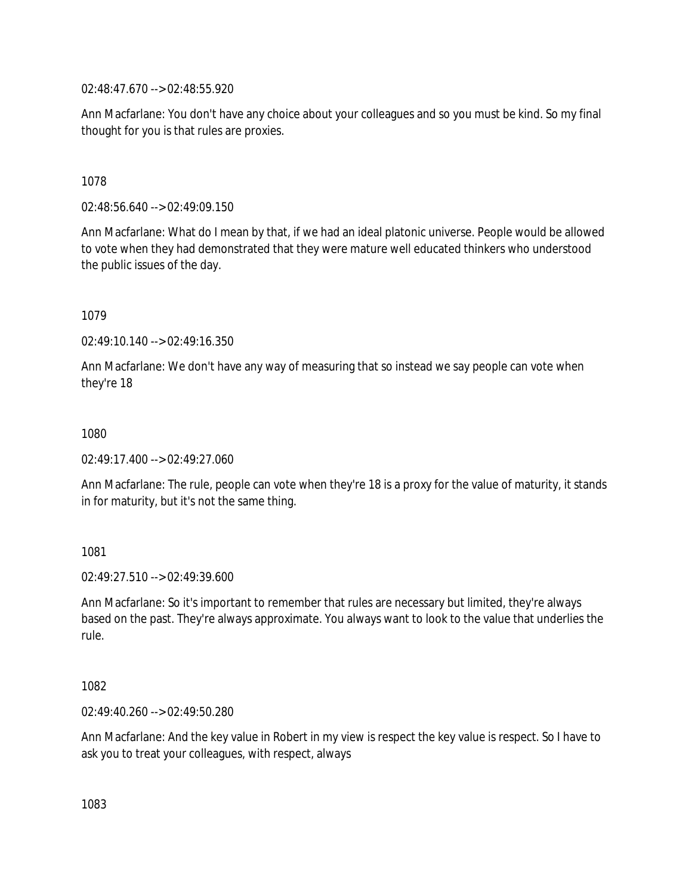02:48:47.670 --> 02:48:55.920

Ann Macfarlane: You don't have any choice about your colleagues and so you must be kind. So my final thought for you is that rules are proxies.

1078

02:48:56.640 --> 02:49:09.150

Ann Macfarlane: What do I mean by that, if we had an ideal platonic universe. People would be allowed to vote when they had demonstrated that they were mature well educated thinkers who understood the public issues of the day.

1079

02:49:10.140 --> 02:49:16.350

Ann Macfarlane: We don't have any way of measuring that so instead we say people can vote when they're 18

1080

02:49:17.400 --> 02:49:27.060

Ann Macfarlane: The rule, people can vote when they're 18 is a proxy for the value of maturity, it stands in for maturity, but it's not the same thing.

1081

 $02.49.27.510 -> 02.49.39.600$ 

Ann Macfarlane: So it's important to remember that rules are necessary but limited, they're always based on the past. They're always approximate. You always want to look to the value that underlies the rule.

1082

02:49:40.260 --> 02:49:50.280

Ann Macfarlane: And the key value in Robert in my view is respect the key value is respect. So I have to ask you to treat your colleagues, with respect, always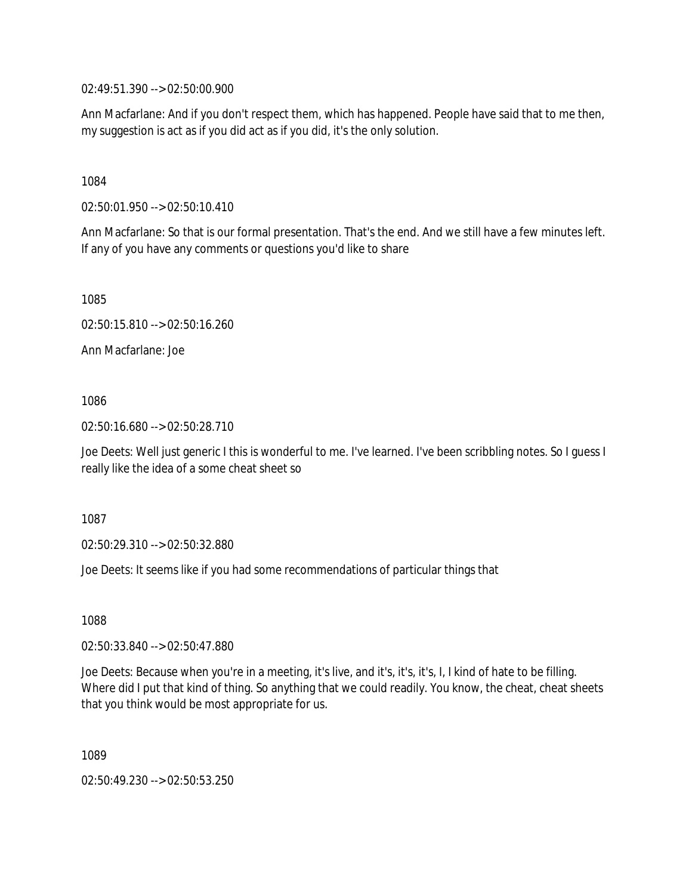02:49:51.390 --> 02:50:00.900

Ann Macfarlane: And if you don't respect them, which has happened. People have said that to me then, my suggestion is act as if you did act as if you did, it's the only solution.

1084

02:50:01.950 --> 02:50:10.410

Ann Macfarlane: So that is our formal presentation. That's the end. And we still have a few minutes left. If any of you have any comments or questions you'd like to share

1085

02:50:15.810 --> 02:50:16.260

Ann Macfarlane: Joe

1086

02:50:16.680 --> 02:50:28.710

Joe Deets: Well just generic I this is wonderful to me. I've learned. I've been scribbling notes. So I guess I really like the idea of a some cheat sheet so

1087

02:50:29.310 --> 02:50:32.880

Joe Deets: It seems like if you had some recommendations of particular things that

1088

02:50:33.840 --> 02:50:47.880

Joe Deets: Because when you're in a meeting, it's live, and it's, it's, it's, I, I kind of hate to be filling. Where did I put that kind of thing. So anything that we could readily. You know, the cheat, cheat sheets that you think would be most appropriate for us.

1089

02:50:49.230 --> 02:50:53.250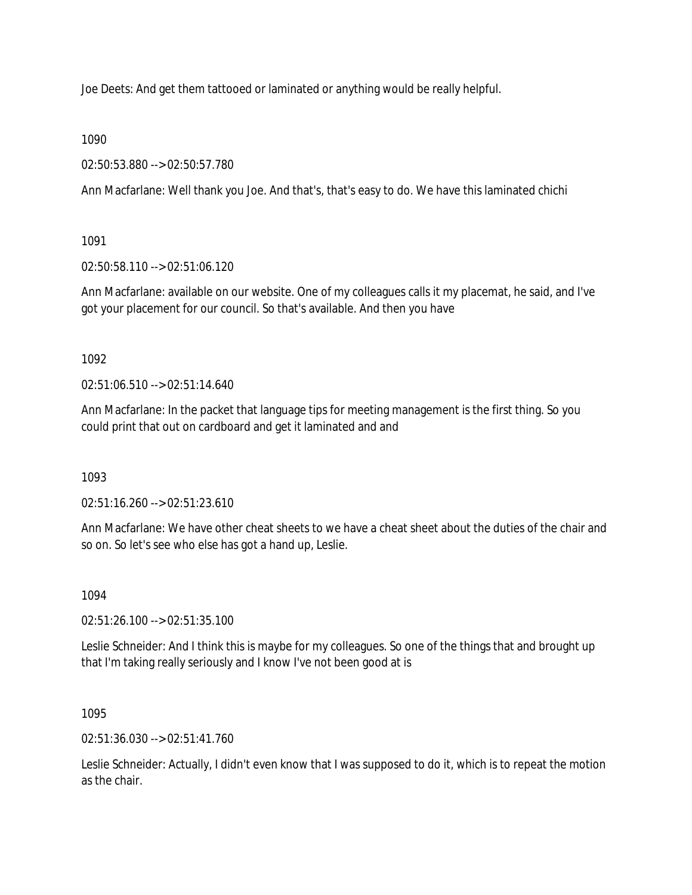Joe Deets: And get them tattooed or laminated or anything would be really helpful.

1090

02:50:53.880 --> 02:50:57.780

Ann Macfarlane: Well thank you Joe. And that's, that's easy to do. We have this laminated chichi

1091

02:50:58.110 --> 02:51:06.120

Ann Macfarlane: available on our website. One of my colleagues calls it my placemat, he said, and I've got your placement for our council. So that's available. And then you have

1092

02:51:06.510 --> 02:51:14.640

Ann Macfarlane: In the packet that language tips for meeting management is the first thing. So you could print that out on cardboard and get it laminated and and

1093

02:51:16.260 --> 02:51:23.610

Ann Macfarlane: We have other cheat sheets to we have a cheat sheet about the duties of the chair and so on. So let's see who else has got a hand up, Leslie.

1094

02:51:26.100 --> 02:51:35.100

Leslie Schneider: And I think this is maybe for my colleagues. So one of the things that and brought up that I'm taking really seriously and I know I've not been good at is

1095

02:51:36.030 --> 02:51:41.760

Leslie Schneider: Actually, I didn't even know that I was supposed to do it, which is to repeat the motion as the chair.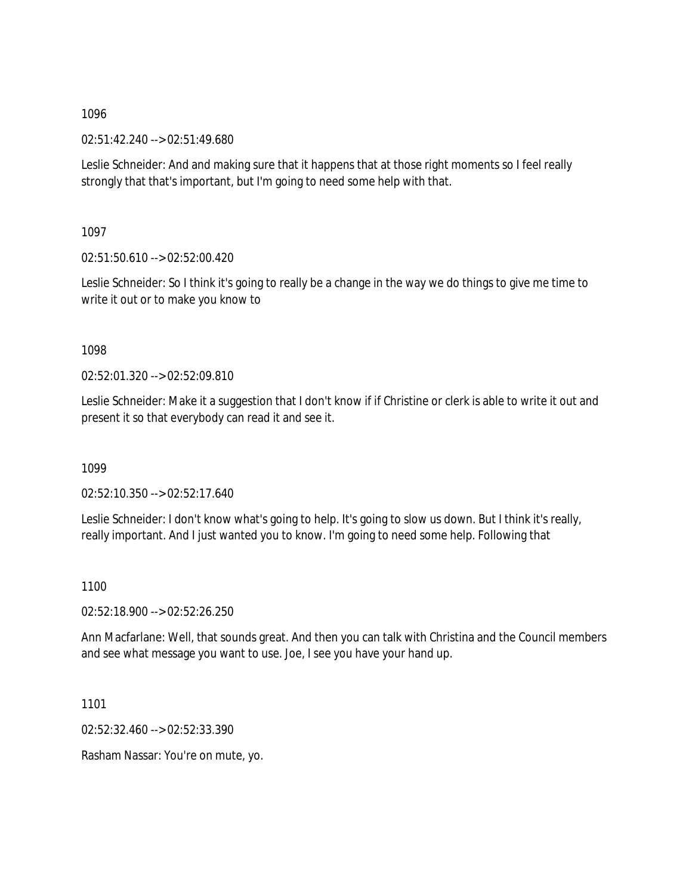02:51:42.240 --> 02:51:49.680

Leslie Schneider: And and making sure that it happens that at those right moments so I feel really strongly that that's important, but I'm going to need some help with that.

1097

02:51:50.610 --> 02:52:00.420

Leslie Schneider: So I think it's going to really be a change in the way we do things to give me time to write it out or to make you know to

1098

02:52:01.320 --> 02:52:09.810

Leslie Schneider: Make it a suggestion that I don't know if if Christine or clerk is able to write it out and present it so that everybody can read it and see it.

1099

02:52:10.350 --> 02:52:17.640

Leslie Schneider: I don't know what's going to help. It's going to slow us down. But I think it's really, really important. And I just wanted you to know. I'm going to need some help. Following that

1100

02:52:18.900 --> 02:52:26.250

Ann Macfarlane: Well, that sounds great. And then you can talk with Christina and the Council members and see what message you want to use. Joe, I see you have your hand up.

1101

02:52:32.460 --> 02:52:33.390

Rasham Nassar: You're on mute, yo.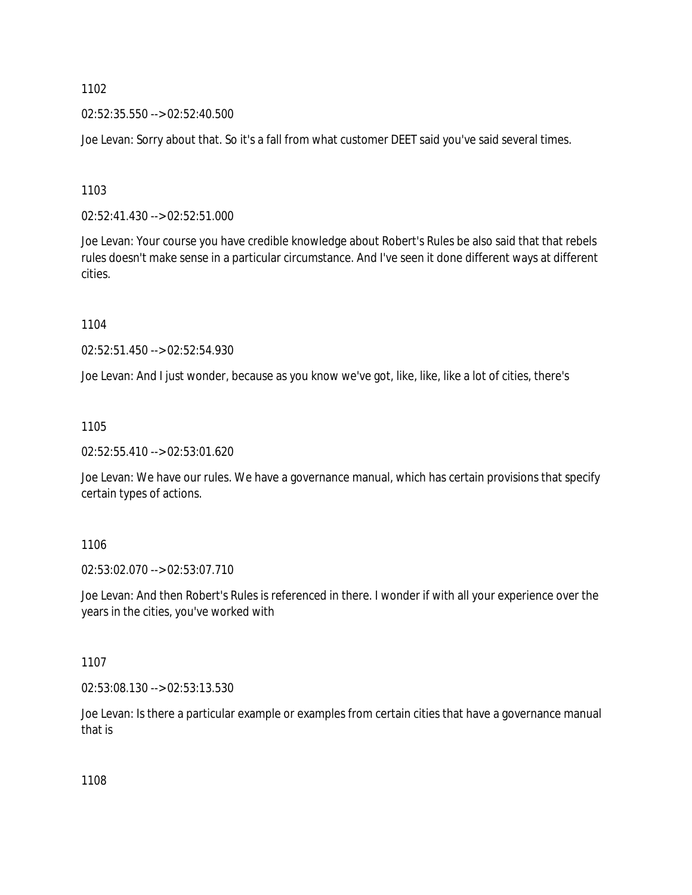02:52:35.550 --> 02:52:40.500

Joe Levan: Sorry about that. So it's a fall from what customer DEET said you've said several times.

1103

02:52:41.430 --> 02:52:51.000

Joe Levan: Your course you have credible knowledge about Robert's Rules be also said that that rebels rules doesn't make sense in a particular circumstance. And I've seen it done different ways at different cities.

1104

02:52:51.450 --> 02:52:54.930

Joe Levan: And I just wonder, because as you know we've got, like, like, like a lot of cities, there's

1105

02:52:55.410 --> 02:53:01.620

Joe Levan: We have our rules. We have a governance manual, which has certain provisions that specify certain types of actions.

1106

02:53:02.070 --> 02:53:07.710

Joe Levan: And then Robert's Rules is referenced in there. I wonder if with all your experience over the years in the cities, you've worked with

1107

02:53:08.130 --> 02:53:13.530

Joe Levan: Is there a particular example or examples from certain cities that have a governance manual that is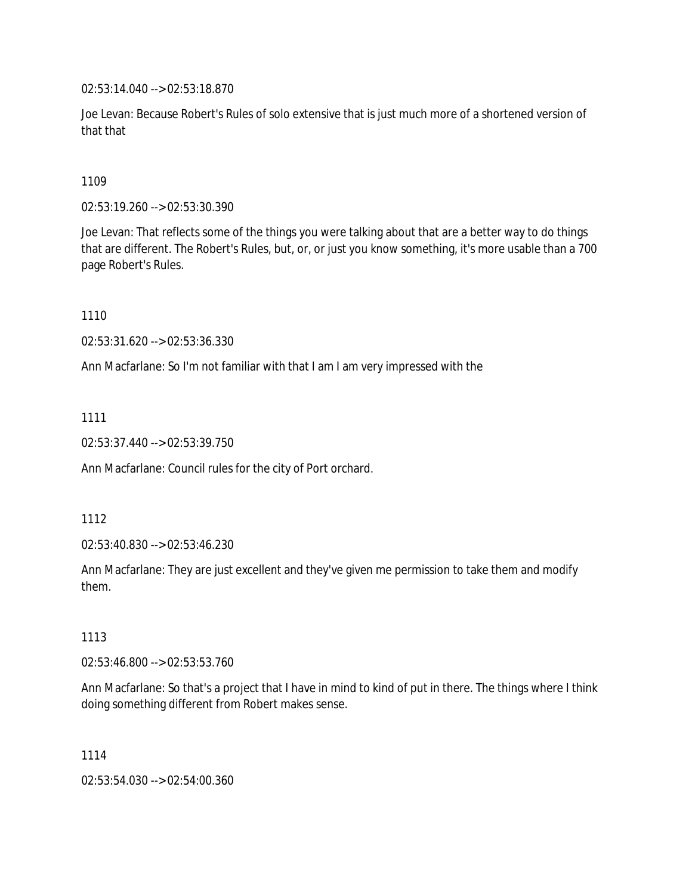02:53:14.040 --> 02:53:18.870

Joe Levan: Because Robert's Rules of solo extensive that is just much more of a shortened version of that that

1109

02:53:19.260 --> 02:53:30.390

Joe Levan: That reflects some of the things you were talking about that are a better way to do things that are different. The Robert's Rules, but, or, or just you know something, it's more usable than a 700 page Robert's Rules.

1110

02:53:31.620 --> 02:53:36.330

Ann Macfarlane: So I'm not familiar with that I am I am very impressed with the

1111

02:53:37.440 --> 02:53:39.750

Ann Macfarlane: Council rules for the city of Port orchard.

1112

02:53:40.830 --> 02:53:46.230

Ann Macfarlane: They are just excellent and they've given me permission to take them and modify them.

1113

02:53:46.800 --> 02:53:53.760

Ann Macfarlane: So that's a project that I have in mind to kind of put in there. The things where I think doing something different from Robert makes sense.

1114

02:53:54.030 --> 02:54:00.360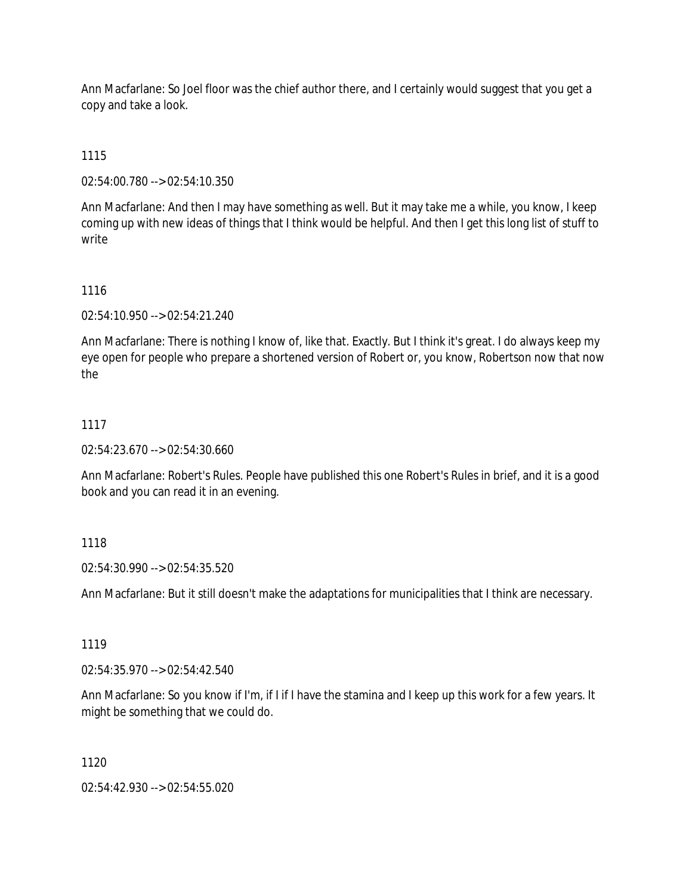Ann Macfarlane: So Joel floor was the chief author there, and I certainly would suggest that you get a copy and take a look.

1115

02:54:00.780 --> 02:54:10.350

Ann Macfarlane: And then I may have something as well. But it may take me a while, you know, I keep coming up with new ideas of things that I think would be helpful. And then I get this long list of stuff to write

### 1116

02:54:10.950 --> 02:54:21.240

Ann Macfarlane: There is nothing I know of, like that. Exactly. But I think it's great. I do always keep my eye open for people who prepare a shortened version of Robert or, you know, Robertson now that now the

### 1117

02:54:23.670 --> 02:54:30.660

Ann Macfarlane: Robert's Rules. People have published this one Robert's Rules in brief, and it is a good book and you can read it in an evening.

#### 1118

02:54:30.990 --> 02:54:35.520

Ann Macfarlane: But it still doesn't make the adaptations for municipalities that I think are necessary.

#### 1119

02:54:35.970 --> 02:54:42.540

Ann Macfarlane: So you know if I'm, if I if I have the stamina and I keep up this work for a few years. It might be something that we could do.

#### 1120

02:54:42.930 --> 02:54:55.020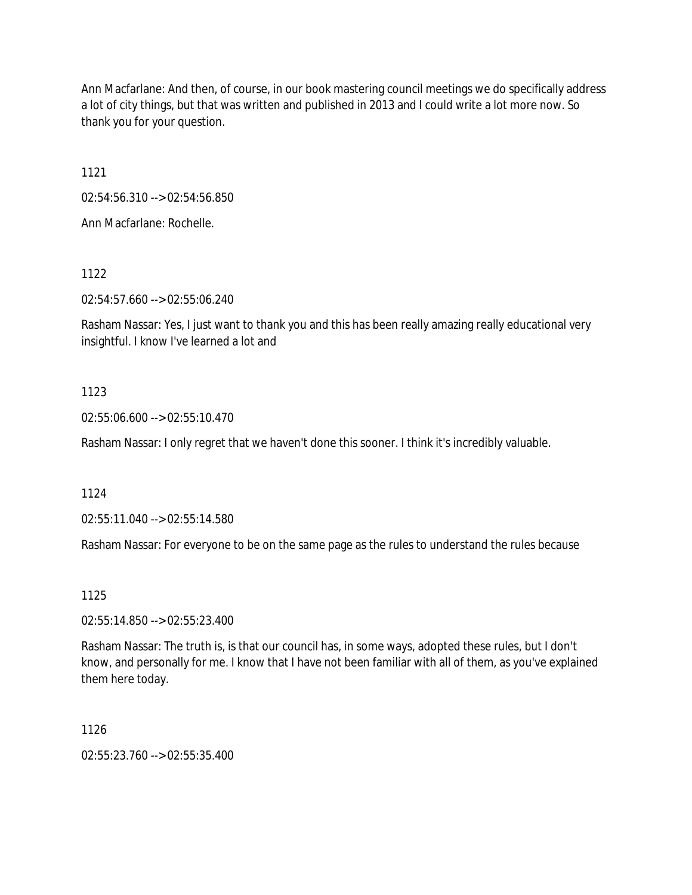Ann Macfarlane: And then, of course, in our book mastering council meetings we do specifically address a lot of city things, but that was written and published in 2013 and I could write a lot more now. So thank you for your question.

1121

02:54:56.310 --> 02:54:56.850

Ann Macfarlane: Rochelle.

1122

02:54:57.660 --> 02:55:06.240

Rasham Nassar: Yes, I just want to thank you and this has been really amazing really educational very insightful. I know I've learned a lot and

### 1123

02:55:06.600 --> 02:55:10.470

Rasham Nassar: I only regret that we haven't done this sooner. I think it's incredibly valuable.

1124

02:55:11.040 --> 02:55:14.580

Rasham Nassar: For everyone to be on the same page as the rules to understand the rules because

1125

02:55:14.850 --> 02:55:23.400

Rasham Nassar: The truth is, is that our council has, in some ways, adopted these rules, but I don't know, and personally for me. I know that I have not been familiar with all of them, as you've explained them here today.

1126

 $02:55:23.760 \rightarrow 02:55:35.400$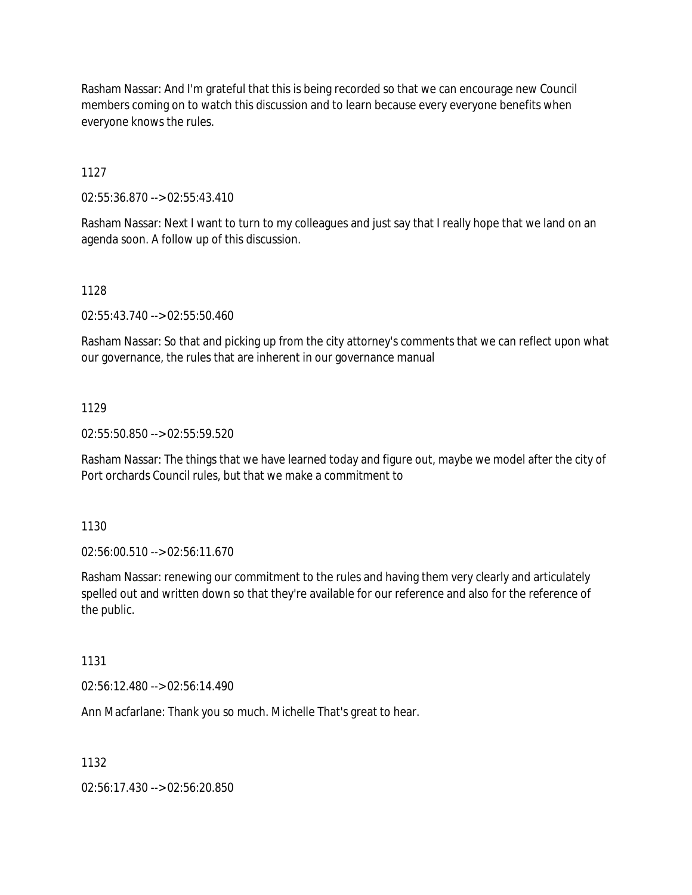Rasham Nassar: And I'm grateful that this is being recorded so that we can encourage new Council members coming on to watch this discussion and to learn because every everyone benefits when everyone knows the rules.

1127

02:55:36.870 --> 02:55:43.410

Rasham Nassar: Next I want to turn to my colleagues and just say that I really hope that we land on an agenda soon. A follow up of this discussion.

1128

02:55:43.740 --> 02:55:50.460

Rasham Nassar: So that and picking up from the city attorney's comments that we can reflect upon what our governance, the rules that are inherent in our governance manual

#### 1129

02:55:50.850 --> 02:55:59.520

Rasham Nassar: The things that we have learned today and figure out, maybe we model after the city of Port orchards Council rules, but that we make a commitment to

1130

02:56:00.510 --> 02:56:11.670

Rasham Nassar: renewing our commitment to the rules and having them very clearly and articulately spelled out and written down so that they're available for our reference and also for the reference of the public.

1131

02:56:12.480 --> 02:56:14.490

Ann Macfarlane: Thank you so much. Michelle That's great to hear.

1132

02:56:17.430 --> 02:56:20.850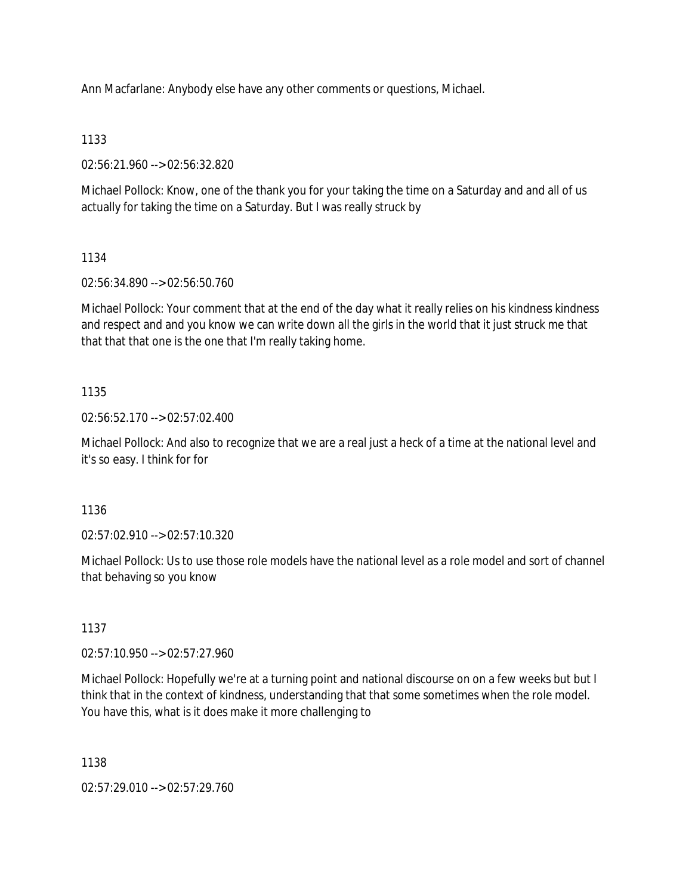Ann Macfarlane: Anybody else have any other comments or questions, Michael.

# 1133

02:56:21.960 --> 02:56:32.820

Michael Pollock: Know, one of the thank you for your taking the time on a Saturday and and all of us actually for taking the time on a Saturday. But I was really struck by

# 1134

02:56:34.890 --> 02:56:50.760

Michael Pollock: Your comment that at the end of the day what it really relies on his kindness kindness and respect and and you know we can write down all the girls in the world that it just struck me that that that that one is the one that I'm really taking home.

# 1135

02:56:52.170 --> 02:57:02.400

Michael Pollock: And also to recognize that we are a real just a heck of a time at the national level and it's so easy. I think for for

# 1136

02:57:02.910 --> 02:57:10.320

Michael Pollock: Us to use those role models have the national level as a role model and sort of channel that behaving so you know

# 1137

02:57:10.950 --> 02:57:27.960

Michael Pollock: Hopefully we're at a turning point and national discourse on on a few weeks but but I think that in the context of kindness, understanding that that some sometimes when the role model. You have this, what is it does make it more challenging to

# 1138

02:57:29.010 --> 02:57:29.760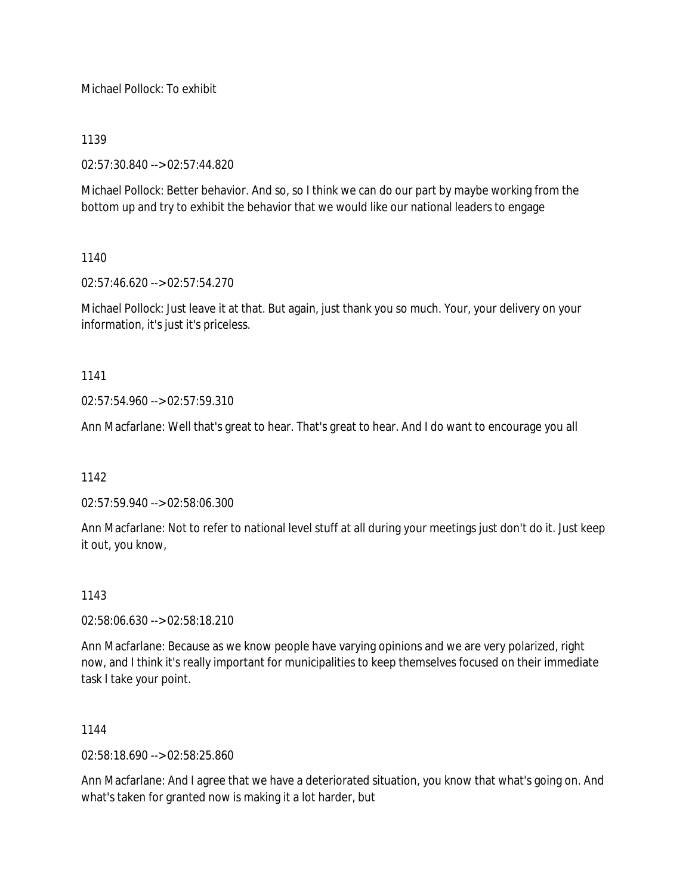Michael Pollock: To exhibit

### 1139

02:57:30.840 --> 02:57:44.820

Michael Pollock: Better behavior. And so, so I think we can do our part by maybe working from the bottom up and try to exhibit the behavior that we would like our national leaders to engage

# 1140

02:57:46.620 --> 02:57:54.270

Michael Pollock: Just leave it at that. But again, just thank you so much. Your, your delivery on your information, it's just it's priceless.

### 1141

 $02:57:54.960 \rightarrow 02:57:59.310$ 

Ann Macfarlane: Well that's great to hear. That's great to hear. And I do want to encourage you all

#### 1142

02:57:59.940 --> 02:58:06.300

Ann Macfarlane: Not to refer to national level stuff at all during your meetings just don't do it. Just keep it out, you know,

#### 1143

02:58:06.630 --> 02:58:18.210

Ann Macfarlane: Because as we know people have varying opinions and we are very polarized, right now, and I think it's really important for municipalities to keep themselves focused on their immediate task I take your point.

#### 1144

02:58:18.690 --> 02:58:25.860

Ann Macfarlane: And I agree that we have a deteriorated situation, you know that what's going on. And what's taken for granted now is making it a lot harder, but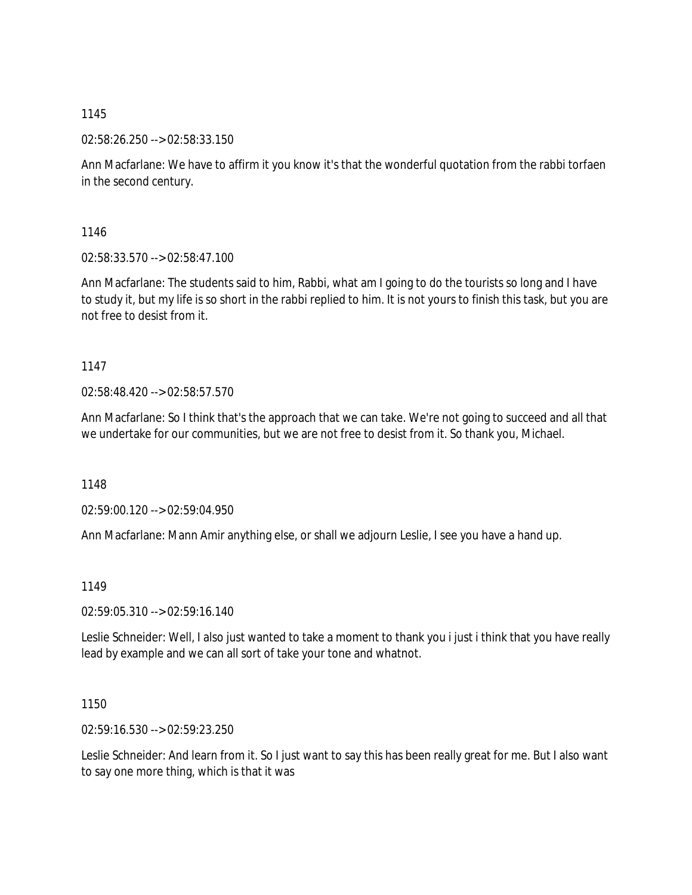1145

02:58:26.250 --> 02:58:33.150

Ann Macfarlane: We have to affirm it you know it's that the wonderful quotation from the rabbi torfaen in the second century.

1146

02:58:33.570 --> 02:58:47.100

Ann Macfarlane: The students said to him, Rabbi, what am I going to do the tourists so long and I have to study it, but my life is so short in the rabbi replied to him. It is not yours to finish this task, but you are not free to desist from it.

1147

02:58:48.420 --> 02:58:57.570

Ann Macfarlane: So I think that's the approach that we can take. We're not going to succeed and all that we undertake for our communities, but we are not free to desist from it. So thank you, Michael.

1148

02:59:00.120 --> 02:59:04.950

Ann Macfarlane: Mann Amir anything else, or shall we adjourn Leslie, I see you have a hand up.

1149

02:59:05.310 --> 02:59:16.140

Leslie Schneider: Well, I also just wanted to take a moment to thank you i just i think that you have really lead by example and we can all sort of take your tone and whatnot.

1150

02:59:16.530 --> 02:59:23.250

Leslie Schneider: And learn from it. So I just want to say this has been really great for me. But I also want to say one more thing, which is that it was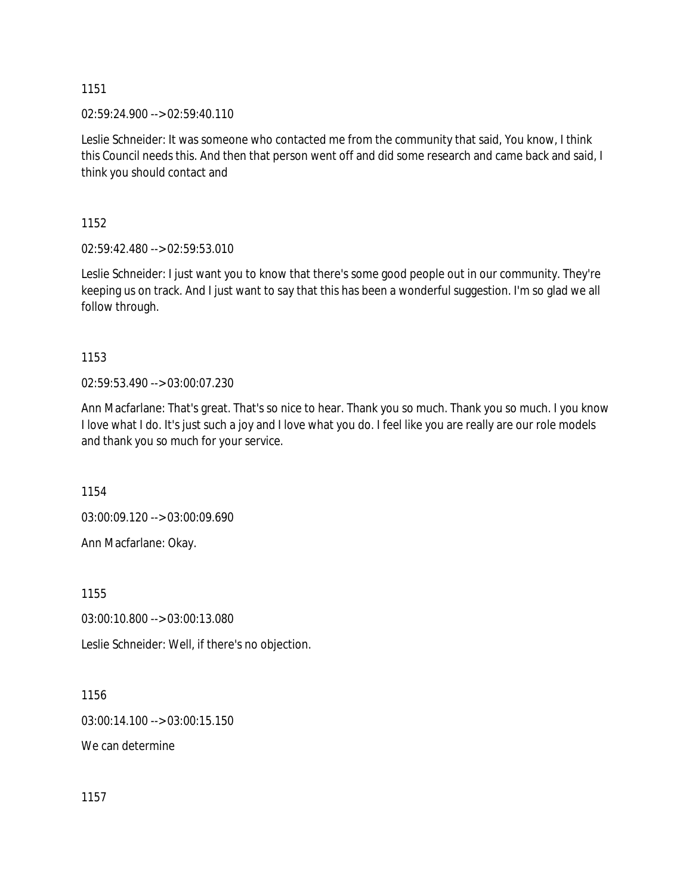1151

02:59:24.900 --> 02:59:40.110

Leslie Schneider: It was someone who contacted me from the community that said, You know, I think this Council needs this. And then that person went off and did some research and came back and said, I think you should contact and

1152

02:59:42.480 --> 02:59:53.010

Leslie Schneider: I just want you to know that there's some good people out in our community. They're keeping us on track. And I just want to say that this has been a wonderful suggestion. I'm so glad we all follow through.

1153

02:59:53.490 --> 03:00:07.230

Ann Macfarlane: That's great. That's so nice to hear. Thank you so much. Thank you so much. I you know I love what I do. It's just such a joy and I love what you do. I feel like you are really are our role models and thank you so much for your service.

1154

03:00:09.120 --> 03:00:09.690

Ann Macfarlane: Okay.

1155

03:00:10.800 --> 03:00:13.080

Leslie Schneider: Well, if there's no objection.

1156

03:00:14.100 --> 03:00:15.150

We can determine

1157